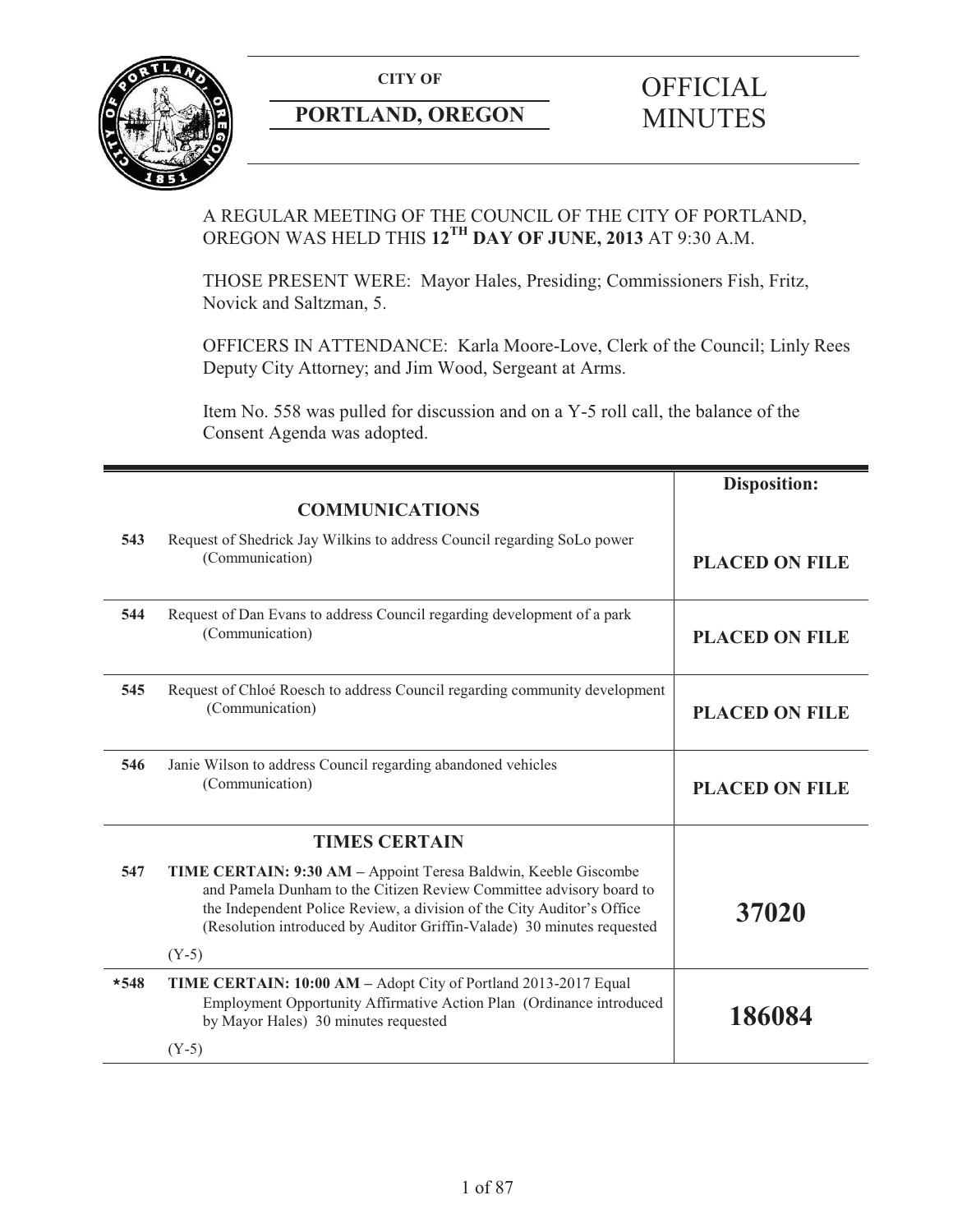

# **PORTLAND, OREGON MINUTES**

# **CITY OF** OFFICIAL

# A REGULAR MEETING OF THE COUNCIL OF THE CITY OF PORTLAND, OREGON WAS HELD THIS **12TH DAY OF JUNE, 2013** AT 9:30 A.M.

THOSE PRESENT WERE: Mayor Hales, Presiding; Commissioners Fish, Fritz, Novick and Saltzman, 5.

OFFICERS IN ATTENDANCE: Karla Moore-Love, Clerk of the Council; Linly Rees Deputy City Attorney; and Jim Wood, Sergeant at Arms.

Item No. 558 was pulled for discussion and on a Y-5 roll call, the balance of the Consent Agenda was adopted.

|        |                                                                                                                                                                                                                                                                                                       | <b>Disposition:</b>   |
|--------|-------------------------------------------------------------------------------------------------------------------------------------------------------------------------------------------------------------------------------------------------------------------------------------------------------|-----------------------|
|        | <b>COMMUNICATIONS</b>                                                                                                                                                                                                                                                                                 |                       |
| 543    | Request of Shedrick Jay Wilkins to address Council regarding SoLo power<br>(Communication)                                                                                                                                                                                                            | <b>PLACED ON FILE</b> |
| 544    | Request of Dan Evans to address Council regarding development of a park<br>(Communication)                                                                                                                                                                                                            | <b>PLACED ON FILE</b> |
| 545    | Request of Chloé Roesch to address Council regarding community development<br>(Communication)                                                                                                                                                                                                         | <b>PLACED ON FILE</b> |
| 546    | Janie Wilson to address Council regarding abandoned vehicles<br>(Communication)                                                                                                                                                                                                                       | <b>PLACED ON FILE</b> |
|        | <b>TIMES CERTAIN</b>                                                                                                                                                                                                                                                                                  |                       |
| 547    | TIME CERTAIN: 9:30 AM - Appoint Teresa Baldwin, Keeble Giscombe<br>and Pamela Dunham to the Citizen Review Committee advisory board to<br>the Independent Police Review, a division of the City Auditor's Office<br>(Resolution introduced by Auditor Griffin-Valade) 30 minutes requested<br>$(Y-5)$ | 37020                 |
| $*548$ |                                                                                                                                                                                                                                                                                                       |                       |
|        | TIME CERTAIN: 10:00 AM - Adopt City of Portland 2013-2017 Equal<br>Employment Opportunity Affirmative Action Plan (Ordinance introduced<br>by Mayor Hales) 30 minutes requested                                                                                                                       | 186084                |
|        | $(Y-5)$                                                                                                                                                                                                                                                                                               |                       |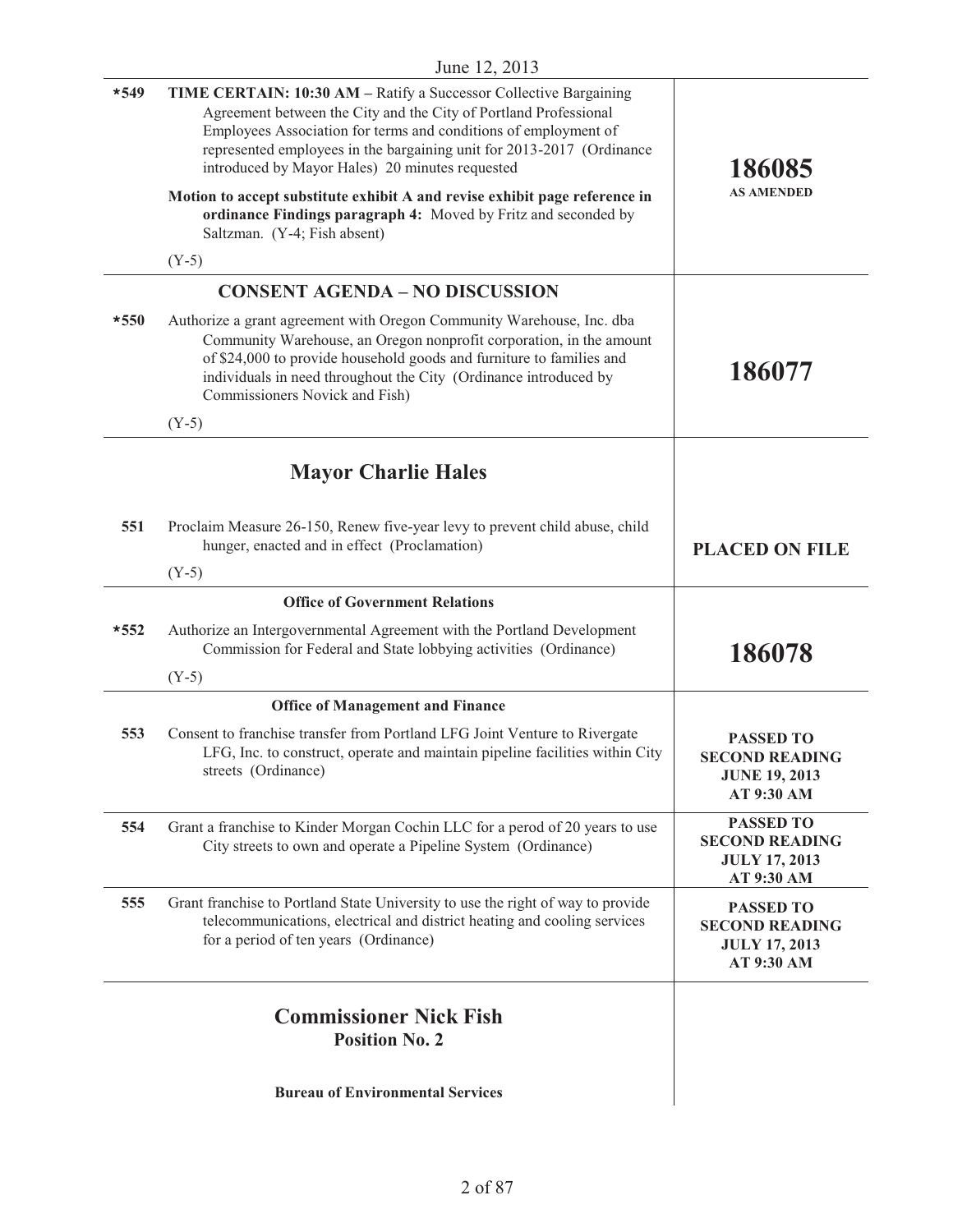| $*549$ | TIME CERTAIN: 10:30 AM - Ratify a Successor Collective Bargaining<br>Agreement between the City and the City of Portland Professional<br>Employees Association for terms and conditions of employment of<br>represented employees in the bargaining unit for 2013-2017 (Ordinance<br>introduced by Mayor Hales) 20 minutes requested | 186085<br><b>AS AMENDED</b>                                                     |
|--------|--------------------------------------------------------------------------------------------------------------------------------------------------------------------------------------------------------------------------------------------------------------------------------------------------------------------------------------|---------------------------------------------------------------------------------|
|        | Motion to accept substitute exhibit A and revise exhibit page reference in<br>ordinance Findings paragraph 4: Moved by Fritz and seconded by<br>Saltzman. (Y-4; Fish absent)                                                                                                                                                         |                                                                                 |
|        | $(Y-5)$                                                                                                                                                                                                                                                                                                                              |                                                                                 |
|        | <b>CONSENT AGENDA - NO DISCUSSION</b>                                                                                                                                                                                                                                                                                                |                                                                                 |
| $*550$ | Authorize a grant agreement with Oregon Community Warehouse, Inc. dba<br>Community Warehouse, an Oregon nonprofit corporation, in the amount<br>of \$24,000 to provide household goods and furniture to families and<br>individuals in need throughout the City (Ordinance introduced by<br>Commissioners Novick and Fish)           | 186077                                                                          |
|        | $(Y-5)$                                                                                                                                                                                                                                                                                                                              |                                                                                 |
|        | <b>Mayor Charlie Hales</b>                                                                                                                                                                                                                                                                                                           |                                                                                 |
| 551    | Proclaim Measure 26-150, Renew five-year levy to prevent child abuse, child<br>hunger, enacted and in effect (Proclamation)                                                                                                                                                                                                          | <b>PLACED ON FILE</b>                                                           |
|        | $(Y-5)$                                                                                                                                                                                                                                                                                                                              |                                                                                 |
|        | <b>Office of Government Relations</b>                                                                                                                                                                                                                                                                                                |                                                                                 |
| $*552$ | Authorize an Intergovernmental Agreement with the Portland Development<br>Commission for Federal and State lobbying activities (Ordinance)                                                                                                                                                                                           | 186078                                                                          |
|        | $(Y-5)$                                                                                                                                                                                                                                                                                                                              |                                                                                 |
|        | <b>Office of Management and Finance</b>                                                                                                                                                                                                                                                                                              |                                                                                 |
| 553    | Consent to franchise transfer from Portland LFG Joint Venture to Rivergate<br>LFG, Inc. to construct, operate and maintain pipeline facilities within City<br>streets (Ordinance)                                                                                                                                                    | <b>PASSED TO</b><br><b>SECOND READING</b><br><b>JUNE 19, 2013</b><br>AT 9:30 AM |
| 554    | Grant a franchise to Kinder Morgan Cochin LLC for a perod of 20 years to use<br>City streets to own and operate a Pipeline System (Ordinance)                                                                                                                                                                                        | <b>PASSED TO</b><br><b>SECOND READING</b><br><b>JULY 17, 2013</b><br>AT 9:30 AM |
| 555    | Grant franchise to Portland State University to use the right of way to provide<br>telecommunications, electrical and district heating and cooling services<br>for a period of ten years (Ordinance)                                                                                                                                 | <b>PASSED TO</b><br><b>SECOND READING</b><br><b>JULY 17, 2013</b><br>AT 9:30 AM |
|        |                                                                                                                                                                                                                                                                                                                                      |                                                                                 |
|        | <b>Commissioner Nick Fish</b><br><b>Position No. 2</b>                                                                                                                                                                                                                                                                               |                                                                                 |
|        | <b>Bureau of Environmental Services</b>                                                                                                                                                                                                                                                                                              |                                                                                 |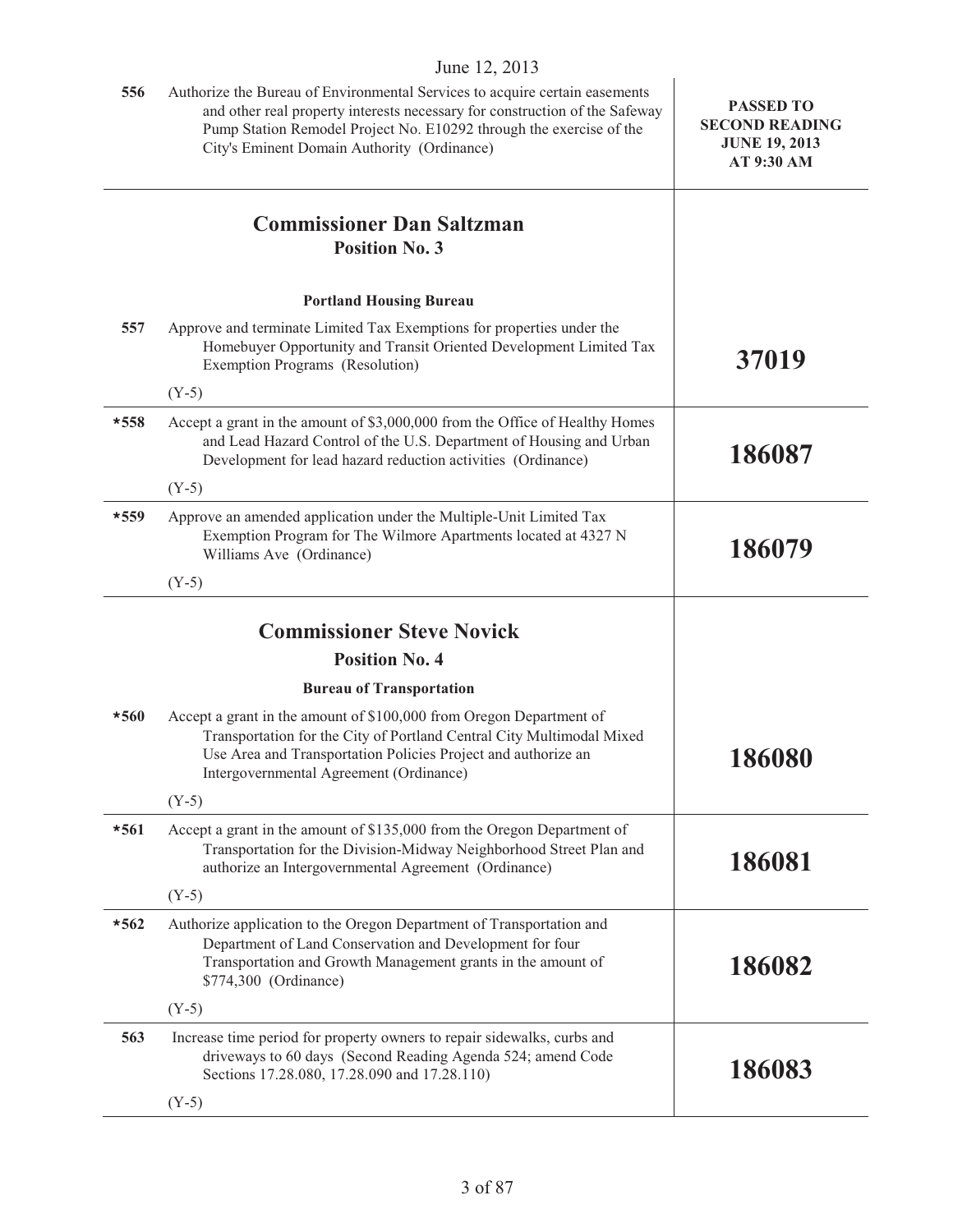|        | June 12, 2013                                                                                                                                                                                                                                                                    |                                                                                 |
|--------|----------------------------------------------------------------------------------------------------------------------------------------------------------------------------------------------------------------------------------------------------------------------------------|---------------------------------------------------------------------------------|
| 556    | Authorize the Bureau of Environmental Services to acquire certain easements<br>and other real property interests necessary for construction of the Safeway<br>Pump Station Remodel Project No. E10292 through the exercise of the<br>City's Eminent Domain Authority (Ordinance) | <b>PASSED TO</b><br><b>SECOND READING</b><br><b>JUNE 19, 2013</b><br>AT 9:30 AM |
|        | <b>Commissioner Dan Saltzman</b><br><b>Position No. 3</b>                                                                                                                                                                                                                        |                                                                                 |
|        | <b>Portland Housing Bureau</b>                                                                                                                                                                                                                                                   |                                                                                 |
| 557    | Approve and terminate Limited Tax Exemptions for properties under the<br>Homebuyer Opportunity and Transit Oriented Development Limited Tax<br>Exemption Programs (Resolution)                                                                                                   | 37019                                                                           |
|        | $(Y-5)$                                                                                                                                                                                                                                                                          |                                                                                 |
| $*558$ | Accept a grant in the amount of \$3,000,000 from the Office of Healthy Homes<br>and Lead Hazard Control of the U.S. Department of Housing and Urban<br>Development for lead hazard reduction activities (Ordinance)                                                              | 186087                                                                          |
|        | $(Y-5)$                                                                                                                                                                                                                                                                          |                                                                                 |
| *559   | Approve an amended application under the Multiple-Unit Limited Tax<br>Exemption Program for The Wilmore Apartments located at 4327 N<br>Williams Ave (Ordinance)                                                                                                                 | 186079                                                                          |
|        | $(Y-5)$                                                                                                                                                                                                                                                                          |                                                                                 |
|        |                                                                                                                                                                                                                                                                                  |                                                                                 |
|        | <b>Commissioner Steve Novick</b>                                                                                                                                                                                                                                                 |                                                                                 |
|        | <b>Position No. 4</b>                                                                                                                                                                                                                                                            |                                                                                 |
|        | <b>Bureau of Transportation</b>                                                                                                                                                                                                                                                  |                                                                                 |
| $*560$ | Accept a grant in the amount of \$100,000 from Oregon Department of<br>Transportation for the City of Portland Central City Multimodal Mixed<br>Use Area and Transportation Policies Project and authorize an<br>Intergovernmental Agreement (Ordinance)                         | 186080                                                                          |
|        | $(Y-5)$                                                                                                                                                                                                                                                                          |                                                                                 |
| $*561$ | Accept a grant in the amount of \$135,000 from the Oregon Department of<br>Transportation for the Division-Midway Neighborhood Street Plan and<br>authorize an Intergovernmental Agreement (Ordinance)                                                                           | 186081                                                                          |
|        | $(Y-5)$                                                                                                                                                                                                                                                                          |                                                                                 |
| $*562$ | Authorize application to the Oregon Department of Transportation and<br>Department of Land Conservation and Development for four<br>Transportation and Growth Management grants in the amount of<br>\$774,300 (Ordinance)                                                        | 186082                                                                          |
|        | $(Y-5)$                                                                                                                                                                                                                                                                          |                                                                                 |
| 563    | Increase time period for property owners to repair sidewalks, curbs and<br>driveways to 60 days (Second Reading Agenda 524; amend Code<br>Sections 17.28.080, 17.28.090 and 17.28.110)                                                                                           | 186083                                                                          |
|        | $(Y-5)$                                                                                                                                                                                                                                                                          |                                                                                 |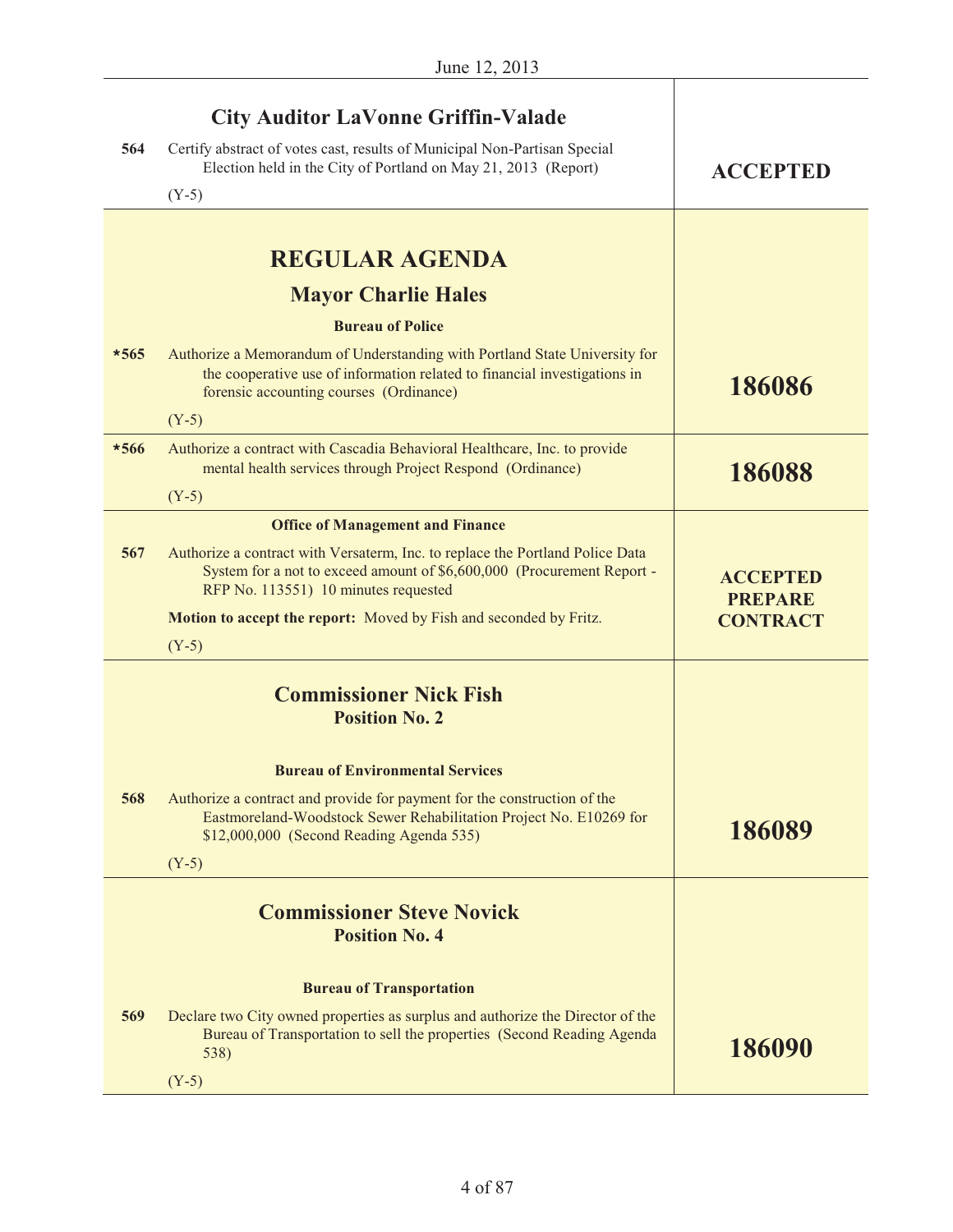|        | <b>City Auditor LaVonne Griffin-Valade</b>                                                                                                                                                         |                                   |
|--------|----------------------------------------------------------------------------------------------------------------------------------------------------------------------------------------------------|-----------------------------------|
| 564    | Certify abstract of votes cast, results of Municipal Non-Partisan Special<br>Election held in the City of Portland on May 21, 2013 (Report)                                                        | <b>ACCEPTED</b>                   |
|        | $(Y-5)$                                                                                                                                                                                            |                                   |
|        |                                                                                                                                                                                                    |                                   |
|        | <b>REGULAR AGENDA</b>                                                                                                                                                                              |                                   |
|        | <b>Mayor Charlie Hales</b>                                                                                                                                                                         |                                   |
|        | <b>Bureau of Police</b>                                                                                                                                                                            |                                   |
| $*565$ | Authorize a Memorandum of Understanding with Portland State University for<br>the cooperative use of information related to financial investigations in<br>forensic accounting courses (Ordinance) | 186086                            |
|        | $(Y-5)$                                                                                                                                                                                            |                                   |
| $*566$ | Authorize a contract with Cascadia Behavioral Healthcare, Inc. to provide<br>mental health services through Project Respond (Ordinance)                                                            | 186088                            |
|        | $(Y-5)$                                                                                                                                                                                            |                                   |
|        | <b>Office of Management and Finance</b>                                                                                                                                                            |                                   |
| 567    | Authorize a contract with Versaterm, Inc. to replace the Portland Police Data<br>System for a not to exceed amount of \$6,600,000 (Procurement Report -<br>RFP No. 113551) 10 minutes requested    | <b>ACCEPTED</b><br><b>PREPARE</b> |
|        | <b>Motion to accept the report:</b> Moved by Fish and seconded by Fritz.                                                                                                                           | <b>CONTRACT</b>                   |
|        | $(Y-5)$                                                                                                                                                                                            |                                   |
|        | <b>Commissioner Nick Fish</b><br><b>Position No. 2</b>                                                                                                                                             |                                   |
|        | <b>Bureau of Environmental Services</b>                                                                                                                                                            |                                   |
| 568    | Authorize a contract and provide for payment for the construction of the<br>Eastmoreland-Woodstock Sewer Rehabilitation Project No. E10269 for<br>\$12,000,000 (Second Reading Agenda 535)         | 186089                            |
|        | $(Y-5)$                                                                                                                                                                                            |                                   |
|        |                                                                                                                                                                                                    |                                   |
|        | <b>Commissioner Steve Novick</b><br><b>Position No. 4</b>                                                                                                                                          |                                   |
|        |                                                                                                                                                                                                    |                                   |
|        | <b>Bureau of Transportation</b>                                                                                                                                                                    |                                   |
| 569    | Declare two City owned properties as surplus and authorize the Director of the<br>Bureau of Transportation to sell the properties (Second Reading Agenda<br>538)                                   | 186090                            |
|        | $(Y-5)$                                                                                                                                                                                            |                                   |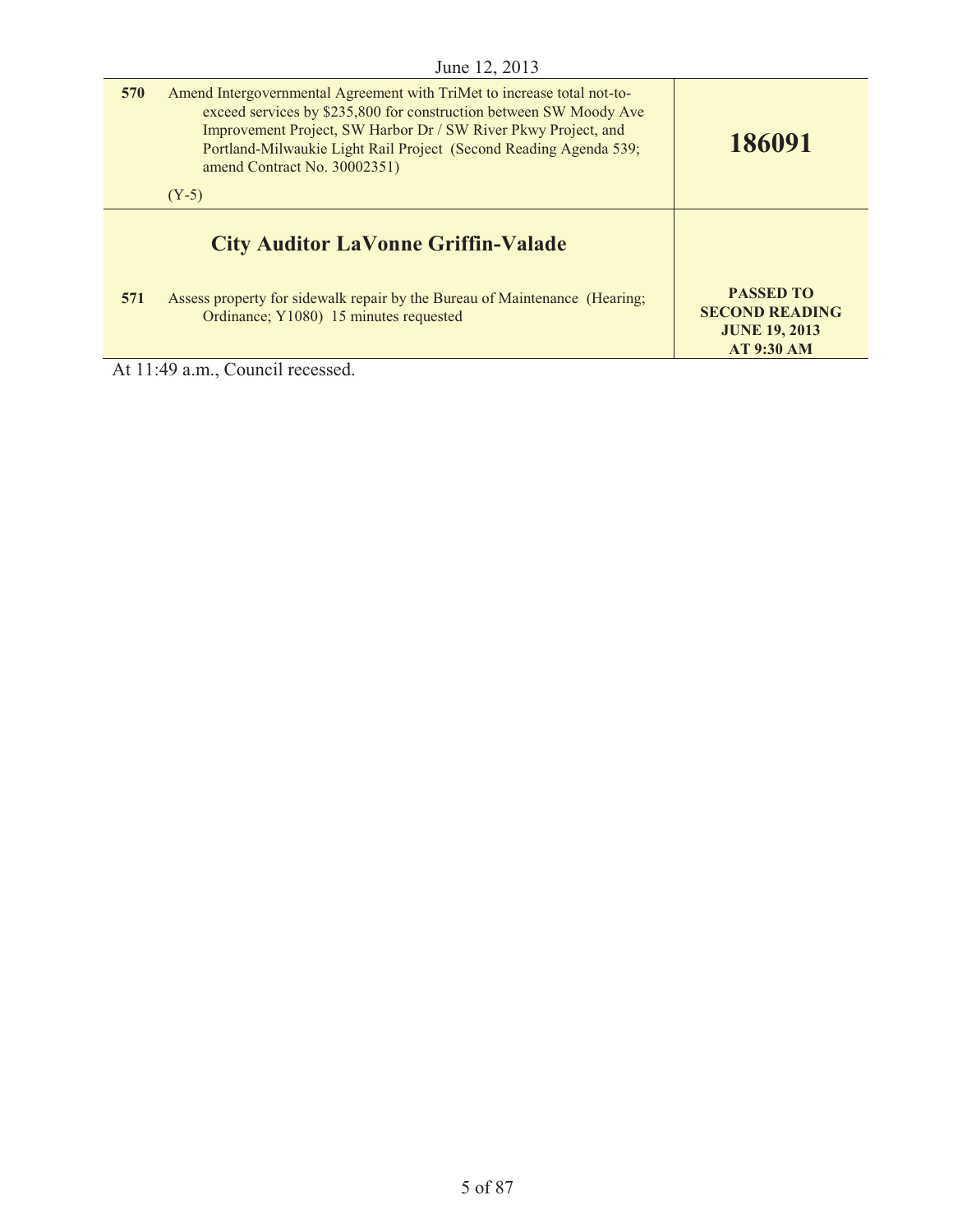| 570 | Amend Intergovernmental Agreement with TriMet to increase total not-to-<br>exceed services by \$235,800 for construction between SW Moody Ave<br>Improvement Project, SW Harbor Dr / SW River Pkwy Project, and<br>Portland-Milwaukie Light Rail Project (Second Reading Agenda 539;<br>amend Contract No. 30002351)<br>$(Y-5)$ | 186091                                                                                 |
|-----|---------------------------------------------------------------------------------------------------------------------------------------------------------------------------------------------------------------------------------------------------------------------------------------------------------------------------------|----------------------------------------------------------------------------------------|
|     | <b>City Auditor LaVonne Griffin-Valade</b>                                                                                                                                                                                                                                                                                      |                                                                                        |
| 571 | Assess property for sidewalk repair by the Bureau of Maintenance (Hearing;<br>Ordinance; Y1080) 15 minutes requested                                                                                                                                                                                                            | <b>PASSED TO</b><br><b>SECOND READING</b><br><b>JUNE 19, 2013</b><br><b>AT 9:30 AM</b> |

At 11:49 a.m., Council recessed.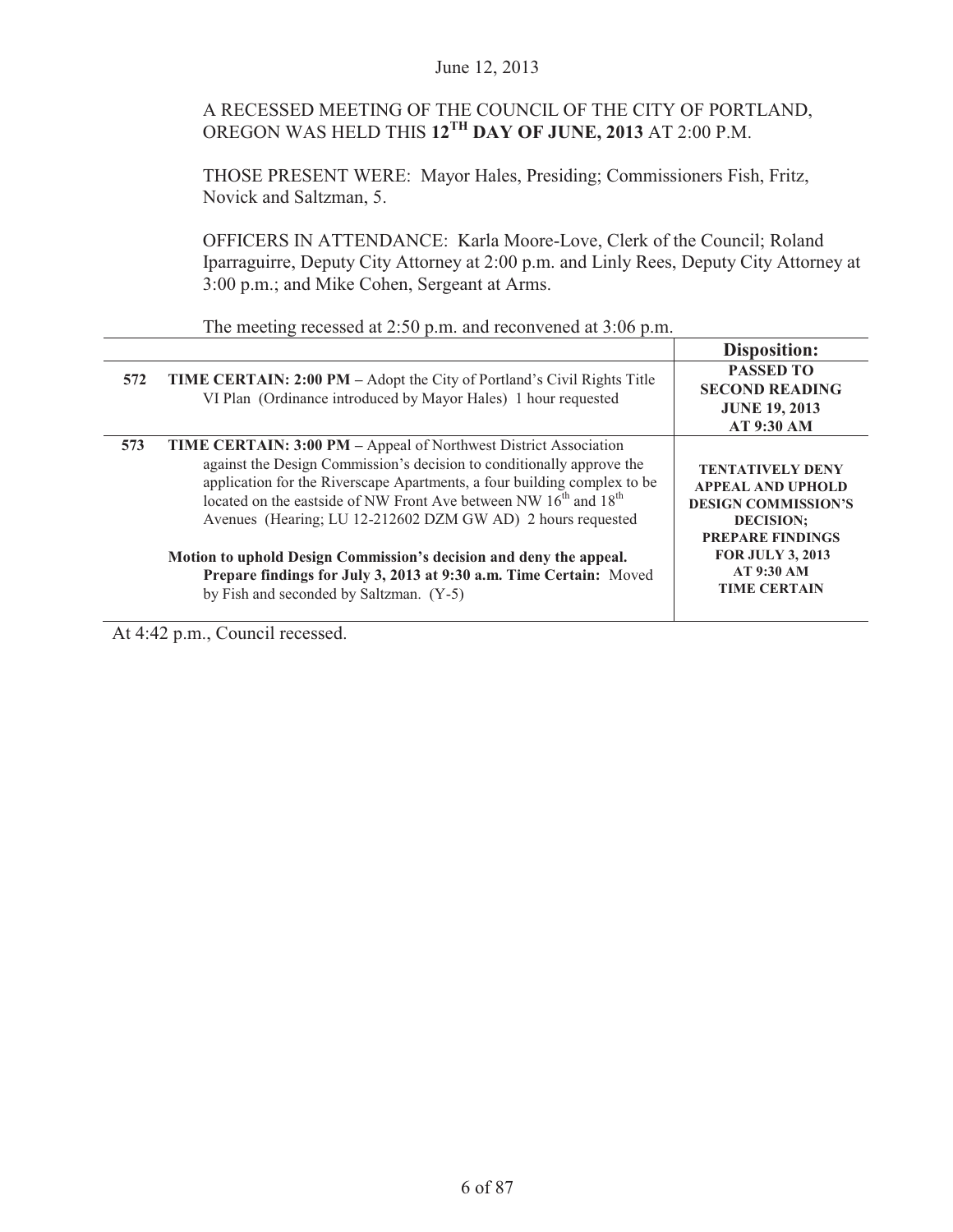# A RECESSED MEETING OF THE COUNCIL OF THE CITY OF PORTLAND, OREGON WAS HELD THIS **12TH DAY OF JUNE, 2013** AT 2:00 P.M.

THOSE PRESENT WERE: Mayor Hales, Presiding; Commissioners Fish, Fritz, Novick and Saltzman, 5.

OFFICERS IN ATTENDANCE: Karla Moore-Love, Clerk of the Council; Roland Iparraguirre, Deputy City Attorney at 2:00 p.m. and Linly Rees, Deputy City Attorney at 3:00 p.m.; and Mike Cohen, Sergeant at Arms.

|     |                                                                                                                                                                                                                                                                                                                                                                                                                                                                                                                                                                                | <b>Disposition:</b>                                                                                                                                                                              |
|-----|--------------------------------------------------------------------------------------------------------------------------------------------------------------------------------------------------------------------------------------------------------------------------------------------------------------------------------------------------------------------------------------------------------------------------------------------------------------------------------------------------------------------------------------------------------------------------------|--------------------------------------------------------------------------------------------------------------------------------------------------------------------------------------------------|
| 572 | <b>TIME CERTAIN: 2:00 PM</b> – Adopt the City of Portland's Civil Rights Title<br>VI Plan (Ordinance introduced by Mayor Hales) 1 hour requested                                                                                                                                                                                                                                                                                                                                                                                                                               | <b>PASSED TO</b><br><b>SECOND READING</b><br><b>JUNE 19, 2013</b><br><b>AT 9:30 AM</b>                                                                                                           |
| 573 | <b>TIME CERTAIN: 3:00 PM</b> – Appeal of Northwest District Association<br>against the Design Commission's decision to conditionally approve the<br>application for the Riverscape Apartments, a four building complex to be<br>located on the eastside of NW Front Ave between NW 16 <sup>th</sup> and 18 <sup>th</sup><br>Avenues (Hearing; LU 12-212602 DZM GW AD) 2 hours requested<br>Motion to uphold Design Commission's decision and deny the appeal.<br>Prepare findings for July 3, 2013 at 9:30 a.m. Time Certain: Moved<br>by Fish and seconded by Saltzman. (Y-5) | <b>TENTATIVELY DENY</b><br><b>APPEAL AND UPHOLD</b><br><b>DESIGN COMMISSION'S</b><br><b>DECISION:</b><br><b>PREPARE FINDINGS</b><br><b>FOR JULY 3, 2013</b><br>AT 9:30 AM<br><b>TIME CERTAIN</b> |

The meeting recessed at 2:50 p.m. and reconvened at 3:06 p.m.

At 4:42 p.m., Council recessed.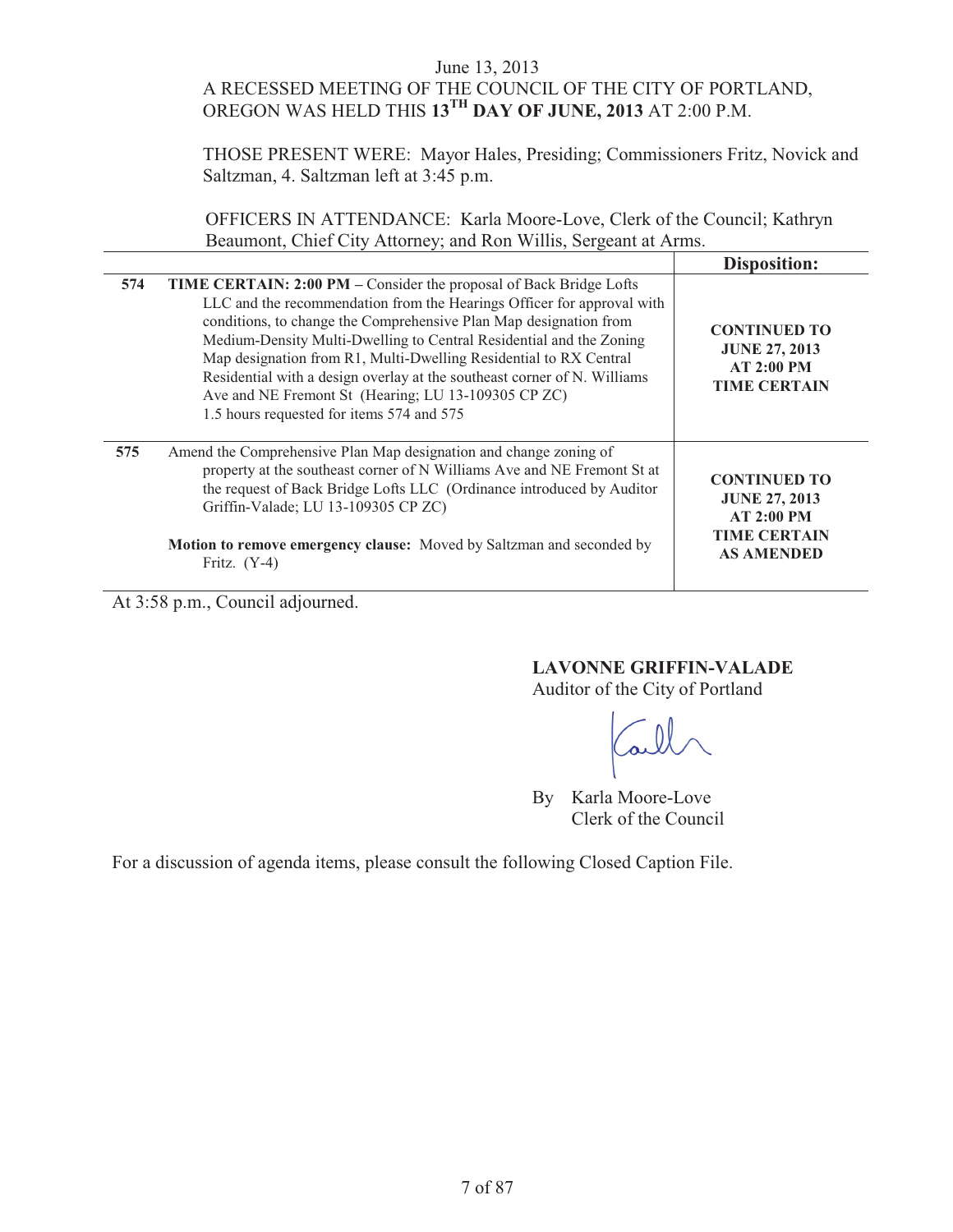# June 13, 2013 A RECESSED MEETING OF THE COUNCIL OF THE CITY OF PORTLAND, OREGON WAS HELD THIS **13TH DAY OF JUNE, 2013** AT 2:00 P.M.

THOSE PRESENT WERE: Mayor Hales, Presiding; Commissioners Fritz, Novick and Saltzman, 4. Saltzman left at 3:45 p.m.

OFFICERS IN ATTENDANCE: Karla Moore-Love, Clerk of the Council; Kathryn Beaumont, Chief City Attorney; and Ron Willis, Sergeant at Arms.

|     |                                                                                                                                                                                                                                                                                                                                                                                                                                                                                                                                               | Disposition:                                                                                          |
|-----|-----------------------------------------------------------------------------------------------------------------------------------------------------------------------------------------------------------------------------------------------------------------------------------------------------------------------------------------------------------------------------------------------------------------------------------------------------------------------------------------------------------------------------------------------|-------------------------------------------------------------------------------------------------------|
| 574 | TIME CERTAIN: 2:00 PM – Consider the proposal of Back Bridge Lofts<br>LLC and the recommendation from the Hearings Officer for approval with<br>conditions, to change the Comprehensive Plan Map designation from<br>Medium-Density Multi-Dwelling to Central Residential and the Zoning<br>Map designation from R1, Multi-Dwelling Residential to RX Central<br>Residential with a design overlay at the southeast corner of N. Williams<br>Ave and NE Fremont St (Hearing; LU 13-109305 CP ZC)<br>1.5 hours requested for items 574 and 575 | <b>CONTINUED TO</b><br><b>JUNE 27, 2013</b><br>AT 2:00 PM<br><b>TIME CERTAIN</b>                      |
| 575 | Amend the Comprehensive Plan Map designation and change zoning of<br>property at the southeast corner of N Williams Ave and NE Fremont St at<br>the request of Back Bridge Lofts LLC (Ordinance introduced by Auditor<br>Griffin-Valade; LU 13-109305 CP ZC)<br>Motion to remove emergency clause: Moved by Saltzman and seconded by<br>Fritz. $(Y-4)$                                                                                                                                                                                        | <b>CONTINUED TO</b><br><b>JUNE 27, 2013</b><br>AT 2:00 PM<br><b>TIME CERTAIN</b><br><b>AS AMENDED</b> |

At 3:58 p.m., Council adjourned.

# **LAVONNE GRIFFIN-VALADE**

Auditor of the City of Portland

By Karla Moore-Love Clerk of the Council

For a discussion of agenda items, please consult the following Closed Caption File.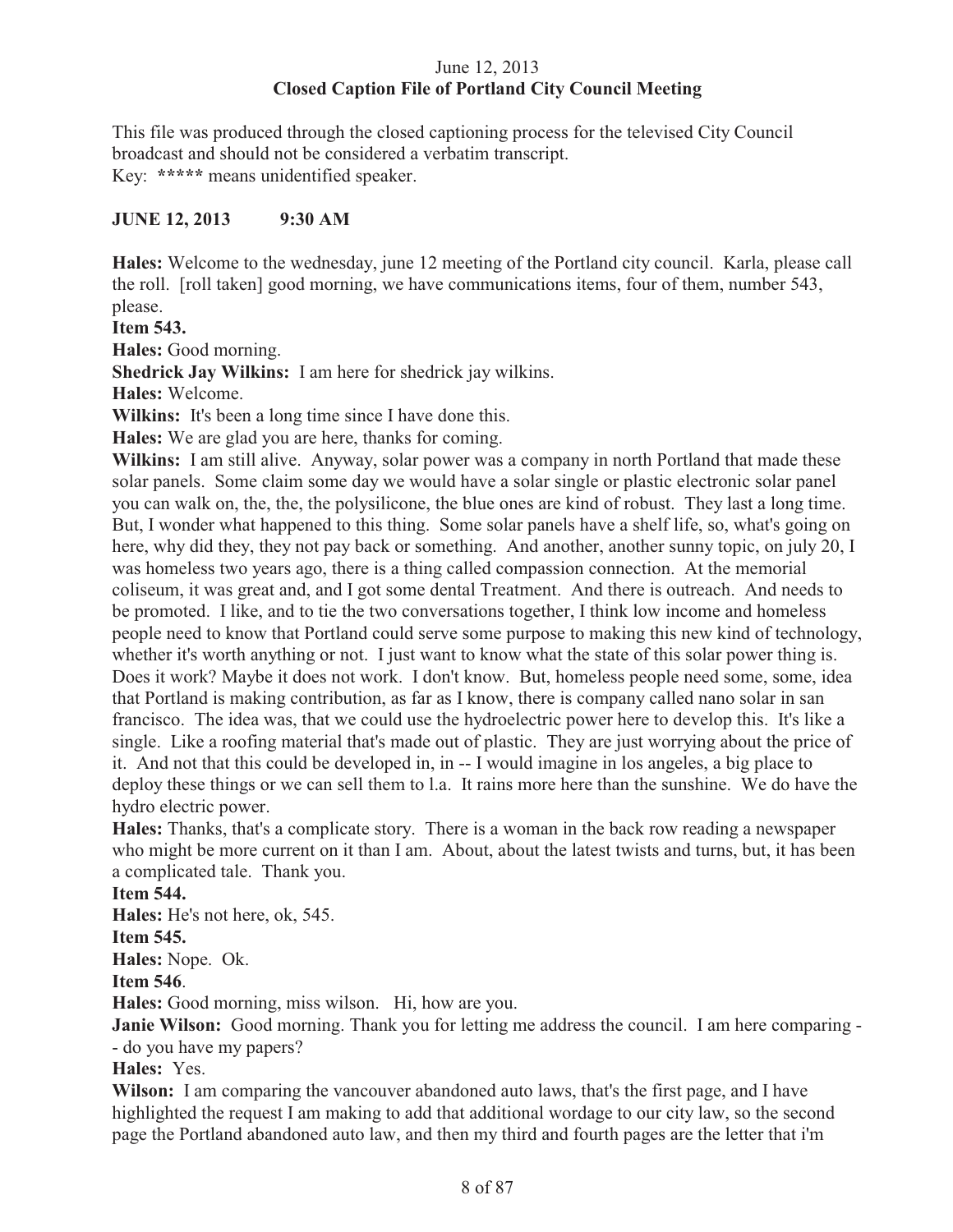# June 12, 2013 **Closed Caption File of Portland City Council Meeting**

This file was produced through the closed captioning process for the televised City Council broadcast and should not be considered a verbatim transcript. Key: **\*\*\*\*\*** means unidentified speaker.

# **JUNE 12, 2013 9:30 AM**

**Hales:** Welcome to the wednesday, june 12 meeting of the Portland city council. Karla, please call the roll. [roll taken] good morning, we have communications items, four of them, number 543, please.

**Item 543.** 

**Hales:** Good morning.

**Shedrick Jay Wilkins:** I am here for shedrick jay wilkins.

**Hales:** Welcome.

**Wilkins:** It's been a long time since I have done this.

**Hales:** We are glad you are here, thanks for coming.

**Wilkins:** I am still alive. Anyway, solar power was a company in north Portland that made these solar panels. Some claim some day we would have a solar single or plastic electronic solar panel you can walk on, the, the, the polysilicone, the blue ones are kind of robust. They last a long time. But, I wonder what happened to this thing. Some solar panels have a shelf life, so, what's going on here, why did they, they not pay back or something. And another, another sunny topic, on july 20, I was homeless two years ago, there is a thing called compassion connection. At the memorial coliseum, it was great and, and I got some dental Treatment. And there is outreach. And needs to be promoted. I like, and to tie the two conversations together, I think low income and homeless people need to know that Portland could serve some purpose to making this new kind of technology, whether it's worth anything or not. I just want to know what the state of this solar power thing is. Does it work? Maybe it does not work. I don't know. But, homeless people need some, some, idea that Portland is making contribution, as far as I know, there is company called nano solar in san francisco. The idea was, that we could use the hydroelectric power here to develop this. It's like a single. Like a roofing material that's made out of plastic. They are just worrying about the price of it. And not that this could be developed in, in -- I would imagine in los angeles, a big place to deploy these things or we can sell them to l.a. It rains more here than the sunshine. We do have the hydro electric power.

**Hales:** Thanks, that's a complicate story. There is a woman in the back row reading a newspaper who might be more current on it than I am. About, about the latest twists and turns, but, it has been a complicated tale. Thank you.

#### **Item 544.**

**Hales:** He's not here, ok, 545.

#### **Item 545.**

**Hales:** Nope. Ok.

**Item 546**.

**Hales:** Good morning, miss wilson. Hi, how are you.

**Janie Wilson:** Good morning. Thank you for letting me address the council. I am here comparing - - do you have my papers?

**Hales:** Yes.

**Wilson:** I am comparing the vancouver abandoned auto laws, that's the first page, and I have highlighted the request I am making to add that additional wordage to our city law, so the second page the Portland abandoned auto law, and then my third and fourth pages are the letter that i'm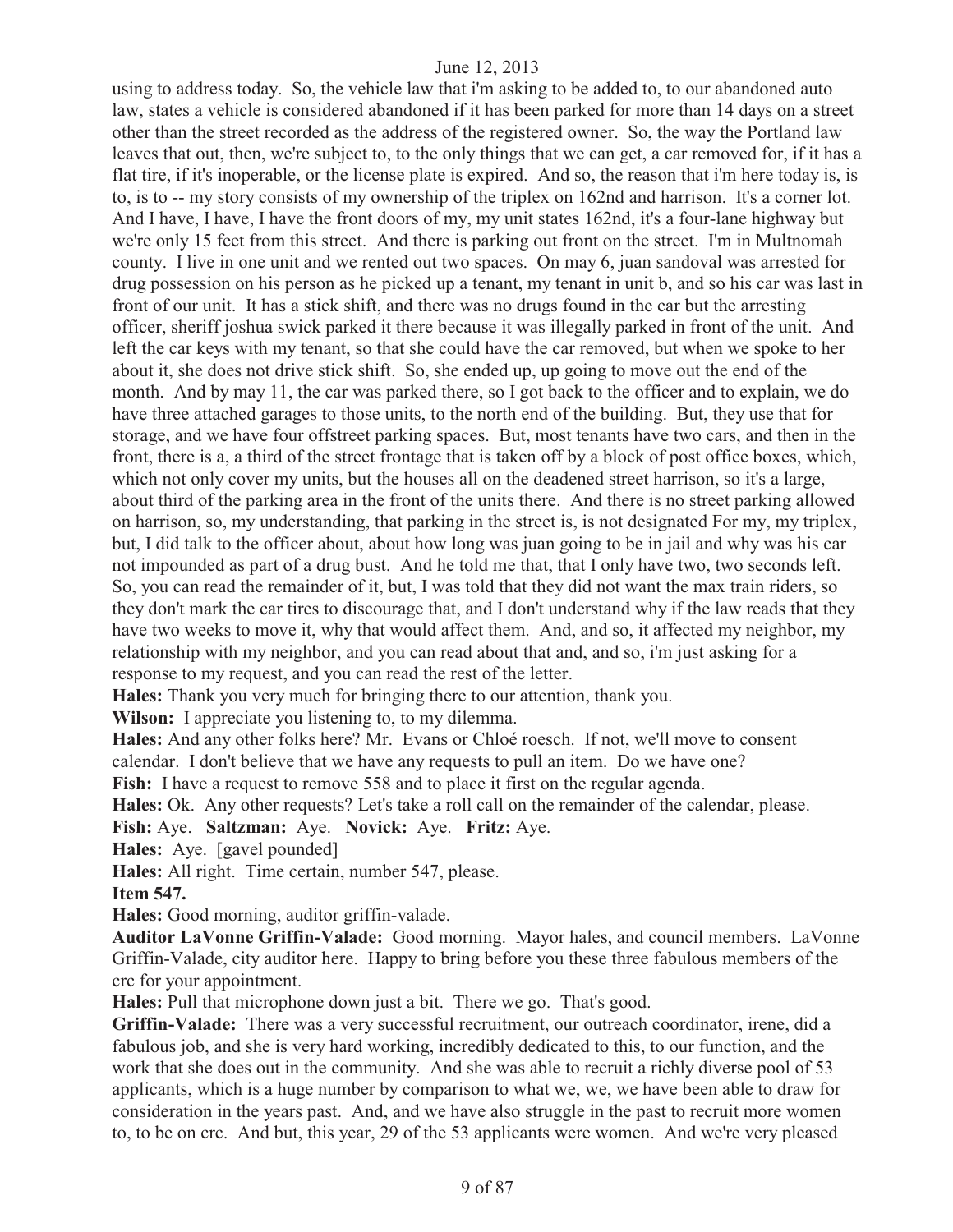using to address today. So, the vehicle law that i'm asking to be added to, to our abandoned auto law, states a vehicle is considered abandoned if it has been parked for more than 14 days on a street other than the street recorded as the address of the registered owner. So, the way the Portland law leaves that out, then, we're subject to, to the only things that we can get, a car removed for, if it has a flat tire, if it's inoperable, or the license plate is expired. And so, the reason that i'm here today is, is to, is to -- my story consists of my ownership of the triplex on 162nd and harrison. It's a corner lot. And I have, I have, I have the front doors of my, my unit states 162nd, it's a four-lane highway but we're only 15 feet from this street. And there is parking out front on the street. I'm in Multnomah county. I live in one unit and we rented out two spaces. On may 6, juan sandoval was arrested for drug possession on his person as he picked up a tenant, my tenant in unit b, and so his car was last in front of our unit. It has a stick shift, and there was no drugs found in the car but the arresting officer, sheriff joshua swick parked it there because it was illegally parked in front of the unit. And left the car keys with my tenant, so that she could have the car removed, but when we spoke to her about it, she does not drive stick shift. So, she ended up, up going to move out the end of the month. And by may 11, the car was parked there, so I got back to the officer and to explain, we do have three attached garages to those units, to the north end of the building. But, they use that for storage, and we have four offstreet parking spaces. But, most tenants have two cars, and then in the front, there is a, a third of the street frontage that is taken off by a block of post office boxes, which, which not only cover my units, but the houses all on the deadened street harrison, so it's a large, about third of the parking area in the front of the units there. And there is no street parking allowed on harrison, so, my understanding, that parking in the street is, is not designated For my, my triplex, but, I did talk to the officer about, about how long was juan going to be in jail and why was his car not impounded as part of a drug bust. And he told me that, that I only have two, two seconds left. So, you can read the remainder of it, but, I was told that they did not want the max train riders, so they don't mark the car tires to discourage that, and I don't understand why if the law reads that they have two weeks to move it, why that would affect them. And, and so, it affected my neighbor, my relationship with my neighbor, and you can read about that and, and so, i'm just asking for a response to my request, and you can read the rest of the letter.

**Hales:** Thank you very much for bringing there to our attention, thank you.

**Wilson:** I appreciate you listening to, to my dilemma.

**Hales:** And any other folks here? Mr. Evans or Chloé roesch. If not, we'll move to consent calendar. I don't believe that we have any requests to pull an item.Do we have one?

Fish: I have a request to remove 558 and to place it first on the regular agenda.

**Hales:** Ok. Any other requests? Let's take a roll call on the remainder of the calendar, please.

**Fish:** Aye. **Saltzman:** Aye. **Novick:** Aye. **Fritz:** Aye.

**Hales:** Aye. [gavel pounded]

**Hales:** All right. Time certain, number 547, please.

#### **Item 547.**

**Hales:** Good morning, auditor griffin-valade.

**Auditor LaVonne Griffin-Valade:** Good morning. Mayor hales, and council members. LaVonne Griffin-Valade, city auditor here. Happy to bring before you these three fabulous members of the crc for your appointment.

**Hales:** Pull that microphone down just a bit. There we go. That's good.

**Griffin-Valade:** There was a very successful recruitment, our outreach coordinator, irene, did a fabulous job, and she is very hard working, incredibly dedicated to this, to our function, and the work that she does out in the community. And she was able to recruit a richly diverse pool of 53 applicants, which is a huge number by comparison to what we, we, we have been able to draw for consideration in the years past. And, and we have also struggle in the past to recruit more women to, to be on crc. And but, this year, 29 of the 53 applicants were women. And we're very pleased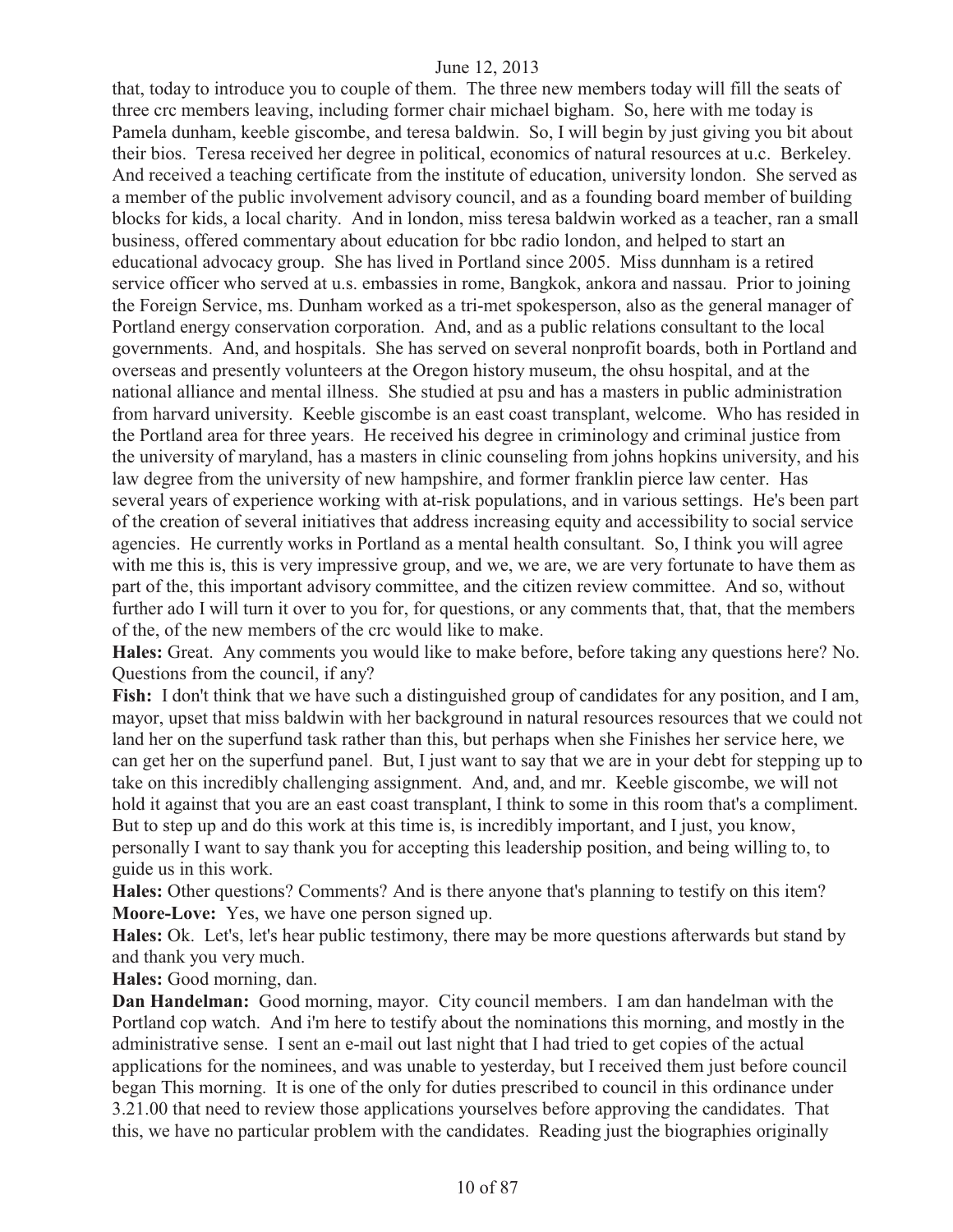that, today to introduce you to couple of them. The three new members today will fill the seats of three crc members leaving, including former chair michael bigham. So, here with me today is Pamela dunham, keeble giscombe, and teresa baldwin. So, I will begin by just giving you bit about their bios. Teresa received her degree in political, economics of natural resources at u.c. Berkeley. And received a teaching certificate from the institute of education, university london. She served as a member of the public involvement advisory council, and as a founding board member of building blocks for kids, a local charity. And in london, miss teresa baldwin worked as a teacher, ran a small business, offered commentary about education for bbc radio london, and helped to start an educational advocacy group. She has lived in Portland since 2005. Miss dunnham is a retired service officer who served at u.s. embassies in rome, Bangkok, ankora and nassau. Prior to joining the Foreign Service, ms. Dunham worked as a tri-met spokesperson, also as the general manager of Portland energy conservation corporation. And, and as a public relations consultant to the local governments. And, and hospitals. She has served on several nonprofit boards, both in Portland and overseas and presently volunteers at the Oregon history museum, the ohsu hospital, and at the national alliance and mental illness. She studied at psu and has a masters in public administration from harvard university. Keeble giscombe is an east coast transplant, welcome. Who has resided in the Portland area for three years. He received his degree in criminology and criminal justice from the university of maryland, has a masters in clinic counseling from johns hopkins university, and his law degree from the university of new hampshire, and former franklin pierce law center. Has several years of experience working with at-risk populations, and in various settings. He's been part of the creation of several initiatives that address increasing equity and accessibility to social service agencies. He currently works in Portland as a mental health consultant. So, I think you will agree with me this is, this is very impressive group, and we, we are, we are very fortunate to have them as part of the, this important advisory committee, and the citizen review committee. And so, without further ado I will turn it over to you for, for questions, or any comments that, that, that the members of the, of the new members of the crc would like to make.

**Hales:** Great. Any comments you would like to make before, before taking any questions here? No. Questions from the council, if any?

**Fish:** I don't think that we have such a distinguished group of candidates for any position, and I am, mayor, upset that miss baldwin with her background in natural resources resources that we could not land her on the superfund task rather than this, but perhaps when she Finishes her service here, we can get her on the superfund panel. But, I just want to say that we are in your debt for stepping up to take on this incredibly challenging assignment. And, and, and mr. Keeble giscombe, we will not hold it against that you are an east coast transplant, I think to some in this room that's a compliment. But to step up and do this work at this time is, is incredibly important, and I just, you know, personally I want to say thank you for accepting this leadership position, and being willing to, to guide us in this work.

**Hales:** Other questions? Comments? And is there anyone that's planning to testify on this item? **Moore-Love:** Yes, we have one person signed up.

**Hales:** Ok. Let's, let's hear public testimony, there may be more questions afterwards but stand by and thank you very much.

**Hales:** Good morning, dan.

**Dan Handelman:** Good morning, mayor. City council members. I am dan handelman with the Portland cop watch. And i'm here to testify about the nominations this morning, and mostly in the administrative sense. I sent an e-mail out last night that I had tried to get copies of the actual applications for the nominees, and was unable to yesterday, but I received them just before council began This morning. It is one of the only for duties prescribed to council in this ordinance under 3.21.00 that need to review those applications yourselves before approving the candidates. That this, we have no particular problem with the candidates. Reading just the biographies originally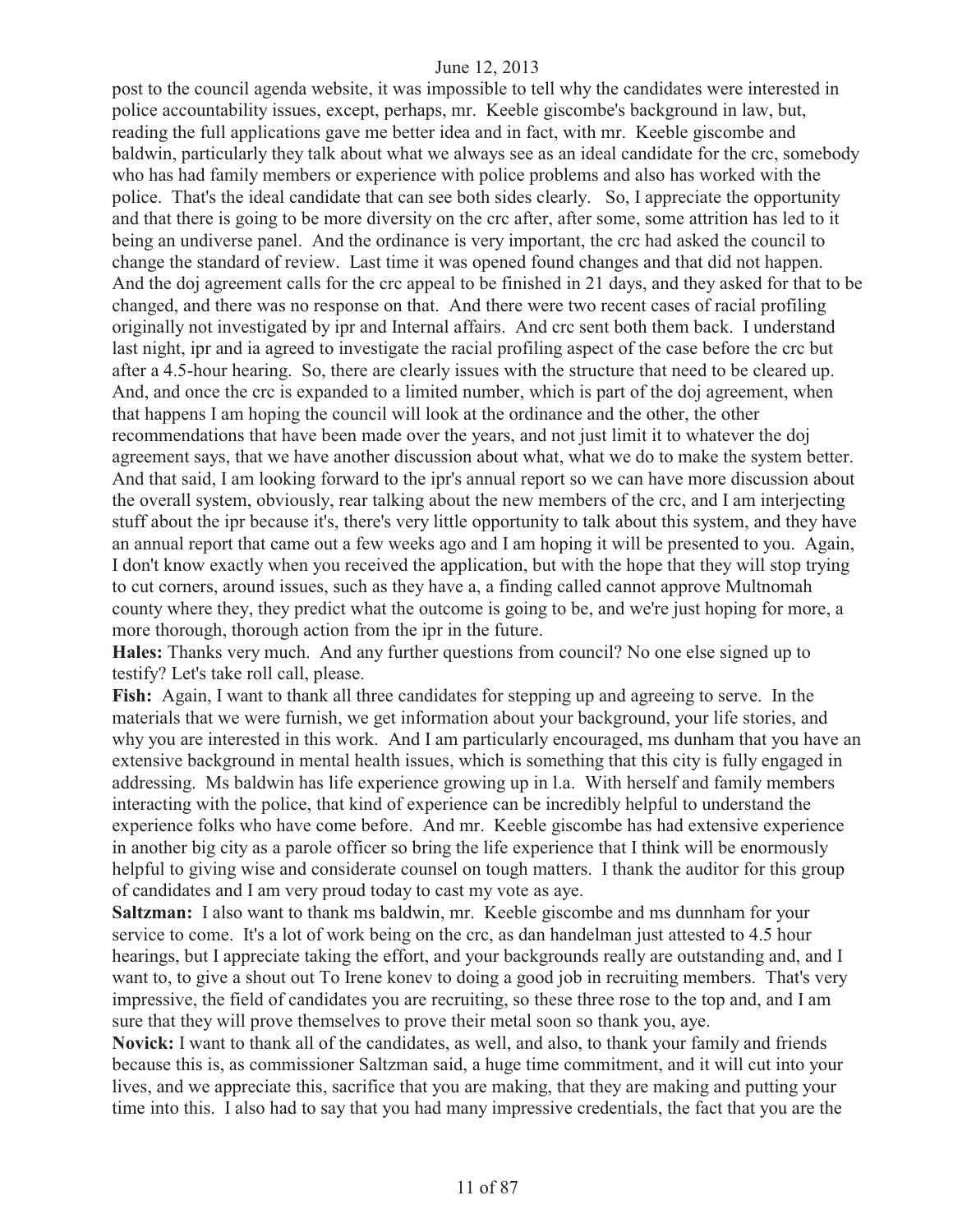post to the council agenda website, it was impossible to tell why the candidates were interested in police accountability issues, except, perhaps, mr. Keeble giscombe's background in law, but, reading the full applications gave me better idea and in fact, with mr. Keeble giscombe and baldwin, particularly they talk about what we always see as an ideal candidate for the crc, somebody who has had family members or experience with police problems and also has worked with the police. That's the ideal candidate that can see both sides clearly. So, I appreciate the opportunity and that there is going to be more diversity on the crc after, after some, some attrition has led to it being an undiverse panel. And the ordinance is very important, the crc had asked the council to change the standard of review. Last time it was opened found changes and that did not happen. And the doj agreement calls for the crc appeal to be finished in 21 days, and they asked for that to be changed, and there was no response on that. And there were two recent cases of racial profiling originally not investigated by ipr and Internal affairs. And crc sent both them back. I understand last night, ipr and ia agreed to investigate the racial profiling aspect of the case before the crc but after a 4.5-hour hearing. So, there are clearly issues with the structure that need to be cleared up. And, and once the crc is expanded to a limited number, which is part of the doj agreement, when that happens I am hoping the council will look at the ordinance and the other, the other recommendations that have been made over the years, and not just limit it to whatever the doj agreement says, that we have another discussion about what, what we do to make the system better. And that said, I am looking forward to the ipr's annual report so we can have more discussion about the overall system, obviously, rear talking about the new members of the crc, and I am interjecting stuff about the ipr because it's, there's very little opportunity to talk about this system, and they have an annual report that came out a few weeks ago and I am hoping it will be presented to you. Again, I don't know exactly when you received the application, but with the hope that they will stop trying to cut corners, around issues, such as they have a, a finding called cannot approve Multnomah county where they, they predict what the outcome is going to be, and we're just hoping for more, a more thorough, thorough action from the ipr in the future.

**Hales:** Thanks very much. And any further questions from council? No one else signed up to testify? Let's take roll call, please.

**Fish:** Again, I want to thank all three candidates for stepping up and agreeing to serve. In the materials that we were furnish, we get information about your background, your life stories, and why you are interested in this work. And I am particularly encouraged, ms dunham that you have an extensive background in mental health issues, which is something that this city is fully engaged in addressing. Ms baldwin has life experience growing up in l.a. With herself and family members interacting with the police, that kind of experience can be incredibly helpful to understand the experience folks who have come before. And mr. Keeble giscombe has had extensive experience in another big city as a parole officer so bring the life experience that I think will be enormously helpful to giving wise and considerate counsel on tough matters. I thank the auditor for this group of candidates and I am very proud today to cast my vote as aye.

**Saltzman:** I also want to thank ms baldwin, mr. Keeble giscombe and ms dunnham for your service to come. It's a lot of work being on the crc, as dan handelman just attested to 4.5 hour hearings, but I appreciate taking the effort, and your backgrounds really are outstanding and, and I want to, to give a shout out To Irene konev to doing a good job in recruiting members. That's very impressive, the field of candidates you are recruiting, so these three rose to the top and, and I am sure that they will prove themselves to prove their metal soon so thank you, aye.

**Novick:** I want to thank all of the candidates, as well, and also, to thank your family and friends because this is, as commissioner Saltzman said, a huge time commitment, and it will cut into your lives, and we appreciate this, sacrifice that you are making, that they are making and putting your time into this. I also had to say that you had many impressive credentials, the fact that you are the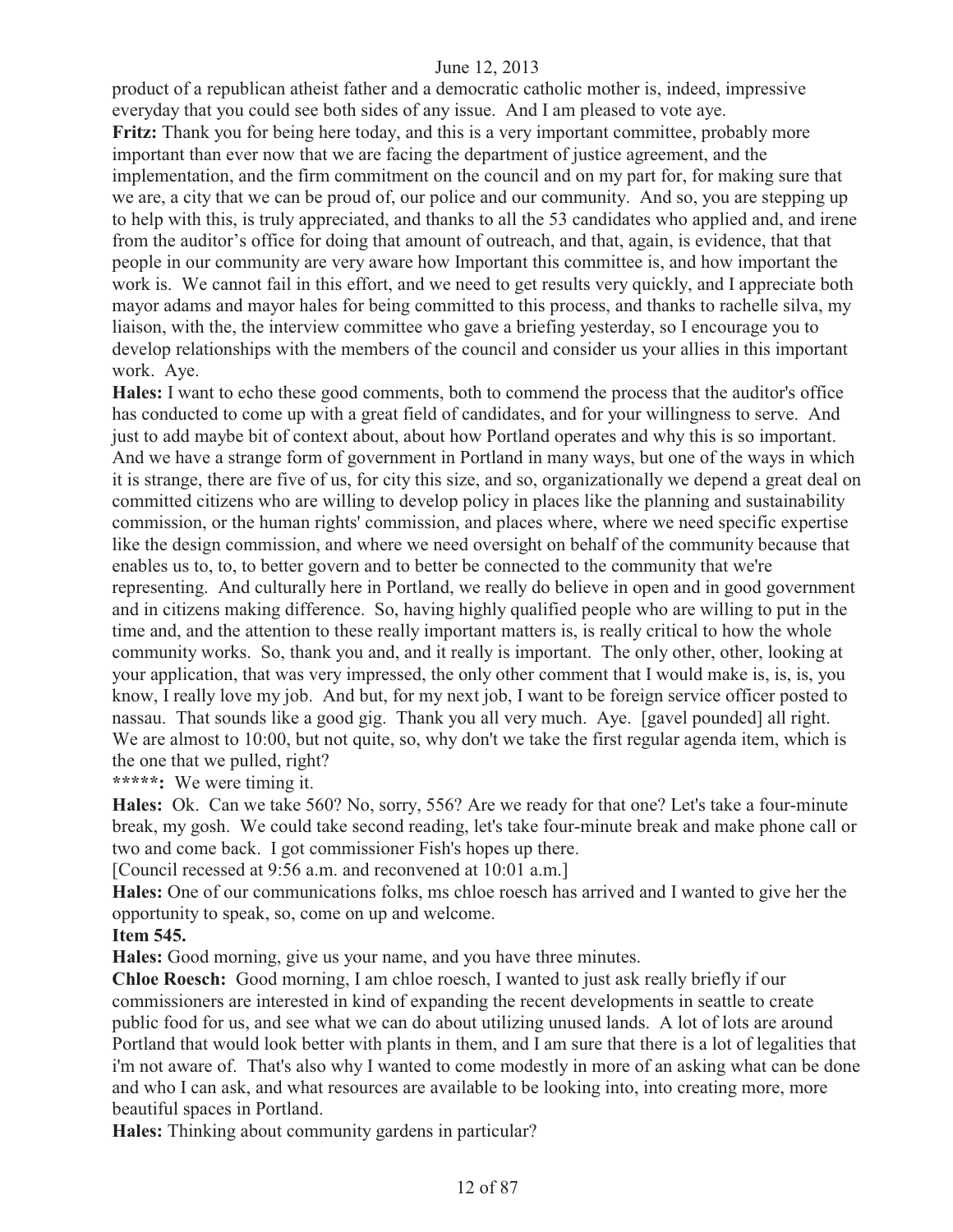product of a republican atheist father and a democratic catholic mother is, indeed, impressive everyday that you could see both sides of any issue. And I am pleased to vote aye. Fritz: Thank you for being here today, and this is a very important committee, probably more important than ever now that we are facing the department of justice agreement, and the implementation, and the firm commitment on the council and on my part for, for making sure that we are, a city that we can be proud of, our police and our community. And so, you are stepping up to help with this, is truly appreciated, and thanks to all the 53 candidates who applied and, and irene from the auditor's office for doing that amount of outreach, and that, again, is evidence, that that people in our community are very aware how Important this committee is, and how important the work is. We cannot fail in this effort, and we need to get results very quickly, and I appreciate both mayor adams and mayor hales for being committed to this process, and thanks to rachelle silva, my liaison, with the, the interview committee who gave a briefing yesterday, so I encourage you to develop relationships with the members of the council and consider us your allies in this important work. Aye.

**Hales:** I want to echo these good comments, both to commend the process that the auditor's office has conducted to come up with a great field of candidates, and for your willingness to serve. And just to add maybe bit of context about, about how Portland operates and why this is so important. And we have a strange form of government in Portland in many ways, but one of the ways in which it is strange, there are five of us, for city this size, and so, organizationally we depend a great deal on committed citizens who are willing to develop policy in places like the planning and sustainability commission, or the human rights' commission, and places where, where we need specific expertise like the design commission, and where we need oversight on behalf of the community because that enables us to, to, to better govern and to better be connected to the community that we're representing. And culturally here in Portland, we really do believe in open and in good government and in citizens making difference. So, having highly qualified people who are willing to put in the time and, and the attention to these really important matters is, is really critical to how the whole community works. So, thank you and, and it really is important. The only other, other, looking at your application, that was very impressed, the only other comment that I would make is, is, is, you know, I really love my job. And but, for my next job, I want to be foreign service officer posted to nassau. That sounds like a good gig. Thank you all very much. Aye. [gavel pounded] all right. We are almost to 10:00, but not quite, so, why don't we take the first regular agenda item, which is the one that we pulled, right?

**\*\*\*\*\*:** We were timing it.

**Hales:** Ok. Can we take 560? No, sorry, 556? Are we ready for that one? Let's take a four-minute break, my gosh. We could take second reading, let's take four-minute break and make phone call or two and come back. I got commissioner Fish's hopes up there.

[Council recessed at 9:56 a.m. and reconvened at 10:01 a.m.]

**Hales:** One of our communications folks, ms chloe roesch has arrived and I wanted to give her the opportunity to speak, so, come on up and welcome.

# **Item 545.**

**Hales:** Good morning, give us your name, and you have three minutes.

**Chloe Roesch:** Good morning, I am chloe roesch, I wanted to just ask really briefly if our commissioners are interested in kind of expanding the recent developments in seattle to create public food for us, and see what we can do about utilizing unused lands. A lot of lots are around Portland that would look better with plants in them, and I am sure that there is a lot of legalities that i'm not aware of. That's also why I wanted to come modestly in more of an asking what can be done and who I can ask, and what resources are available to be looking into, into creating more, more beautiful spaces in Portland.

**Hales:** Thinking about community gardens in particular?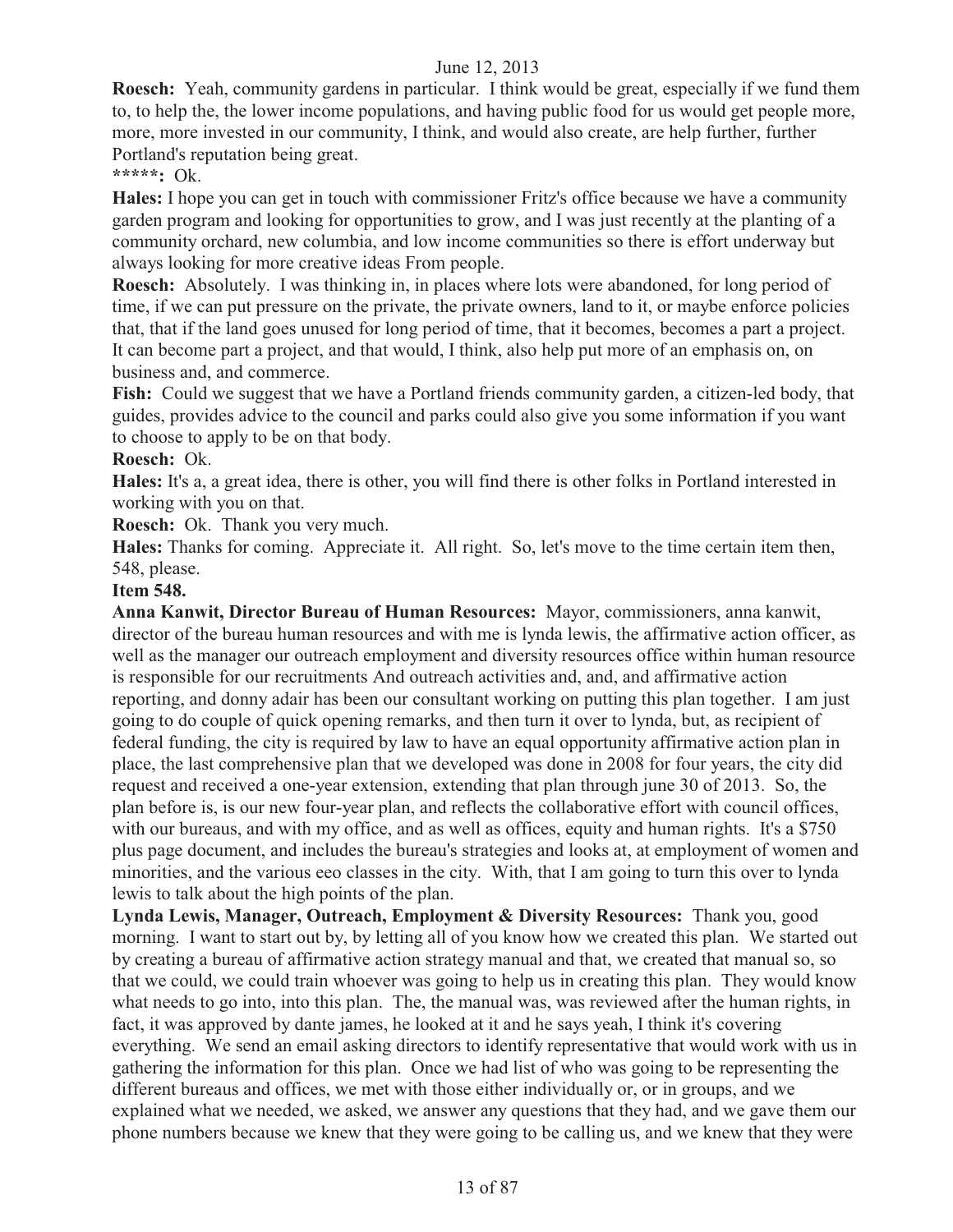**Roesch:** Yeah, community gardens in particular. I think would be great, especially if we fund them to, to help the, the lower income populations, and having public food for us would get people more, more, more invested in our community, I think, and would also create, are help further, further Portland's reputation being great.

**\*\*\*\*\*:** Ok.

**Hales:** I hope you can get in touch with commissioner Fritz's office because we have a community garden program and looking for opportunities to grow, and I was just recently at the planting of a community orchard, new columbia, and low income communities so there is effort underway but always looking for more creative ideas From people.

**Roesch:** Absolutely. I was thinking in, in places where lots were abandoned, for long period of time, if we can put pressure on the private, the private owners, land to it, or maybe enforce policies that, that if the land goes unused for long period of time, that it becomes, becomes a part a project. It can become part a project, and that would, I think, also help put more of an emphasis on, on business and, and commerce.

**Fish:** Could we suggest that we have a Portland friends community garden, a citizen-led body, that guides, provides advice to the council and parks could also give you some information if you want to choose to apply to be on that body.

#### **Roesch:** Ok.

**Hales:** It's a, a great idea, there is other, you will find there is other folks in Portland interested in working with you on that.

**Roesch:** Ok. Thank you very much.

**Hales:** Thanks for coming. Appreciate it. All right. So, let's move to the time certain item then, 548, please.

#### **Item 548.**

**Anna Kanwit, Director Bureau of Human Resources:** Mayor, commissioners, anna kanwit, director of the bureau human resources and with me is lynda lewis, the affirmative action officer, as well as the manager our outreach employment and diversity resources office within human resource is responsible for our recruitments And outreach activities and, and, and affirmative action reporting, and donny adair has been our consultant working on putting this plan together. I am just going to do couple of quick opening remarks, and then turn it over to lynda, but, as recipient of federal funding, the city is required by law to have an equal opportunity affirmative action plan in place, the last comprehensive plan that we developed was done in 2008 for four years, the city did request and received a one-year extension, extending that plan through june 30 of 2013. So, the plan before is, is our new four-year plan, and reflects the collaborative effort with council offices, with our bureaus, and with my office, and as well as offices, equity and human rights. It's a \$750 plus page document, and includes the bureau's strategies and looks at, at employment of women and minorities, and the various eeo classes in the city. With, that I am going to turn this over to lynda lewis to talk about the high points of the plan.

**Lynda Lewis, Manager, Outreach, Employment & Diversity Resources:** Thank you, good morning. I want to start out by, by letting all of you know how we created this plan. We started out by creating a bureau of affirmative action strategy manual and that, we created that manual so, so that we could, we could train whoever was going to help us in creating this plan. They would know what needs to go into, into this plan. The, the manual was, was reviewed after the human rights, in fact, it was approved by dante james, he looked at it and he says yeah, I think it's covering everything. We send an email asking directors to identify representative that would work with us in gathering the information for this plan. Once we had list of who was going to be representing the different bureaus and offices, we met with those either individually or, or in groups, and we explained what we needed, we asked, we answer any questions that they had, and we gave them our phone numbers because we knew that they were going to be calling us, and we knew that they were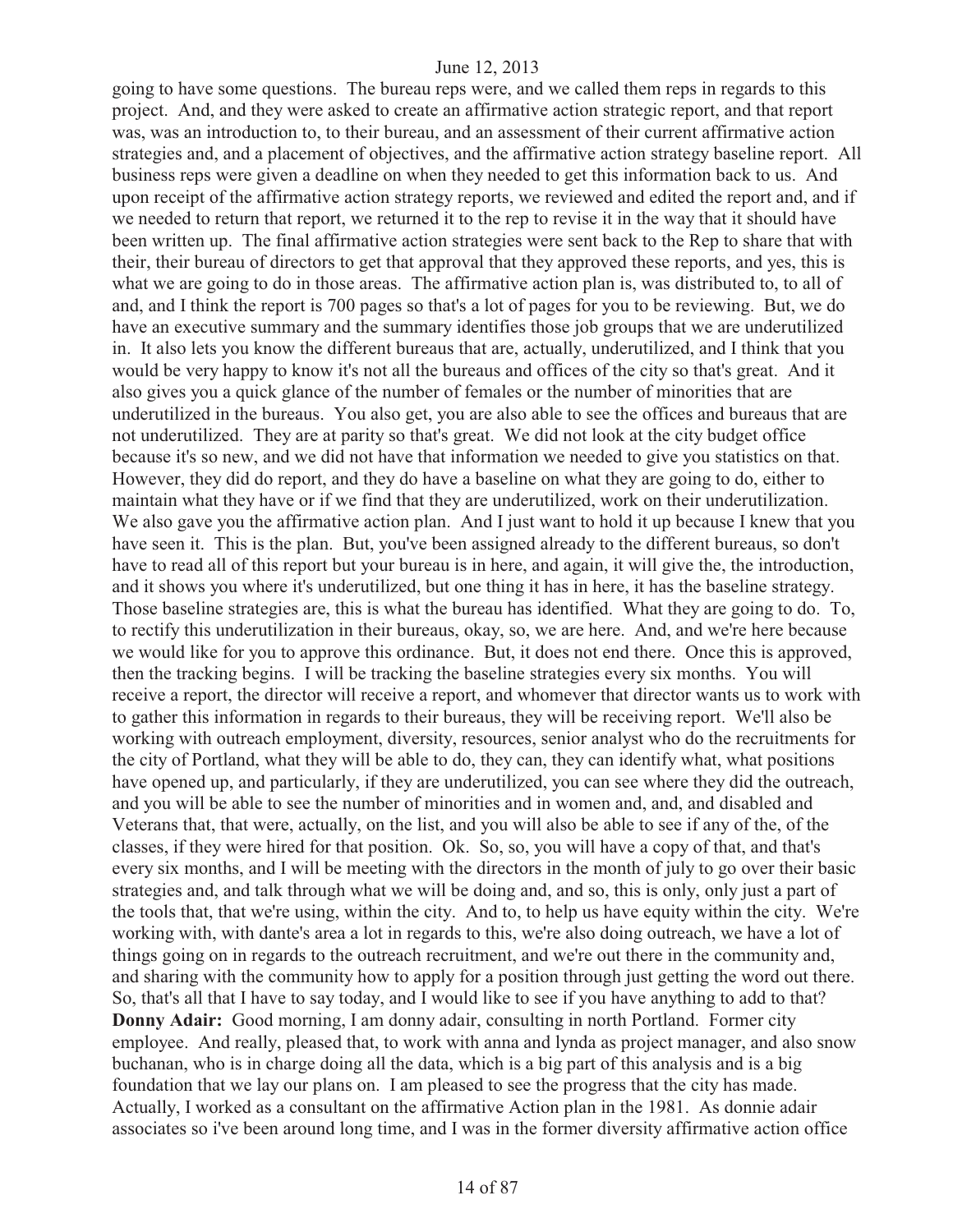going to have some questions. The bureau reps were, and we called them reps in regards to this project. And, and they were asked to create an affirmative action strategic report, and that report was, was an introduction to, to their bureau, and an assessment of their current affirmative action strategies and, and a placement of objectives, and the affirmative action strategy baseline report. All business reps were given a deadline on when they needed to get this information back to us. And upon receipt of the affirmative action strategy reports, we reviewed and edited the report and, and if we needed to return that report, we returned it to the rep to revise it in the way that it should have been written up. The final affirmative action strategies were sent back to the Rep to share that with their, their bureau of directors to get that approval that they approved these reports, and yes, this is what we are going to do in those areas. The affirmative action plan is, was distributed to, to all of and, and I think the report is 700 pages so that's a lot of pages for you to be reviewing. But, we do have an executive summary and the summary identifies those job groups that we are underutilized in. It also lets you know the different bureaus that are, actually, underutilized, and I think that you would be very happy to know it's not all the bureaus and offices of the city so that's great. And it also gives you a quick glance of the number of females or the number of minorities that are underutilized in the bureaus. You also get, you are also able to see the offices and bureaus that are not underutilized. They are at parity so that's great. We did not look at the city budget office because it's so new, and we did not have that information we needed to give you statistics on that. However, they did do report, and they do have a baseline on what they are going to do, either to maintain what they have or if we find that they are underutilized, work on their underutilization. We also gave you the affirmative action plan. And I just want to hold it up because I knew that you have seen it. This is the plan. But, you've been assigned already to the different bureaus, so don't have to read all of this report but your bureau is in here, and again, it will give the, the introduction, and it shows you where it's underutilized, but one thing it has in here, it has the baseline strategy. Those baseline strategies are, this is what the bureau has identified. What they are going to do. To, to rectify this underutilization in their bureaus, okay, so, we are here. And, and we're here because we would like for you to approve this ordinance. But, it does not end there. Once this is approved, then the tracking begins. I will be tracking the baseline strategies every six months. You will receive a report, the director will receive a report, and whomever that director wants us to work with to gather this information in regards to their bureaus, they will be receiving report. We'll also be working with outreach employment, diversity, resources, senior analyst who do the recruitments for the city of Portland, what they will be able to do, they can, they can identify what, what positions have opened up, and particularly, if they are underutilized, you can see where they did the outreach, and you will be able to see the number of minorities and in women and, and, and disabled and Veterans that, that were, actually, on the list, and you will also be able to see if any of the, of the classes, if they were hired for that position. Ok. So, so, you will have a copy of that, and that's every six months, and I will be meeting with the directors in the month of july to go over their basic strategies and, and talk through what we will be doing and, and so, this is only, only just a part of the tools that, that we're using, within the city. And to, to help us have equity within the city. We're working with, with dante's area a lot in regards to this, we're also doing outreach, we have a lot of things going on in regards to the outreach recruitment, and we're out there in the community and, and sharing with the community how to apply for a position through just getting the word out there. So, that's all that I have to say today, and I would like to see if you have anything to add to that? **Donny Adair:** Good morning, I am donny adair, consulting in north Portland. Former city employee. And really, pleased that, to work with anna and lynda as project manager, and also snow buchanan, who is in charge doing all the data, which is a big part of this analysis and is a big foundation that we lay our plans on. I am pleased to see the progress that the city has made. Actually, I worked as a consultant on the affirmative Action plan in the 1981. As donnie adair associates so i've been around long time, and I was in the former diversity affirmative action office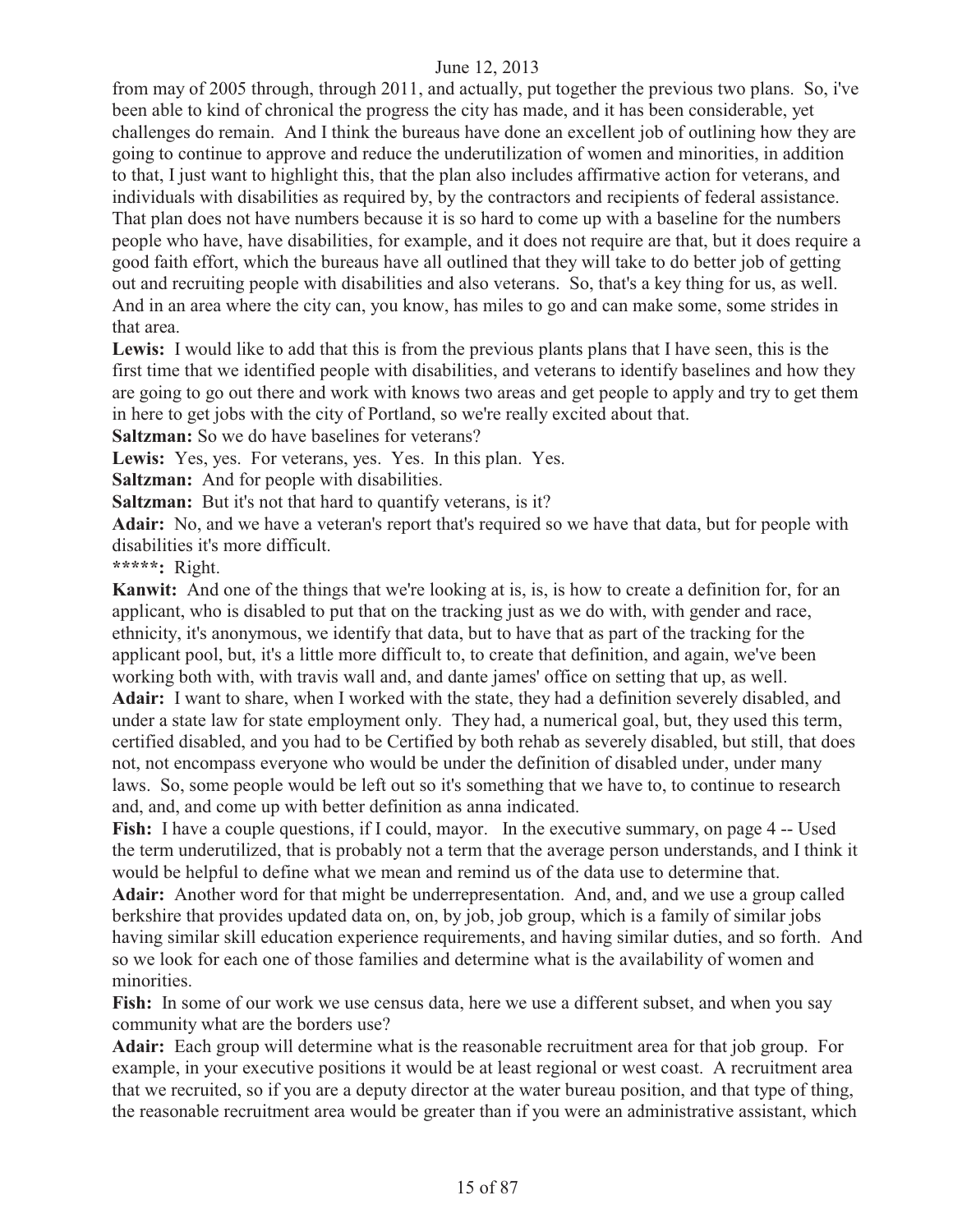from may of 2005 through, through 2011, and actually, put together the previous two plans. So, i've been able to kind of chronical the progress the city has made, and it has been considerable, yet challenges do remain. And I think the bureaus have done an excellent job of outlining how they are going to continue to approve and reduce the underutilization of women and minorities, in addition to that, I just want to highlight this, that the plan also includes affirmative action for veterans, and individuals with disabilities as required by, by the contractors and recipients of federal assistance. That plan does not have numbers because it is so hard to come up with a baseline for the numbers people who have, have disabilities, for example, and it does not require are that, but it does require a good faith effort, which the bureaus have all outlined that they will take to do better job of getting out and recruiting people with disabilities and also veterans. So, that's a key thing for us, as well. And in an area where the city can, you know, has miles to go and can make some, some strides in that area.

**Lewis:** I would like to add that this is from the previous plants plans that I have seen, this is the first time that we identified people with disabilities, and veterans to identify baselines and how they are going to go out there and work with knows two areas and get people to apply and try to get them in here to get jobs with the city of Portland, so we're really excited about that.

**Saltzman:** So we do have baselines for veterans?

Lewis: Yes, yes. For veterans, yes. Yes. In this plan. Yes.

**Saltzman:** And for people with disabilities.

**Saltzman:** But it's not that hard to quantify veterans, is it?

**Adair:** No, and we have a veteran's report that's required so we have that data, but for people with disabilities it's more difficult.

**\*\*\*\*\*:** Right.

**Kanwit:** And one of the things that we're looking at is, is, is how to create a definition for, for an applicant, who is disabled to put that on the tracking just as we do with, with gender and race, ethnicity, it's anonymous, we identify that data, but to have that as part of the tracking for the applicant pool, but, it's a little more difficult to, to create that definition, and again, we've been working both with, with travis wall and, and dante james' office on setting that up, as well. **Adair:** I want to share, when I worked with the state, they had a definition severely disabled, and under a state law for state employment only. They had, a numerical goal, but, they used this term, certified disabled, and you had to be Certified by both rehab as severely disabled, but still, that does not, not encompass everyone who would be under the definition of disabled under, under many laws. So, some people would be left out so it's something that we have to, to continue to research and, and, and come up with better definition as anna indicated.

Fish: I have a couple questions, if I could, mayor. In the executive summary, on page 4 -- Used the term underutilized, that is probably not a term that the average person understands, and I think it would be helpful to define what we mean and remind us of the data use to determine that.

**Adair:** Another word for that might be underrepresentation. And, and, and we use a group called berkshire that provides updated data on, on, by job, job group, which is a family of similar jobs having similar skill education experience requirements, and having similar duties, and so forth. And so we look for each one of those families and determine what is the availability of women and minorities.

**Fish:** In some of our work we use census data, here we use a different subset, and when you say community what are the borders use?

**Adair:** Each group will determine what is the reasonable recruitment area for that job group. For example, in your executive positions it would be at least regional or west coast. A recruitment area that we recruited, so if you are a deputy director at the water bureau position, and that type of thing, the reasonable recruitment area would be greater than if you were an administrative assistant, which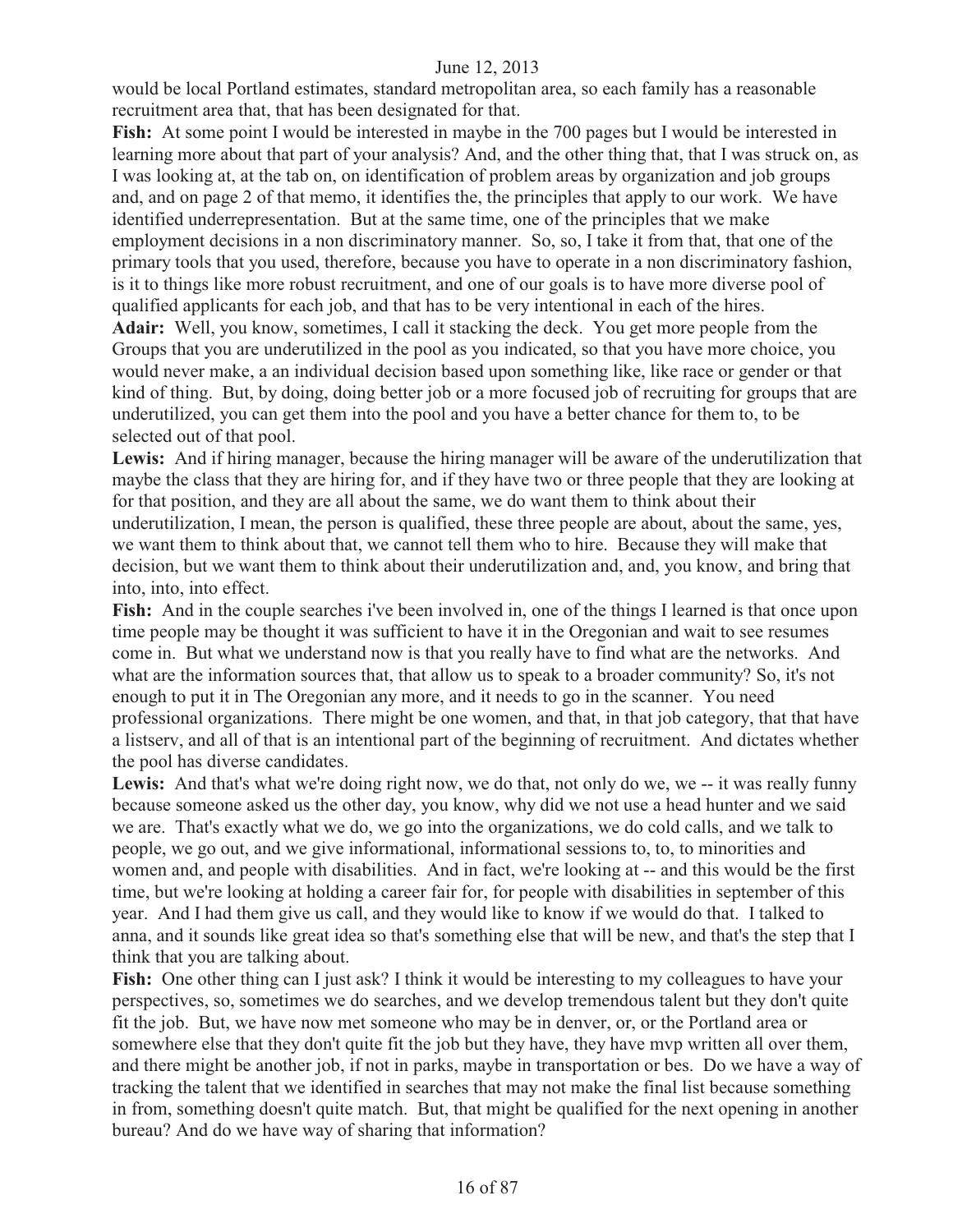would be local Portland estimates, standard metropolitan area, so each family has a reasonable recruitment area that, that has been designated for that.

**Fish:** At some point I would be interested in maybe in the 700 pages but I would be interested in learning more about that part of your analysis? And, and the other thing that, that I was struck on, as I was looking at, at the tab on, on identification of problem areas by organization and job groups and, and on page 2 of that memo, it identifies the, the principles that apply to our work. We have identified underrepresentation. But at the same time, one of the principles that we make employment decisions in a non discriminatory manner. So, so, I take it from that, that one of the primary tools that you used, therefore, because you have to operate in a non discriminatory fashion, is it to things like more robust recruitment, and one of our goals is to have more diverse pool of qualified applicants for each job, and that has to be very intentional in each of the hires.

**Adair:** Well, you know, sometimes, I call it stacking the deck. You get more people from the Groups that you are underutilized in the pool as you indicated, so that you have more choice, you would never make, a an individual decision based upon something like, like race or gender or that kind of thing. But, by doing, doing better job or a more focused job of recruiting for groups that are underutilized, you can get them into the pool and you have a better chance for them to, to be selected out of that pool.

**Lewis:** And if hiring manager, because the hiring manager will be aware of the underutilization that maybe the class that they are hiring for, and if they have two or three people that they are looking at for that position, and they are all about the same, we do want them to think about their underutilization, I mean, the person is qualified, these three people are about, about the same, yes, we want them to think about that, we cannot tell them who to hire. Because they will make that decision, but we want them to think about their underutilization and, and, you know, and bring that into, into, into effect.

Fish: And in the couple searches i've been involved in, one of the things I learned is that once upon time people may be thought it was sufficient to have it in the Oregonian and wait to see resumes come in. But what we understand now is that you really have to find what are the networks. And what are the information sources that, that allow us to speak to a broader community? So, it's not enough to put it in The Oregonian any more, and it needs to go in the scanner. You need professional organizations. There might be one women, and that, in that job category, that that have a listserv, and all of that is an intentional part of the beginning of recruitment. And dictates whether the pool has diverse candidates.

Lewis: And that's what we're doing right now, we do that, not only do we, we -- it was really funny because someone asked us the other day, you know, why did we not use a head hunter and we said we are. That's exactly what we do, we go into the organizations, we do cold calls, and we talk to people, we go out, and we give informational, informational sessions to, to, to minorities and women and, and people with disabilities. And in fact, we're looking at -- and this would be the first time, but we're looking at holding a career fair for, for people with disabilities in september of this year. And I had them give us call, and they would like to know if we would do that. I talked to anna, and it sounds like great idea so that's something else that will be new, and that's the step that I think that you are talking about.

Fish: One other thing can I just ask? I think it would be interesting to my colleagues to have your perspectives, so, sometimes we do searches, and we develop tremendous talent but they don't quite fit the job. But, we have now met someone who may be in denver, or, or the Portland area or somewhere else that they don't quite fit the job but they have, they have mvp written all over them, and there might be another job, if not in parks, maybe in transportation or bes. Do we have a way of tracking the talent that we identified in searches that may not make the final list because something in from, something doesn't quite match. But, that might be qualified for the next opening in another bureau? And do we have way of sharing that information?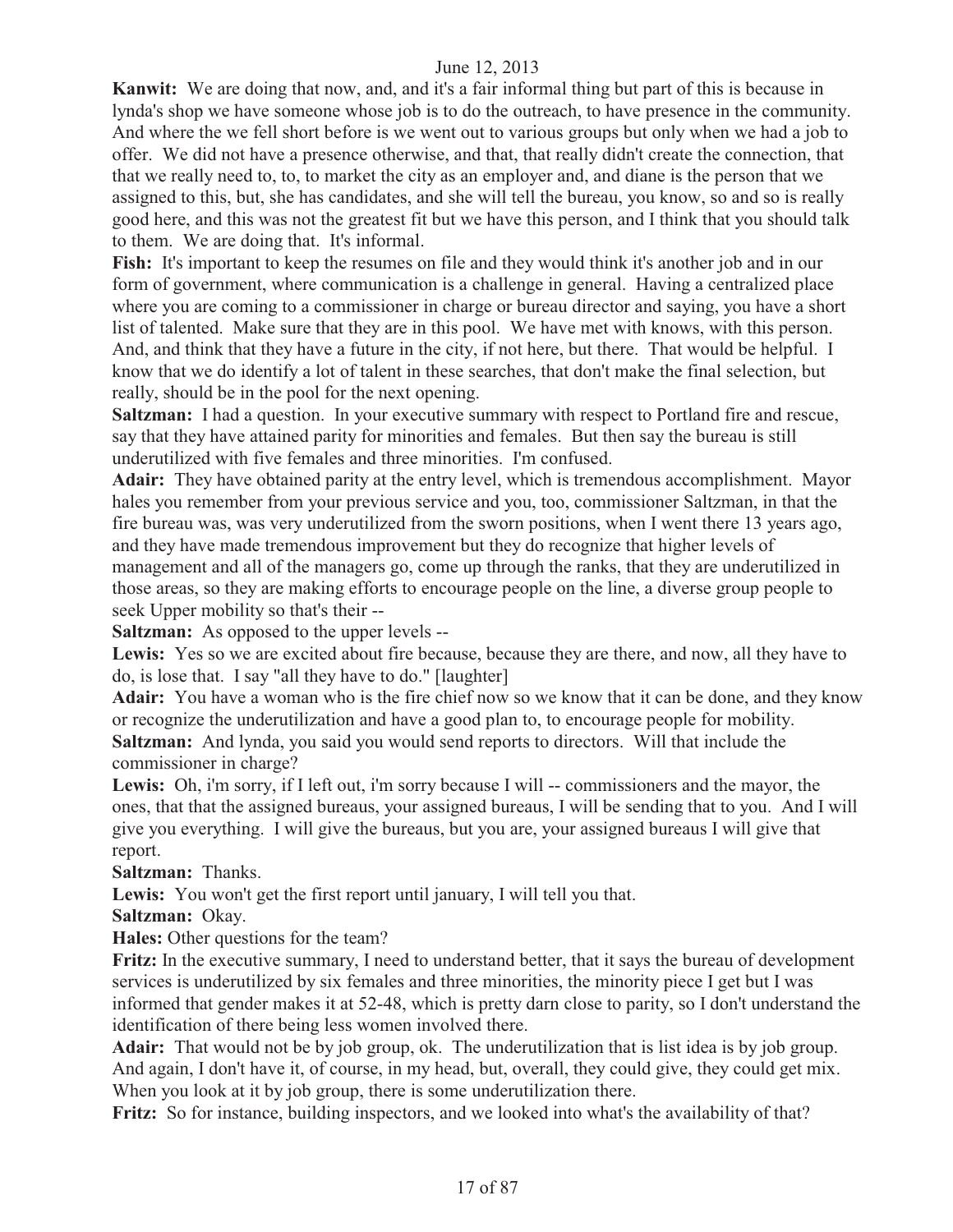**Kanwit:** We are doing that now, and, and it's a fair informal thing but part of this is because in lynda's shop we have someone whose job is to do the outreach, to have presence in the community. And where the we fell short before is we went out to various groups but only when we had a job to offer. We did not have a presence otherwise, and that, that really didn't create the connection, that that we really need to, to, to market the city as an employer and, and diane is the person that we assigned to this, but, she has candidates, and she will tell the bureau, you know, so and so is really good here, and this was not the greatest fit but we have this person, and I think that you should talk to them. We are doing that. It's informal.

**Fish:** It's important to keep the resumes on file and they would think it's another job and in our form of government, where communication is a challenge in general. Having a centralized place where you are coming to a commissioner in charge or bureau director and saying, you have a short list of talented. Make sure that they are in this pool. We have met with knows, with this person. And, and think that they have a future in the city, if not here, but there. That would be helpful. I know that we do identify a lot of talent in these searches, that don't make the final selection, but really, should be in the pool for the next opening.

**Saltzman:** I had a question. In your executive summary with respect to Portland fire and rescue, say that they have attained parity for minorities and females. But then say the bureau is still underutilized with five females and three minorities. I'm confused.

**Adair:** They have obtained parity at the entry level, which is tremendous accomplishment. Mayor hales you remember from your previous service and you, too, commissioner Saltzman, in that the fire bureau was, was very underutilized from the sworn positions, when I went there 13 years ago, and they have made tremendous improvement but they do recognize that higher levels of management and all of the managers go, come up through the ranks, that they are underutilized in those areas, so they are making efforts to encourage people on the line, a diverse group people to seek Upper mobility so that's their --

**Saltzman:** As opposed to the upper levels --

**Lewis:** Yes so we are excited about fire because, because they are there, and now, all they have to do, is lose that. I say "all they have to do." [laughter]

**Adair:** You have a woman who is the fire chief now so we know that it can be done, and they know or recognize the underutilization and have a good plan to, to encourage people for mobility. **Saltzman:** And lynda, you said you would send reports to directors. Will that include the commissioner in charge?

Lewis: Oh, i'm sorry, if I left out, i'm sorry because I will -- commissioners and the mayor, the ones, that that the assigned bureaus, your assigned bureaus, I will be sending that to you. And I will give you everything. I will give the bureaus, but you are, your assigned bureaus I will give that report.

**Saltzman:** Thanks.

Lewis: You won't get the first report until january, I will tell you that.

**Saltzman:** Okay.

**Hales:** Other questions for the team?

**Fritz:** In the executive summary, I need to understand better, that it says the bureau of development services is underutilized by six females and three minorities, the minority piece I get but I was informed that gender makes it at 52-48, which is pretty darn close to parity, so I don't understand the identification of there being less women involved there.

**Adair:** That would not be by job group, ok. The underutilization that is list idea is by job group. And again, I don't have it, of course, in my head, but, overall, they could give, they could get mix. When you look at it by job group, there is some underutilization there.

**Fritz:** So for instance, building inspectors, and we looked into what's the availability of that?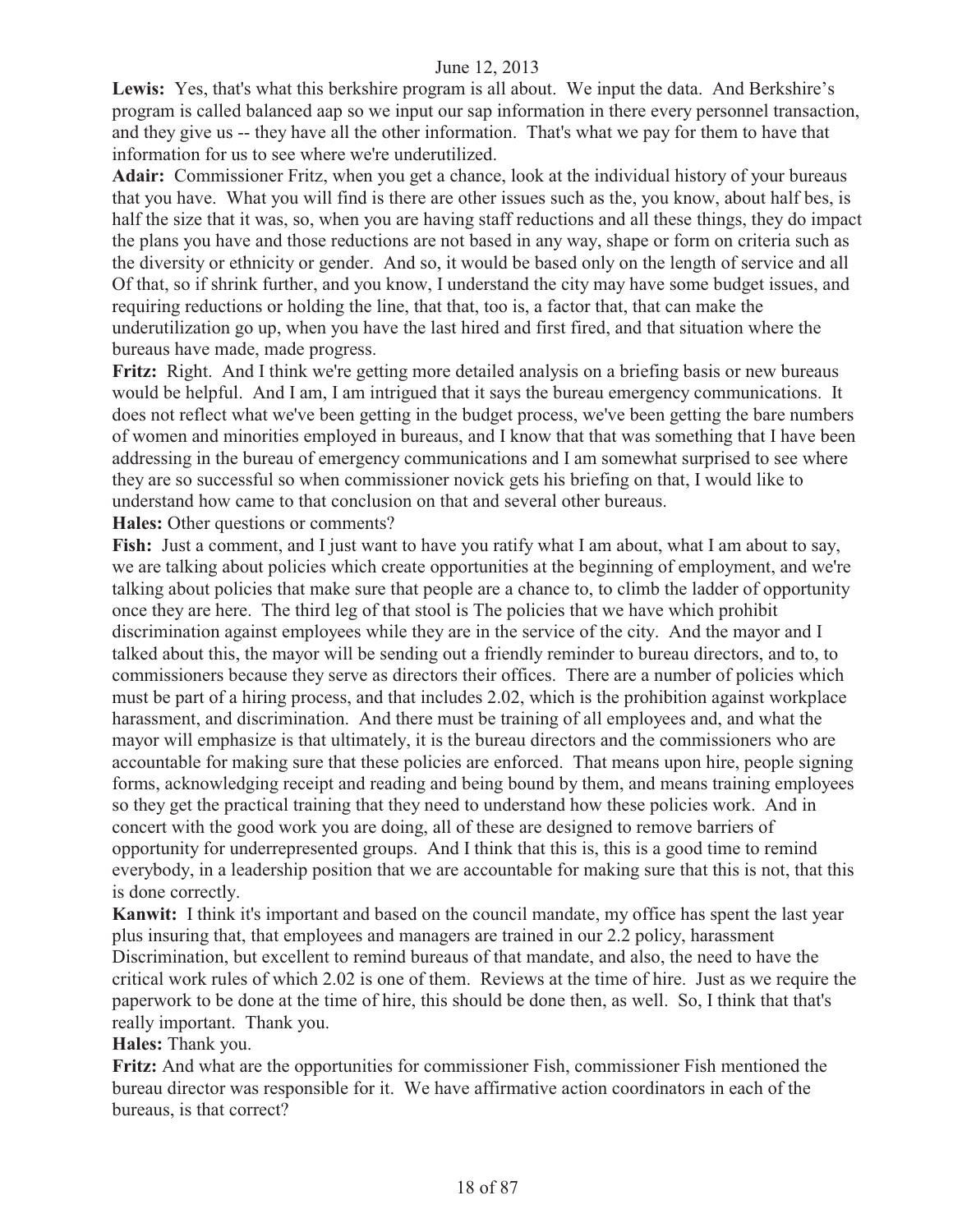Lewis: Yes, that's what this berkshire program is all about. We input the data. And Berkshire's program is called balanced aap so we input our sap information in there every personnel transaction, and they give us -- they have all the other information. That's what we pay for them to have that information for us to see where we're underutilized.

**Adair:** Commissioner Fritz, when you get a chance, look at the individual history of your bureaus that you have. What you will find is there are other issues such as the, you know, about half bes, is half the size that it was, so, when you are having staff reductions and all these things, they do impact the plans you have and those reductions are not based in any way, shape or form on criteria such as the diversity or ethnicity or gender. And so, it would be based only on the length of service and all Of that, so if shrink further, and you know, I understand the city may have some budget issues, and requiring reductions or holding the line, that that, too is, a factor that, that can make the underutilization go up, when you have the last hired and first fired, and that situation where the bureaus have made, made progress.

**Fritz:** Right. And I think we're getting more detailed analysis on a briefing basis or new bureaus would be helpful. And I am, I am intrigued that it says the bureau emergency communications. It does not reflect what we've been getting in the budget process, we've been getting the bare numbers of women and minorities employed in bureaus, and I know that that was something that I have been addressing in the bureau of emergency communications and I am somewhat surprised to see where they are so successful so when commissioner novick gets his briefing on that, I would like to understand how came to that conclusion on that and several other bureaus.

**Hales:** Other questions or comments?

Fish: Just a comment, and I just want to have you ratify what I am about, what I am about to say, we are talking about policies which create opportunities at the beginning of employment, and we're talking about policies that make sure that people are a chance to, to climb the ladder of opportunity once they are here. The third leg of that stool is The policies that we have which prohibit discrimination against employees while they are in the service of the city. And the mayor and I talked about this, the mayor will be sending out a friendly reminder to bureau directors, and to, to commissioners because they serve as directors their offices. There are a number of policies which must be part of a hiring process, and that includes 2.02, which is the prohibition against workplace harassment, and discrimination. And there must be training of all employees and, and what the mayor will emphasize is that ultimately, it is the bureau directors and the commissioners who are accountable for making sure that these policies are enforced. That means upon hire, people signing forms, acknowledging receipt and reading and being bound by them, and means training employees so they get the practical training that they need to understand how these policies work. And in concert with the good work you are doing, all of these are designed to remove barriers of opportunity for underrepresented groups. And I think that this is, this is a good time to remind everybody, in a leadership position that we are accountable for making sure that this is not, that this is done correctly.

**Kanwit:** I think it's important and based on the council mandate, my office has spent the last year plus insuring that, that employees and managers are trained in our 2.2 policy, harassment Discrimination, but excellent to remind bureaus of that mandate, and also, the need to have the critical work rules of which 2.02 is one of them. Reviews at the time of hire. Just as we require the paperwork to be done at the time of hire, this should be done then, as well. So, I think that that's really important. Thank you.

**Hales:** Thank you.

**Fritz:** And what are the opportunities for commissioner Fish, commissioner Fish mentioned the bureau director was responsible for it. We have affirmative action coordinators in each of the bureaus, is that correct?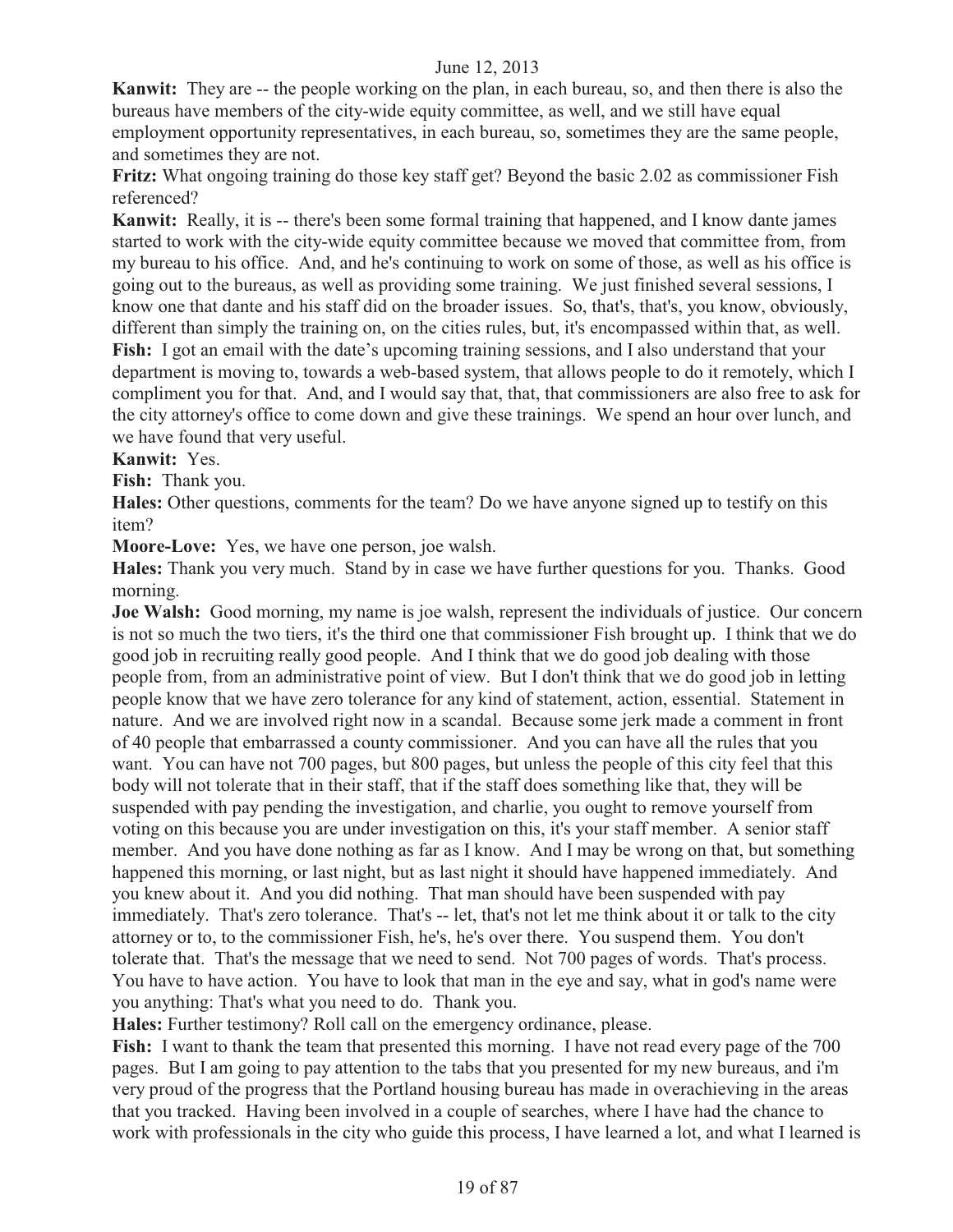**Kanwit:** They are -- the people working on the plan, in each bureau, so, and then there is also the bureaus have members of the city-wide equity committee, as well, and we still have equal employment opportunity representatives, in each bureau, so, sometimes they are the same people, and sometimes they are not.

**Fritz:** What ongoing training do those key staff get? Beyond the basic 2.02 as commissioner Fish referenced?

**Kanwit:** Really, it is -- there's been some formal training that happened, and I know dante james started to work with the city-wide equity committee because we moved that committee from, from my bureau to his office. And, and he's continuing to work on some of those, as well as his office is going out to the bureaus, as well as providing some training. We just finished several sessions, I know one that dante and his staff did on the broader issues. So, that's, that's, you know, obviously, different than simply the training on, on the cities rules, but, it's encompassed within that, as well. **Fish:** I got an email with the date's upcoming training sessions, and I also understand that your department is moving to, towards a web-based system, that allows people to do it remotely, which I compliment you for that. And, and I would say that, that, that commissioners are also free to ask for the city attorney's office to come down and give these trainings. We spend an hour over lunch, and we have found that very useful.

**Kanwit:** Yes.

**Fish:** Thank you.

**Hales:** Other questions, comments for the team? Do we have anyone signed up to testify on this item?

**Moore-Love:** Yes, we have one person, joe walsh.

**Hales:** Thank you very much. Stand by in case we have further questions for you. Thanks. Good morning.

**Joe Walsh:** Good morning, my name is joe walsh, represent the individuals of justice. Our concern is not so much the two tiers, it's the third one that commissioner Fish brought up. I think that we do good job in recruiting really good people. And I think that we do good job dealing with those people from, from an administrative point of view. But I don't think that we do good job in letting people know that we have zero tolerance for any kind of statement, action, essential. Statement in nature. And we are involved right now in a scandal. Because some jerk made a comment in front of 40 people that embarrassed a county commissioner. And you can have all the rules that you want. You can have not 700 pages, but 800 pages, but unless the people of this city feel that this body will not tolerate that in their staff, that if the staff does something like that, they will be suspended with pay pending the investigation, and charlie, you ought to remove yourself from voting on this because you are under investigation on this, it's your staff member. A senior staff member. And you have done nothing as far as I know. And I may be wrong on that, but something happened this morning, or last night, but as last night it should have happened immediately. And you knew about it. And you did nothing. That man should have been suspended with pay immediately. That's zero tolerance. That's -- let, that's not let me think about it or talk to the city attorney or to, to the commissioner Fish, he's, he's over there. You suspend them. You don't tolerate that. That's the message that we need to send. Not 700 pages of words. That's process. You have to have action. You have to look that man in the eye and say, what in god's name were you anything: That's what you need to do. Thank you.

**Hales:** Further testimony? Roll call on the emergency ordinance, please.

**Fish:** I want to thank the team that presented this morning. I have not read every page of the 700 pages. But I am going to pay attention to the tabs that you presented for my new bureaus, and i'm very proud of the progress that the Portland housing bureau has made in overachieving in the areas that you tracked. Having been involved in a couple of searches, where I have had the chance to work with professionals in the city who guide this process, I have learned a lot, and what I learned is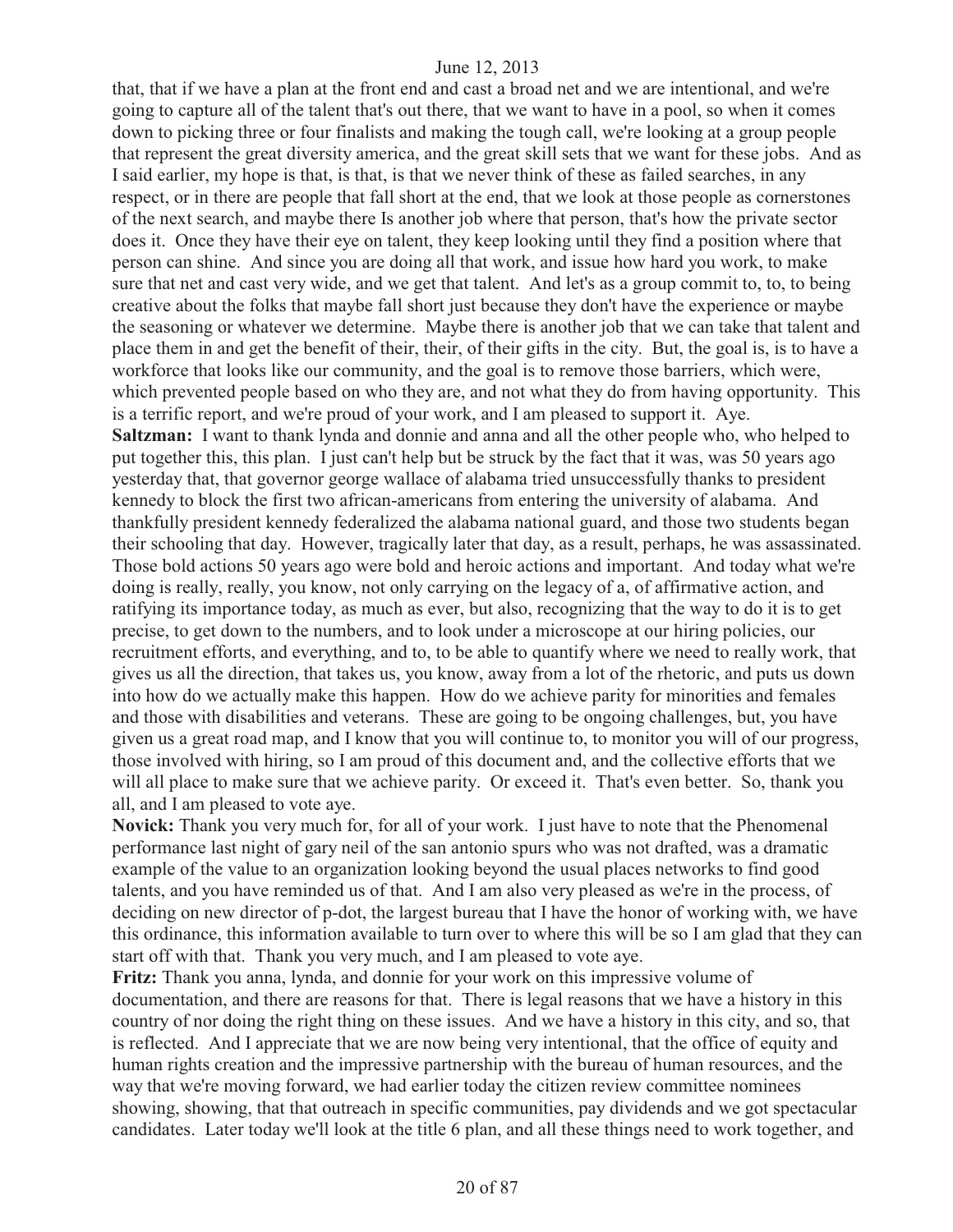that, that if we have a plan at the front end and cast a broad net and we are intentional, and we're going to capture all of the talent that's out there, that we want to have in a pool, so when it comes down to picking three or four finalists and making the tough call, we're looking at a group people that represent the great diversity america, and the great skill sets that we want for these jobs. And as I said earlier, my hope is that, is that, is that we never think of these as failed searches, in any respect, or in there are people that fall short at the end, that we look at those people as cornerstones of the next search, and maybe there Is another job where that person, that's how the private sector does it. Once they have their eye on talent, they keep looking until they find a position where that person can shine. And since you are doing all that work, and issue how hard you work, to make sure that net and cast very wide, and we get that talent. And let's as a group commit to, to, to being creative about the folks that maybe fall short just because they don't have the experience or maybe the seasoning or whatever we determine. Maybe there is another job that we can take that talent and place them in and get the benefit of their, their, of their gifts in the city. But, the goal is, is to have a workforce that looks like our community, and the goal is to remove those barriers, which were, which prevented people based on who they are, and not what they do from having opportunity. This is a terrific report, and we're proud of your work, and I am pleased to support it. Aye. **Saltzman:** I want to thank lynda and donnie and anna and all the other people who, who helped to put together this, this plan. I just can't help but be struck by the fact that it was, was 50 years ago yesterday that, that governor george wallace of alabama tried unsuccessfully thanks to president kennedy to block the first two african-americans from entering the university of alabama. And thankfully president kennedy federalized the alabama national guard, and those two students began their schooling that day. However, tragically later that day, as a result, perhaps, he was assassinated. Those bold actions 50 years ago were bold and heroic actions and important. And today what we're doing is really, really, you know, not only carrying on the legacy of a, of affirmative action, and ratifying its importance today, as much as ever, but also, recognizing that the way to do it is to get precise, to get down to the numbers, and to look under a microscope at our hiring policies, our recruitment efforts, and everything, and to, to be able to quantify where we need to really work, that gives us all the direction, that takes us, you know, away from a lot of the rhetoric, and puts us down into how do we actually make this happen. How do we achieve parity for minorities and females and those with disabilities and veterans. These are going to be ongoing challenges, but, you have given us a great road map, and I know that you will continue to, to monitor you will of our progress, those involved with hiring, so I am proud of this document and, and the collective efforts that we will all place to make sure that we achieve parity. Or exceed it. That's even better. So, thank you all, and I am pleased to vote aye.

**Novick:** Thank you very much for, for all of your work. I just have to note that the Phenomenal performance last night of gary neil of the san antonio spurs who was not drafted, was a dramatic example of the value to an organization looking beyond the usual places networks to find good talents, and you have reminded us of that. And I am also very pleased as we're in the process, of deciding on new director of p-dot, the largest bureau that I have the honor of working with, we have this ordinance, this information available to turn over to where this will be so I am glad that they can start off with that. Thank you very much, and I am pleased to vote aye.

**Fritz:** Thank you anna, lynda, and donnie for your work on this impressive volume of documentation, and there are reasons for that. There is legal reasons that we have a history in this country of nor doing the right thing on these issues. And we have a history in this city, and so, that is reflected. And I appreciate that we are now being very intentional, that the office of equity and human rights creation and the impressive partnership with the bureau of human resources, and the way that we're moving forward, we had earlier today the citizen review committee nominees showing, showing, that that outreach in specific communities, pay dividends and we got spectacular candidates. Later today we'll look at the title 6 plan, and all these things need to work together, and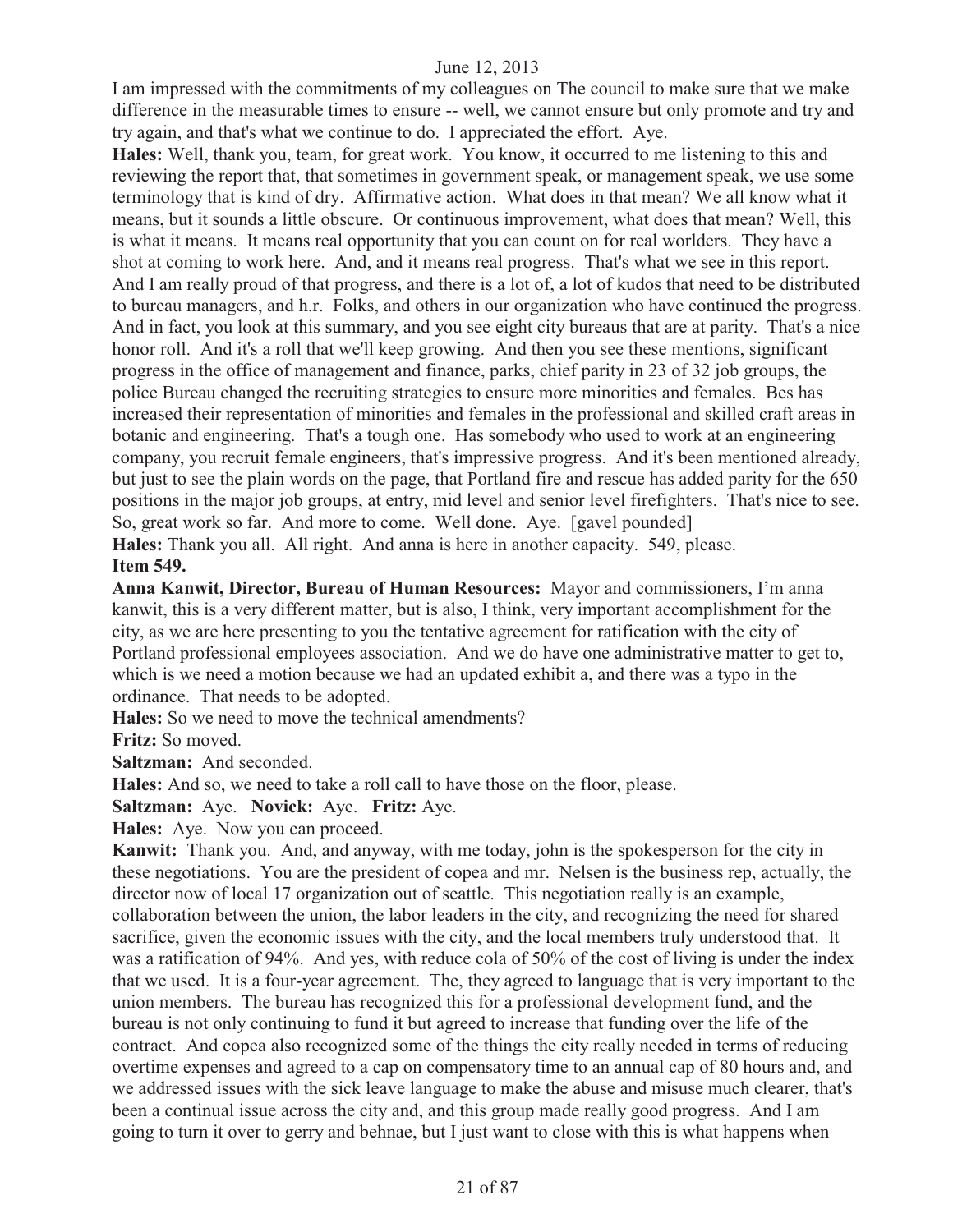I am impressed with the commitments of my colleagues on The council to make sure that we make difference in the measurable times to ensure -- well, we cannot ensure but only promote and try and try again, and that's what we continue to do. I appreciated the effort. Aye.

**Hales:** Well, thank you, team, for great work. You know, it occurred to me listening to this and reviewing the report that, that sometimes in government speak, or management speak, we use some terminology that is kind of dry. Affirmative action. What does in that mean? We all know what it means, but it sounds a little obscure. Or continuous improvement, what does that mean? Well, this is what it means. It means real opportunity that you can count on for real worlders. They have a shot at coming to work here. And, and it means real progress. That's what we see in this report. And I am really proud of that progress, and there is a lot of, a lot of kudos that need to be distributed to bureau managers, and h.r. Folks, and others in our organization who have continued the progress. And in fact, you look at this summary, and you see eight city bureaus that are at parity. That's a nice honor roll. And it's a roll that we'll keep growing. And then you see these mentions, significant progress in the office of management and finance, parks, chief parity in 23 of 32 job groups, the police Bureau changed the recruiting strategies to ensure more minorities and females. Bes has increased their representation of minorities and females in the professional and skilled craft areas in botanic and engineering. That's a tough one. Has somebody who used to work at an engineering company, you recruit female engineers, that's impressive progress. And it's been mentioned already, but just to see the plain words on the page, that Portland fire and rescue has added parity for the 650 positions in the major job groups, at entry, mid level and senior level firefighters. That's nice to see. So, great work so far. And more to come. Well done. Aye. [gavel pounded] **Hales:** Thank you all. All right. And anna is here in another capacity. 549, please. **Item 549.** 

**Anna Kanwit, Director, Bureau of Human Resources:** Mayor and commissioners, I'm anna kanwit, this is a very different matter, but is also, I think, very important accomplishment for the city, as we are here presenting to you the tentative agreement for ratification with the city of Portland professional employees association. And we do have one administrative matter to get to, which is we need a motion because we had an updated exhibit a, and there was a typo in the ordinance. That needs to be adopted.

**Hales:** So we need to move the technical amendments?

**Fritz:** So moved.

**Saltzman:** And seconded.

**Hales:** And so, we need to take a roll call to have those on the floor, please.

**Saltzman:** Aye. **Novick:** Aye. **Fritz:** Aye.

**Hales:** Aye. Now you can proceed.

**Kanwit:** Thank you. And, and anyway, with me today, john is the spokesperson for the city in these negotiations. You are the president of copea and mr. Nelsen is the business rep, actually, the director now of local 17 organization out of seattle. This negotiation really is an example, collaboration between the union, the labor leaders in the city, and recognizing the need for shared sacrifice, given the economic issues with the city, and the local members truly understood that. It was a ratification of 94%. And yes, with reduce cola of 50% of the cost of living is under the index that we used. It is a four-year agreement. The, they agreed to language that is very important to the union members. The bureau has recognized this for a professional development fund, and the bureau is not only continuing to fund it but agreed to increase that funding over the life of the contract. And copea also recognized some of the things the city really needed in terms of reducing overtime expenses and agreed to a cap on compensatory time to an annual cap of 80 hours and, and we addressed issues with the sick leave language to make the abuse and misuse much clearer, that's been a continual issue across the city and, and this group made really good progress. And I am going to turn it over to gerry and behnae, but I just want to close with this is what happens when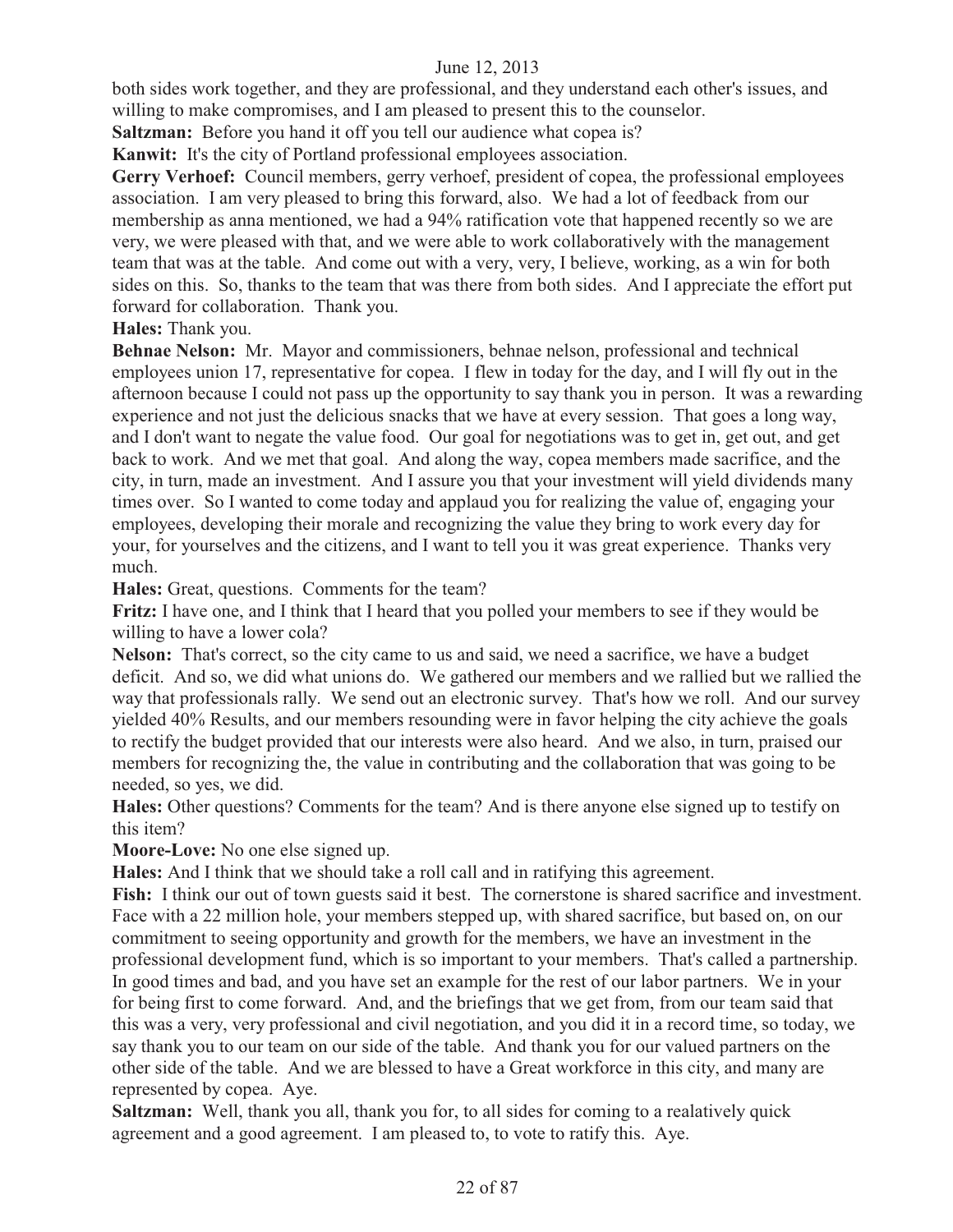both sides work together, and they are professional, and they understand each other's issues, and willing to make compromises, and I am pleased to present this to the counselor.

**Saltzman:** Before you hand it off you tell our audience what copea is?

**Kanwit:** It's the city of Portland professional employees association.

Gerry Verhoef: Council members, gerry verhoef, president of copea, the professional employees association. I am very pleased to bring this forward, also. We had a lot of feedback from our membership as anna mentioned, we had a 94% ratification vote that happened recently so we are very, we were pleased with that, and we were able to work collaboratively with the management team that was at the table. And come out with a very, very, I believe, working, as a win for both sides on this. So, thanks to the team that was there from both sides. And I appreciate the effort put forward for collaboration. Thank you.

# **Hales:** Thank you.

**Behnae Nelson:** Mr. Mayor and commissioners, behnae nelson, professional and technical employees union 17, representative for copea. I flew in today for the day, and I will fly out in the afternoon because I could not pass up the opportunity to say thank you in person. It was a rewarding experience and not just the delicious snacks that we have at every session. That goes a long way, and I don't want to negate the value food. Our goal for negotiations was to get in, get out, and get back to work. And we met that goal. And along the way, copea members made sacrifice, and the city, in turn, made an investment. And I assure you that your investment will yield dividends many times over. So I wanted to come today and applaud you for realizing the value of, engaging your employees, developing their morale and recognizing the value they bring to work every day for your, for yourselves and the citizens, and I want to tell you it was great experience. Thanks very much.

**Hales:** Great, questions. Comments for the team?

**Fritz:** I have one, and I think that I heard that you polled your members to see if they would be willing to have a lower cola?

**Nelson:** That's correct, so the city came to us and said, we need a sacrifice, we have a budget deficit. And so, we did what unions do. We gathered our members and we rallied but we rallied the way that professionals rally. We send out an electronic survey. That's how we roll. And our survey yielded 40% Results, and our members resounding were in favor helping the city achieve the goals to rectify the budget provided that our interests were also heard. And we also, in turn, praised our members for recognizing the, the value in contributing and the collaboration that was going to be needed, so yes, we did.

**Hales:** Other questions? Comments for the team? And is there anyone else signed up to testify on this item?

**Moore-Love:** No one else signed up.

**Hales:** And I think that we should take a roll call and in ratifying this agreement.

Fish: I think our out of town guests said it best. The cornerstone is shared sacrifice and investment. Face with a 22 million hole, your members stepped up, with shared sacrifice, but based on, on our commitment to seeing opportunity and growth for the members, we have an investment in the professional development fund, which is so important to your members. That's called a partnership. In good times and bad, and you have set an example for the rest of our labor partners. We in your for being first to come forward. And, and the briefings that we get from, from our team said that this was a very, very professional and civil negotiation, and you did it in a record time, so today, we say thank you to our team on our side of the table. And thank you for our valued partners on the other side of the table. And we are blessed to have a Great workforce in this city, and many are represented by copea. Aye.

**Saltzman:** Well, thank you all, thank you for, to all sides for coming to a realatively quick agreement and a good agreement. I am pleased to, to vote to ratify this. Aye.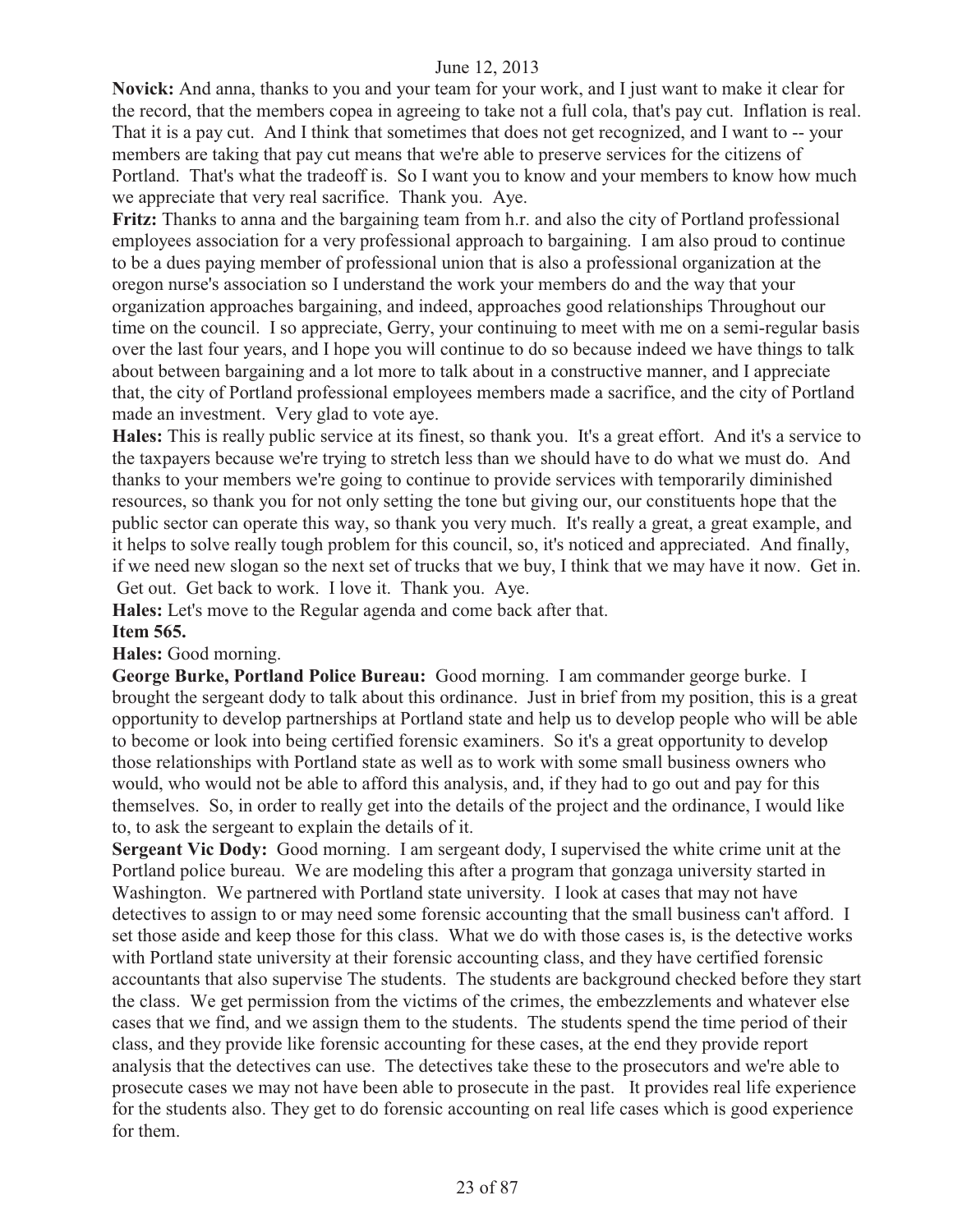**Novick:** And anna, thanks to you and your team for your work, and I just want to make it clear for the record, that the members copea in agreeing to take not a full cola, that's pay cut. Inflation is real. That it is a pay cut. And I think that sometimes that does not get recognized, and I want to -- your members are taking that pay cut means that we're able to preserve services for the citizens of Portland. That's what the tradeoff is. So I want you to know and your members to know how much we appreciate that very real sacrifice. Thank you. Aye.

**Fritz:** Thanks to anna and the bargaining team from h.r. and also the city of Portland professional employees association for a very professional approach to bargaining. I am also proud to continue to be a dues paying member of professional union that is also a professional organization at the oregon nurse's association so I understand the work your members do and the way that your organization approaches bargaining, and indeed, approaches good relationships Throughout our time on the council. I so appreciate, Gerry, your continuing to meet with me on a semi-regular basis over the last four years, and I hope you will continue to do so because indeed we have things to talk about between bargaining and a lot more to talk about in a constructive manner, and I appreciate that, the city of Portland professional employees members made a sacrifice, and the city of Portland made an investment. Very glad to vote aye.

**Hales:** This is really public service at its finest, so thank you. It's a great effort. And it's a service to the taxpayers because we're trying to stretch less than we should have to do what we must do. And thanks to your members we're going to continue to provide services with temporarily diminished resources, so thank you for not only setting the tone but giving our, our constituents hope that the public sector can operate this way, so thank you very much. It's really a great, a great example, and it helps to solve really tough problem for this council, so, it's noticed and appreciated. And finally, if we need new slogan so the next set of trucks that we buy, I think that we may have it now. Get in. Get out. Get back to work. I love it. Thank you. Aye.

**Hales:** Let's move to the Regular agenda and come back after that.

#### **Item 565.**

**Hales:** Good morning.

**George Burke, Portland Police Bureau:** Good morning. I am commander george burke. I brought the sergeant dody to talk about this ordinance. Just in brief from my position, this is a great opportunity to develop partnerships at Portland state and help us to develop people who will be able to become or look into being certified forensic examiners. So it's a great opportunity to develop those relationships with Portland state as well as to work with some small business owners who would, who would not be able to afford this analysis, and, if they had to go out and pay for this themselves. So, in order to really get into the details of the project and the ordinance, I would like to, to ask the sergeant to explain the details of it.

**Sergeant Vic Dody:** Good morning. I am sergeant dody, I supervised the white crime unit at the Portland police bureau. We are modeling this after a program that gonzaga university started in Washington. We partnered with Portland state university. I look at cases that may not have detectives to assign to or may need some forensic accounting that the small business can't afford. I set those aside and keep those for this class. What we do with those cases is, is the detective works with Portland state university at their forensic accounting class, and they have certified forensic accountants that also supervise The students. The students are background checked before they start the class. We get permission from the victims of the crimes, the embezzlements and whatever else cases that we find, and we assign them to the students. The students spend the time period of their class, and they provide like forensic accounting for these cases, at the end they provide report analysis that the detectives can use. The detectives take these to the prosecutors and we're able to prosecute cases we may not have been able to prosecute in the past. It provides real life experience for the students also. They get to do forensic accounting on real life cases which is good experience for them.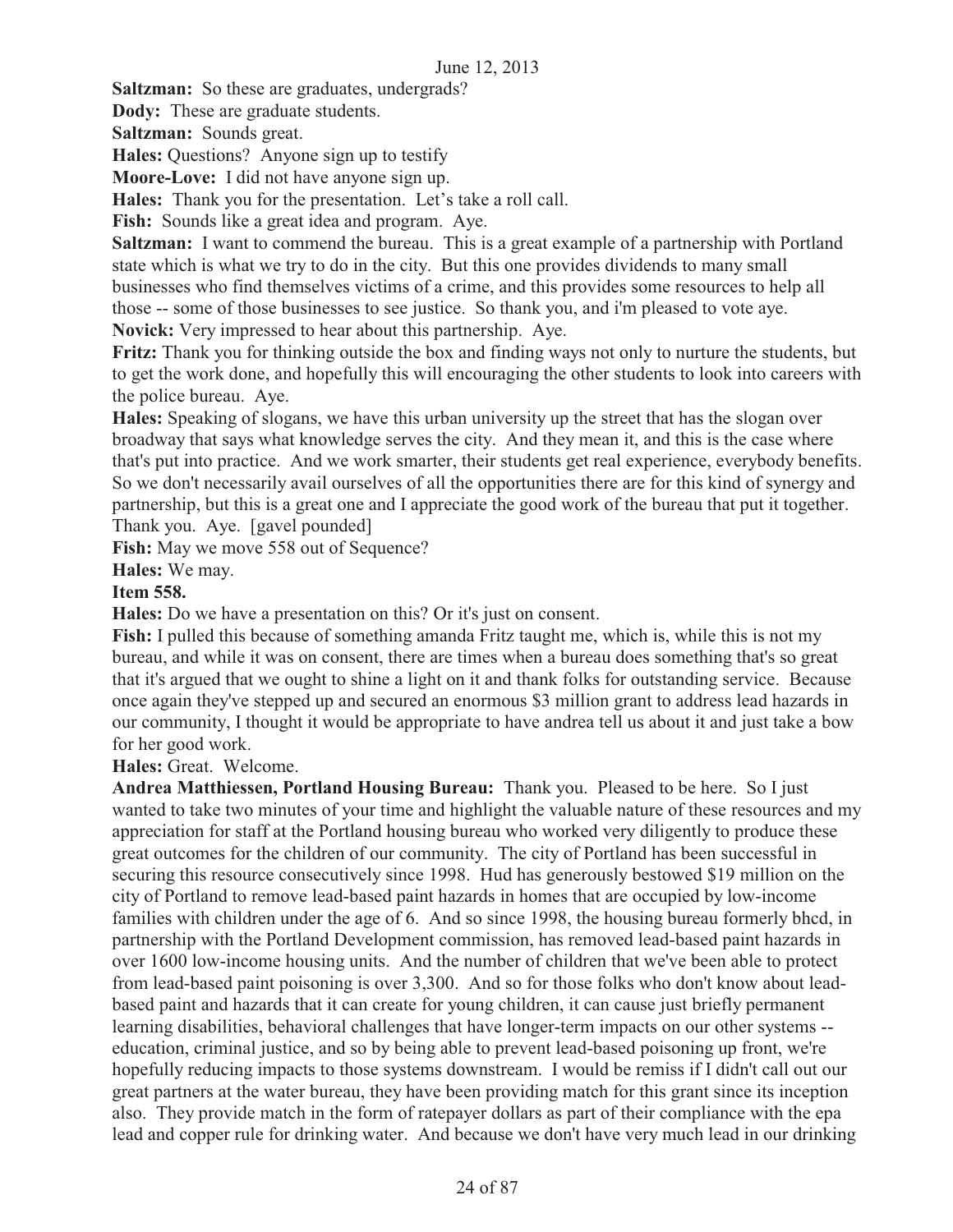**Saltzman:** So these are graduates, undergrads?

**Dody:** These are graduate students.

**Saltzman:** Sounds great.

**Hales:** Questions? Anyone sign up to testify

**Moore-Love:** I did not have anyone sign up.

**Hales:** Thank you for the presentation. Let's take a roll call.

**Fish:** Sounds like a great idea and program. Aye.

**Saltzman:** I want to commend the bureau. This is a great example of a partnership with Portland state which is what we try to do in the city. But this one provides dividends to many small businesses who find themselves victims of a crime, and this provides some resources to help all those -- some of those businesses to see justice. So thank you, and i'm pleased to vote aye. **Novick:** Very impressed to hear about this partnership. Aye.

**Fritz:** Thank you for thinking outside the box and finding ways not only to nurture the students, but to get the work done, and hopefully this will encouraging the other students to look into careers with the police bureau. Aye.

**Hales:** Speaking of slogans, we have this urban university up the street that has the slogan over broadway that says what knowledge serves the city. And they mean it, and this is the case where that's put into practice. And we work smarter, their students get real experience, everybody benefits. So we don't necessarily avail ourselves of all the opportunities there are for this kind of synergy and partnership, but this is a great one and I appreciate the good work of the bureau that put it together. Thank you. Aye. [gavel pounded]

**Fish:** May we move 558 out of Sequence?

**Hales:** We may.

# **Item 558.**

**Hales:** Do we have a presentation on this? Or it's just on consent.

**Fish:** I pulled this because of something amanda Fritz taught me, which is, while this is not my bureau, and while it was on consent, there are times when a bureau does something that's so great that it's argued that we ought to shine a light on it and thank folks for outstanding service. Because once again they've stepped up and secured an enormous \$3 million grant to address lead hazards in our community, I thought it would be appropriate to have andrea tell us about it and just take a bow for her good work.

**Hales:** Great. Welcome.

**Andrea Matthiessen, Portland Housing Bureau:** Thank you. Pleased to be here. So I just wanted to take two minutes of your time and highlight the valuable nature of these resources and my appreciation for staff at the Portland housing bureau who worked very diligently to produce these great outcomes for the children of our community. The city of Portland has been successful in securing this resource consecutively since 1998. Hud has generously bestowed \$19 million on the city of Portland to remove lead-based paint hazards in homes that are occupied by low-income families with children under the age of 6. And so since 1998, the housing bureau formerly bhcd, in partnership with the Portland Development commission, has removed lead-based paint hazards in over 1600 low-income housing units. And the number of children that we've been able to protect from lead-based paint poisoning is over 3,300. And so for those folks who don't know about leadbased paint and hazards that it can create for young children, it can cause just briefly permanent learning disabilities, behavioral challenges that have longer-term impacts on our other systems - education, criminal justice, and so by being able to prevent lead-based poisoning up front, we're hopefully reducing impacts to those systems downstream. I would be remiss if I didn't call out our great partners at the water bureau, they have been providing match for this grant since its inception also. They provide match in the form of ratepayer dollars as part of their compliance with the epa lead and copper rule for drinking water. And because we don't have very much lead in our drinking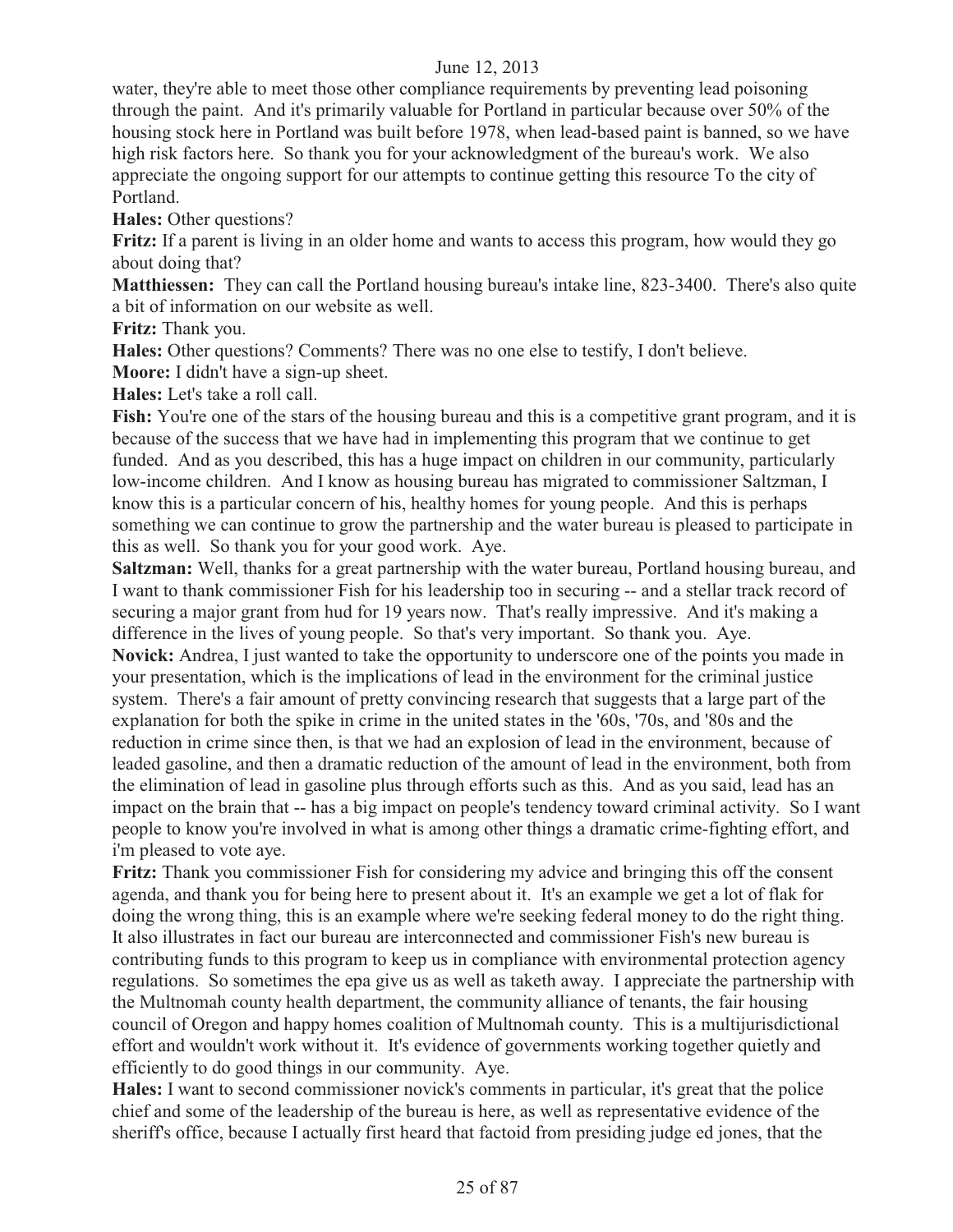water, they're able to meet those other compliance requirements by preventing lead poisoning through the paint. And it's primarily valuable for Portland in particular because over 50% of the housing stock here in Portland was built before 1978, when lead-based paint is banned, so we have high risk factors here. So thank you for your acknowledgment of the bureau's work. We also appreciate the ongoing support for our attempts to continue getting this resource To the city of Portland.

**Hales:** Other questions?

**Fritz:** If a parent is living in an older home and wants to access this program, how would they go about doing that?

**Matthiessen:** They can call the Portland housing bureau's intake line, 823-3400. There's also quite a bit of information on our website as well.

**Fritz:** Thank you.

**Hales:** Other questions? Comments? There was no one else to testify, I don't believe.

**Moore:** I didn't have a sign-up sheet.

**Hales:** Let's take a roll call.

Fish: You're one of the stars of the housing bureau and this is a competitive grant program, and it is because of the success that we have had in implementing this program that we continue to get funded. And as you described, this has a huge impact on children in our community, particularly low-income children. And I know as housing bureau has migrated to commissioner Saltzman, I know this is a particular concern of his, healthy homes for young people. And this is perhaps something we can continue to grow the partnership and the water bureau is pleased to participate in this as well. So thank you for your good work. Aye.

**Saltzman:** Well, thanks for a great partnership with the water bureau, Portland housing bureau, and I want to thank commissioner Fish for his leadership too in securing -- and a stellar track record of securing a major grant from hud for 19 years now. That's really impressive. And it's making a difference in the lives of young people. So that's very important. So thank you. Aye.

**Novick:** Andrea, I just wanted to take the opportunity to underscore one of the points you made in your presentation, which is the implications of lead in the environment for the criminal justice system. There's a fair amount of pretty convincing research that suggests that a large part of the explanation for both the spike in crime in the united states in the '60s, '70s, and '80s and the reduction in crime since then, is that we had an explosion of lead in the environment, because of leaded gasoline, and then a dramatic reduction of the amount of lead in the environment, both from the elimination of lead in gasoline plus through efforts such as this. And as you said, lead has an impact on the brain that -- has a big impact on people's tendency toward criminal activity. So I want people to know you're involved in what is among other things a dramatic crime-fighting effort, and i'm pleased to vote aye.

**Fritz:** Thank you commissioner Fish for considering my advice and bringing this off the consent agenda, and thank you for being here to present about it. It's an example we get a lot of flak for doing the wrong thing, this is an example where we're seeking federal money to do the right thing. It also illustrates in fact our bureau are interconnected and commissioner Fish's new bureau is contributing funds to this program to keep us in compliance with environmental protection agency regulations. So sometimes the epa give us as well as taketh away. I appreciate the partnership with the Multnomah county health department, the community alliance of tenants, the fair housing council of Oregon and happy homes coalition of Multnomah county. This is a multijurisdictional effort and wouldn't work without it. It's evidence of governments working together quietly and efficiently to do good things in our community. Aye.

**Hales:** I want to second commissioner novick's comments in particular, it's great that the police chief and some of the leadership of the bureau is here, as well as representative evidence of the sheriff's office, because I actually first heard that factoid from presiding judge ed jones, that the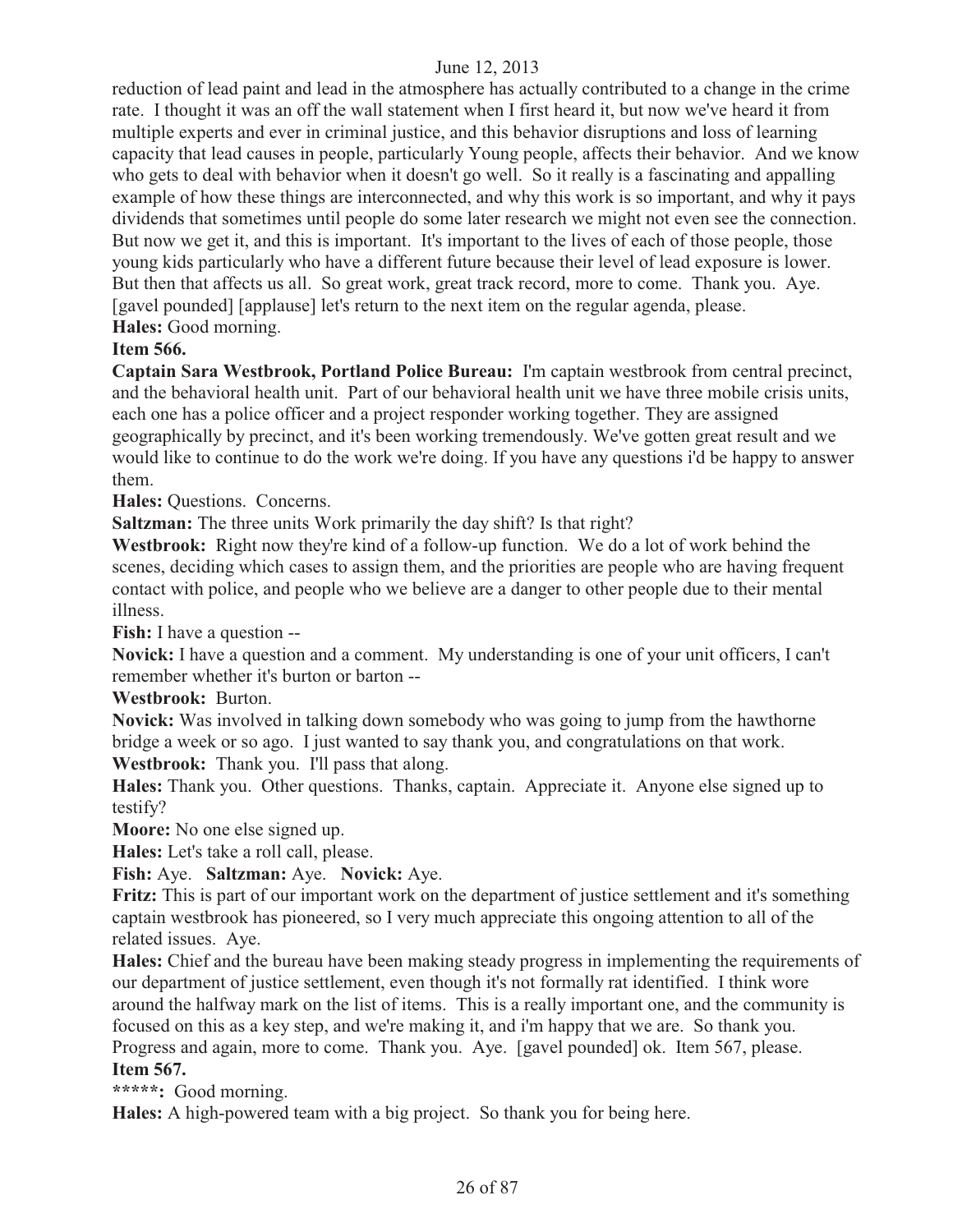reduction of lead paint and lead in the atmosphere has actually contributed to a change in the crime rate. I thought it was an off the wall statement when I first heard it, but now we've heard it from multiple experts and ever in criminal justice, and this behavior disruptions and loss of learning capacity that lead causes in people, particularly Young people, affects their behavior. And we know who gets to deal with behavior when it doesn't go well. So it really is a fascinating and appalling example of how these things are interconnected, and why this work is so important, and why it pays dividends that sometimes until people do some later research we might not even see the connection. But now we get it, and this is important. It's important to the lives of each of those people, those young kids particularly who have a different future because their level of lead exposure is lower. But then that affects us all. So great work, great track record, more to come. Thank you. Aye. [gavel pounded] [applause] let's return to the next item on the regular agenda, please. **Hales:** Good morning.

# **Item 566.**

**Captain Sara Westbrook, Portland Police Bureau:** I'm captain westbrook from central precinct, and the behavioral health unit. Part of our behavioral health unit we have three mobile crisis units, each one has a police officer and a project responder working together. They are assigned geographically by precinct, and it's been working tremendously. We've gotten great result and we would like to continue to do the work we're doing. If you have any questions i'd be happy to answer them.

**Hales:** Questions. Concerns.

**Saltzman:** The three units Work primarily the day shift? Is that right?

**Westbrook:** Right now they're kind of a follow-up function. We do a lot of work behind the scenes, deciding which cases to assign them, and the priorities are people who are having frequent contact with police, and people who we believe are a danger to other people due to their mental illness.

**Fish:** I have a question --

**Novick:** I have a question and a comment. My understanding is one of your unit officers, I can't remember whether it's burton or barton --

**Westbrook:** Burton.

**Novick:** Was involved in talking down somebody who was going to jump from the hawthorne bridge a week or so ago. I just wanted to say thank you, and congratulations on that work. **Westbrook:** Thank you. I'll pass that along.

**Hales:** Thank you. Other questions. Thanks, captain. Appreciate it. Anyone else signed up to testify?

**Moore:** No one else signed up.

**Hales:** Let's take a roll call, please.

**Fish:** Aye. **Saltzman:** Aye. **Novick:** Aye.

**Fritz:** This is part of our important work on the department of justice settlement and it's something captain westbrook has pioneered, so I very much appreciate this ongoing attention to all of the related issues. Aye.

**Hales:** Chief and the bureau have been making steady progress in implementing the requirements of our department of justice settlement, even though it's not formally rat identified. I think wore around the halfway mark on the list of items. This is a really important one, and the community is focused on this as a key step, and we're making it, and i'm happy that we are. So thank you. Progress and again, more to come. Thank you. Aye. [gavel pounded] ok. Item 567, please. **Item 567.** 

**\*\*\*\*\*:** Good morning.

**Hales:** A high-powered team with a big project. So thank you for being here.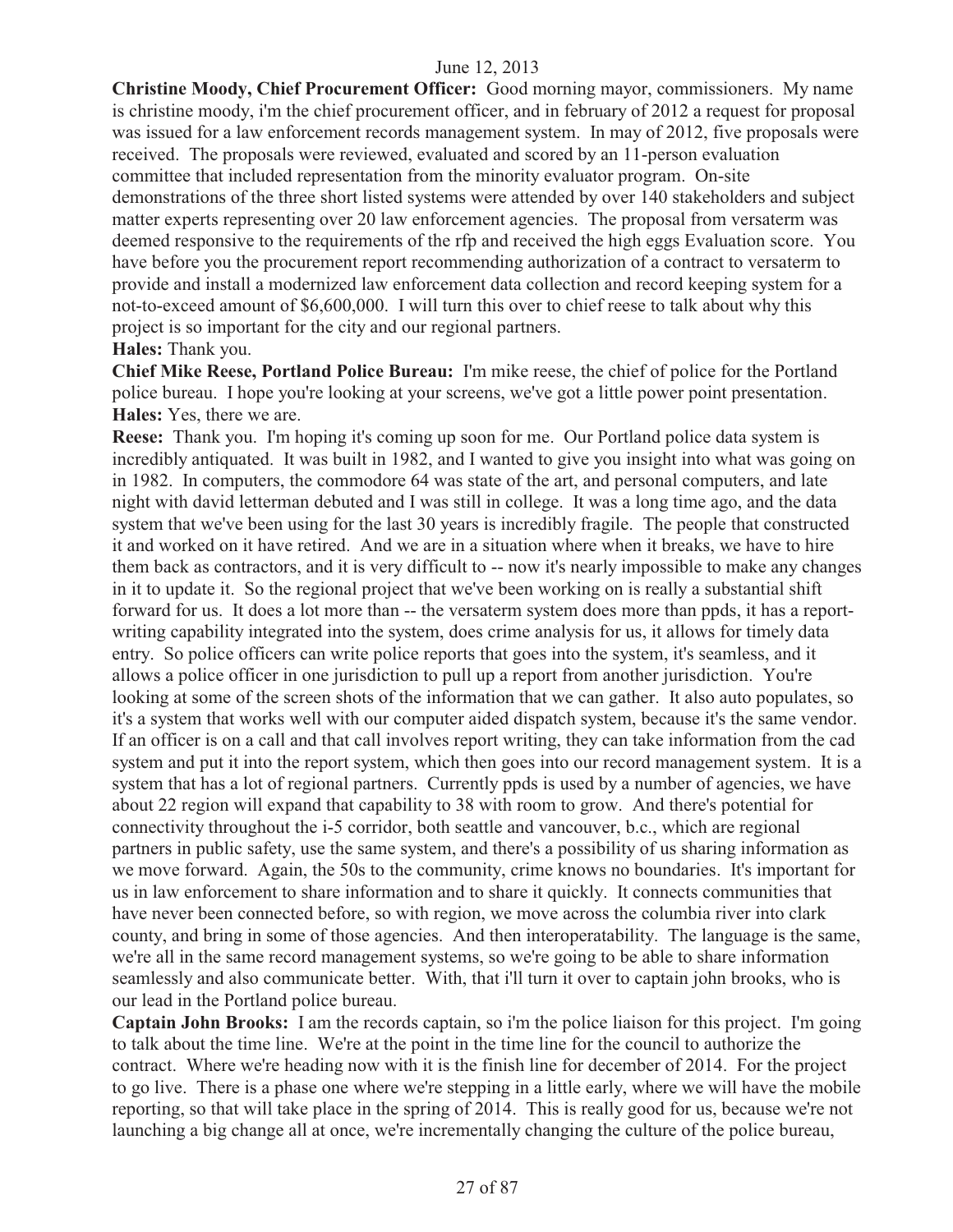**Christine Moody, Chief Procurement Officer:** Good morning mayor, commissioners. My name is christine moody, i'm the chief procurement officer, and in february of 2012 a request for proposal was issued for a law enforcement records management system. In may of 2012, five proposals were received. The proposals were reviewed, evaluated and scored by an 11-person evaluation committee that included representation from the minority evaluator program. On-site demonstrations of the three short listed systems were attended by over 140 stakeholders and subject matter experts representing over 20 law enforcement agencies. The proposal from versaterm was deemed responsive to the requirements of the rfp and received the high eggs Evaluation score. You have before you the procurement report recommending authorization of a contract to versaterm to provide and install a modernized law enforcement data collection and record keeping system for a not-to-exceed amount of \$6,600,000. I will turn this over to chief reese to talk about why this project is so important for the city and our regional partners.

#### **Hales:** Thank you.

**Chief Mike Reese, Portland Police Bureau:** I'm mike reese, the chief of police for the Portland police bureau. I hope you're looking at your screens, we've got a little power point presentation. **Hales:** Yes, there we are.

**Reese:** Thank you. I'm hoping it's coming up soon for me. Our Portland police data system is incredibly antiquated. It was built in 1982, and I wanted to give you insight into what was going on in 1982. In computers, the commodore 64 was state of the art, and personal computers, and late night with david letterman debuted and I was still in college. It was a long time ago, and the data system that we've been using for the last 30 years is incredibly fragile. The people that constructed it and worked on it have retired. And we are in a situation where when it breaks, we have to hire them back as contractors, and it is very difficult to -- now it's nearly impossible to make any changes in it to update it. So the regional project that we've been working on is really a substantial shift forward for us. It does a lot more than -- the versaterm system does more than ppds, it has a reportwriting capability integrated into the system, does crime analysis for us, it allows for timely data entry. So police officers can write police reports that goes into the system, it's seamless, and it allows a police officer in one jurisdiction to pull up a report from another jurisdiction. You're looking at some of the screen shots of the information that we can gather. It also auto populates, so it's a system that works well with our computer aided dispatch system, because it's the same vendor. If an officer is on a call and that call involves report writing, they can take information from the cad system and put it into the report system, which then goes into our record management system. It is a system that has a lot of regional partners. Currently ppds is used by a number of agencies, we have about 22 region will expand that capability to 38 with room to grow. And there's potential for connectivity throughout the i-5 corridor, both seattle and vancouver, b.c., which are regional partners in public safety, use the same system, and there's a possibility of us sharing information as we move forward. Again, the 50s to the community, crime knows no boundaries. It's important for us in law enforcement to share information and to share it quickly. It connects communities that have never been connected before, so with region, we move across the columbia river into clark county, and bring in some of those agencies. And then interoperatability. The language is the same, we're all in the same record management systems, so we're going to be able to share information seamlessly and also communicate better. With, that i'll turn it over to captain john brooks, who is our lead in the Portland police bureau.

**Captain John Brooks:** I am the records captain, so i'm the police liaison for this project. I'm going to talk about the time line. We're at the point in the time line for the council to authorize the contract. Where we're heading now with it is the finish line for december of 2014. For the project to go live. There is a phase one where we're stepping in a little early, where we will have the mobile reporting, so that will take place in the spring of 2014. This is really good for us, because we're not launching a big change all at once, we're incrementally changing the culture of the police bureau,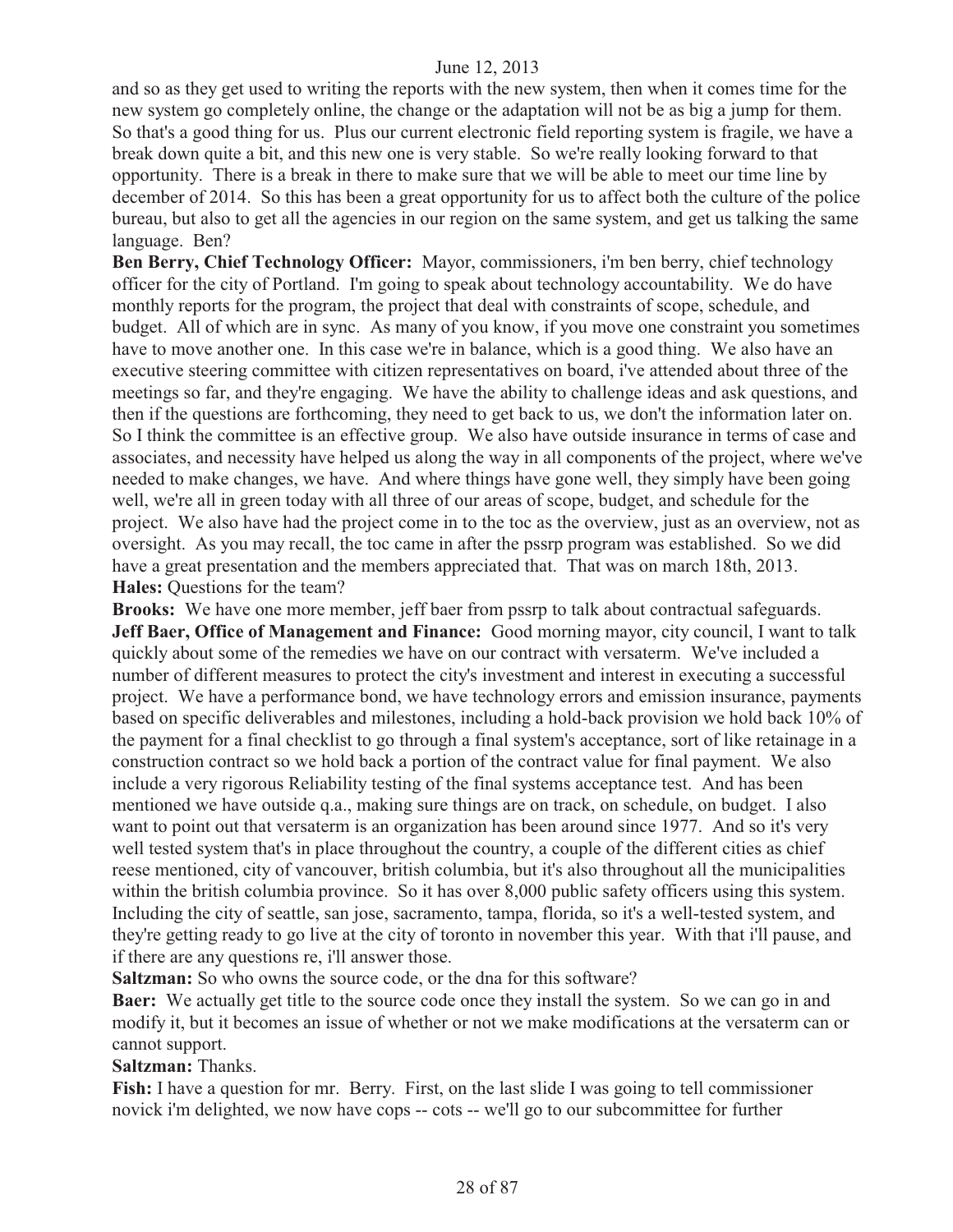and so as they get used to writing the reports with the new system, then when it comes time for the new system go completely online, the change or the adaptation will not be as big a jump for them. So that's a good thing for us. Plus our current electronic field reporting system is fragile, we have a break down quite a bit, and this new one is very stable. So we're really looking forward to that opportunity. There is a break in there to make sure that we will be able to meet our time line by december of 2014. So this has been a great opportunity for us to affect both the culture of the police bureau, but also to get all the agencies in our region on the same system, and get us talking the same language. Ben?

**Ben Berry, Chief Technology Officer:** Mayor, commissioners, i'm ben berry, chief technology officer for the city of Portland. I'm going to speak about technology accountability. We do have monthly reports for the program, the project that deal with constraints of scope, schedule, and budget. All of which are in sync. As many of you know, if you move one constraint you sometimes have to move another one. In this case we're in balance, which is a good thing. We also have an executive steering committee with citizen representatives on board, i've attended about three of the meetings so far, and they're engaging. We have the ability to challenge ideas and ask questions, and then if the questions are forthcoming, they need to get back to us, we don't the information later on. So I think the committee is an effective group. We also have outside insurance in terms of case and associates, and necessity have helped us along the way in all components of the project, where we've needed to make changes, we have. And where things have gone well, they simply have been going well, we're all in green today with all three of our areas of scope, budget, and schedule for the project. We also have had the project come in to the toc as the overview, just as an overview, not as oversight. As you may recall, the toc came in after the pssrp program was established. So we did have a great presentation and the members appreciated that. That was on march 18th, 2013. **Hales:** Questions for the team?

**Brooks:** We have one more member, jeff baer from pssrp to talk about contractual safeguards. **Jeff Baer, Office of Management and Finance:** Good morning mayor, city council, I want to talk quickly about some of the remedies we have on our contract with versaterm. We've included a number of different measures to protect the city's investment and interest in executing a successful project. We have a performance bond, we have technology errors and emission insurance, payments based on specific deliverables and milestones, including a hold-back provision we hold back 10% of the payment for a final checklist to go through a final system's acceptance, sort of like retainage in a construction contract so we hold back a portion of the contract value for final payment. We also include a very rigorous Reliability testing of the final systems acceptance test. And has been mentioned we have outside q.a., making sure things are on track, on schedule, on budget. I also want to point out that versaterm is an organization has been around since 1977. And so it's very well tested system that's in place throughout the country, a couple of the different cities as chief reese mentioned, city of vancouver, british columbia, but it's also throughout all the municipalities within the british columbia province. So it has over 8,000 public safety officers using this system. Including the city of seattle, san jose, sacramento, tampa, florida, so it's a well-tested system, and they're getting ready to go live at the city of toronto in november this year. With that i'll pause, and if there are any questions re, i'll answer those.

**Saltzman:** So who owns the source code, or the dna for this software?

**Baer:** We actually get title to the source code once they install the system. So we can go in and modify it, but it becomes an issue of whether or not we make modifications at the versaterm can or cannot support.

**Saltzman:** Thanks.

Fish: I have a question for mr. Berry. First, on the last slide I was going to tell commissioner novick i'm delighted, we now have cops -- cots -- we'll go to our subcommittee for further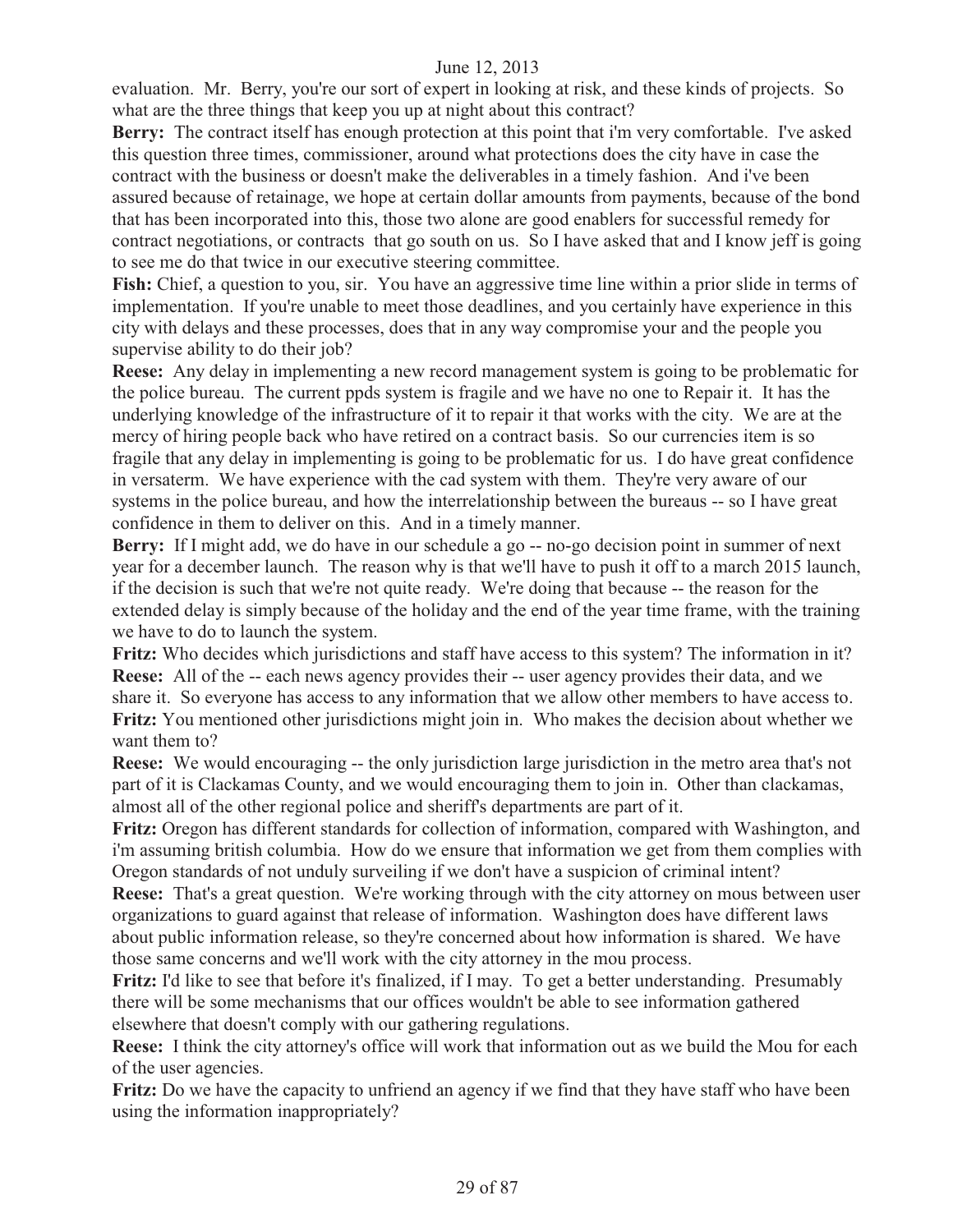evaluation. Mr. Berry, you're our sort of expert in looking at risk, and these kinds of projects. So what are the three things that keep you up at night about this contract?

**Berry:** The contract itself has enough protection at this point that i'm very comfortable. I've asked this question three times, commissioner, around what protections does the city have in case the contract with the business or doesn't make the deliverables in a timely fashion. And i've been assured because of retainage, we hope at certain dollar amounts from payments, because of the bond that has been incorporated into this, those two alone are good enablers for successful remedy for contract negotiations, or contracts that go south on us. So I have asked that and I know jeff is going to see me do that twice in our executive steering committee.

**Fish:** Chief, a question to you, sir. You have an aggressive time line within a prior slide in terms of implementation. If you're unable to meet those deadlines, and you certainly have experience in this city with delays and these processes, does that in any way compromise your and the people you supervise ability to do their job?

**Reese:** Any delay in implementing a new record management system is going to be problematic for the police bureau. The current ppds system is fragile and we have no one to Repair it. It has the underlying knowledge of the infrastructure of it to repair it that works with the city. We are at the mercy of hiring people back who have retired on a contract basis. So our currencies item is so fragile that any delay in implementing is going to be problematic for us. I do have great confidence in versaterm. We have experience with the cad system with them. They're very aware of our systems in the police bureau, and how the interrelationship between the bureaus -- so I have great confidence in them to deliver on this. And in a timely manner.

**Berry:** If I might add, we do have in our schedule a go -- no-go decision point in summer of next year for a december launch. The reason why is that we'll have to push it off to a march 2015 launch, if the decision is such that we're not quite ready. We're doing that because -- the reason for the extended delay is simply because of the holiday and the end of the year time frame, with the training we have to do to launch the system.

**Fritz:** Who decides which jurisdictions and staff have access to this system? The information in it? **Reese:** All of the -- each news agency provides their -- user agency provides their data, and we share it. So everyone has access to any information that we allow other members to have access to. **Fritz:** You mentioned other jurisdictions might join in. Who makes the decision about whether we want them to?

**Reese:** We would encouraging -- the only jurisdiction large jurisdiction in the metro area that's not part of it is Clackamas County, and we would encouraging them to join in. Other than clackamas, almost all of the other regional police and sheriff's departments are part of it.

**Fritz:** Oregon has different standards for collection of information, compared with Washington, and i'm assuming british columbia. How do we ensure that information we get from them complies with Oregon standards of not unduly surveiling if we don't have a suspicion of criminal intent?

**Reese:** That's a great question. We're working through with the city attorney on mous between user organizations to guard against that release of information. Washington does have different laws about public information release, so they're concerned about how information is shared. We have those same concerns and we'll work with the city attorney in the mou process.

**Fritz:** I'd like to see that before it's finalized, if I may. To get a better understanding. Presumably there will be some mechanisms that our offices wouldn't be able to see information gathered elsewhere that doesn't comply with our gathering regulations.

**Reese:** I think the city attorney's office will work that information out as we build the Mou for each of the user agencies.

**Fritz:** Do we have the capacity to unfriend an agency if we find that they have staff who have been using the information inappropriately?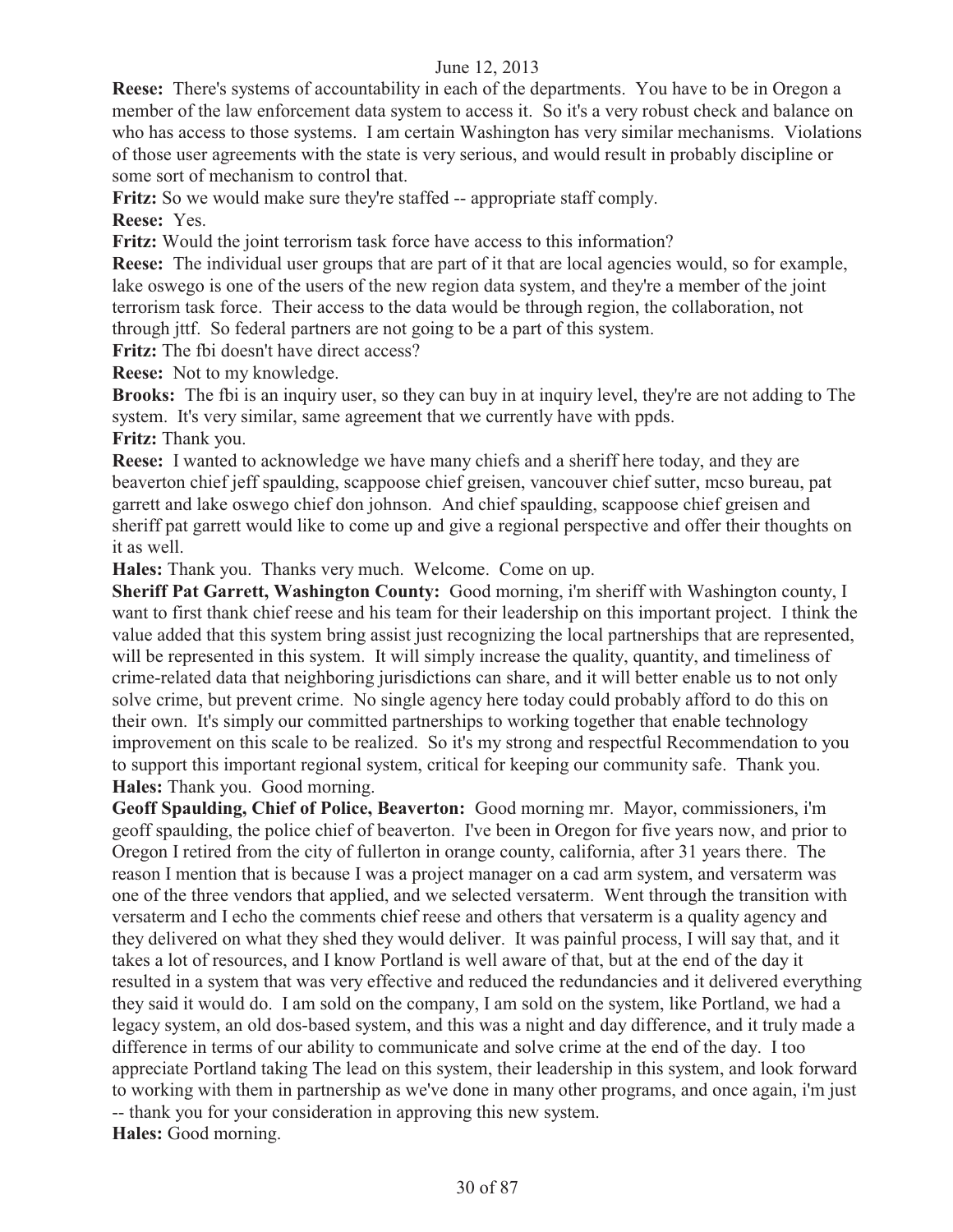**Reese:** There's systems of accountability in each of the departments. You have to be in Oregon a member of the law enforcement data system to access it. So it's a very robust check and balance on who has access to those systems. I am certain Washington has very similar mechanisms. Violations of those user agreements with the state is very serious, and would result in probably discipline or some sort of mechanism to control that.

**Fritz:** So we would make sure they're staffed -- appropriate staff comply.

**Reese:** Yes.

**Fritz:** Would the joint terrorism task force have access to this information?

**Reese:** The individual user groups that are part of it that are local agencies would, so for example, lake oswego is one of the users of the new region data system, and they're a member of the joint terrorism task force. Their access to the data would be through region, the collaboration, not through jttf. So federal partners are not going to be a part of this system.

**Fritz:** The fbi doesn't have direct access?

**Reese:** Not to my knowledge.

**Brooks:** The fbi is an inquiry user, so they can buy in at inquiry level, they're are not adding to The system. It's very similar, same agreement that we currently have with ppds. **Fritz:** Thank you.

**Reese:** I wanted to acknowledge we have many chiefs and a sheriff here today, and they are beaverton chief jeff spaulding, scappoose chief greisen, vancouver chief sutter, mcso bureau, pat garrett and lake oswego chief don johnson. And chief spaulding, scappoose chief greisen and sheriff pat garrett would like to come up and give a regional perspective and offer their thoughts on it as well.

**Hales:** Thank you. Thanks very much. Welcome. Come on up.

**Sheriff Pat Garrett, Washington County:** Good morning, i'm sheriff with Washington county, I want to first thank chief reese and his team for their leadership on this important project. I think the value added that this system bring assist just recognizing the local partnerships that are represented, will be represented in this system. It will simply increase the quality, quantity, and timeliness of crime-related data that neighboring jurisdictions can share, and it will better enable us to not only solve crime, but prevent crime. No single agency here today could probably afford to do this on their own. It's simply our committed partnerships to working together that enable technology improvement on this scale to be realized. So it's my strong and respectful Recommendation to you to support this important regional system, critical for keeping our community safe. Thank you. **Hales:** Thank you. Good morning.

**Geoff Spaulding, Chief of Police, Beaverton:** Good morning mr. Mayor, commissioners, i'm geoff spaulding, the police chief of beaverton. I've been in Oregon for five years now, and prior to Oregon I retired from the city of fullerton in orange county, california, after 31 years there. The reason I mention that is because I was a project manager on a cad arm system, and versaterm was one of the three vendors that applied, and we selected versaterm. Went through the transition with versaterm and I echo the comments chief reese and others that versaterm is a quality agency and they delivered on what they shed they would deliver. It was painful process, I will say that, and it takes a lot of resources, and I know Portland is well aware of that, but at the end of the day it resulted in a system that was very effective and reduced the redundancies and it delivered everything they said it would do. I am sold on the company, I am sold on the system, like Portland, we had a legacy system, an old dos-based system, and this was a night and day difference, and it truly made a difference in terms of our ability to communicate and solve crime at the end of the day. I too appreciate Portland taking The lead on this system, their leadership in this system, and look forward to working with them in partnership as we've done in many other programs, and once again, i'm just -- thank you for your consideration in approving this new system. **Hales:** Good morning.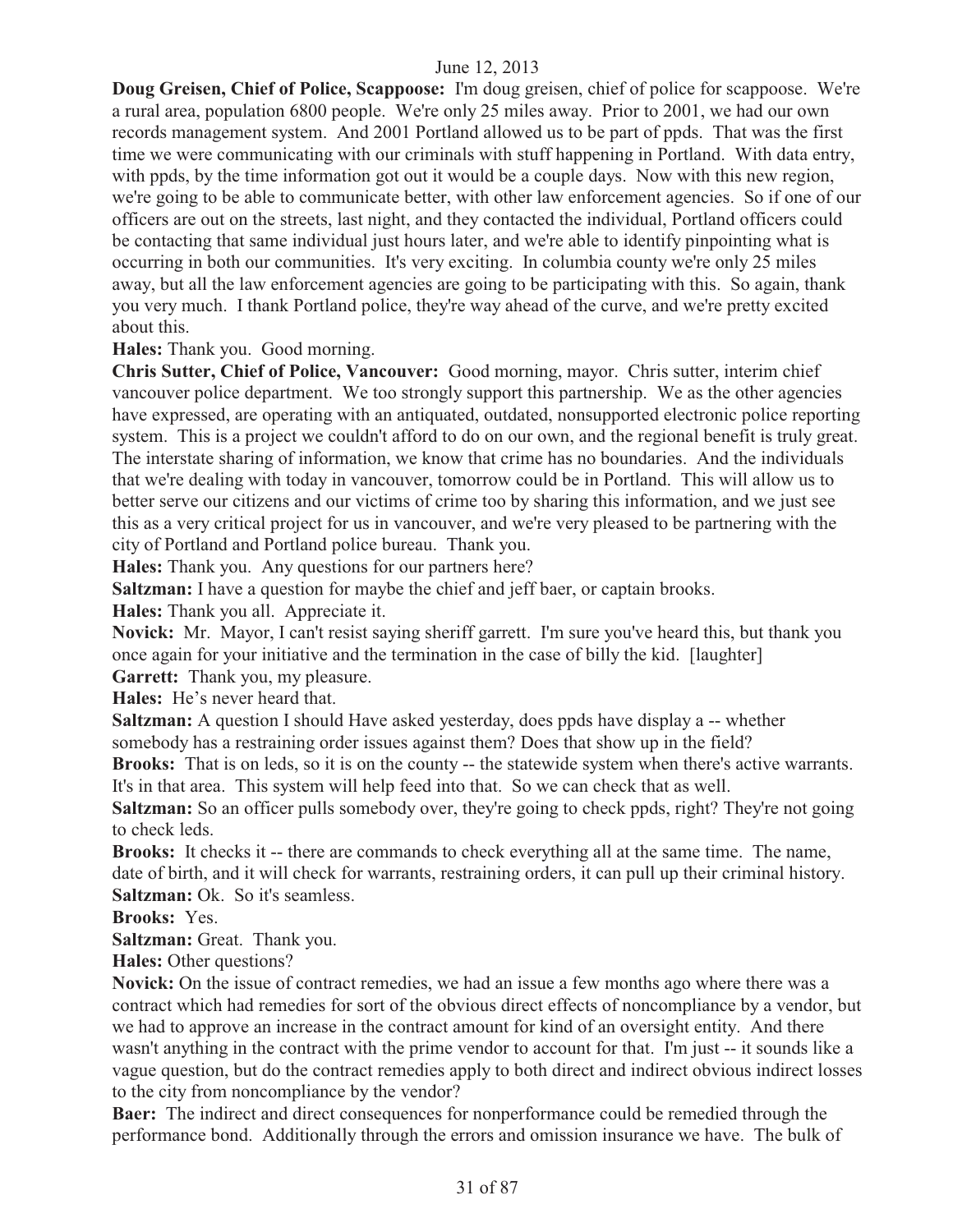**Doug Greisen, Chief of Police, Scappoose:** I'm doug greisen, chief of police for scappoose. We're a rural area, population 6800 people. We're only 25 miles away. Prior to 2001, we had our own records management system. And 2001 Portland allowed us to be part of ppds. That was the first time we were communicating with our criminals with stuff happening in Portland. With data entry, with ppds, by the time information got out it would be a couple days. Now with this new region, we're going to be able to communicate better, with other law enforcement agencies. So if one of our officers are out on the streets, last night, and they contacted the individual, Portland officers could be contacting that same individual just hours later, and we're able to identify pinpointing what is occurring in both our communities. It's very exciting. In columbia county we're only 25 miles away, but all the law enforcement agencies are going to be participating with this. So again, thank you very much. I thank Portland police, they're way ahead of the curve, and we're pretty excited about this.

**Hales:** Thank you. Good morning.

**Chris Sutter, Chief of Police, Vancouver:** Good morning, mayor. Chris sutter, interim chief vancouver police department. We too strongly support this partnership. We as the other agencies have expressed, are operating with an antiquated, outdated, nonsupported electronic police reporting system. This is a project we couldn't afford to do on our own, and the regional benefit is truly great. The interstate sharing of information, we know that crime has no boundaries. And the individuals that we're dealing with today in vancouver, tomorrow could be in Portland. This will allow us to better serve our citizens and our victims of crime too by sharing this information, and we just see this as a very critical project for us in vancouver, and we're very pleased to be partnering with the city of Portland and Portland police bureau. Thank you.

**Hales:** Thank you. Any questions for our partners here?

**Saltzman:** I have a question for maybe the chief and jeff baer, or captain brooks.

**Hales:** Thank you all. Appreciate it.

**Novick:** Mr. Mayor, I can't resist saying sheriff garrett. I'm sure you've heard this, but thank you once again for your initiative and the termination in the case of billy the kid. [laughter]

**Garrett:** Thank you, my pleasure.

**Hales:** He's never heard that.

**Saltzman:** A question I should Have asked yesterday, does ppds have display a -- whether somebody has a restraining order issues against them? Does that show up in the field?

**Brooks:** That is on leds, so it is on the county -- the statewide system when there's active warrants. It's in that area. This system will help feed into that. So we can check that as well.

**Saltzman:** So an officer pulls somebody over, they're going to check ppds, right? They're not going to check leds.

**Brooks:** It checks it -- there are commands to check everything all at the same time. The name, date of birth, and it will check for warrants, restraining orders, it can pull up their criminal history. **Saltzman:** Ok. So it's seamless.

**Brooks:** Yes.

**Saltzman:** Great. Thank you.

**Hales:** Other questions?

**Novick:** On the issue of contract remedies, we had an issue a few months ago where there was a contract which had remedies for sort of the obvious direct effects of noncompliance by a vendor, but we had to approve an increase in the contract amount for kind of an oversight entity. And there wasn't anything in the contract with the prime vendor to account for that. I'm just -- it sounds like a vague question, but do the contract remedies apply to both direct and indirect obvious indirect losses to the city from noncompliance by the vendor?

**Baer:** The indirect and direct consequences for nonperformance could be remedied through the performance bond. Additionally through the errors and omission insurance we have. The bulk of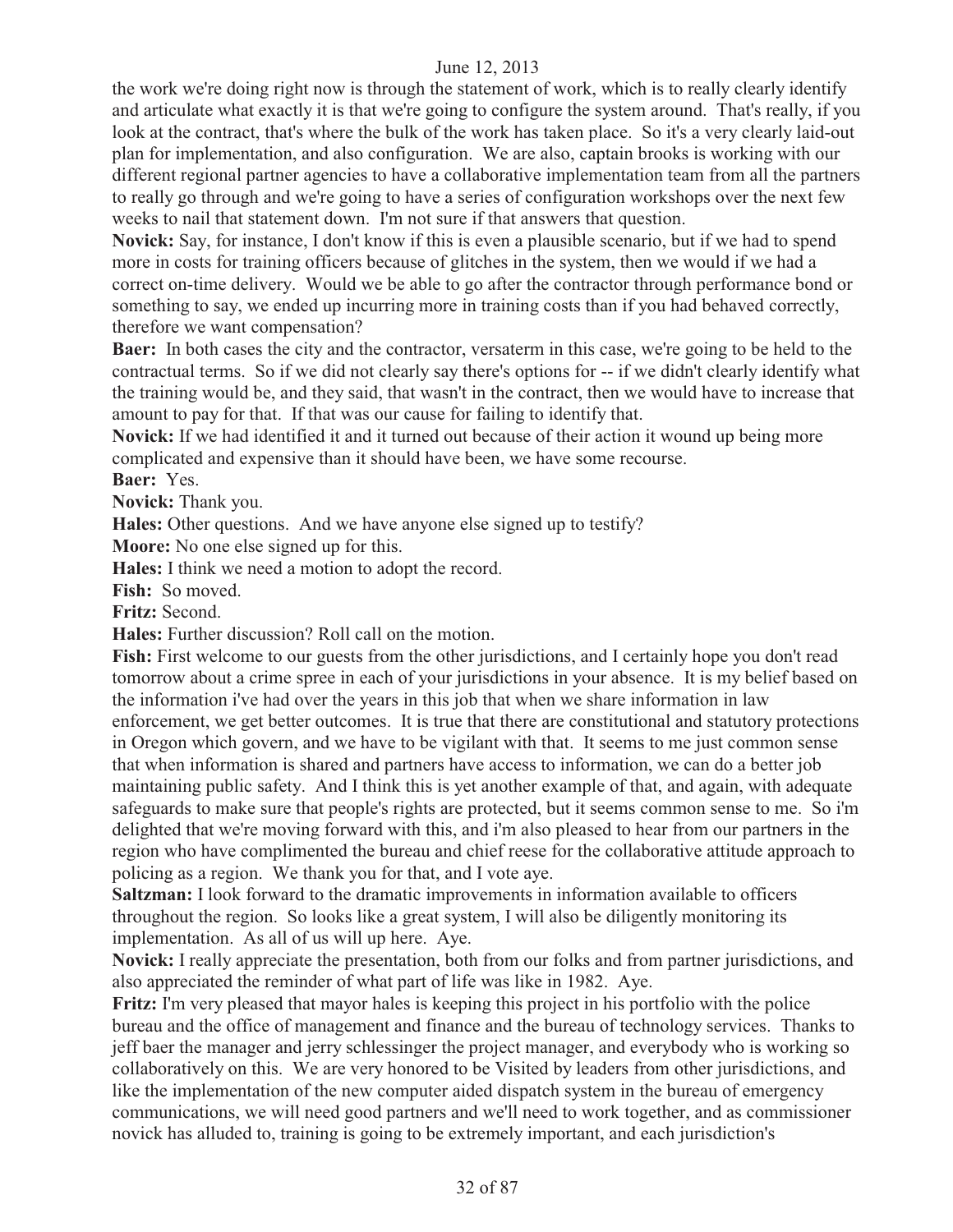the work we're doing right now is through the statement of work, which is to really clearly identify and articulate what exactly it is that we're going to configure the system around. That's really, if you look at the contract, that's where the bulk of the work has taken place. So it's a very clearly laid-out plan for implementation, and also configuration. We are also, captain brooks is working with our different regional partner agencies to have a collaborative implementation team from all the partners to really go through and we're going to have a series of configuration workshops over the next few weeks to nail that statement down. I'm not sure if that answers that question.

**Novick:** Say, for instance, I don't know if this is even a plausible scenario, but if we had to spend more in costs for training officers because of glitches in the system, then we would if we had a correct on-time delivery. Would we be able to go after the contractor through performance bond or something to say, we ended up incurring more in training costs than if you had behaved correctly, therefore we want compensation?

**Baer:** In both cases the city and the contractor, versaterm in this case, we're going to be held to the contractual terms. So if we did not clearly say there's options for -- if we didn't clearly identify what the training would be, and they said, that wasn't in the contract, then we would have to increase that amount to pay for that. If that was our cause for failing to identify that.

**Novick:** If we had identified it and it turned out because of their action it wound up being more complicated and expensive than it should have been, we have some recourse.

**Baer:** Yes.

**Novick:** Thank you.

**Hales:** Other questions. And we have anyone else signed up to testify?

**Moore:** No one else signed up for this.

**Hales:** I think we need a motion to adopt the record.

**Fish:** So moved.

**Fritz:** Second.

**Hales:** Further discussion? Roll call on the motion.

**Fish:** First welcome to our guests from the other jurisdictions, and I certainly hope you don't read tomorrow about a crime spree in each of your jurisdictions in your absence. It is my belief based on the information i've had over the years in this job that when we share information in law enforcement, we get better outcomes. It is true that there are constitutional and statutory protections in Oregon which govern, and we have to be vigilant with that. It seems to me just common sense that when information is shared and partners have access to information, we can do a better job maintaining public safety. And I think this is yet another example of that, and again, with adequate safeguards to make sure that people's rights are protected, but it seems common sense to me. So i'm delighted that we're moving forward with this, and i'm also pleased to hear from our partners in the region who have complimented the bureau and chief reese for the collaborative attitude approach to policing as a region. We thank you for that, and I vote aye.

**Saltzman:** I look forward to the dramatic improvements in information available to officers throughout the region. So looks like a great system, I will also be diligently monitoring its implementation. As all of us will up here. Aye.

**Novick:** I really appreciate the presentation, both from our folks and from partner jurisdictions, and also appreciated the reminder of what part of life was like in 1982. Aye.

**Fritz:** I'm very pleased that mayor hales is keeping this project in his portfolio with the police bureau and the office of management and finance and the bureau of technology services. Thanks to jeff baer the manager and jerry schlessinger the project manager, and everybody who is working so collaboratively on this. We are very honored to be Visited by leaders from other jurisdictions, and like the implementation of the new computer aided dispatch system in the bureau of emergency communications, we will need good partners and we'll need to work together, and as commissioner novick has alluded to, training is going to be extremely important, and each jurisdiction's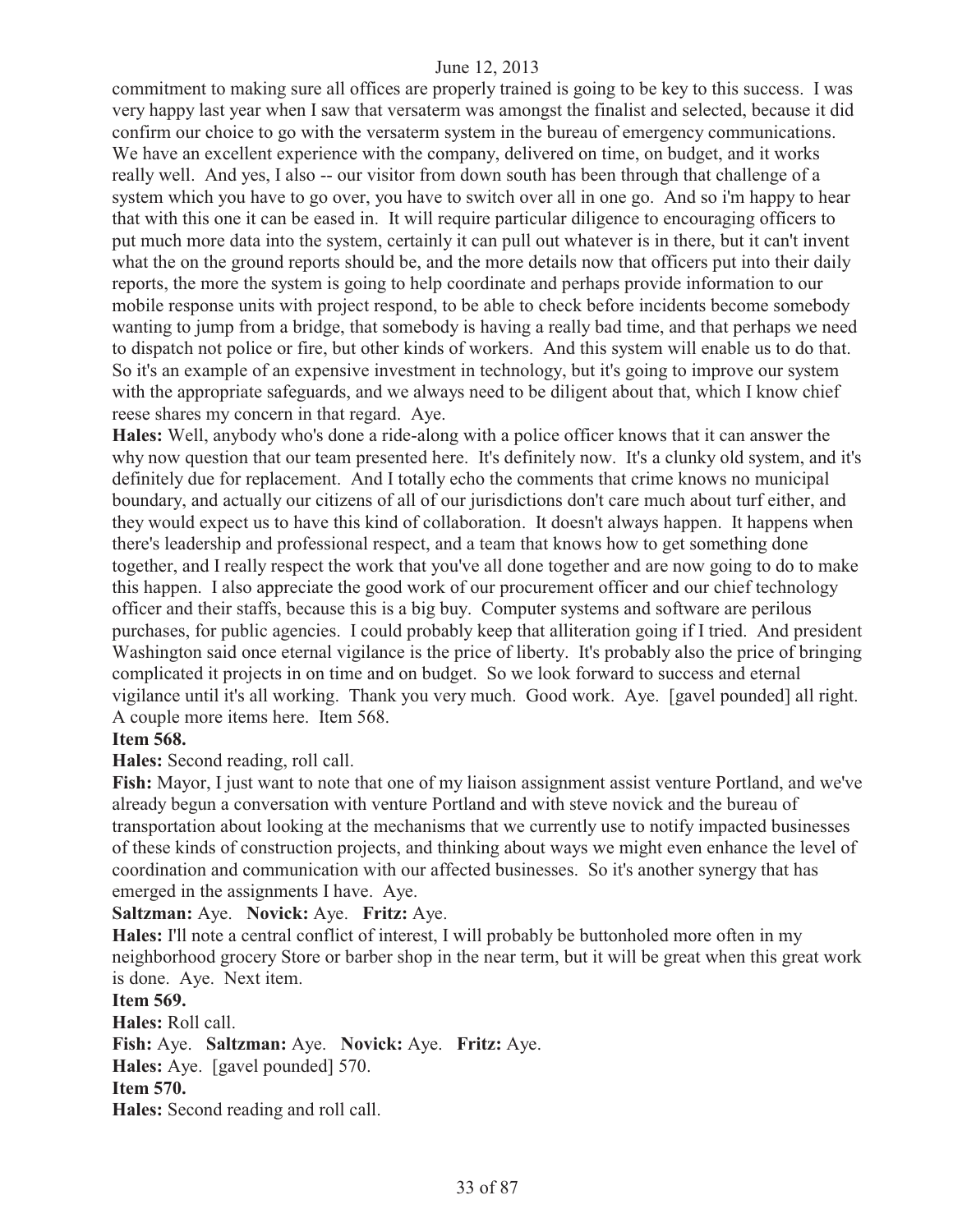commitment to making sure all offices are properly trained is going to be key to this success. I was very happy last year when I saw that versaterm was amongst the finalist and selected, because it did confirm our choice to go with the versaterm system in the bureau of emergency communications. We have an excellent experience with the company, delivered on time, on budget, and it works really well. And yes, I also -- our visitor from down south has been through that challenge of a system which you have to go over, you have to switch over all in one go. And so i'm happy to hear that with this one it can be eased in. It will require particular diligence to encouraging officers to put much more data into the system, certainly it can pull out whatever is in there, but it can't invent what the on the ground reports should be, and the more details now that officers put into their daily reports, the more the system is going to help coordinate and perhaps provide information to our mobile response units with project respond, to be able to check before incidents become somebody wanting to jump from a bridge, that somebody is having a really bad time, and that perhaps we need to dispatch not police or fire, but other kinds of workers. And this system will enable us to do that. So it's an example of an expensive investment in technology, but it's going to improve our system with the appropriate safeguards, and we always need to be diligent about that, which I know chief reese shares my concern in that regard. Aye.

**Hales:** Well, anybody who's done a ride-along with a police officer knows that it can answer the why now question that our team presented here. It's definitely now. It's a clunky old system, and it's definitely due for replacement. And I totally echo the comments that crime knows no municipal boundary, and actually our citizens of all of our jurisdictions don't care much about turf either, and they would expect us to have this kind of collaboration. It doesn't always happen. It happens when there's leadership and professional respect, and a team that knows how to get something done together, and I really respect the work that you've all done together and are now going to do to make this happen. I also appreciate the good work of our procurement officer and our chief technology officer and their staffs, because this is a big buy. Computer systems and software are perilous purchases, for public agencies. I could probably keep that alliteration going if I tried. And president Washington said once eternal vigilance is the price of liberty. It's probably also the price of bringing complicated it projects in on time and on budget. So we look forward to success and eternal vigilance until it's all working. Thank you very much. Good work. Aye. [gavel pounded] all right. A couple more items here. Item 568.

#### **Item 568.**

**Hales:** Second reading, roll call.

**Fish:** Mayor, I just want to note that one of my liaison assignment assist venture Portland, and we've already begun a conversation with venture Portland and with steve novick and the bureau of transportation about looking at the mechanisms that we currently use to notify impacted businesses of these kinds of construction projects, and thinking about ways we might even enhance the level of coordination and communication with our affected businesses. So it's another synergy that has emerged in the assignments I have. Aye.

**Saltzman:** Aye. **Novick:** Aye. **Fritz:** Aye.

**Hales:** I'll note a central conflict of interest, I will probably be buttonholed more often in my neighborhood grocery Store or barber shop in the near term, but it will be great when this great work is done. Aye. Next item.

**Item 569.** 

**Hales:** Roll call. **Fish:** Aye. **Saltzman:** Aye. **Novick:** Aye. **Fritz:** Aye. **Hales:** Aye. [gavel pounded] 570. **Item 570. Hales:** Second reading and roll call.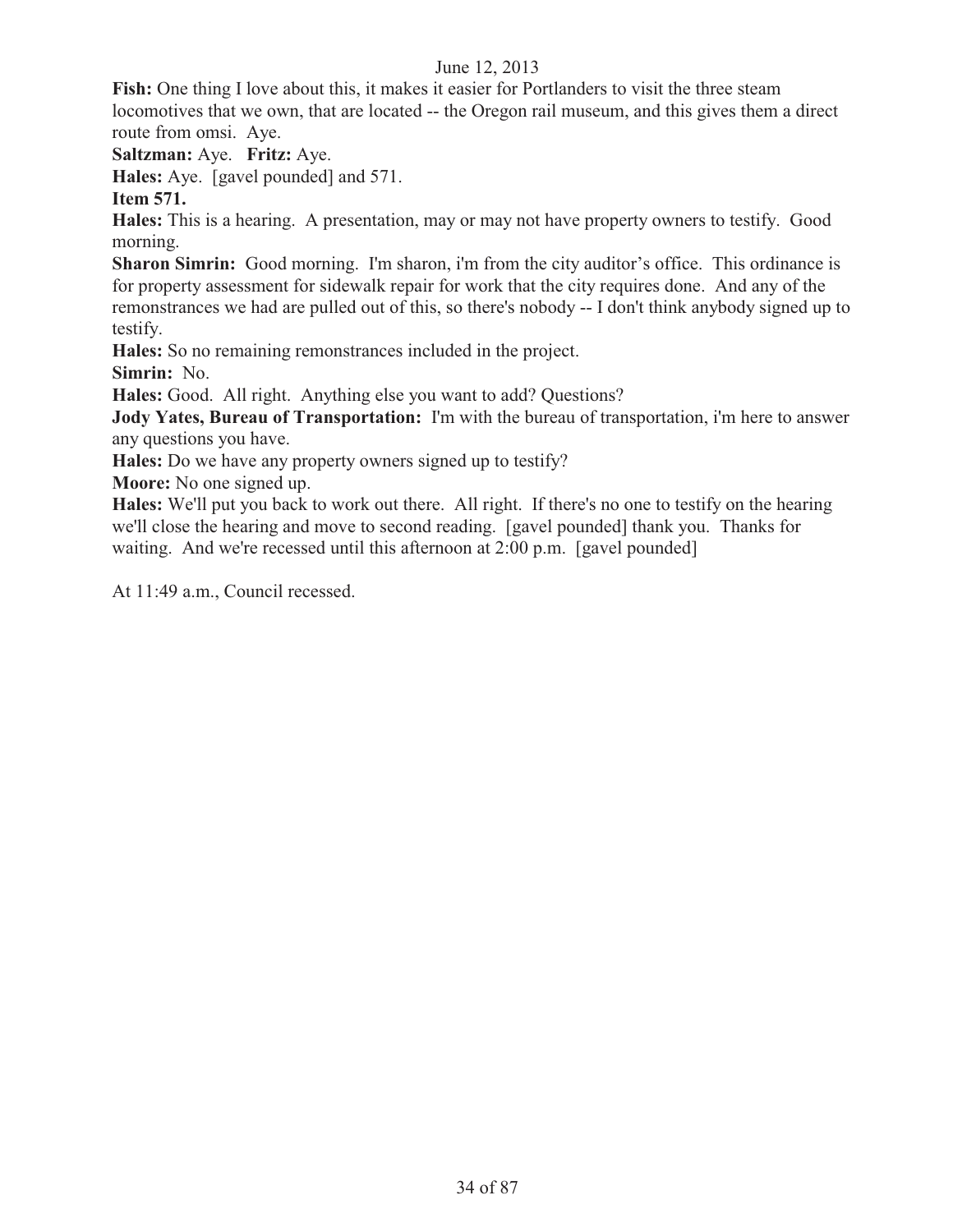**Fish:** One thing I love about this, it makes it easier for Portlanders to visit the three steam locomotives that we own, that are located -- the Oregon rail museum, and this gives them a direct route from omsi. Aye.

**Saltzman:** Aye. **Fritz:** Aye.

**Hales:** Aye. [gavel pounded] and 571.

**Item 571.** 

**Hales:** This is a hearing. A presentation, may or may not have property owners to testify. Good morning.

**Sharon Simrin:** Good morning. I'm sharon, i'm from the city auditor's office. This ordinance is for property assessment for sidewalk repair for work that the city requires done. And any of the remonstrances we had are pulled out of this, so there's nobody -- I don't think anybody signed up to testify.

**Hales:** So no remaining remonstrances included in the project.

**Simrin:** No.

**Hales:** Good. All right. Anything else you want to add? Questions?

**Jody Yates, Bureau of Transportation:** I'm with the bureau of transportation, i'm here to answer any questions you have.

**Hales:** Do we have any property owners signed up to testify?

**Moore:** No one signed up.

**Hales:** We'll put you back to work out there. All right. If there's no one to testify on the hearing we'll close the hearing and move to second reading. [gavel pounded] thank you. Thanks for waiting. And we're recessed until this afternoon at 2:00 p.m. [gavel pounded]

At 11:49 a.m., Council recessed.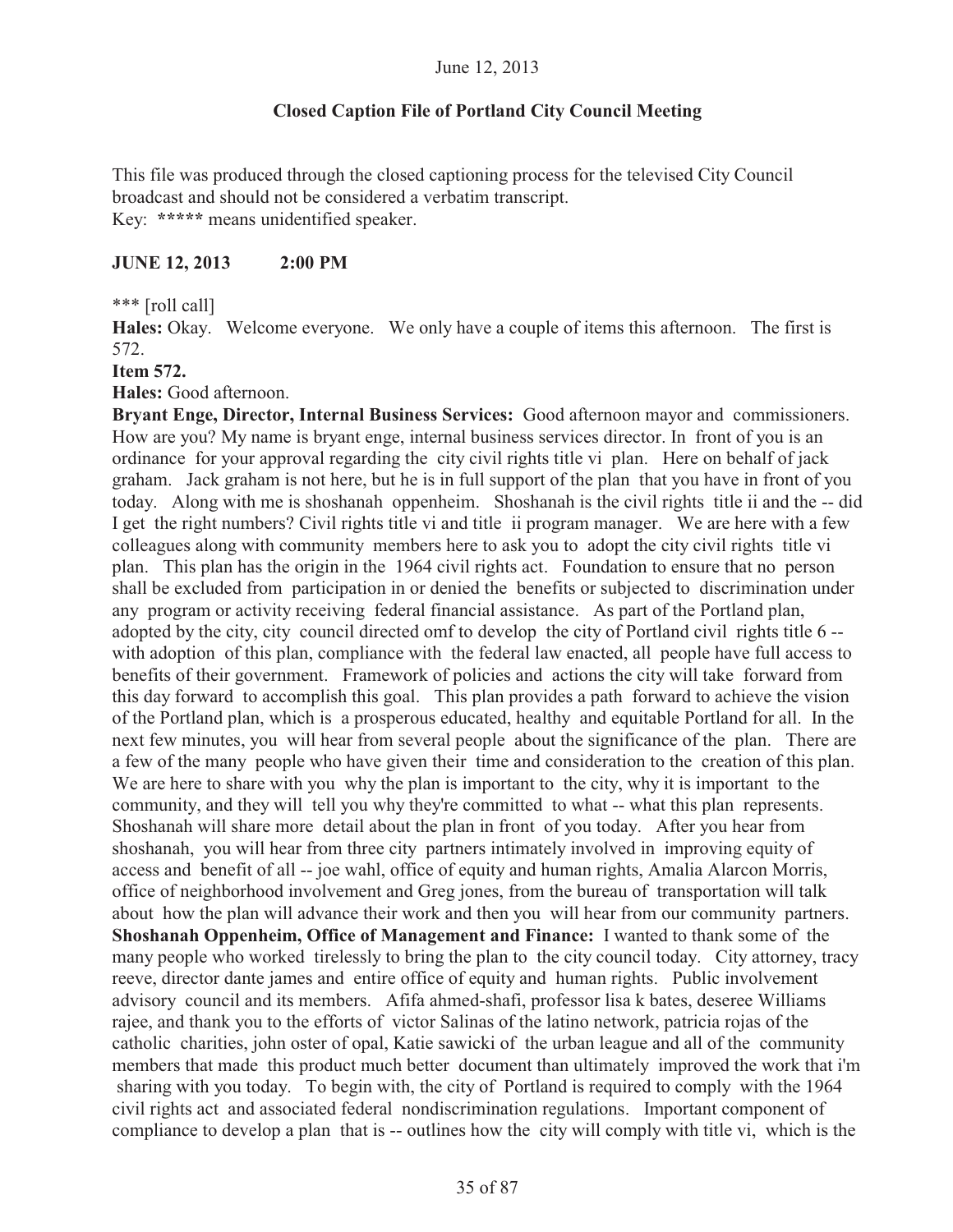# **Closed Caption File of Portland City Council Meeting**

This file was produced through the closed captioning process for the televised City Council broadcast and should not be considered a verbatim transcript. Key: **\*\*\*\*\*** means unidentified speaker.

#### **JUNE 12, 2013 2:00 PM**

\*\*\* [roll call]

**Hales:** Okay. Welcome everyone. We only have a couple of items this afternoon. The first is 572.

#### **Item 572.**

**Hales:** Good afternoon.

**Bryant Enge, Director, Internal Business Services:** Good afternoon mayor and commissioners. How are you? My name is bryant enge, internal business services director. In front of you is an ordinance for your approval regarding the city civil rights title vi plan. Here on behalf of jack graham. Jack graham is not here, but he is in full support of the plan that you have in front of you today. Along with me is shoshanah oppenheim. Shoshanah is the civil rights title ii and the -- did I get the right numbers? Civil rights title vi and title ii program manager. We are here with a few colleagues along with community members here to ask you to adopt the city civil rights title vi plan. This plan has the origin in the 1964 civil rights act. Foundation to ensure that no person shall be excluded from participation in or denied the benefits or subjected to discrimination under any program or activity receiving federal financial assistance. As part of the Portland plan, adopted by the city, city council directed omf to develop the city of Portland civil rights title 6 - with adoption of this plan, compliance with the federal law enacted, all people have full access to benefits of their government. Framework of policies and actions the city will take forward from this day forward to accomplish this goal. This plan provides a path forward to achieve the vision of the Portland plan, which is a prosperous educated, healthy and equitable Portland for all. In the next few minutes, you will hear from several people about the significance of the plan. There are a few of the many people who have given their time and consideration to the creation of this plan. We are here to share with you why the plan is important to the city, why it is important to the community, and they will tell you why they're committed to what -- what this plan represents. Shoshanah will share more detail about the plan in front of you today. After you hear from shoshanah, you will hear from three city partners intimately involved in improving equity of access and benefit of all -- joe wahl, office of equity and human rights, Amalia Alarcon Morris, office of neighborhood involvement and Greg jones, from the bureau of transportation will talk about how the plan will advance their work and then you will hear from our community partners. **Shoshanah Oppenheim, Office of Management and Finance:** I wanted to thank some of the many people who worked tirelessly to bring the plan to the city council today. City attorney, tracy reeve, director dante james and entire office of equity and human rights. Public involvement advisory council and its members. Afifa ahmed-shafi, professor lisa k bates, deseree Williams rajee, and thank you to the efforts of victor Salinas of the latino network, patricia rojas of the catholic charities, john oster of opal, Katie sawicki of the urban league and all of the community members that made this product much better document than ultimately improved the work that i'm sharing with you today. To begin with, the city of Portland is required to comply with the 1964 civil rights act and associated federal nondiscrimination regulations. Important component of compliance to develop a plan that is -- outlines how the city will comply with title vi, which is the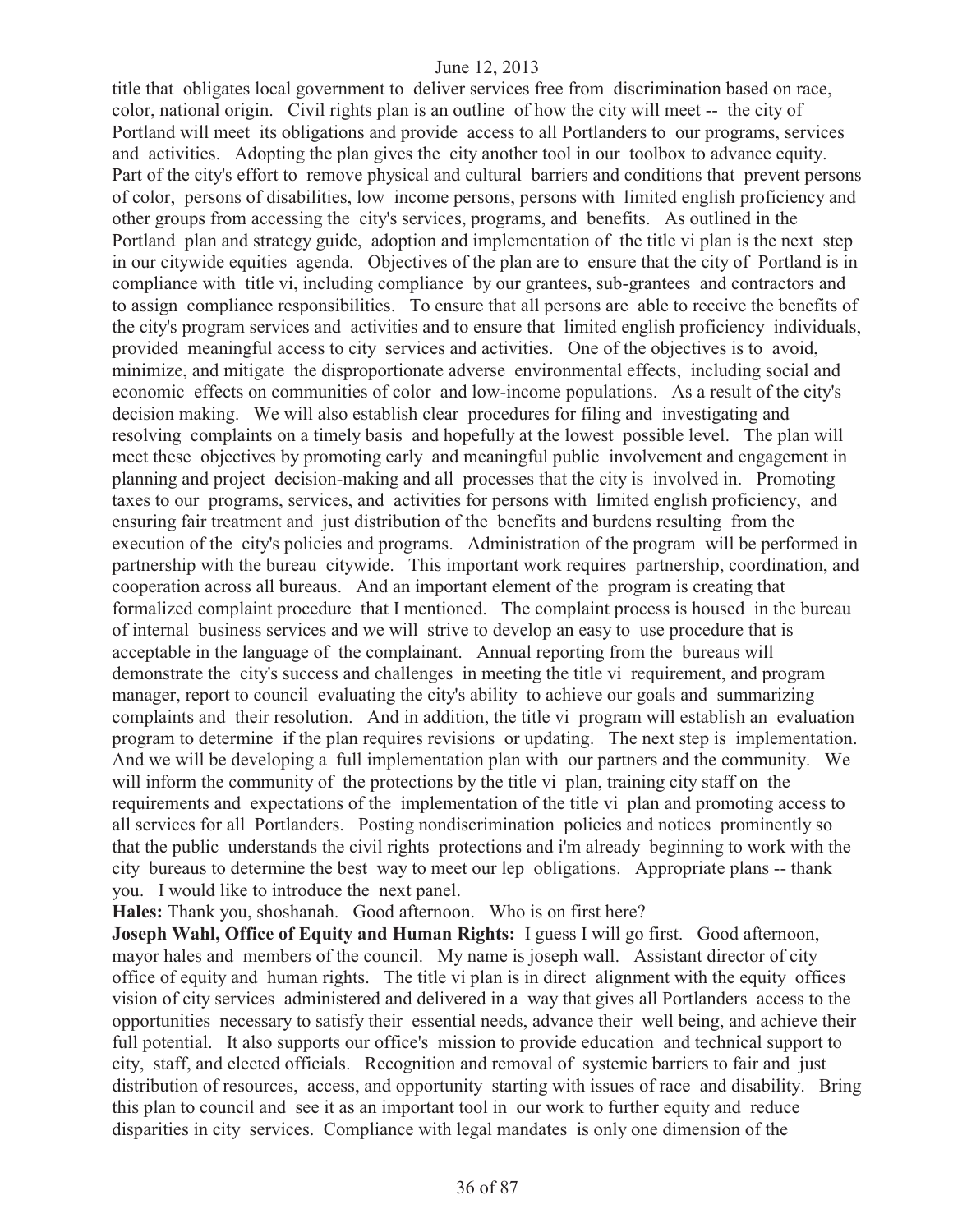title that obligates local government to deliver services free from discrimination based on race, color, national origin. Civil rights plan is an outline of how the city will meet -- the city of Portland will meet its obligations and provide access to all Portlanders to our programs, services and activities. Adopting the plan gives the city another tool in our toolbox to advance equity. Part of the city's effort to remove physical and cultural barriers and conditions that prevent persons of color, persons of disabilities, low income persons, persons with limited english proficiency and other groups from accessing the city's services, programs, and benefits. As outlined in the Portland plan and strategy guide, adoption and implementation of the title vi plan is the next step in our citywide equities agenda. Objectives of the plan are to ensure that the city of Portland is in compliance with title vi, including compliance by our grantees, sub-grantees and contractors and to assign compliance responsibilities. To ensure that all persons are able to receive the benefits of the city's program services and activities and to ensure that limited english proficiency individuals, provided meaningful access to city services and activities. One of the objectives is to avoid, minimize, and mitigate the disproportionate adverse environmental effects, including social and economic effects on communities of color and low-income populations. As a result of the city's decision making. We will also establish clear procedures for filing and investigating and resolving complaints on a timely basis and hopefully at the lowest possible level. The plan will meet these objectives by promoting early and meaningful public involvement and engagement in planning and project decision-making and all processes that the city is involved in. Promoting taxes to our programs, services, and activities for persons with limited english proficiency, and ensuring fair treatment and just distribution of the benefits and burdens resulting from the execution of the city's policies and programs. Administration of the program will be performed in partnership with the bureau citywide. This important work requires partnership, coordination, and cooperation across all bureaus. And an important element of the program is creating that formalized complaint procedure that I mentioned. The complaint process is housed in the bureau of internal business services and we will strive to develop an easy to use procedure that is acceptable in the language of the complainant. Annual reporting from the bureaus will demonstrate the city's success and challenges in meeting the title vi requirement, and program manager, report to council evaluating the city's ability to achieve our goals and summarizing complaints and their resolution. And in addition, the title vi program will establish an evaluation program to determine if the plan requires revisions or updating. The next step is implementation. And we will be developing a full implementation plan with our partners and the community. We will inform the community of the protections by the title vi plan, training city staff on the requirements and expectations of the implementation of the title vi plan and promoting access to all services for all Portlanders. Posting nondiscrimination policies and notices prominently so that the public understands the civil rights protections and i'm already beginning to work with the city bureaus to determine the best way to meet our lep obligations. Appropriate plans -- thank you. I would like to introduce the next panel.

**Hales:** Thank you, shoshanah. Good afternoon. Who is on first here?

**Joseph Wahl, Office of Equity and Human Rights:** I guess I will go first. Good afternoon, mayor hales and members of the council. My name is joseph wall. Assistant director of city office of equity and human rights. The title vi plan is in direct alignment with the equity offices vision of city services administered and delivered in a way that gives all Portlanders access to the opportunities necessary to satisfy their essential needs, advance their well being, and achieve their full potential. It also supports our office's mission to provide education and technical support to city, staff, and elected officials. Recognition and removal of systemic barriers to fair and just distribution of resources, access, and opportunity starting with issues of race and disability. Bring this plan to council and see it as an important tool in our work to further equity and reduce disparities in city services. Compliance with legal mandates is only one dimension of the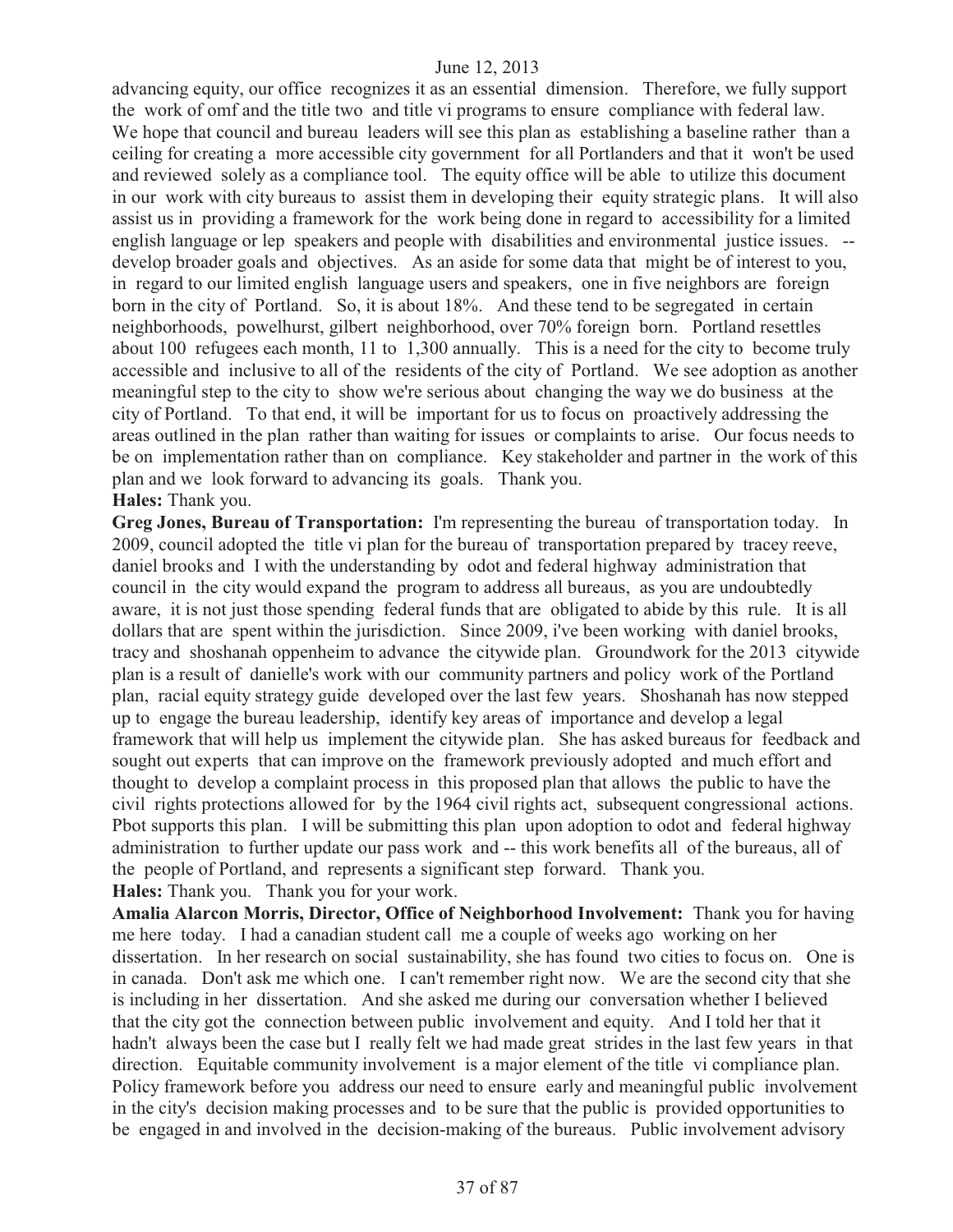advancing equity, our office recognizes it as an essential dimension. Therefore, we fully support the work of omf and the title two and title vi programs to ensure compliance with federal law. We hope that council and bureau leaders will see this plan as establishing a baseline rather than a ceiling for creating a more accessible city government for all Portlanders and that it won't be used and reviewed solely as a compliance tool. The equity office will be able to utilize this document in our work with city bureaus to assist them in developing their equity strategic plans. It will also assist us in providing a framework for the work being done in regard to accessibility for a limited english language or lep speakers and people with disabilities and environmental justice issues. - develop broader goals and objectives. As an aside for some data that might be of interest to you, in regard to our limited english language users and speakers, one in five neighbors are foreign born in the city of Portland. So, it is about 18%. And these tend to be segregated in certain neighborhoods, powelhurst, gilbert neighborhood, over 70% foreign born. Portland resettles about 100 refugees each month, 11 to 1,300 annually. This is a need for the city to become truly accessible and inclusive to all of the residents of the city of Portland. We see adoption as another meaningful step to the city to show we're serious about changing the way we do business at the city of Portland. To that end, it will be important for us to focus on proactively addressing the areas outlined in the plan rather than waiting for issues or complaints to arise. Our focus needs to be on implementation rather than on compliance. Key stakeholder and partner in the work of this plan and we look forward to advancing its goals. Thank you. **Hales:** Thank you.

**Greg Jones, Bureau of Transportation:** I'm representing the bureau of transportation today. In 2009, council adopted the title vi plan for the bureau of transportation prepared by tracey reeve, daniel brooks and I with the understanding by odot and federal highway administration that council in the city would expand the program to address all bureaus, as you are undoubtedly aware, it is not just those spending federal funds that are obligated to abide by this rule. It is all dollars that are spent within the jurisdiction. Since 2009, i've been working with daniel brooks, tracy and shoshanah oppenheim to advance the citywide plan. Groundwork for the 2013 citywide plan is a result of danielle's work with our community partners and policy work of the Portland plan, racial equity strategy guide developed over the last few years. Shoshanah has now stepped up to engage the bureau leadership, identify key areas of importance and develop a legal framework that will help us implement the citywide plan. She has asked bureaus for feedback and sought out experts that can improve on the framework previously adopted and much effort and thought to develop a complaint process in this proposed plan that allows the public to have the civil rights protections allowed for by the 1964 civil rights act, subsequent congressional actions. Pbot supports this plan. I will be submitting this plan upon adoption to odot and federal highway administration to further update our pass work and -- this work benefits all of the bureaus, all of the people of Portland, and represents a significant step forward. Thank you. **Hales:** Thank you. Thank you for your work.

**Amalia Alarcon Morris, Director, Office of Neighborhood Involvement:** Thank you for having me here today. I had a canadian student call me a couple of weeks ago working on her dissertation. In her research on social sustainability, she has found two cities to focus on. One is in canada. Don't ask me which one. I can't remember right now. We are the second city that she is including in her dissertation. And she asked me during our conversation whether I believed that the city got the connection between public involvement and equity. And I told her that it hadn't always been the case but I really felt we had made great strides in the last few years in that direction. Equitable community involvement is a major element of the title vi compliance plan. Policy framework before you address our need to ensure early and meaningful public involvement in the city's decision making processes and to be sure that the public is provided opportunities to be engaged in and involved in the decision-making of the bureaus. Public involvement advisory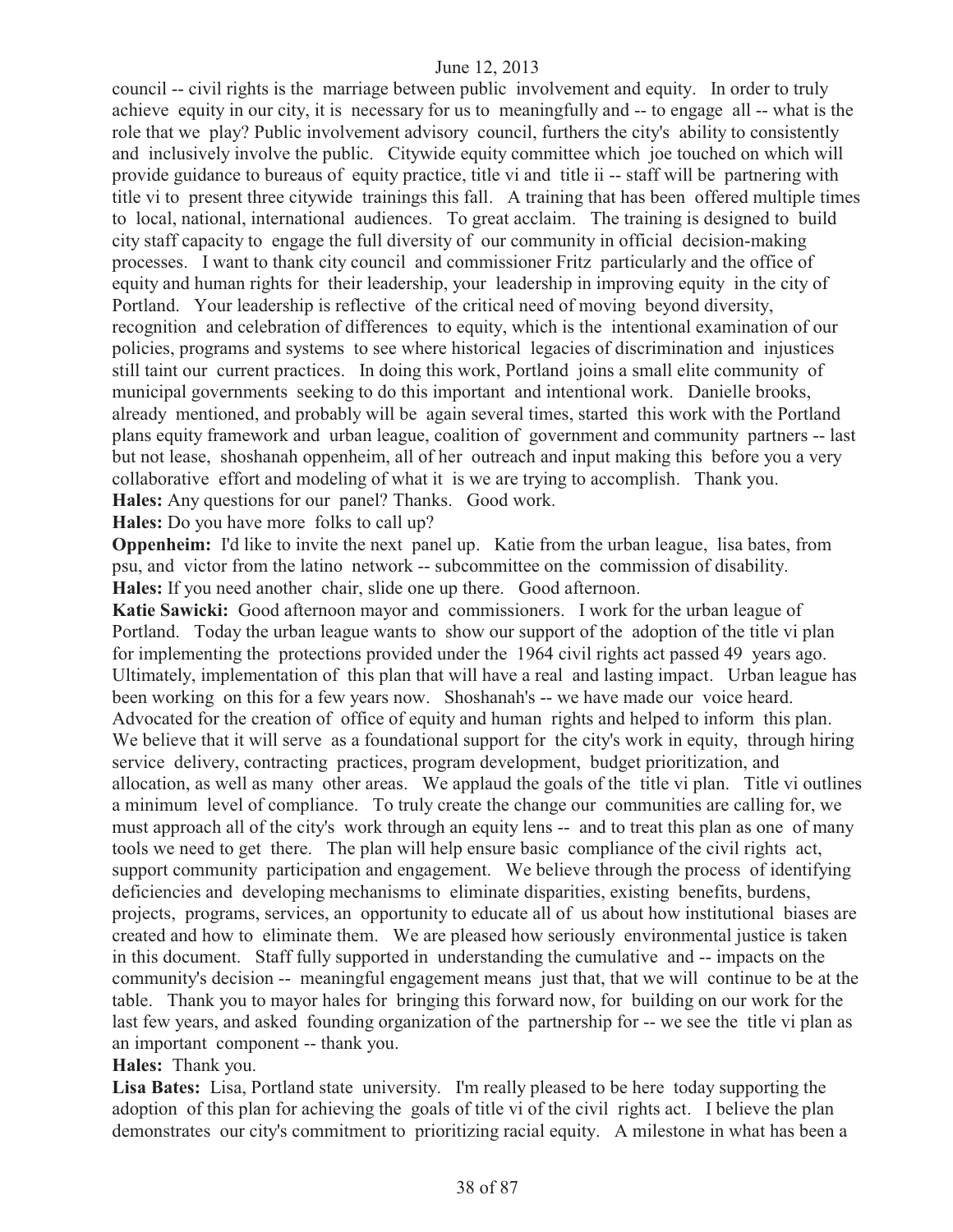council -- civil rights is the marriage between public involvement and equity. In order to truly achieve equity in our city, it is necessary for us to meaningfully and -- to engage all -- what is the role that we play? Public involvement advisory council, furthers the city's ability to consistently and inclusively involve the public. Citywide equity committee which joe touched on which will provide guidance to bureaus of equity practice, title vi and title ii -- staff will be partnering with title vi to present three citywide trainings this fall. A training that has been offered multiple times to local, national, international audiences. To great acclaim. The training is designed to build city staff capacity to engage the full diversity of our community in official decision-making processes. I want to thank city council and commissioner Fritz particularly and the office of equity and human rights for their leadership, your leadership in improving equity in the city of Portland. Your leadership is reflective of the critical need of moving beyond diversity, recognition and celebration of differences to equity, which is the intentional examination of our policies, programs and systems to see where historical legacies of discrimination and injustices still taint our current practices. In doing this work, Portland joins a small elite community of municipal governments seeking to do this important and intentional work. Danielle brooks, already mentioned, and probably will be again several times, started this work with the Portland plans equity framework and urban league, coalition of government and community partners -- last but not lease, shoshanah oppenheim, all of her outreach and input making this before you a very collaborative effort and modeling of what it is we are trying to accomplish. Thank you. **Hales:** Any questions for our panel? Thanks. Good work.

**Hales:** Do you have more folks to call up?

**Oppenheim:** I'd like to invite the next panel up. Katie from the urban league, lisa bates, from psu, and victor from the latino network -- subcommittee on the commission of disability. **Hales:** If you need another chair, slide one up there. Good afternoon.

**Katie Sawicki:** Good afternoon mayor and commissioners. I work for the urban league of Portland. Today the urban league wants to show our support of the adoption of the title vi plan for implementing the protections provided under the 1964 civil rights act passed 49 years ago. Ultimately, implementation of this plan that will have a real and lasting impact. Urban league has been working on this for a few years now. Shoshanah's -- we have made our voice heard. Advocated for the creation of office of equity and human rights and helped to inform this plan. We believe that it will serve as a foundational support for the city's work in equity, through hiring service delivery, contracting practices, program development, budget prioritization, and allocation, as well as many other areas. We applaud the goals of the title vi plan. Title vi outlines a minimum level of compliance. To truly create the change our communities are calling for, we must approach all of the city's work through an equity lens -- and to treat this plan as one of many tools we need to get there. The plan will help ensure basic compliance of the civil rights act, support community participation and engagement. We believe through the process of identifying deficiencies and developing mechanisms to eliminate disparities, existing benefits, burdens, projects, programs, services, an opportunity to educate all of us about how institutional biases are created and how to eliminate them. We are pleased how seriously environmental justice is taken in this document. Staff fully supported in understanding the cumulative and -- impacts on the community's decision -- meaningful engagement means just that, that we will continue to be at the table. Thank you to mayor hales for bringing this forward now, for building on our work for the last few years, and asked founding organization of the partnership for -- we see the title vi plan as an important component -- thank you.

**Hales:** Thank you.

**Lisa Bates:** Lisa, Portland state university. I'm really pleased to be here today supporting the adoption of this plan for achieving the goals of title vi of the civil rights act. I believe the plan demonstrates our city's commitment to prioritizing racial equity. A milestone in what has been a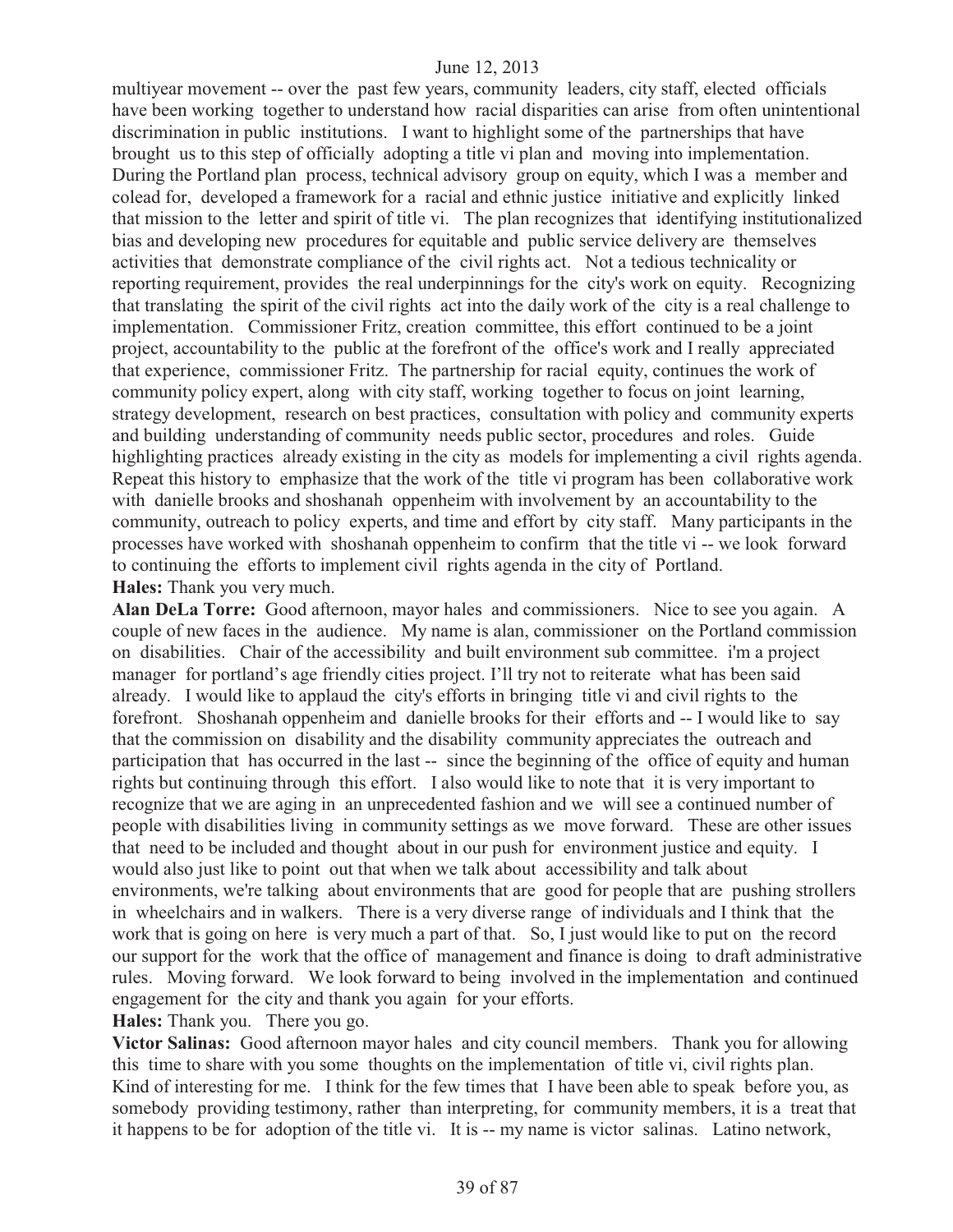multiyear movement -- over the past few years, community leaders, city staff, elected officials have been working together to understand how racial disparities can arise from often unintentional discrimination in public institutions. I want to highlight some of the partnerships that have brought us to this step of officially adopting a title vi plan and moving into implementation. During the Portland plan process, technical advisory group on equity, which I was a member and colead for, developed a framework for a racial and ethnic justice initiative and explicitly linked that mission to the letter and spirit of title vi. The plan recognizes that identifying institutionalized bias and developing new procedures for equitable and public service delivery are themselves activities that demonstrate compliance of the civil rights act. Not a tedious technicality or reporting requirement, provides the real underpinnings for the city's work on equity. Recognizing that translating the spirit of the civil rights act into the daily work of the city is a real challenge to implementation. Commissioner Fritz, creation committee, this effort continued to be a joint project, accountability to the public at the forefront of the office's work and I really appreciated that experience, commissioner Fritz. The partnership for racial equity, continues the work of community policy expert, along with city staff, working together to focus on joint learning, strategy development, research on best practices, consultation with policy and community experts and building understanding of community needs public sector, procedures and roles. Guide highlighting practices already existing in the city as models for implementing a civil rights agenda. Repeat this history to emphasize that the work of the title vi program has been collaborative work with danielle brooks and shoshanah oppenheim with involvement by an accountability to the community, outreach to policy experts, and time and effort by city staff. Many participants in the processes have worked with shoshanah oppenheim to confirm that the title vi -- we look forward to continuing the efforts to implement civil rights agenda in the city of Portland. **Hales:** Thank you very much.

**Alan DeLa Torre:** Good afternoon, mayor hales and commissioners. Nice to see you again. A couple of new faces in the audience. My name is alan, commissioner on the Portland commission on disabilities. Chair of the accessibility and built environment sub committee. i'm a project manager for portland's age friendly cities project. I'll try not to reiterate what has been said already. I would like to applaud the city's efforts in bringing title vi and civil rights to the forefront. Shoshanah oppenheim and danielle brooks for their efforts and -- I would like to say that the commission on disability and the disability community appreciates the outreach and participation that has occurred in the last -- since the beginning of the office of equity and human rights but continuing through this effort. I also would like to note that it is very important to recognize that we are aging in an unprecedented fashion and we will see a continued number of people with disabilities living in community settings as we move forward. These are other issues that need to be included and thought about in our push for environment justice and equity. I would also just like to point out that when we talk about accessibility and talk about environments, we're talking about environments that are good for people that are pushing strollers in wheelchairs and in walkers. There is a very diverse range of individuals and I think that the work that is going on here is very much a part of that. So, I just would like to put on the record our support for the work that the office of management and finance is doing to draft administrative rules. Moving forward. We look forward to being involved in the implementation and continued engagement for the city and thank you again for your efforts. **Hales:** Thank you. There you go.

**Victor Salinas:** Good afternoon mayor hales and city council members. Thank you for allowing this time to share with you some thoughts on the implementation of title vi, civil rights plan. Kind of interesting for me. I think for the few times that I have been able to speak before you, as somebody providing testimony, rather than interpreting, for community members, it is a treat that it happens to be for adoption of the title vi. It is -- my name is victor salinas. Latino network,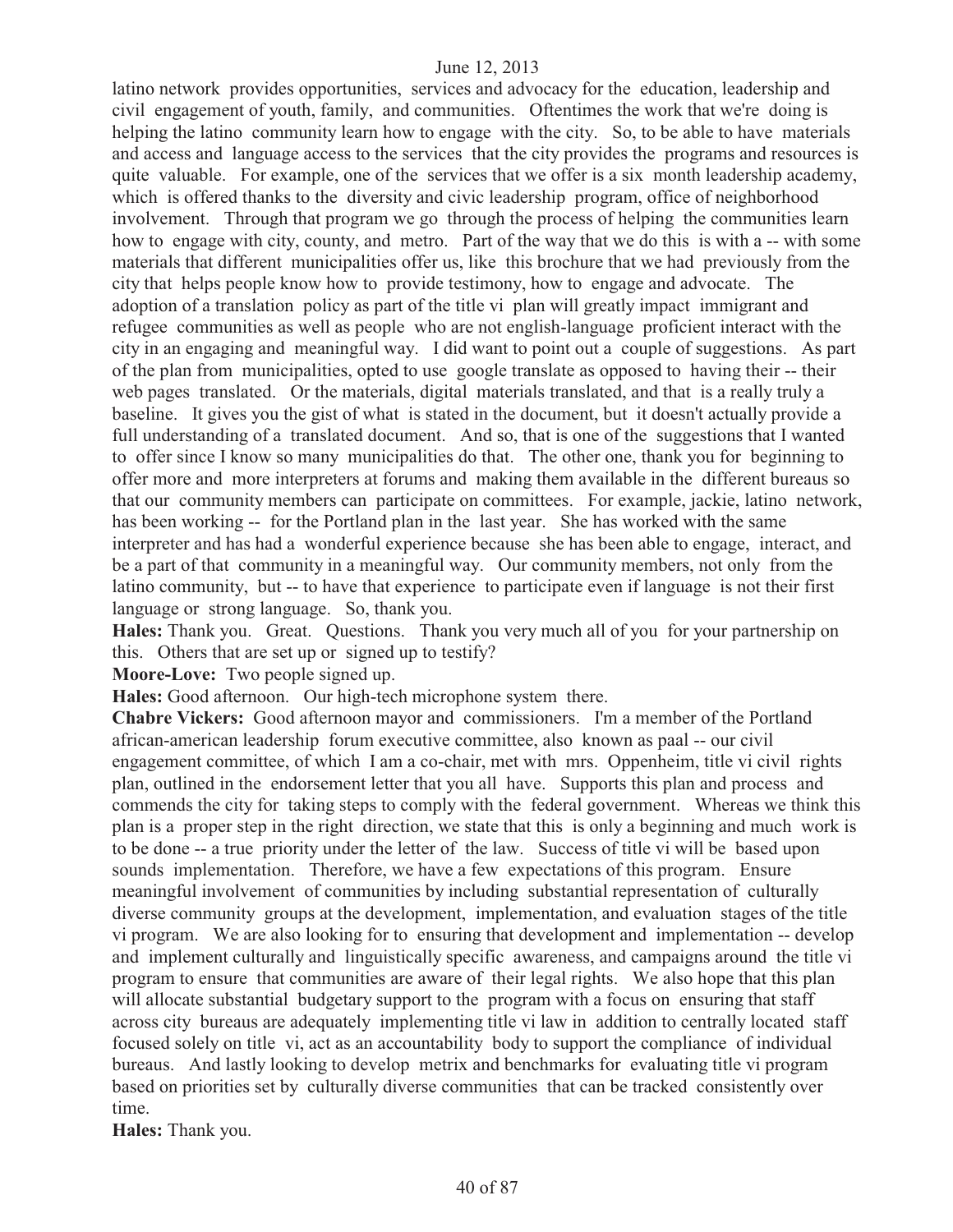latino network provides opportunities, services and advocacy for the education, leadership and civil engagement of youth, family, and communities. Oftentimes the work that we're doing is helping the latino community learn how to engage with the city. So, to be able to have materials and access and language access to the services that the city provides the programs and resources is quite valuable. For example, one of the services that we offer is a six month leadership academy, which is offered thanks to the diversity and civic leadership program, office of neighborhood involvement. Through that program we go through the process of helping the communities learn how to engage with city, county, and metro. Part of the way that we do this is with a -- with some materials that different municipalities offer us, like this brochure that we had previously from the city that helps people know how to provide testimony, how to engage and advocate. The adoption of a translation policy as part of the title vi plan will greatly impact immigrant and refugee communities as well as people who are not english-language proficient interact with the city in an engaging and meaningful way. I did want to point out a couple of suggestions. As part of the plan from municipalities, opted to use google translate as opposed to having their -- their web pages translated. Or the materials, digital materials translated, and that is a really truly a baseline. It gives you the gist of what is stated in the document, but it doesn't actually provide a full understanding of a translated document. And so, that is one of the suggestions that I wanted to offer since I know so many municipalities do that. The other one, thank you for beginning to offer more and more interpreters at forums and making them available in the different bureaus so that our community members can participate on committees. For example, jackie, latino network, has been working -- for the Portland plan in the last year. She has worked with the same interpreter and has had a wonderful experience because she has been able to engage, interact, and be a part of that community in a meaningful way. Our community members, not only from the latino community, but -- to have that experience to participate even if language is not their first language or strong language. So, thank you.

**Hales:** Thank you. Great. Questions. Thank you very much all of you for your partnership on this. Others that are set up or signed up to testify?

**Moore-Love:** Two people signed up.

**Hales:** Good afternoon. Our high-tech microphone system there.

**Chabre Vickers:** Good afternoon mayor and commissioners. I'm a member of the Portland african-american leadership forum executive committee, also known as paal -- our civil engagement committee, of which I am a co-chair, met with mrs. Oppenheim, title vi civil rights plan, outlined in the endorsement letter that you all have. Supports this plan and process and commends the city for taking steps to comply with the federal government. Whereas we think this plan is a proper step in the right direction, we state that this is only a beginning and much work is to be done -- a true priority under the letter of the law. Success of title vi will be based upon sounds implementation. Therefore, we have a few expectations of this program. Ensure meaningful involvement of communities by including substantial representation of culturally diverse community groups at the development, implementation, and evaluation stages of the title vi program. We are also looking for to ensuring that development and implementation -- develop and implement culturally and linguistically specific awareness, and campaigns around the title vi program to ensure that communities are aware of their legal rights. We also hope that this plan will allocate substantial budgetary support to the program with a focus on ensuring that staff across city bureaus are adequately implementing title vi law in addition to centrally located staff focused solely on title vi, act as an accountability body to support the compliance of individual bureaus. And lastly looking to develop metrix and benchmarks for evaluating title vi program based on priorities set by culturally diverse communities that can be tracked consistently over time.

**Hales:** Thank you.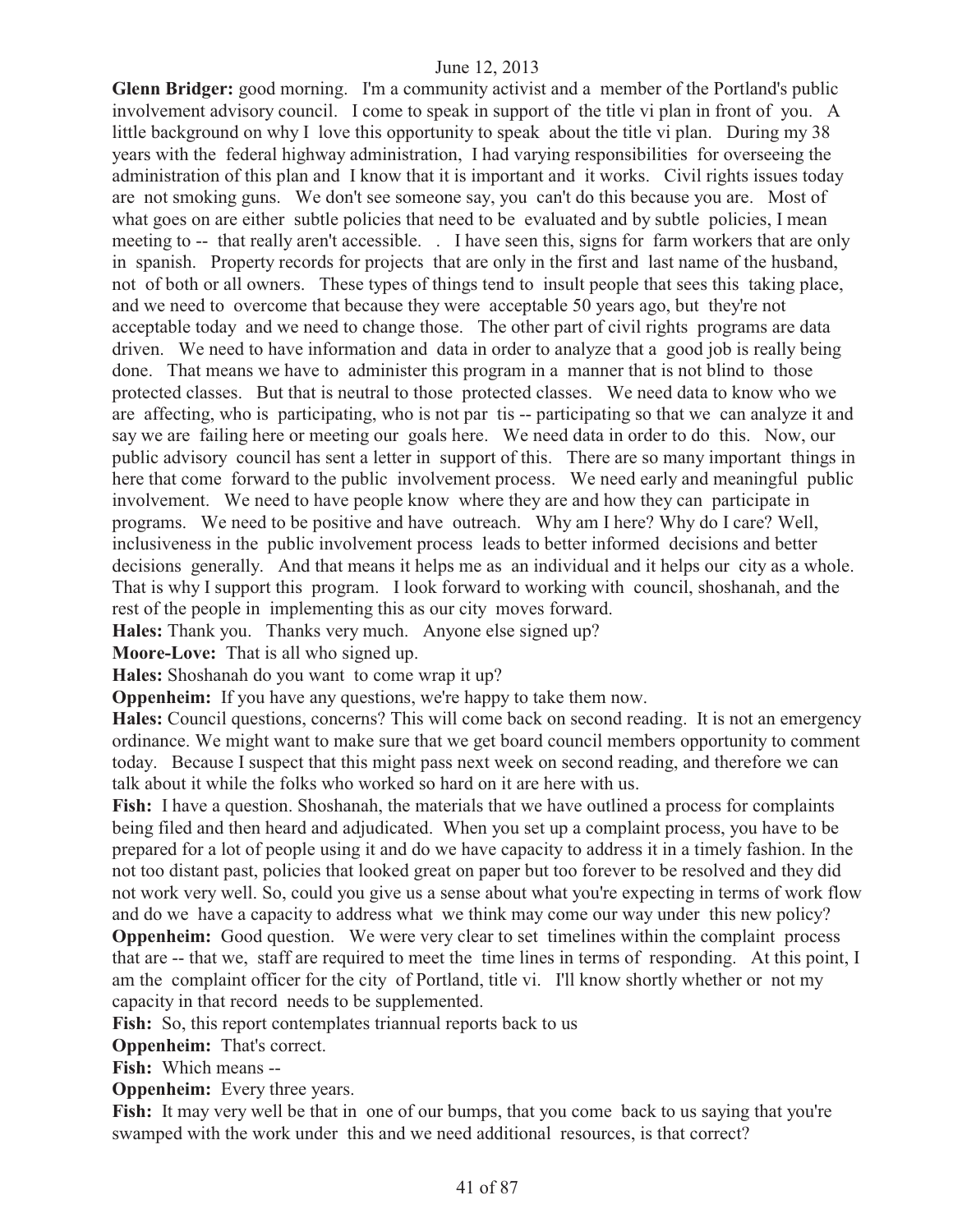**Glenn Bridger:** good morning. I'm a community activist and a member of the Portland's public involvement advisory council. I come to speak in support of the title vi plan in front of you. A little background on why I love this opportunity to speak about the title vi plan. During my 38 years with the federal highway administration, I had varying responsibilities for overseeing the administration of this plan and I know that it is important and it works. Civil rights issues today are not smoking guns. We don't see someone say, you can't do this because you are. Most of what goes on are either subtle policies that need to be evaluated and by subtle policies, I mean meeting to -- that really aren't accessible. . I have seen this, signs for farm workers that are only in spanish. Property records for projects that are only in the first and last name of the husband, not of both or all owners. These types of things tend to insult people that sees this taking place, and we need to overcome that because they were acceptable 50 years ago, but they're not acceptable today and we need to change those. The other part of civil rights programs are data driven. We need to have information and data in order to analyze that a good job is really being done. That means we have to administer this program in a manner that is not blind to those protected classes. But that is neutral to those protected classes. We need data to know who we are affecting, who is participating, who is not par tis -- participating so that we can analyze it and say we are failing here or meeting our goals here. We need data in order to do this. Now, our public advisory council has sent a letter in support of this. There are so many important things in here that come forward to the public involvement process. We need early and meaningful public involvement. We need to have people know where they are and how they can participate in programs. We need to be positive and have outreach. Why am I here? Why do I care? Well, inclusiveness in the public involvement process leads to better informed decisions and better decisions generally. And that means it helps me as an individual and it helps our city as a whole. That is why I support this program. I look forward to working with council, shoshanah, and the rest of the people in implementing this as our city moves forward.

**Hales:** Thank you. Thanks very much. Anyone else signed up?

**Moore-Love:** That is all who signed up.

**Hales:** Shoshanah do you want to come wrap it up?

**Oppenheim:** If you have any questions, we're happy to take them now.

**Hales:** Council questions, concerns? This will come back on second reading. It is not an emergency ordinance. We might want to make sure that we get board council members opportunity to comment today. Because I suspect that this might pass next week on second reading, and therefore we can talk about it while the folks who worked so hard on it are here with us.

Fish: I have a question. Shoshanah, the materials that we have outlined a process for complaints being filed and then heard and adjudicated. When you set up a complaint process, you have to be prepared for a lot of people using it and do we have capacity to address it in a timely fashion. In the not too distant past, policies that looked great on paper but too forever to be resolved and they did not work very well. So, could you give us a sense about what you're expecting in terms of work flow and do we have a capacity to address what we think may come our way under this new policy? **Oppenheim:** Good question. We were very clear to set timelines within the complaint process that are -- that we, staff are required to meet the time lines in terms of responding. At this point, I

am the complaint officer for the city of Portland, title vi. I'll know shortly whether or not my capacity in that record needs to be supplemented.

Fish: So, this report contemplates triannual reports back to us

**Oppenheim:** That's correct.

**Fish:** Which means --

**Oppenheim:** Every three years.

Fish: It may very well be that in one of our bumps, that you come back to us saying that you're swamped with the work under this and we need additional resources, is that correct?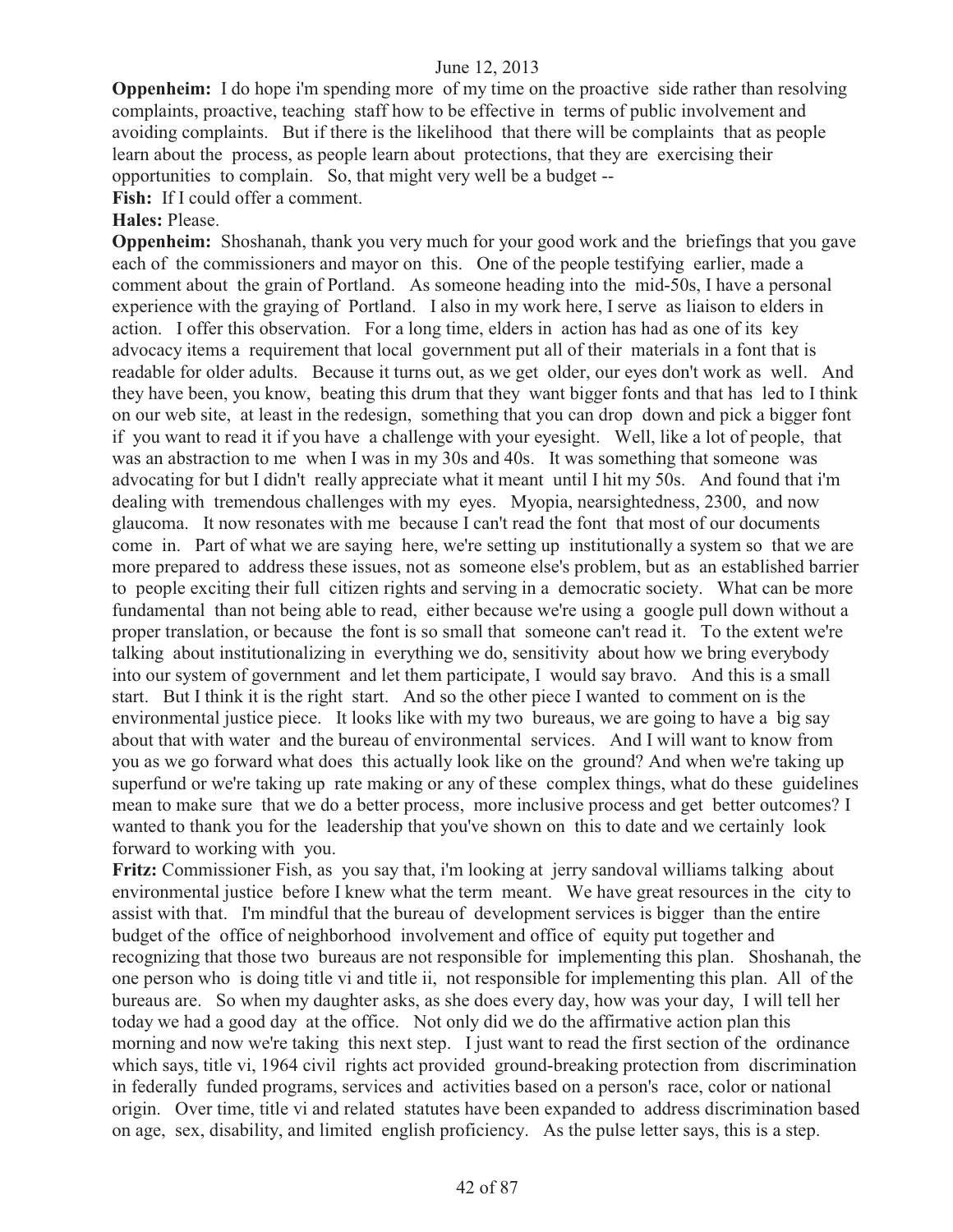**Oppenheim:** I do hope i'm spending more of my time on the proactive side rather than resolving complaints, proactive, teaching staff how to be effective in terms of public involvement and avoiding complaints. But if there is the likelihood that there will be complaints that as people learn about the process, as people learn about protections, that they are exercising their opportunities to complain. So, that might very well be a budget --

Fish: If I could offer a comment.

**Hales:** Please.

**Oppenheim:** Shoshanah, thank you very much for your good work and the briefings that you gave each of the commissioners and mayor on this. One of the people testifying earlier, made a comment about the grain of Portland. As someone heading into the mid-50s, I have a personal experience with the graying of Portland. I also in my work here, I serve as liaison to elders in action. I offer this observation. For a long time, elders in action has had as one of its key advocacy items a requirement that local government put all of their materials in a font that is readable for older adults. Because it turns out, as we get older, our eyes don't work as well. And they have been, you know, beating this drum that they want bigger fonts and that has led to I think on our web site, at least in the redesign, something that you can drop down and pick a bigger font if you want to read it if you have a challenge with your eyesight. Well, like a lot of people, that was an abstraction to me when I was in my 30s and 40s. It was something that someone was advocating for but I didn't really appreciate what it meant until I hit my 50s. And found that i'm dealing with tremendous challenges with my eyes. Myopia, nearsightedness, 2300, and now glaucoma. It now resonates with me because I can't read the font that most of our documents come in. Part of what we are saying here, we're setting up institutionally a system so that we are more prepared to address these issues, not as someone else's problem, but as an established barrier to people exciting their full citizen rights and serving in a democratic society. What can be more fundamental than not being able to read, either because we're using a google pull down without a proper translation, or because the font is so small that someone can't read it. To the extent we're talking about institutionalizing in everything we do, sensitivity about how we bring everybody into our system of government and let them participate, I would say bravo. And this is a small start. But I think it is the right start. And so the other piece I wanted to comment on is the environmental justice piece. It looks like with my two bureaus, we are going to have a big say about that with water and the bureau of environmental services. And I will want to know from you as we go forward what does this actually look like on the ground? And when we're taking up superfund or we're taking up rate making or any of these complex things, what do these guidelines mean to make sure that we do a better process, more inclusive process and get better outcomes? I wanted to thank you for the leadership that you've shown on this to date and we certainly look forward to working with you.

**Fritz:** Commissioner Fish, as you say that, i'm looking at jerry sandoval williams talking about environmental justice before I knew what the term meant. We have great resources in the city to assist with that. I'm mindful that the bureau of development services is bigger than the entire budget of the office of neighborhood involvement and office of equity put together and recognizing that those two bureaus are not responsible for implementing this plan. Shoshanah, the one person who is doing title vi and title ii, not responsible for implementing this plan. All of the bureaus are. So when my daughter asks, as she does every day, how was your day, I will tell her today we had a good day at the office. Not only did we do the affirmative action plan this morning and now we're taking this next step. I just want to read the first section of the ordinance which says, title vi, 1964 civil rights act provided ground-breaking protection from discrimination in federally funded programs, services and activities based on a person's race, color or national origin. Over time, title vi and related statutes have been expanded to address discrimination based on age, sex, disability, and limited english proficiency. As the pulse letter says, this is a step.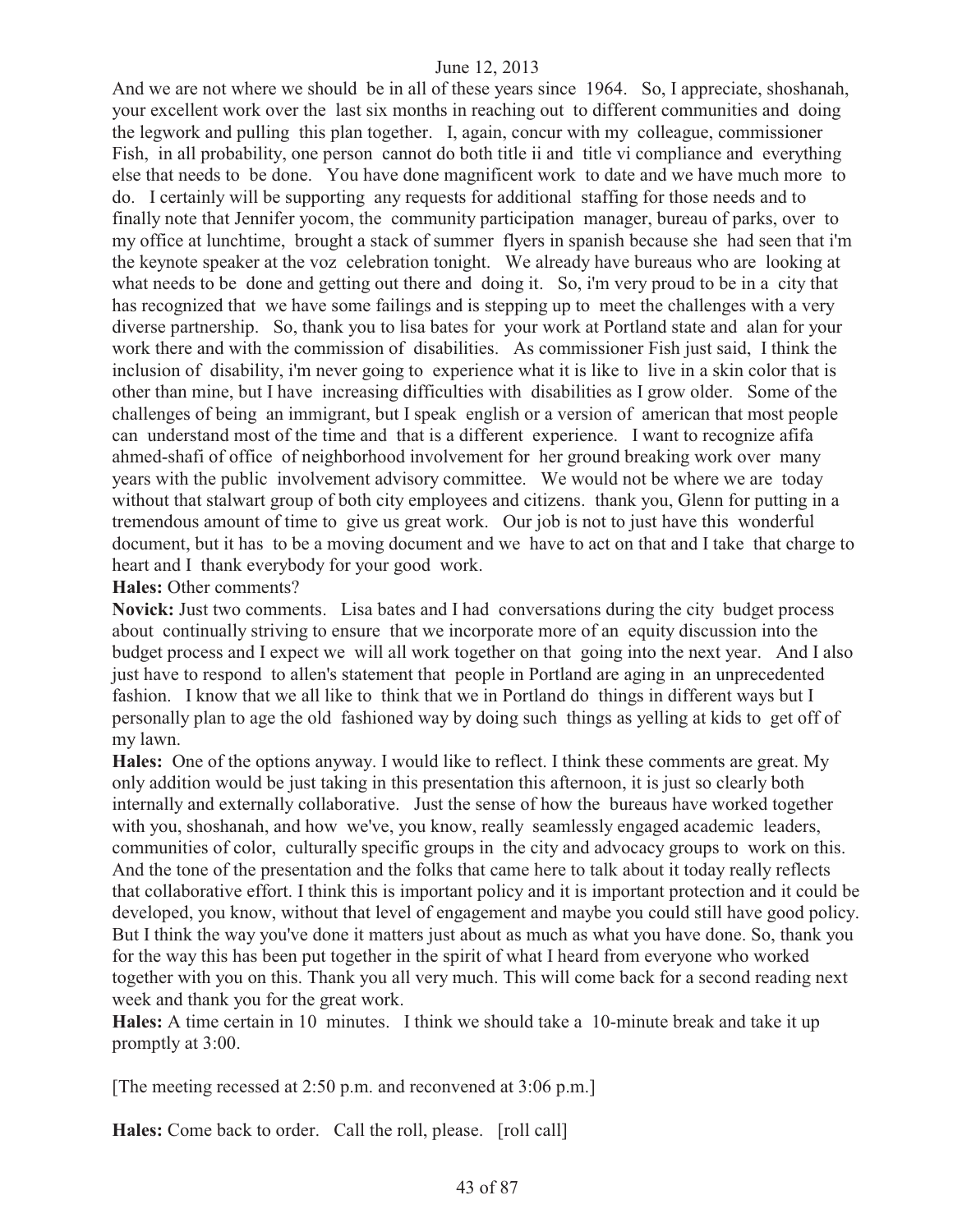And we are not where we should be in all of these years since 1964. So, I appreciate, shoshanah, your excellent work over the last six months in reaching out to different communities and doing the legwork and pulling this plan together. I, again, concur with my colleague, commissioner Fish, in all probability, one person cannot do both title ii and title vi compliance and everything else that needs to be done. You have done magnificent work to date and we have much more to do. I certainly will be supporting any requests for additional staffing for those needs and to finally note that Jennifer yocom, the community participation manager, bureau of parks, over to my office at lunchtime, brought a stack of summer flyers in spanish because she had seen that i'm the keynote speaker at the voz celebration tonight. We already have bureaus who are looking at what needs to be done and getting out there and doing it. So, i'm very proud to be in a city that has recognized that we have some failings and is stepping up to meet the challenges with a very diverse partnership. So, thank you to lisa bates for your work at Portland state and alan for your work there and with the commission of disabilities. As commissioner Fish just said, I think the inclusion of disability, i'm never going to experience what it is like to live in a skin color that is other than mine, but I have increasing difficulties with disabilities as I grow older. Some of the challenges of being an immigrant, but I speak english or a version of american that most people can understand most of the time and that is a different experience. I want to recognize afifa ahmed-shafi of office of neighborhood involvement for her ground breaking work over many years with the public involvement advisory committee. We would not be where we are today without that stalwart group of both city employees and citizens. thank you, Glenn for putting in a tremendous amount of time to give us great work. Our job is not to just have this wonderful document, but it has to be a moving document and we have to act on that and I take that charge to heart and I thank everybody for your good work.

### **Hales:** Other comments?

**Novick:** Just two comments. Lisa bates and I had conversations during the city budget process about continually striving to ensure that we incorporate more of an equity discussion into the budget process and I expect we will all work together on that going into the next year. And I also just have to respond to allen's statement that people in Portland are aging in an unprecedented fashion. I know that we all like to think that we in Portland do things in different ways but I personally plan to age the old fashioned way by doing such things as yelling at kids to get off of my lawn.

**Hales:** One of the options anyway. I would like to reflect. I think these comments are great. My only addition would be just taking in this presentation this afternoon, it is just so clearly both internally and externally collaborative. Just the sense of how the bureaus have worked together with you, shoshanah, and how we've, you know, really seamlessly engaged academic leaders, communities of color, culturally specific groups in the city and advocacy groups to work on this. And the tone of the presentation and the folks that came here to talk about it today really reflects that collaborative effort. I think this is important policy and it is important protection and it could be developed, you know, without that level of engagement and maybe you could still have good policy. But I think the way you've done it matters just about as much as what you have done. So, thank you for the way this has been put together in the spirit of what I heard from everyone who worked together with you on this. Thank you all very much. This will come back for a second reading next week and thank you for the great work.

**Hales:** A time certain in 10 minutes. I think we should take a 10-minute break and take it up promptly at 3:00.

[The meeting recessed at 2:50 p.m. and reconvened at 3:06 p.m.]

**Hales:** Come back to order. Call the roll, please. [roll call]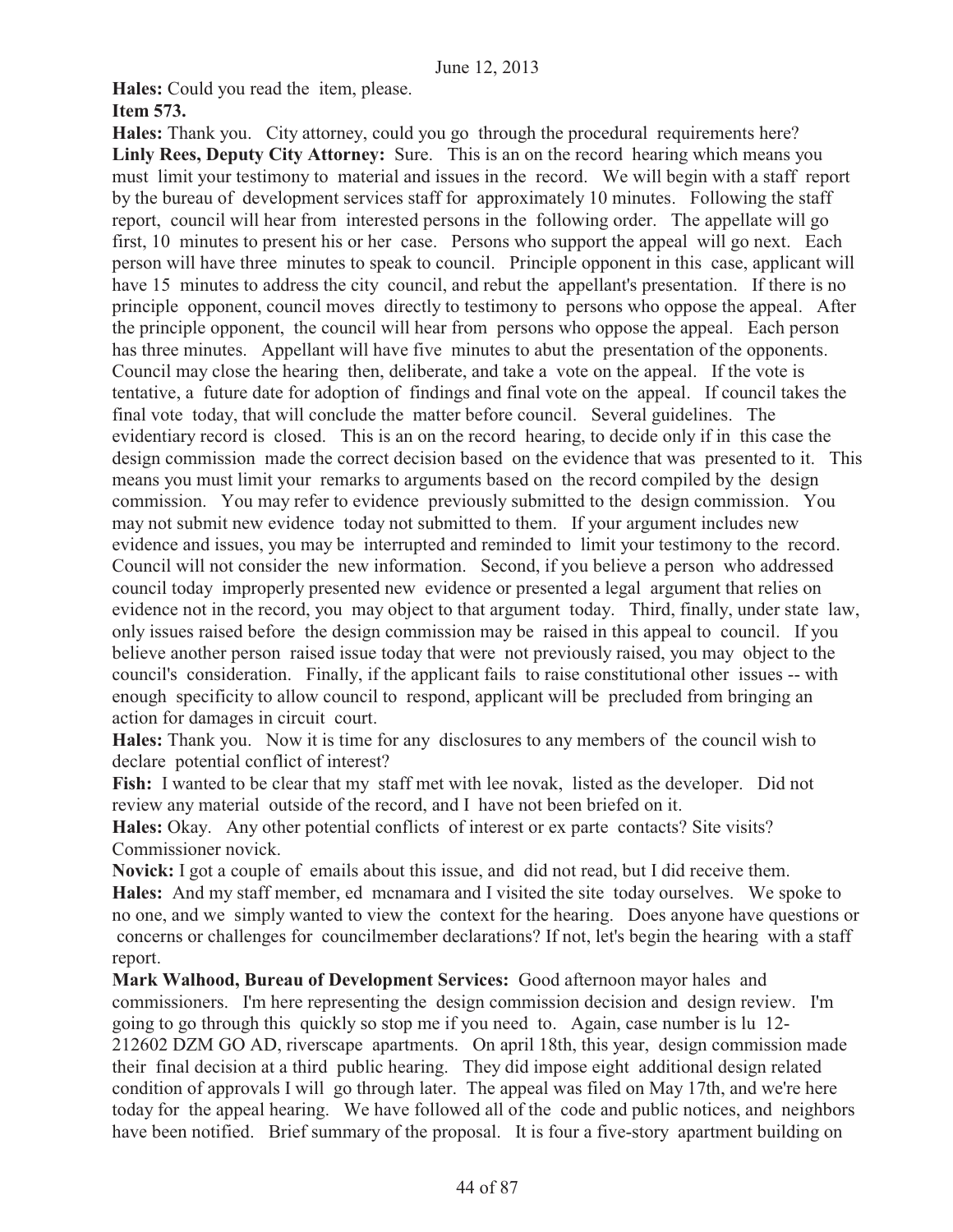**Hales:** Could you read the item, please.

# **Item 573.**

**Hales:** Thank you. City attorney, could you go through the procedural requirements here? Linly Rees, Deputy City Attorney: Sure. This is an on the record hearing which means you must limit your testimony to material and issues in the record. We will begin with a staff report by the bureau of development services staff for approximately 10 minutes. Following the staff report, council will hear from interested persons in the following order. The appellate will go first, 10 minutes to present his or her case. Persons who support the appeal will go next. Each person will have three minutes to speak to council. Principle opponent in this case, applicant will have 15 minutes to address the city council, and rebut the appellant's presentation. If there is no principle opponent, council moves directly to testimony to persons who oppose the appeal. After the principle opponent, the council will hear from persons who oppose the appeal. Each person has three minutes. Appellant will have five minutes to abut the presentation of the opponents. Council may close the hearing then, deliberate, and take a vote on the appeal. If the vote is tentative, a future date for adoption of findings and final vote on the appeal. If council takes the final vote today, that will conclude the matter before council. Several guidelines. The evidentiary record is closed. This is an on the record hearing, to decide only if in this case the design commission made the correct decision based on the evidence that was presented to it. This means you must limit your remarks to arguments based on the record compiled by the design commission. You may refer to evidence previously submitted to the design commission. You may not submit new evidence today not submitted to them. If your argument includes new evidence and issues, you may be interrupted and reminded to limit your testimony to the record. Council will not consider the new information. Second, if you believe a person who addressed council today improperly presented new evidence or presented a legal argument that relies on evidence not in the record, you may object to that argument today. Third, finally, under state law, only issues raised before the design commission may be raised in this appeal to council. If you believe another person raised issue today that were not previously raised, you may object to the council's consideration. Finally, if the applicant fails to raise constitutional other issues -- with enough specificity to allow council to respond, applicant will be precluded from bringing an action for damages in circuit court.

**Hales:** Thank you. Now it is time for any disclosures to any members of the council wish to declare potential conflict of interest?

Fish: I wanted to be clear that my staff met with lee novak, listed as the developer. Did not review any material outside of the record, and I have not been briefed on it.

**Hales:** Okay. Any other potential conflicts of interest or ex parte contacts? Site visits? Commissioner novick.

**Novick:** I got a couple of emails about this issue, and did not read, but I did receive them. **Hales:** And my staff member, ed mcnamara and I visited the site today ourselves. We spoke to no one, and we simply wanted to view the context for the hearing. Does anyone have questions or concerns or challenges for councilmember declarations? If not, let's begin the hearing with a staff report.

**Mark Walhood, Bureau of Development Services:** Good afternoon mayor hales and commissioners. I'm here representing the design commission decision and design review. I'm going to go through this quickly so stop me if you need to. Again, case number is lu 12- 212602 DZM GO AD, riverscape apartments. On april 18th, this year, design commission made their final decision at a third public hearing. They did impose eight additional design related condition of approvals I will go through later. The appeal was filed on May 17th, and we're here today for the appeal hearing. We have followed all of the code and public notices, and neighbors have been notified. Brief summary of the proposal. It is four a five-story apartment building on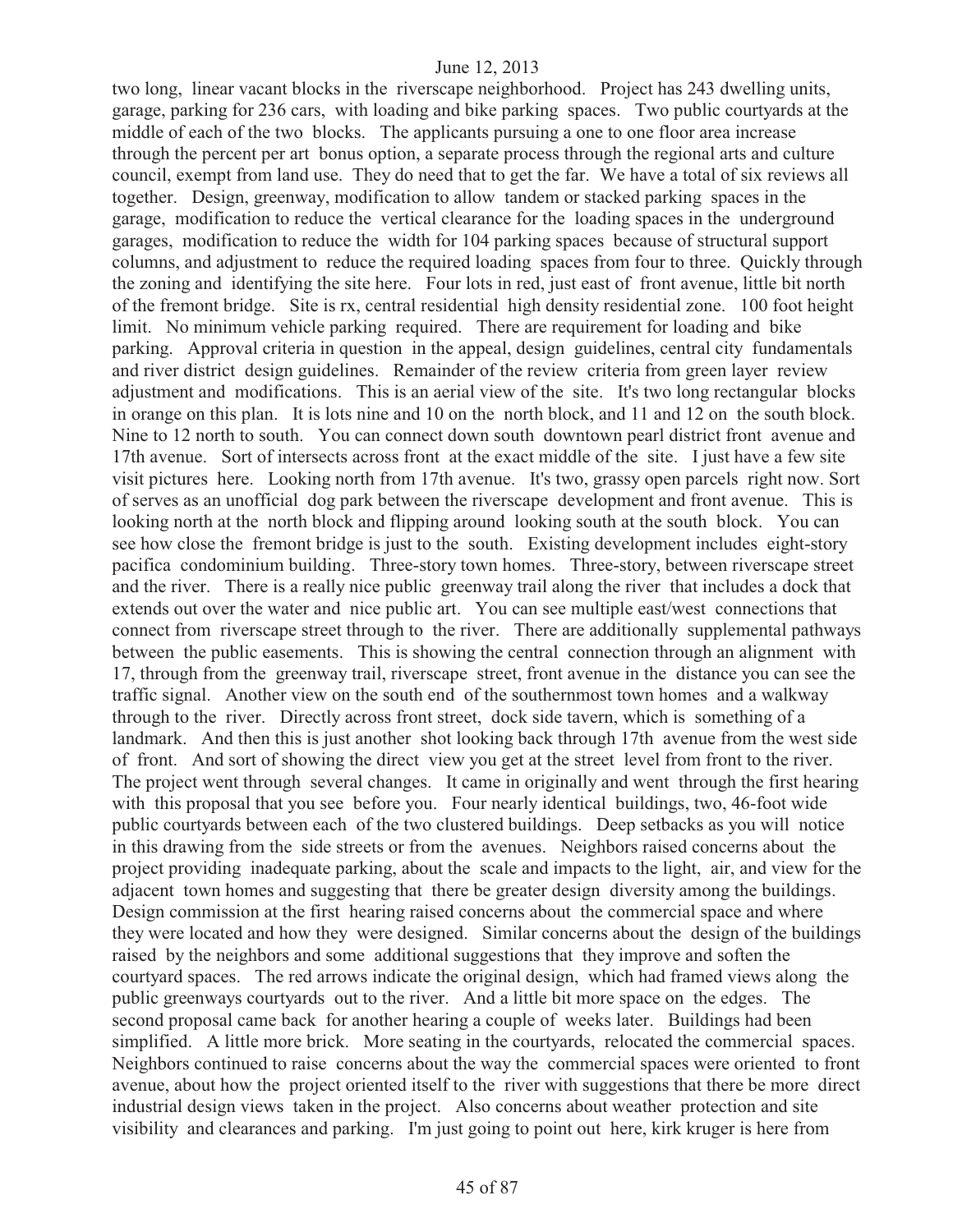two long, linear vacant blocks in the riverscape neighborhood. Project has 243 dwelling units, garage, parking for 236 cars, with loading and bike parking spaces. Two public courtyards at the middle of each of the two blocks. The applicants pursuing a one to one floor area increase through the percent per art bonus option, a separate process through the regional arts and culture council, exempt from land use. They do need that to get the far. We have a total of six reviews all together. Design, greenway, modification to allow tandem or stacked parking spaces in the garage, modification to reduce the vertical clearance for the loading spaces in the underground garages, modification to reduce the width for 104 parking spaces because of structural support columns, and adjustment to reduce the required loading spaces from four to three. Quickly through the zoning and identifying the site here. Four lots in red, just east of front avenue, little bit north of the fremont bridge. Site is rx, central residential high density residential zone. 100 foot height limit. No minimum vehicle parking required. There are requirement for loading and bike parking. Approval criteria in question in the appeal, design guidelines, central city fundamentals and river district design guidelines. Remainder of the review criteria from green layer review adjustment and modifications. This is an aerial view of the site. It's two long rectangular blocks in orange on this plan. It is lots nine and 10 on the north block, and 11 and 12 on the south block. Nine to 12 north to south. You can connect down south downtown pearl district front avenue and 17th avenue. Sort of intersects across front at the exact middle of the site. I just have a few site visit pictures here. Looking north from 17th avenue. It's two, grassy open parcels right now. Sort of serves as an unofficial dog park between the riverscape development and front avenue. This is looking north at the north block and flipping around looking south at the south block. You can see how close the fremont bridge is just to the south. Existing development includes eight-story pacifica condominium building. Three-story town homes. Three-story, between riverscape street and the river. There is a really nice public greenway trail along the river that includes a dock that extends out over the water and nice public art. You can see multiple east/west connections that connect from riverscape street through to the river. There are additionally supplemental pathways between the public easements. This is showing the central connection through an alignment with 17, through from the greenway trail, riverscape street, front avenue in the distance you can see the traffic signal. Another view on the south end of the southernmost town homes and a walkway through to the river. Directly across front street, dock side tavern, which is something of a landmark. And then this is just another shot looking back through 17th avenue from the west side of front. And sort of showing the direct view you get at the street level from front to the river. The project went through several changes. It came in originally and went through the first hearing with this proposal that you see before you. Four nearly identical buildings, two, 46-foot wide public courtyards between each of the two clustered buildings. Deep setbacks as you will notice in this drawing from the side streets or from the avenues. Neighbors raised concerns about the project providing inadequate parking, about the scale and impacts to the light, air, and view for the adjacent town homes and suggesting that there be greater design diversity among the buildings. Design commission at the first hearing raised concerns about the commercial space and where they were located and how they were designed. Similar concerns about the design of the buildings raised by the neighbors and some additional suggestions that they improve and soften the courtyard spaces. The red arrows indicate the original design, which had framed views along the public greenways courtyards out to the river. And a little bit more space on the edges. The second proposal came back for another hearing a couple of weeks later. Buildings had been simplified. A little more brick. More seating in the courtyards, relocated the commercial spaces. Neighbors continued to raise concerns about the way the commercial spaces were oriented to front avenue, about how the project oriented itself to the river with suggestions that there be more direct industrial design views taken in the project. Also concerns about weather protection and site visibility and clearances and parking. I'm just going to point out here, kirk kruger is here from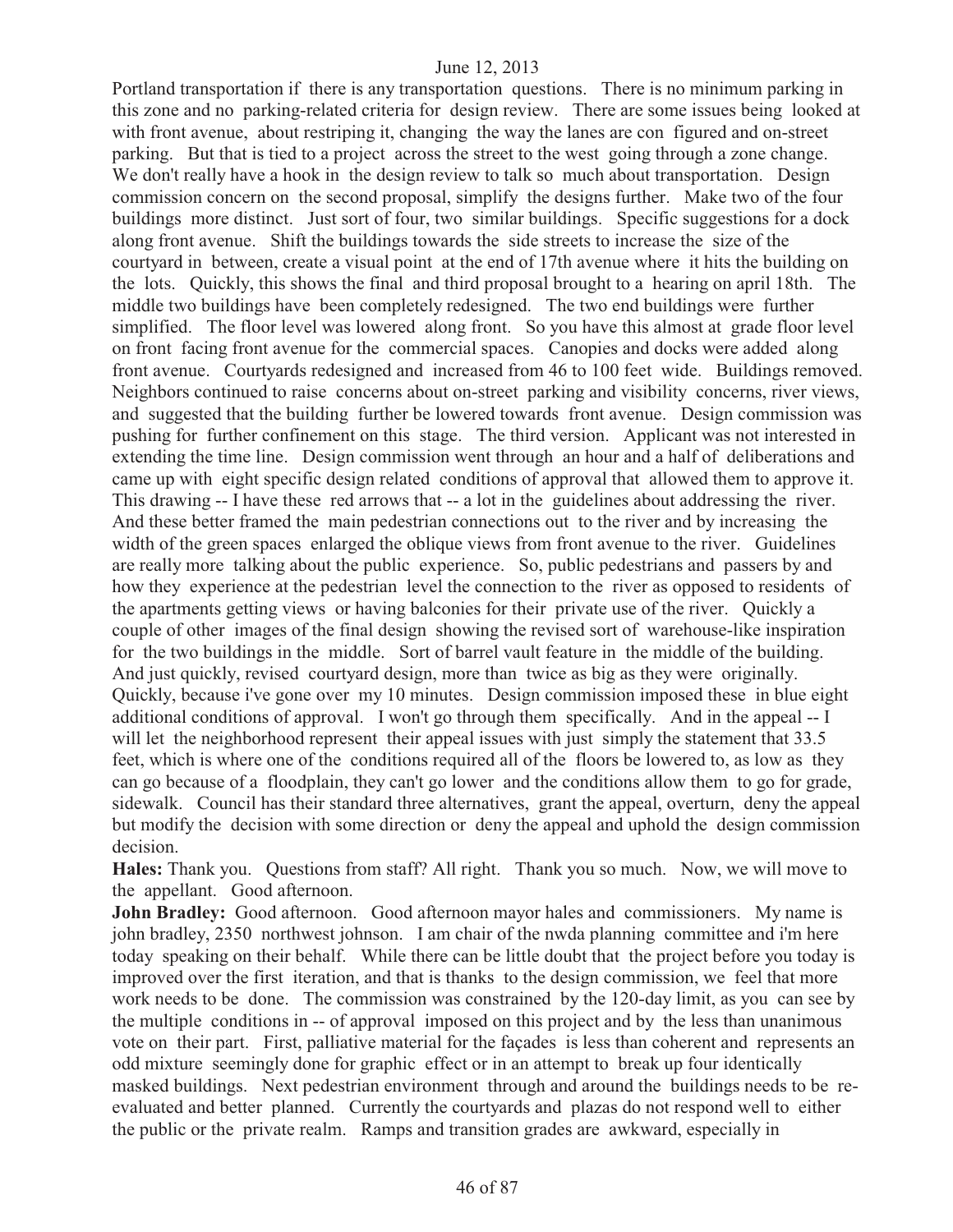Portland transportation if there is any transportation questions. There is no minimum parking in this zone and no parking-related criteria for design review. There are some issues being looked at with front avenue, about restriping it, changing the way the lanes are con figured and on-street parking. But that is tied to a project across the street to the west going through a zone change. We don't really have a hook in the design review to talk so much about transportation. Design commission concern on the second proposal, simplify the designs further. Make two of the four buildings more distinct. Just sort of four, two similar buildings. Specific suggestions for a dock along front avenue. Shift the buildings towards the side streets to increase the size of the courtyard in between, create a visual point at the end of 17th avenue where it hits the building on the lots. Quickly, this shows the final and third proposal brought to a hearing on april 18th. The middle two buildings have been completely redesigned. The two end buildings were further simplified. The floor level was lowered along front. So you have this almost at grade floor level on front facing front avenue for the commercial spaces. Canopies and docks were added along front avenue. Courtyards redesigned and increased from 46 to 100 feet wide. Buildings removed. Neighbors continued to raise concerns about on-street parking and visibility concerns, river views, and suggested that the building further be lowered towards front avenue. Design commission was pushing for further confinement on this stage. The third version. Applicant was not interested in extending the time line. Design commission went through an hour and a half of deliberations and came up with eight specific design related conditions of approval that allowed them to approve it. This drawing -- I have these red arrows that -- a lot in the guidelines about addressing the river. And these better framed the main pedestrian connections out to the river and by increasing the width of the green spaces enlarged the oblique views from front avenue to the river. Guidelines are really more talking about the public experience. So, public pedestrians and passers by and how they experience at the pedestrian level the connection to the river as opposed to residents of the apartments getting views or having balconies for their private use of the river. Quickly a couple of other images of the final design showing the revised sort of warehouse-like inspiration for the two buildings in the middle. Sort of barrel vault feature in the middle of the building. And just quickly, revised courtyard design, more than twice as big as they were originally. Quickly, because i've gone over my 10 minutes. Design commission imposed these in blue eight additional conditions of approval. I won't go through them specifically. And in the appeal -- I will let the neighborhood represent their appeal issues with just simply the statement that 33.5 feet, which is where one of the conditions required all of the floors be lowered to, as low as they can go because of a floodplain, they can't go lower and the conditions allow them to go for grade, sidewalk. Council has their standard three alternatives, grant the appeal, overturn, deny the appeal but modify the decision with some direction or deny the appeal and uphold the design commission decision.

**Hales:** Thank you. Questions from staff? All right. Thank you so much. Now, we will move to the appellant. Good afternoon.

**John Bradley:** Good afternoon. Good afternoon mayor hales and commissioners. My name is john bradley, 2350 northwest johnson. I am chair of the nwda planning committee and i'm here today speaking on their behalf. While there can be little doubt that the project before you today is improved over the first iteration, and that is thanks to the design commission, we feel that more work needs to be done. The commission was constrained by the 120-day limit, as you can see by the multiple conditions in -- of approval imposed on this project and by the less than unanimous vote on their part. First, palliative material for the façades is less than coherent and represents an odd mixture seemingly done for graphic effect or in an attempt to break up four identically masked buildings. Next pedestrian environment through and around the buildings needs to be reevaluated and better planned. Currently the courtyards and plazas do not respond well to either the public or the private realm. Ramps and transition grades are awkward, especially in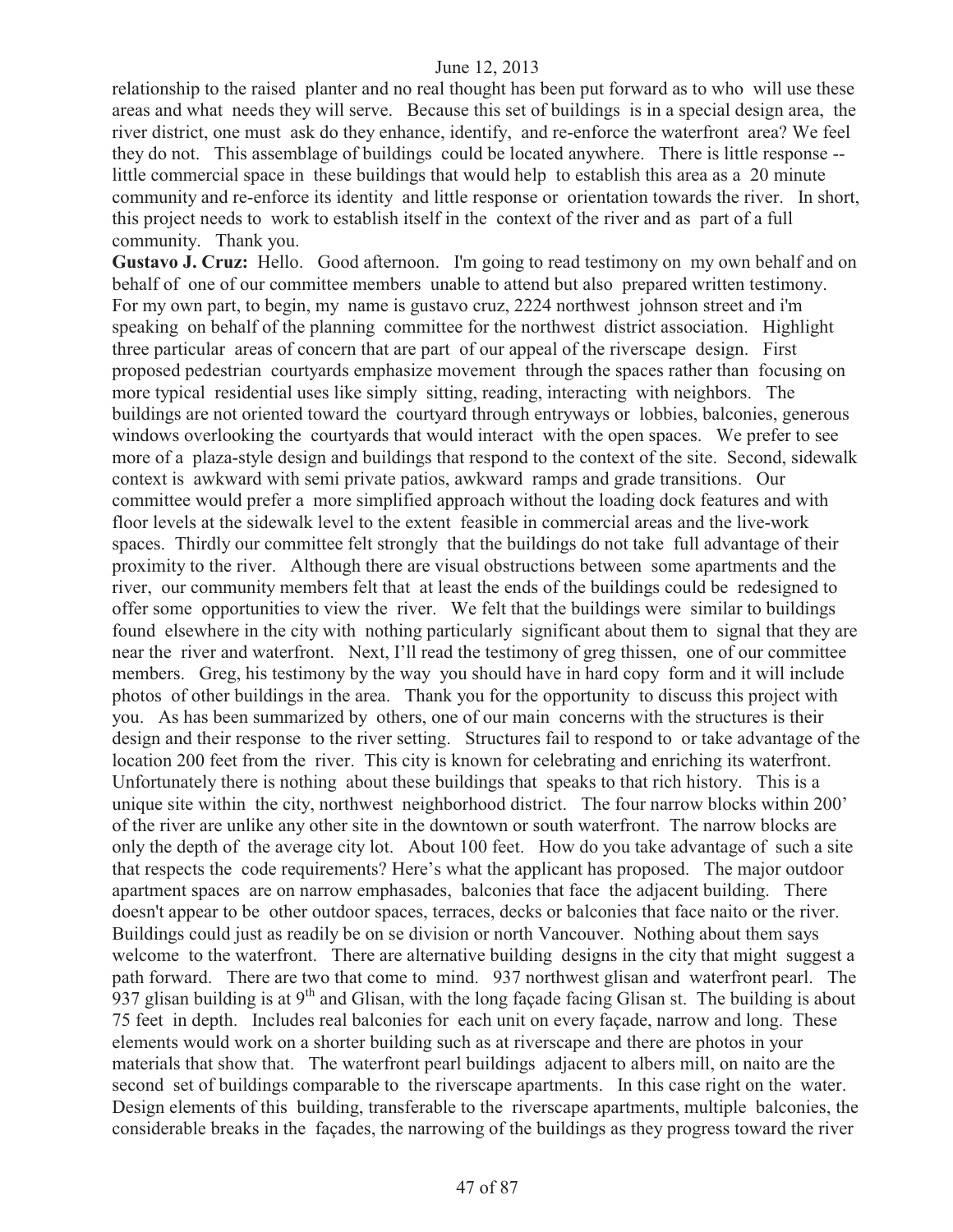relationship to the raised planter and no real thought has been put forward as to who will use these areas and what needs they will serve. Because this set of buildings is in a special design area, the river district, one must ask do they enhance, identify, and re-enforce the waterfront area? We feel they do not. This assemblage of buildings could be located anywhere. There is little response - little commercial space in these buildings that would help to establish this area as a 20 minute community and re-enforce its identity and little response or orientation towards the river. In short, this project needs to work to establish itself in the context of the river and as part of a full community. Thank you.

Gustavo J. Cruz: Hello. Good afternoon. I'm going to read testimony on my own behalf and on behalf of one of our committee members unable to attend but also prepared written testimony. For my own part, to begin, my name is gustavo cruz, 2224 northwest johnson street and i'm speaking on behalf of the planning committee for the northwest district association. Highlight three particular areas of concern that are part of our appeal of the riverscape design. First proposed pedestrian courtyards emphasize movement through the spaces rather than focusing on more typical residential uses like simply sitting, reading, interacting with neighbors. The buildings are not oriented toward the courtyard through entryways or lobbies, balconies, generous windows overlooking the courtyards that would interact with the open spaces. We prefer to see more of a plaza-style design and buildings that respond to the context of the site. Second, sidewalk context is awkward with semi private patios, awkward ramps and grade transitions. Our committee would prefer a more simplified approach without the loading dock features and with floor levels at the sidewalk level to the extent feasible in commercial areas and the live-work spaces. Thirdly our committee felt strongly that the buildings do not take full advantage of their proximity to the river. Although there are visual obstructions between some apartments and the river, our community members felt that at least the ends of the buildings could be redesigned to offer some opportunities to view the river. We felt that the buildings were similar to buildings found elsewhere in the city with nothing particularly significant about them to signal that they are near the river and waterfront. Next, I'll read the testimony of greg thissen, one of our committee members. Greg, his testimony by the way you should have in hard copy form and it will include photos of other buildings in the area. Thank you for the opportunity to discuss this project with you. As has been summarized by others, one of our main concerns with the structures is their design and their response to the river setting. Structures fail to respond to or take advantage of the location 200 feet from the river. This city is known for celebrating and enriching its waterfront. Unfortunately there is nothing about these buildings that speaks to that rich history. This is a unique site within the city, northwest neighborhood district. The four narrow blocks within 200' of the river are unlike any other site in the downtown or south waterfront. The narrow blocks are only the depth of the average city lot. About 100 feet. How do you take advantage of such a site that respects the code requirements? Here's what the applicant has proposed. The major outdoor apartment spaces are on narrow emphasades, balconies that face the adjacent building. There doesn't appear to be other outdoor spaces, terraces, decks or balconies that face naito or the river. Buildings could just as readily be on se division or north Vancouver. Nothing about them says welcome to the waterfront. There are alternative building designs in the city that might suggest a path forward. There are two that come to mind. 937 northwest glisan and waterfront pearl. The 937 glisan building is at  $9<sup>th</sup>$  and Glisan, with the long façade facing Glisan st. The building is about 75 feet in depth. Includes real balconies for each unit on every façade, narrow and long. These elements would work on a shorter building such as at riverscape and there are photos in your materials that show that. The waterfront pearl buildings adjacent to albers mill, on naito are the second set of buildings comparable to the riverscape apartments. In this case right on the water. Design elements of this building, transferable to the riverscape apartments, multiple balconies, the considerable breaks in the façades, the narrowing of the buildings as they progress toward the river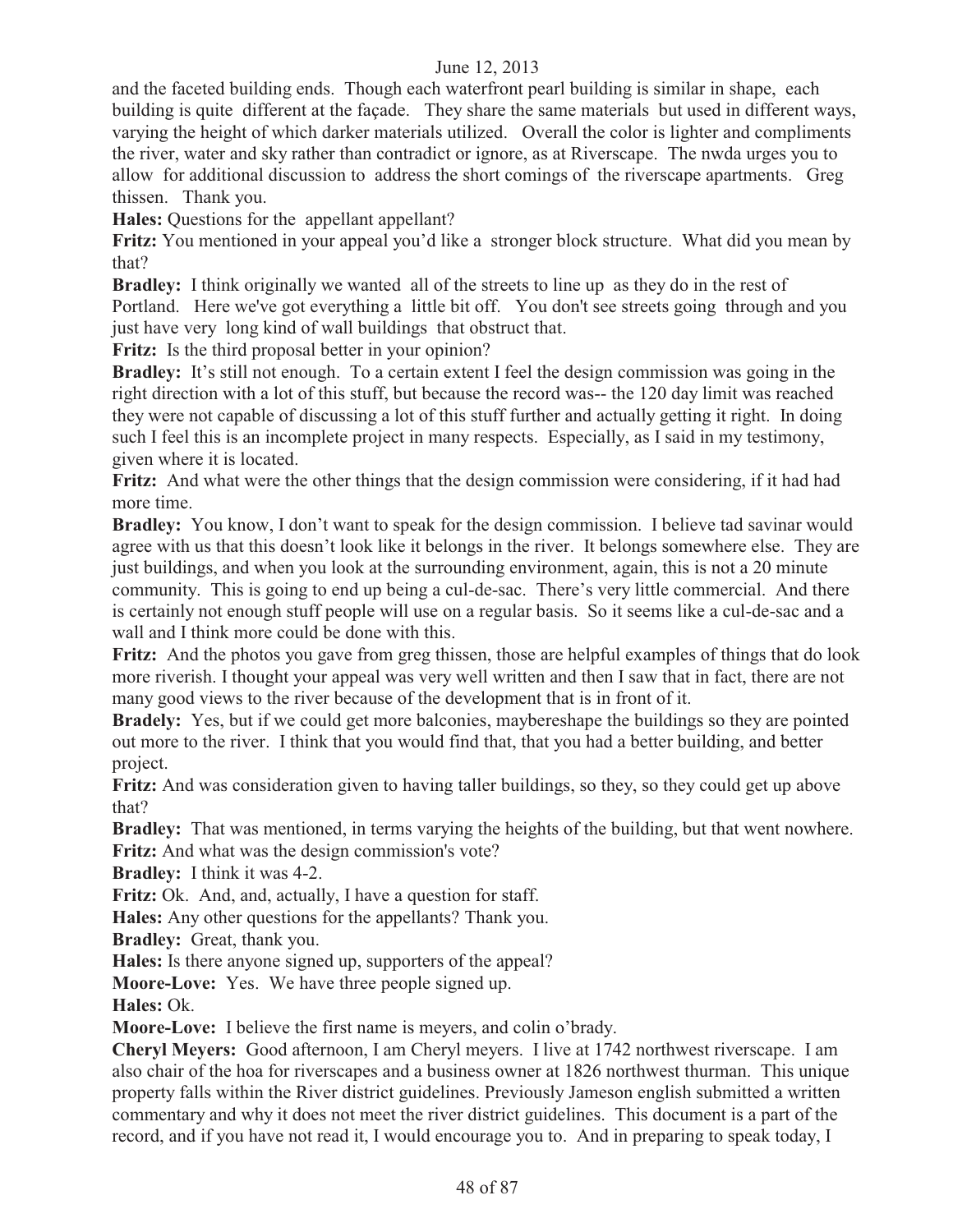and the faceted building ends. Though each waterfront pearl building is similar in shape, each building is quite different at the façade. They share the same materials but used in different ways, varying the height of which darker materials utilized. Overall the color is lighter and compliments the river, water and sky rather than contradict or ignore, as at Riverscape. The nwda urges you to allow for additional discussion to address the short comings of the riverscape apartments. Greg thissen. Thank you.

**Hales:** Questions for the appellant appellant?

**Fritz:** You mentioned in your appeal you'd like a stronger block structure. What did you mean by that?

**Bradley:** I think originally we wanted all of the streets to line up as they do in the rest of Portland. Here we've got everything a little bit off. You don't see streets going through and you just have very long kind of wall buildings that obstruct that.

**Fritz:** Is the third proposal better in your opinion?

**Bradley:** It's still not enough. To a certain extent I feel the design commission was going in the right direction with a lot of this stuff, but because the record was-- the 120 day limit was reached they were not capable of discussing a lot of this stuff further and actually getting it right. In doing such I feel this is an incomplete project in many respects. Especially, as I said in my testimony, given where it is located.

**Fritz:** And what were the other things that the design commission were considering, if it had had more time.

**Bradley:** You know, I don't want to speak for the design commission. I believe tad savinar would agree with us that this doesn't look like it belongs in the river. It belongs somewhere else. They are just buildings, and when you look at the surrounding environment, again, this is not a 20 minute community. This is going to end up being a cul-de-sac. There's very little commercial. And there is certainly not enough stuff people will use on a regular basis. So it seems like a cul-de-sac and a wall and I think more could be done with this.

**Fritz:** And the photos you gave from greg thissen, those are helpful examples of things that do look more riverish. I thought your appeal was very well written and then I saw that in fact, there are not many good views to the river because of the development that is in front of it.

**Bradely:** Yes, but if we could get more balconies, maybereshape the buildings so they are pointed out more to the river. I think that you would find that, that you had a better building, and better project.

**Fritz:** And was consideration given to having taller buildings, so they, so they could get up above that?

**Bradley:** That was mentioned, in terms varying the heights of the building, but that went nowhere. **Fritz:** And what was the design commission's vote?

**Bradley:** I think it was 4-2.

**Fritz:** Ok. And, and, actually, I have a question for staff.

**Hales:** Any other questions for the appellants? Thank you.

**Bradley:** Great, thank you.

**Hales:** Is there anyone signed up, supporters of the appeal?

**Moore-Love:** Yes. We have three people signed up.

**Hales:** Ok.

**Moore-Love:** I believe the first name is meyers, and colin o'brady.

**Cheryl Meyers:** Good afternoon, I am Cheryl meyers. I live at 1742 northwest riverscape. I am also chair of the hoa for riverscapes and a business owner at 1826 northwest thurman. This unique property falls within the River district guidelines. Previously Jameson english submitted a written commentary and why it does not meet the river district guidelines. This document is a part of the record, and if you have not read it, I would encourage you to. And in preparing to speak today, I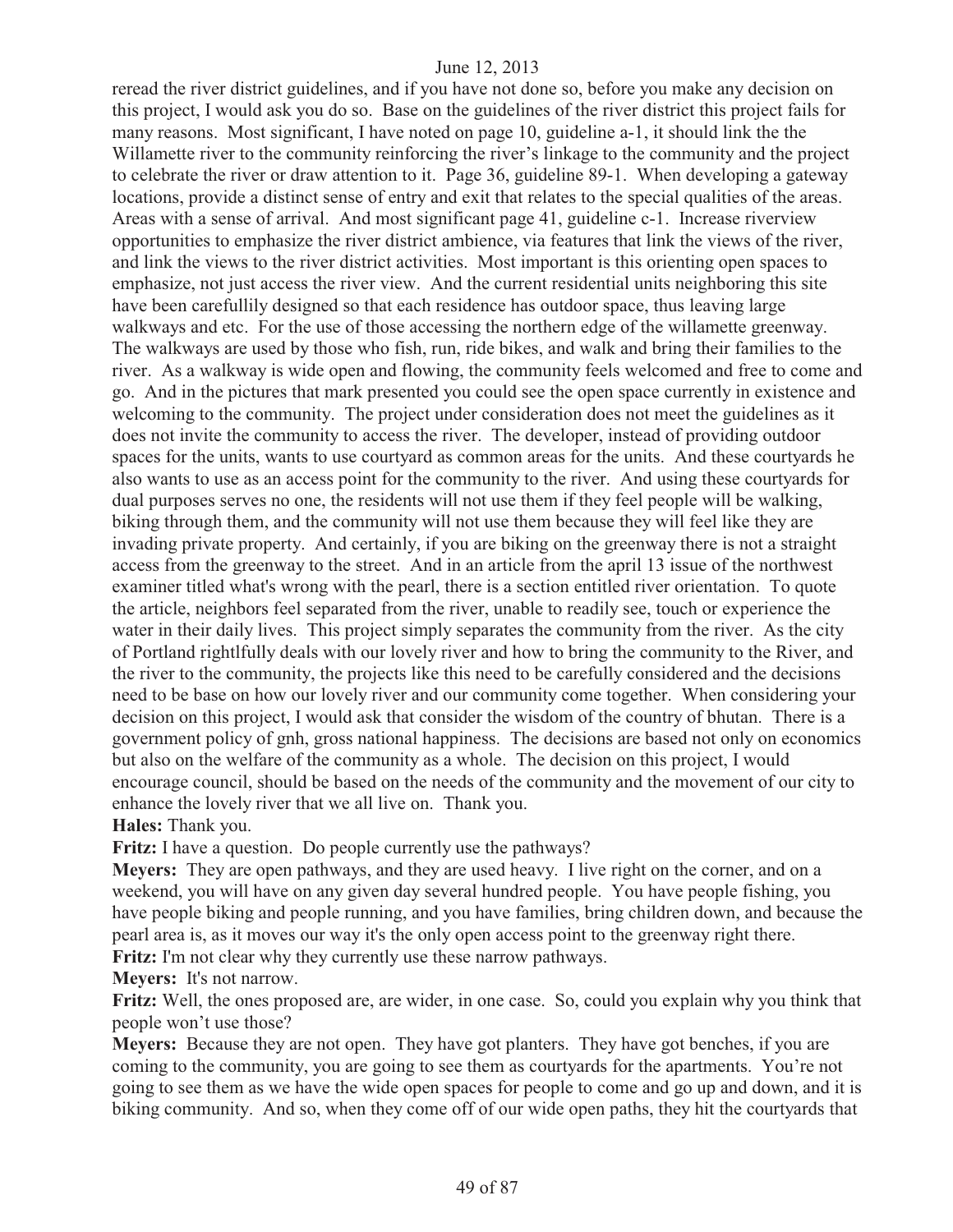reread the river district guidelines, and if you have not done so, before you make any decision on this project, I would ask you do so. Base on the guidelines of the river district this project fails for many reasons. Most significant, I have noted on page 10, guideline a-1, it should link the the Willamette river to the community reinforcing the river's linkage to the community and the project to celebrate the river or draw attention to it. Page 36, guideline 89-1. When developing a gateway locations, provide a distinct sense of entry and exit that relates to the special qualities of the areas. Areas with a sense of arrival. And most significant page 41, guideline c-1. Increase riverview opportunities to emphasize the river district ambience, via features that link the views of the river, and link the views to the river district activities. Most important is this orienting open spaces to emphasize, not just access the river view. And the current residential units neighboring this site have been carefullily designed so that each residence has outdoor space, thus leaving large walkways and etc. For the use of those accessing the northern edge of the willamette greenway. The walkways are used by those who fish, run, ride bikes, and walk and bring their families to the river. As a walkway is wide open and flowing, the community feels welcomed and free to come and go. And in the pictures that mark presented you could see the open space currently in existence and welcoming to the community. The project under consideration does not meet the guidelines as it does not invite the community to access the river. The developer, instead of providing outdoor spaces for the units, wants to use courtyard as common areas for the units. And these courtyards he also wants to use as an access point for the community to the river. And using these courtyards for dual purposes serves no one, the residents will not use them if they feel people will be walking, biking through them, and the community will not use them because they will feel like they are invading private property. And certainly, if you are biking on the greenway there is not a straight access from the greenway to the street. And in an article from the april 13 issue of the northwest examiner titled what's wrong with the pearl, there is a section entitled river orientation. To quote the article, neighbors feel separated from the river, unable to readily see, touch or experience the water in their daily lives. This project simply separates the community from the river. As the city of Portland rightlfully deals with our lovely river and how to bring the community to the River, and the river to the community, the projects like this need to be carefully considered and the decisions need to be base on how our lovely river and our community come together. When considering your decision on this project, I would ask that consider the wisdom of the country of bhutan. There is a government policy of gnh, gross national happiness. The decisions are based not only on economics but also on the welfare of the community as a whole. The decision on this project, I would encourage council, should be based on the needs of the community and the movement of our city to enhance the lovely river that we all live on. Thank you. **Hales:** Thank you.

**Fritz:** I have a question. Do people currently use the pathways?

**Meyers:** They are open pathways, and they are used heavy. I live right on the corner, and on a weekend, you will have on any given day several hundred people. You have people fishing, you have people biking and people running, and you have families, bring children down, and because the pearl area is, as it moves our way it's the only open access point to the greenway right there. **Fritz:** I'm not clear why they currently use these narrow pathways.

**Meyers:** It's not narrow.

**Fritz:** Well, the ones proposed are, are wider, in one case. So, could you explain why you think that people won't use those?

**Meyers:** Because they are not open. They have got planters. They have got benches, if you are coming to the community, you are going to see them as courtyards for the apartments. You're not going to see them as we have the wide open spaces for people to come and go up and down, and it is biking community. And so, when they come off of our wide open paths, they hit the courtyards that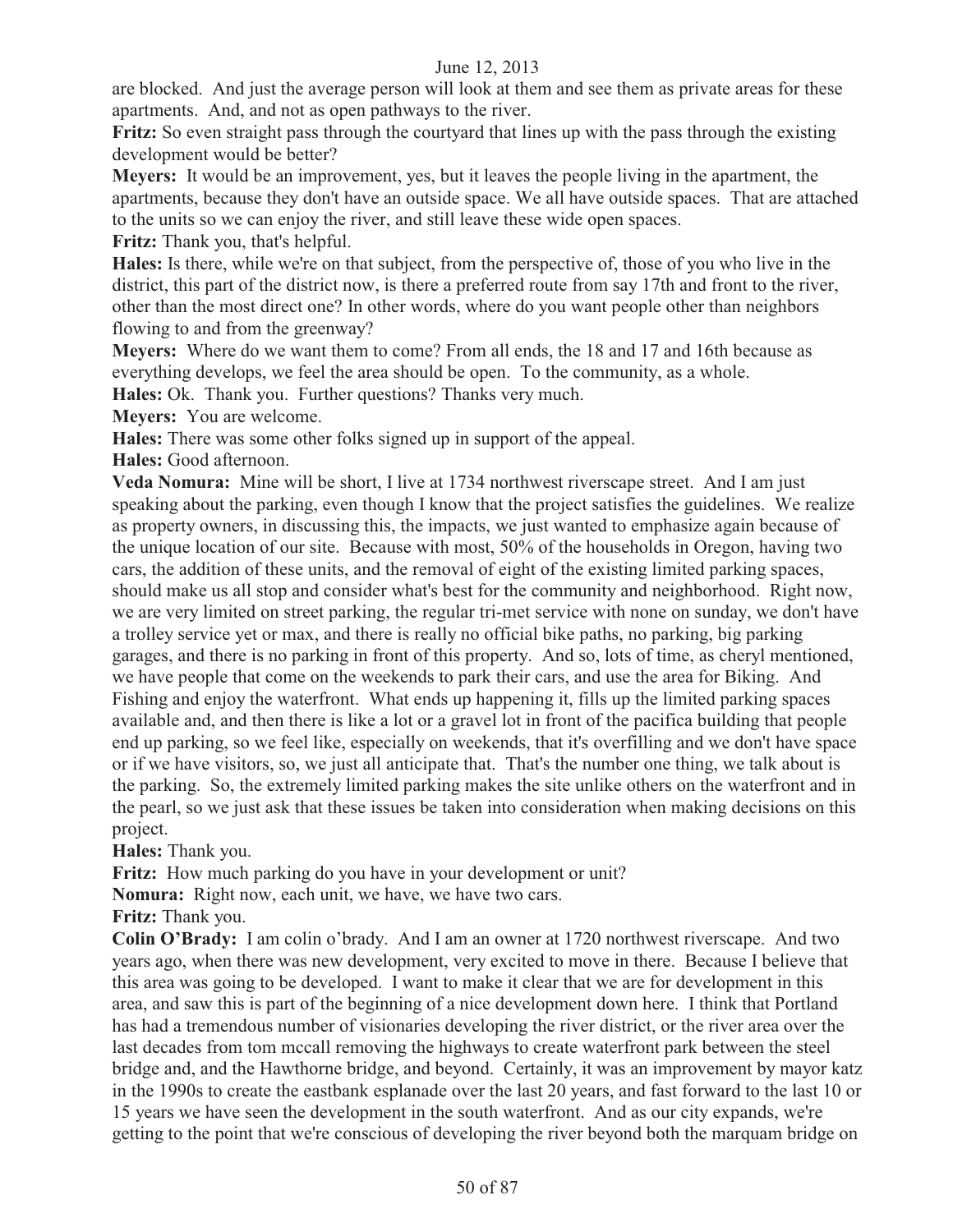are blocked. And just the average person will look at them and see them as private areas for these apartments. And, and not as open pathways to the river.

**Fritz:** So even straight pass through the courtyard that lines up with the pass through the existing development would be better?

**Meyers:** It would be an improvement, yes, but it leaves the people living in the apartment, the apartments, because they don't have an outside space. We all have outside spaces. That are attached to the units so we can enjoy the river, and still leave these wide open spaces.

**Fritz:** Thank you, that's helpful.

**Hales:** Is there, while we're on that subject, from the perspective of, those of you who live in the district, this part of the district now, is there a preferred route from say 17th and front to the river, other than the most direct one? In other words, where do you want people other than neighbors flowing to and from the greenway?

**Meyers:** Where do we want them to come? From all ends, the 18 and 17 and 16th because as everything develops, we feel the area should be open. To the community, as a whole.

**Hales:** Ok. Thank you. Further questions? Thanks very much.

**Meyers:** You are welcome.

**Hales:** There was some other folks signed up in support of the appeal.

**Hales:** Good afternoon.

**Veda Nomura:** Mine will be short, I live at 1734 northwest riverscape street. And I am just speaking about the parking, even though I know that the project satisfies the guidelines. We realize as property owners, in discussing this, the impacts, we just wanted to emphasize again because of the unique location of our site. Because with most, 50% of the households in Oregon, having two cars, the addition of these units, and the removal of eight of the existing limited parking spaces, should make us all stop and consider what's best for the community and neighborhood. Right now, we are very limited on street parking, the regular tri-met service with none on sunday, we don't have a trolley service yet or max, and there is really no official bike paths, no parking, big parking garages, and there is no parking in front of this property. And so, lots of time, as cheryl mentioned, we have people that come on the weekends to park their cars, and use the area for Biking. And Fishing and enjoy the waterfront. What ends up happening it, fills up the limited parking spaces available and, and then there is like a lot or a gravel lot in front of the pacifica building that people end up parking, so we feel like, especially on weekends, that it's overfilling and we don't have space or if we have visitors, so, we just all anticipate that. That's the number one thing, we talk about is the parking. So, the extremely limited parking makes the site unlike others on the waterfront and in the pearl, so we just ask that these issues be taken into consideration when making decisions on this project.

**Hales:** Thank you.

**Fritz:** How much parking do you have in your development or unit?

**Nomura:** Right now, each unit, we have, we have two cars.

**Fritz:** Thank you.

**Colin O'Brady:** I am colin o'brady. And I am an owner at 1720 northwest riverscape. And two years ago, when there was new development, very excited to move in there. Because I believe that this area was going to be developed. I want to make it clear that we are for development in this area, and saw this is part of the beginning of a nice development down here. I think that Portland has had a tremendous number of visionaries developing the river district, or the river area over the last decades from tom mccall removing the highways to create waterfront park between the steel bridge and, and the Hawthorne bridge, and beyond. Certainly, it was an improvement by mayor katz in the 1990s to create the eastbank esplanade over the last 20 years, and fast forward to the last 10 or 15 years we have seen the development in the south waterfront. And as our city expands, we're getting to the point that we're conscious of developing the river beyond both the marquam bridge on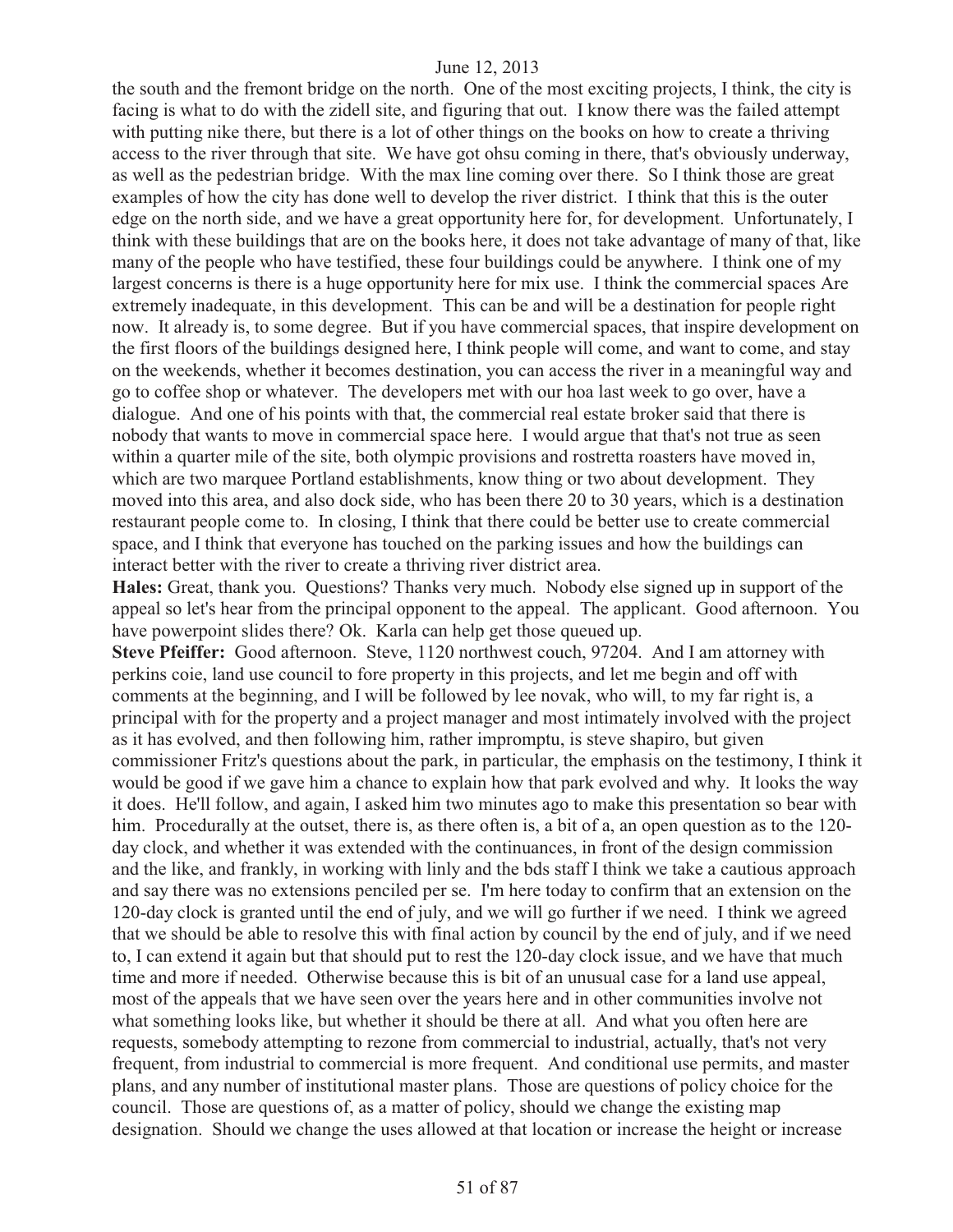the south and the fremont bridge on the north. One of the most exciting projects, I think, the city is facing is what to do with the zidell site, and figuring that out. I know there was the failed attempt with putting nike there, but there is a lot of other things on the books on how to create a thriving access to the river through that site. We have got ohsu coming in there, that's obviously underway, as well as the pedestrian bridge. With the max line coming over there. So I think those are great examples of how the city has done well to develop the river district. I think that this is the outer edge on the north side, and we have a great opportunity here for, for development. Unfortunately, I think with these buildings that are on the books here, it does not take advantage of many of that, like many of the people who have testified, these four buildings could be anywhere. I think one of my largest concerns is there is a huge opportunity here for mix use. I think the commercial spaces Are extremely inadequate, in this development. This can be and will be a destination for people right now. It already is, to some degree. But if you have commercial spaces, that inspire development on the first floors of the buildings designed here, I think people will come, and want to come, and stay on the weekends, whether it becomes destination, you can access the river in a meaningful way and go to coffee shop or whatever. The developers met with our hoa last week to go over, have a dialogue. And one of his points with that, the commercial real estate broker said that there is nobody that wants to move in commercial space here. I would argue that that's not true as seen within a quarter mile of the site, both olympic provisions and rostretta roasters have moved in, which are two marquee Portland establishments, know thing or two about development. They moved into this area, and also dock side, who has been there 20 to 30 years, which is a destination restaurant people come to. In closing, I think that there could be better use to create commercial space, and I think that everyone has touched on the parking issues and how the buildings can interact better with the river to create a thriving river district area.

**Hales:** Great, thank you. Questions? Thanks very much. Nobody else signed up in support of the appeal so let's hear from the principal opponent to the appeal. The applicant. Good afternoon. You have powerpoint slides there? Ok. Karla can help get those queued up.

**Steve Pfeiffer:** Good afternoon. Steve, 1120 northwest couch, 97204. And I am attorney with perkins coie, land use council to fore property in this projects, and let me begin and off with comments at the beginning, and I will be followed by lee novak, who will, to my far right is, a principal with for the property and a project manager and most intimately involved with the project as it has evolved, and then following him, rather impromptu, is steve shapiro, but given commissioner Fritz's questions about the park, in particular, the emphasis on the testimony, I think it would be good if we gave him a chance to explain how that park evolved and why. It looks the way it does. He'll follow, and again, I asked him two minutes ago to make this presentation so bear with him. Procedurally at the outset, there is, as there often is, a bit of a, an open question as to the 120day clock, and whether it was extended with the continuances, in front of the design commission and the like, and frankly, in working with linly and the bds staff I think we take a cautious approach and say there was no extensions penciled per se. I'm here today to confirm that an extension on the 120-day clock is granted until the end of july, and we will go further if we need. I think we agreed that we should be able to resolve this with final action by council by the end of july, and if we need to, I can extend it again but that should put to rest the 120-day clock issue, and we have that much time and more if needed. Otherwise because this is bit of an unusual case for a land use appeal, most of the appeals that we have seen over the years here and in other communities involve not what something looks like, but whether it should be there at all. And what you often here are requests, somebody attempting to rezone from commercial to industrial, actually, that's not very frequent, from industrial to commercial is more frequent. And conditional use permits, and master plans, and any number of institutional master plans. Those are questions of policy choice for the council. Those are questions of, as a matter of policy, should we change the existing map designation. Should we change the uses allowed at that location or increase the height or increase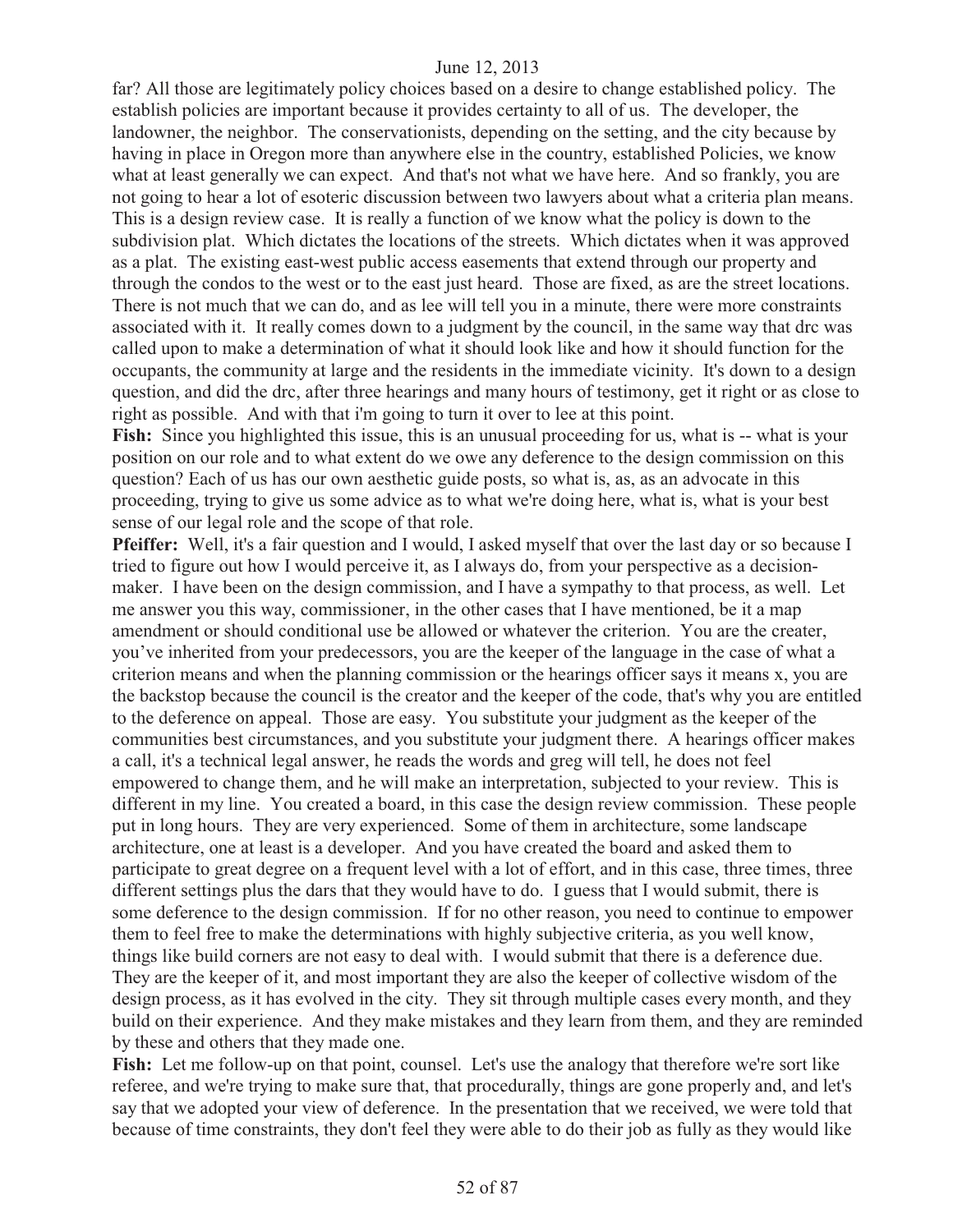far? All those are legitimately policy choices based on a desire to change established policy. The establish policies are important because it provides certainty to all of us. The developer, the landowner, the neighbor. The conservationists, depending on the setting, and the city because by having in place in Oregon more than anywhere else in the country, established Policies, we know what at least generally we can expect. And that's not what we have here. And so frankly, you are not going to hear a lot of esoteric discussion between two lawyers about what a criteria plan means. This is a design review case. It is really a function of we know what the policy is down to the subdivision plat. Which dictates the locations of the streets. Which dictates when it was approved as a plat. The existing east-west public access easements that extend through our property and through the condos to the west or to the east just heard. Those are fixed, as are the street locations. There is not much that we can do, and as lee will tell you in a minute, there were more constraints associated with it. It really comes down to a judgment by the council, in the same way that drc was called upon to make a determination of what it should look like and how it should function for the occupants, the community at large and the residents in the immediate vicinity. It's down to a design question, and did the drc, after three hearings and many hours of testimony, get it right or as close to right as possible. And with that i'm going to turn it over to lee at this point.

Fish: Since you highlighted this issue, this is an unusual proceeding for us, what is -- what is your position on our role and to what extent do we owe any deference to the design commission on this question? Each of us has our own aesthetic guide posts, so what is, as, as an advocate in this proceeding, trying to give us some advice as to what we're doing here, what is, what is your best sense of our legal role and the scope of that role.

**Pfeiffer:** Well, it's a fair question and I would, I asked myself that over the last day or so because I tried to figure out how I would perceive it, as I always do, from your perspective as a decisionmaker. I have been on the design commission, and I have a sympathy to that process, as well. Let me answer you this way, commissioner, in the other cases that I have mentioned, be it a map amendment or should conditional use be allowed or whatever the criterion. You are the creater, you've inherited from your predecessors, you are the keeper of the language in the case of what a criterion means and when the planning commission or the hearings officer says it means x, you are the backstop because the council is the creator and the keeper of the code, that's why you are entitled to the deference on appeal. Those are easy. You substitute your judgment as the keeper of the communities best circumstances, and you substitute your judgment there. A hearings officer makes a call, it's a technical legal answer, he reads the words and greg will tell, he does not feel empowered to change them, and he will make an interpretation, subjected to your review. This is different in my line. You created a board, in this case the design review commission. These people put in long hours. They are very experienced. Some of them in architecture, some landscape architecture, one at least is a developer. And you have created the board and asked them to participate to great degree on a frequent level with a lot of effort, and in this case, three times, three different settings plus the dars that they would have to do. I guess that I would submit, there is some deference to the design commission. If for no other reason, you need to continue to empower them to feel free to make the determinations with highly subjective criteria, as you well know, things like build corners are not easy to deal with. I would submit that there is a deference due. They are the keeper of it, and most important they are also the keeper of collective wisdom of the design process, as it has evolved in the city. They sit through multiple cases every month, and they build on their experience. And they make mistakes and they learn from them, and they are reminded by these and others that they made one.

Fish: Let me follow-up on that point, counsel. Let's use the analogy that therefore we're sort like referee, and we're trying to make sure that, that procedurally, things are gone properly and, and let's say that we adopted your view of deference. In the presentation that we received, we were told that because of time constraints, they don't feel they were able to do their job as fully as they would like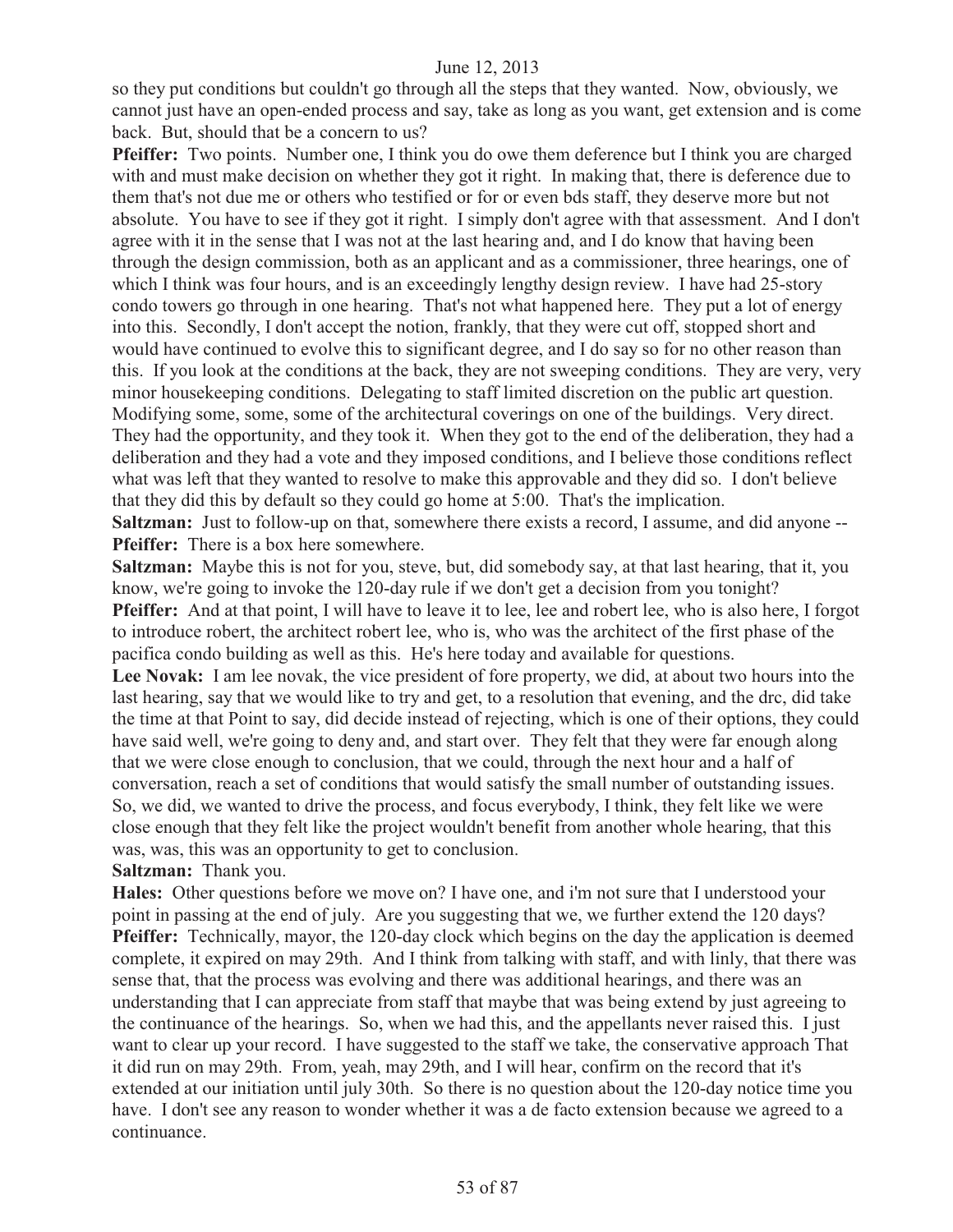so they put conditions but couldn't go through all the steps that they wanted. Now, obviously, we cannot just have an open-ended process and say, take as long as you want, get extension and is come back. But, should that be a concern to us?

**Pfeiffer:** Two points. Number one, I think you do owe them deference but I think you are charged with and must make decision on whether they got it right. In making that, there is deference due to them that's not due me or others who testified or for or even bds staff, they deserve more but not absolute. You have to see if they got it right. I simply don't agree with that assessment. And I don't agree with it in the sense that I was not at the last hearing and, and I do know that having been through the design commission, both as an applicant and as a commissioner, three hearings, one of which I think was four hours, and is an exceedingly lengthy design review. I have had 25-story condo towers go through in one hearing. That's not what happened here. They put a lot of energy into this. Secondly, I don't accept the notion, frankly, that they were cut off, stopped short and would have continued to evolve this to significant degree, and I do say so for no other reason than this. If you look at the conditions at the back, they are not sweeping conditions. They are very, very minor housekeeping conditions. Delegating to staff limited discretion on the public art question. Modifying some, some, some of the architectural coverings on one of the buildings. Very direct. They had the opportunity, and they took it. When they got to the end of the deliberation, they had a deliberation and they had a vote and they imposed conditions, and I believe those conditions reflect what was left that they wanted to resolve to make this approvable and they did so. I don't believe that they did this by default so they could go home at 5:00. That's the implication.

**Saltzman:** Just to follow-up on that, somewhere there exists a record, I assume, and did anyone -- **Pfeiffer:** There is a box here somewhere.

**Saltzman:** Maybe this is not for you, steve, but, did somebody say, at that last hearing, that it, you know, we're going to invoke the 120-day rule if we don't get a decision from you tonight? **Pfeiffer:** And at that point, I will have to leave it to lee, lee and robert lee, who is also here, I forgot to introduce robert, the architect robert lee, who is, who was the architect of the first phase of the pacifica condo building as well as this. He's here today and available for questions.

Lee Novak: I am lee novak, the vice president of fore property, we did, at about two hours into the last hearing, say that we would like to try and get, to a resolution that evening, and the drc, did take the time at that Point to say, did decide instead of rejecting, which is one of their options, they could have said well, we're going to deny and, and start over. They felt that they were far enough along that we were close enough to conclusion, that we could, through the next hour and a half of conversation, reach a set of conditions that would satisfy the small number of outstanding issues. So, we did, we wanted to drive the process, and focus everybody, I think, they felt like we were close enough that they felt like the project wouldn't benefit from another whole hearing, that this was, was, this was an opportunity to get to conclusion.

# **Saltzman:** Thank you.

**Hales:** Other questions before we move on? I have one, and i'm not sure that I understood your point in passing at the end of july. Are you suggesting that we, we further extend the 120 days? **Pfeiffer:** Technically, mayor, the 120-day clock which begins on the day the application is deemed complete, it expired on may 29th. And I think from talking with staff, and with linly, that there was sense that, that the process was evolving and there was additional hearings, and there was an understanding that I can appreciate from staff that maybe that was being extend by just agreeing to the continuance of the hearings. So, when we had this, and the appellants never raised this. I just want to clear up your record. I have suggested to the staff we take, the conservative approach That it did run on may 29th. From, yeah, may 29th, and I will hear, confirm on the record that it's extended at our initiation until july 30th. So there is no question about the 120-day notice time you have. I don't see any reason to wonder whether it was a de facto extension because we agreed to a continuance.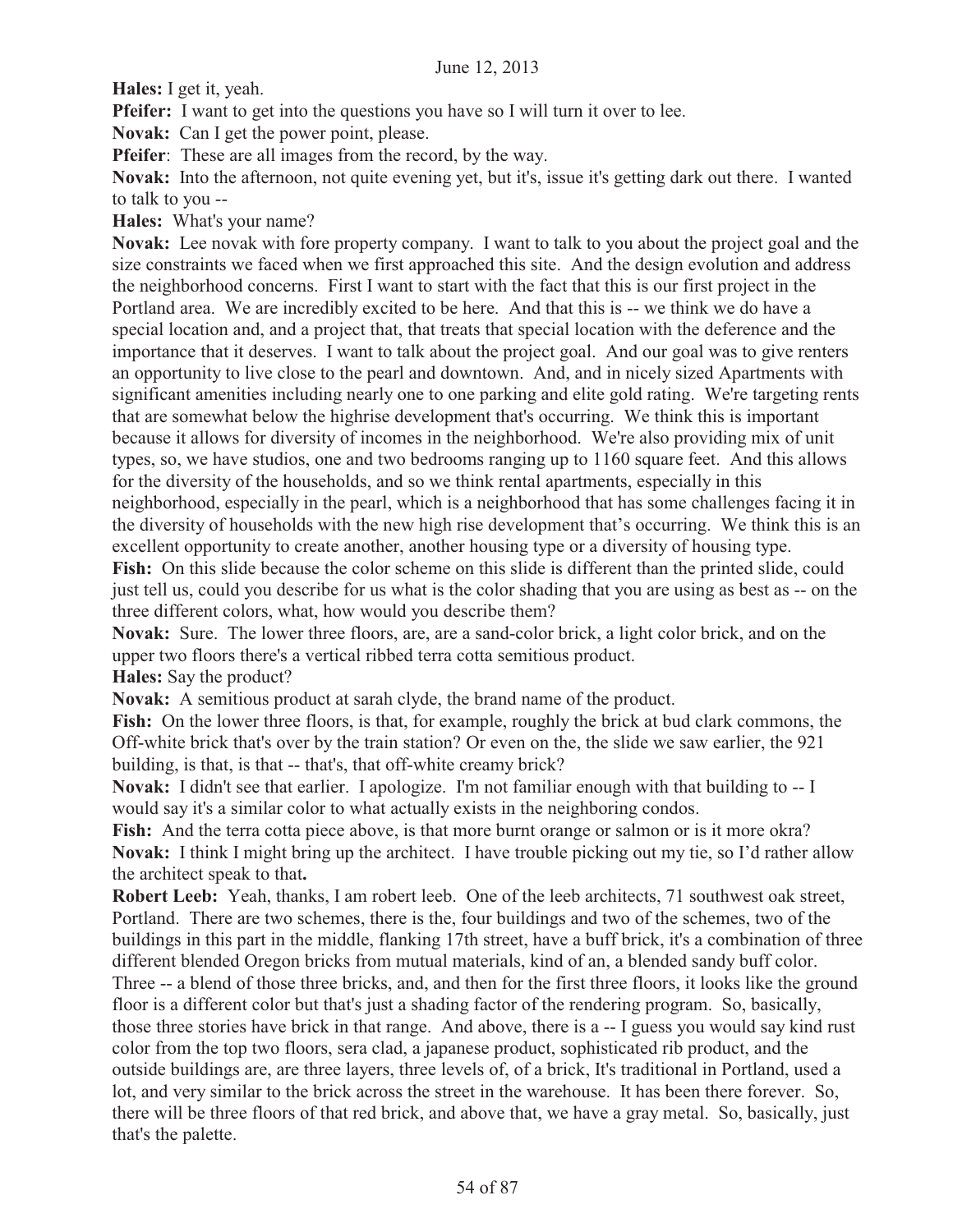**Hales:** I get it, yeah.

**Pfeifer:** I want to get into the questions you have so I will turn it over to lee.

**Novak:** Can I get the power point, please.

**Pfeifer**: These are all images from the record, by the way.

**Novak:** Into the afternoon, not quite evening yet, but it's, issue it's getting dark out there. I wanted to talk to you --

**Hales:** What's your name?

**Novak:** Lee novak with fore property company. I want to talk to you about the project goal and the size constraints we faced when we first approached this site. And the design evolution and address the neighborhood concerns. First I want to start with the fact that this is our first project in the Portland area. We are incredibly excited to be here. And that this is -- we think we do have a special location and, and a project that, that treats that special location with the deference and the importance that it deserves. I want to talk about the project goal. And our goal was to give renters an opportunity to live close to the pearl and downtown. And, and in nicely sized Apartments with significant amenities including nearly one to one parking and elite gold rating. We're targeting rents that are somewhat below the highrise development that's occurring. We think this is important because it allows for diversity of incomes in the neighborhood. We're also providing mix of unit types, so, we have studios, one and two bedrooms ranging up to 1160 square feet. And this allows for the diversity of the households, and so we think rental apartments, especially in this neighborhood, especially in the pearl, which is a neighborhood that has some challenges facing it in the diversity of households with the new high rise development that's occurring. We think this is an excellent opportunity to create another, another housing type or a diversity of housing type.

**Fish:** On this slide because the color scheme on this slide is different than the printed slide, could just tell us, could you describe for us what is the color shading that you are using as best as -- on the three different colors, what, how would you describe them?

**Novak:** Sure. The lower three floors, are, are a sand-color brick, a light color brick, and on the upper two floors there's a vertical ribbed terra cotta semitious product.

**Hales:** Say the product?

**Novak:** A semitious product at sarah clyde, the brand name of the product.

Fish: On the lower three floors, is that, for example, roughly the brick at bud clark commons, the Off-white brick that's over by the train station? Or even on the, the slide we saw earlier, the 921 building, is that, is that -- that's, that off-white creamy brick?

**Novak:** I didn't see that earlier. I apologize. I'm not familiar enough with that building to -- I would say it's a similar color to what actually exists in the neighboring condos.

**Fish:** And the terra cotta piece above, is that more burnt orange or salmon or is it more okra? **Novak:** I think I might bring up the architect. I have trouble picking out my tie, so I'd rather allow the architect speak to that**.** 

**Robert Leeb:** Yeah, thanks, I am robert leeb. One of the leeb architects, 71 southwest oak street, Portland. There are two schemes, there is the, four buildings and two of the schemes, two of the buildings in this part in the middle, flanking 17th street, have a buff brick, it's a combination of three different blended Oregon bricks from mutual materials, kind of an, a blended sandy buff color. Three -- a blend of those three bricks, and, and then for the first three floors, it looks like the ground floor is a different color but that's just a shading factor of the rendering program. So, basically, those three stories have brick in that range. And above, there is a -- I guess you would say kind rust color from the top two floors, sera clad, a japanese product, sophisticated rib product, and the outside buildings are, are three layers, three levels of, of a brick, It's traditional in Portland, used a lot, and very similar to the brick across the street in the warehouse. It has been there forever. So, there will be three floors of that red brick, and above that, we have a gray metal. So, basically, just that's the palette.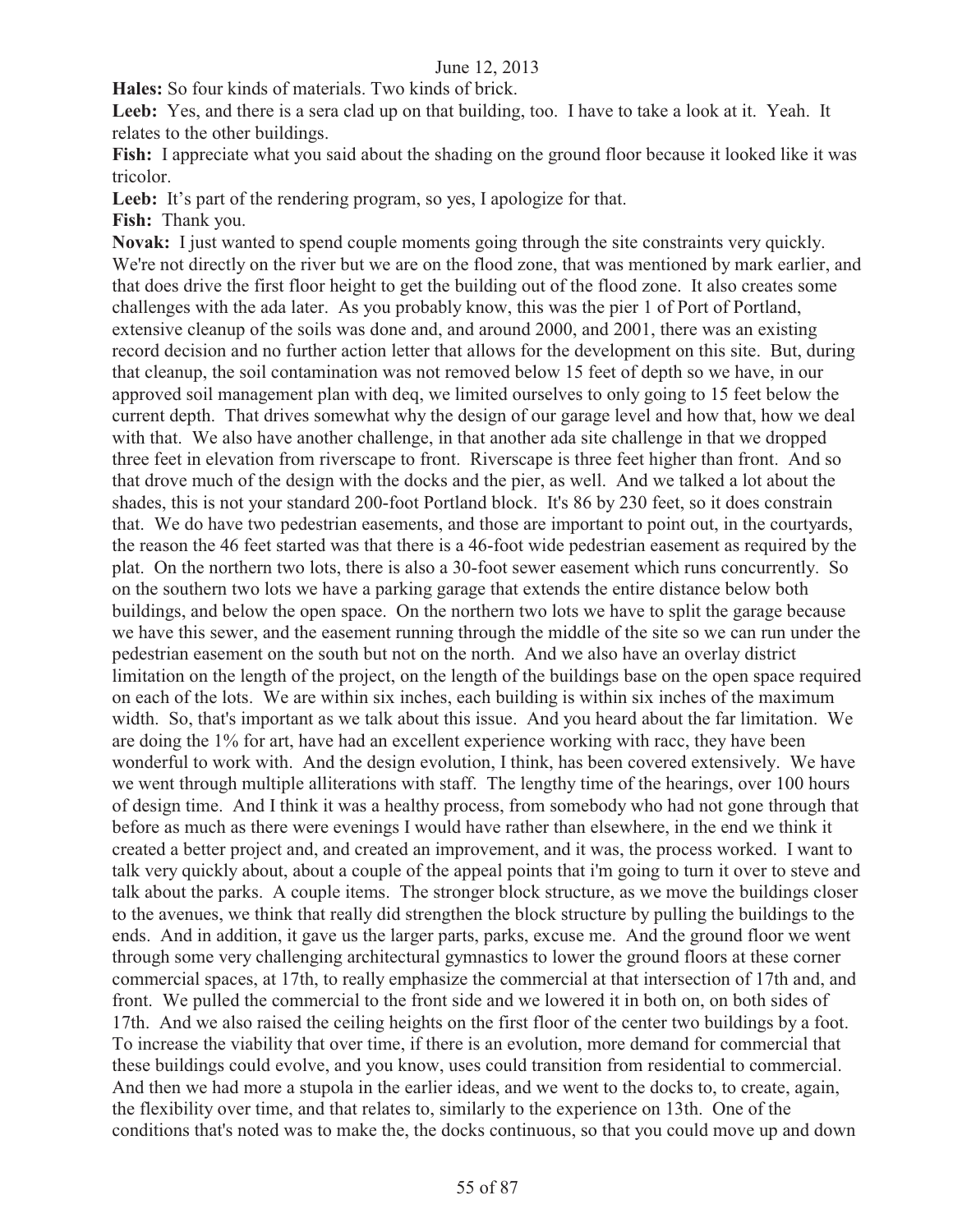**Hales:** So four kinds of materials. Two kinds of brick.

Leeb: Yes, and there is a sera clad up on that building, too. I have to take a look at it. Yeah. It relates to the other buildings.

**Fish:** I appreciate what you said about the shading on the ground floor because it looked like it was tricolor.

Leeb: It's part of the rendering program, so yes, I apologize for that.

**Fish:** Thank you.

**Novak:** I just wanted to spend couple moments going through the site constraints very quickly. We're not directly on the river but we are on the flood zone, that was mentioned by mark earlier, and that does drive the first floor height to get the building out of the flood zone. It also creates some challenges with the ada later. As you probably know, this was the pier 1 of Port of Portland, extensive cleanup of the soils was done and, and around 2000, and 2001, there was an existing record decision and no further action letter that allows for the development on this site. But, during that cleanup, the soil contamination was not removed below 15 feet of depth so we have, in our approved soil management plan with deq, we limited ourselves to only going to 15 feet below the current depth. That drives somewhat why the design of our garage level and how that, how we deal with that. We also have another challenge, in that another ada site challenge in that we dropped three feet in elevation from riverscape to front. Riverscape is three feet higher than front. And so that drove much of the design with the docks and the pier, as well. And we talked a lot about the shades, this is not your standard 200-foot Portland block. It's 86 by 230 feet, so it does constrain that. We do have two pedestrian easements, and those are important to point out, in the courtyards, the reason the 46 feet started was that there is a 46-foot wide pedestrian easement as required by the plat. On the northern two lots, there is also a 30-foot sewer easement which runs concurrently. So on the southern two lots we have a parking garage that extends the entire distance below both buildings, and below the open space. On the northern two lots we have to split the garage because we have this sewer, and the easement running through the middle of the site so we can run under the pedestrian easement on the south but not on the north. And we also have an overlay district limitation on the length of the project, on the length of the buildings base on the open space required on each of the lots. We are within six inches, each building is within six inches of the maximum width. So, that's important as we talk about this issue. And you heard about the far limitation. We are doing the 1% for art, have had an excellent experience working with racc, they have been wonderful to work with. And the design evolution, I think, has been covered extensively. We have we went through multiple alliterations with staff. The lengthy time of the hearings, over 100 hours of design time. And I think it was a healthy process, from somebody who had not gone through that before as much as there were evenings I would have rather than elsewhere, in the end we think it created a better project and, and created an improvement, and it was, the process worked. I want to talk very quickly about, about a couple of the appeal points that i'm going to turn it over to steve and talk about the parks. A couple items. The stronger block structure, as we move the buildings closer to the avenues, we think that really did strengthen the block structure by pulling the buildings to the ends. And in addition, it gave us the larger parts, parks, excuse me. And the ground floor we went through some very challenging architectural gymnastics to lower the ground floors at these corner commercial spaces, at 17th, to really emphasize the commercial at that intersection of 17th and, and front. We pulled the commercial to the front side and we lowered it in both on, on both sides of 17th. And we also raised the ceiling heights on the first floor of the center two buildings by a foot. To increase the viability that over time, if there is an evolution, more demand for commercial that these buildings could evolve, and you know, uses could transition from residential to commercial. And then we had more a stupola in the earlier ideas, and we went to the docks to, to create, again, the flexibility over time, and that relates to, similarly to the experience on 13th. One of the conditions that's noted was to make the, the docks continuous, so that you could move up and down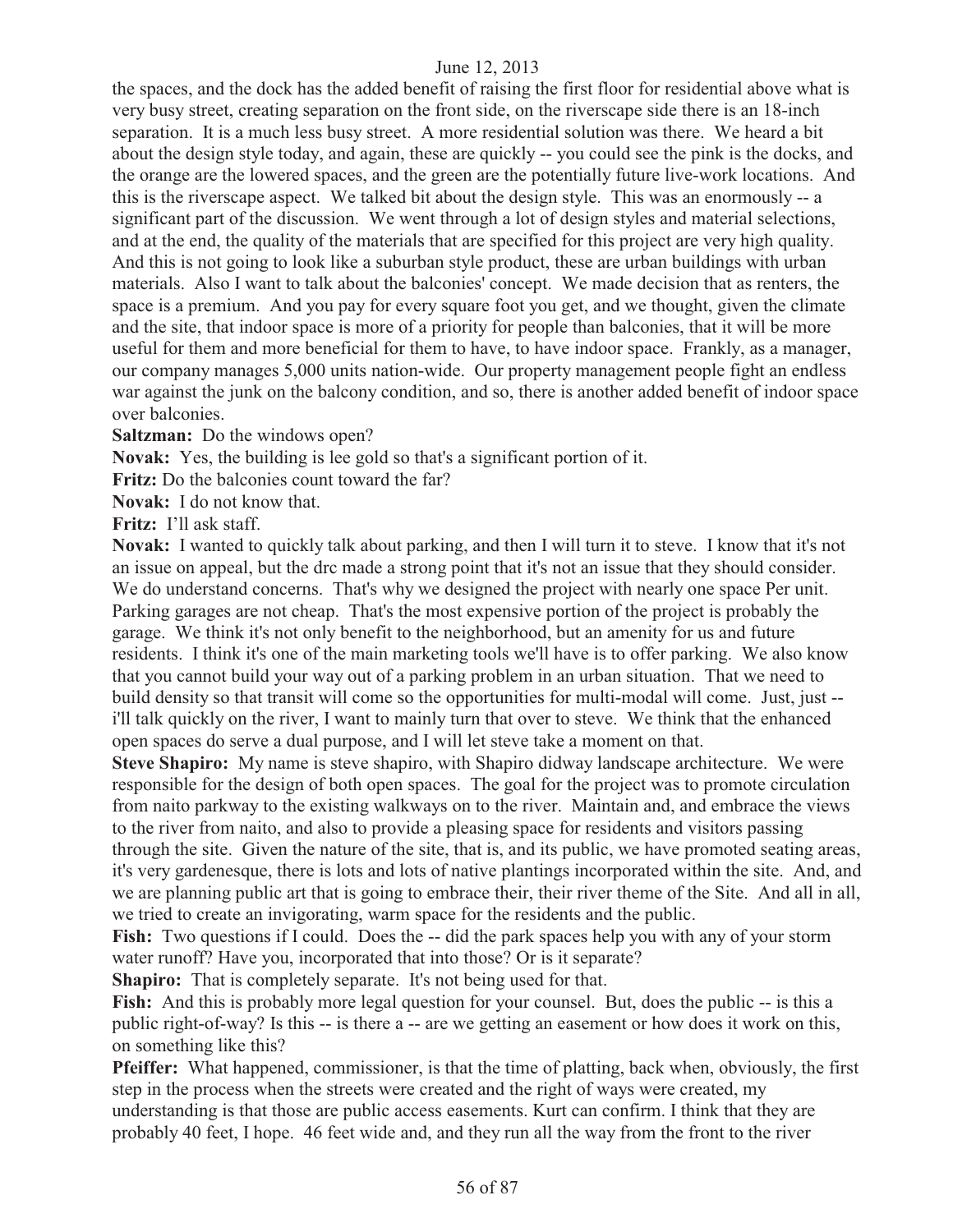the spaces, and the dock has the added benefit of raising the first floor for residential above what is very busy street, creating separation on the front side, on the riverscape side there is an 18-inch separation. It is a much less busy street. A more residential solution was there. We heard a bit about the design style today, and again, these are quickly -- you could see the pink is the docks, and the orange are the lowered spaces, and the green are the potentially future live-work locations. And this is the riverscape aspect. We talked bit about the design style. This was an enormously -- a significant part of the discussion. We went through a lot of design styles and material selections, and at the end, the quality of the materials that are specified for this project are very high quality. And this is not going to look like a suburban style product, these are urban buildings with urban materials. Also I want to talk about the balconies' concept. We made decision that as renters, the space is a premium. And you pay for every square foot you get, and we thought, given the climate and the site, that indoor space is more of a priority for people than balconies, that it will be more useful for them and more beneficial for them to have, to have indoor space. Frankly, as a manager, our company manages 5,000 units nation-wide. Our property management people fight an endless war against the junk on the balcony condition, and so, there is another added benefit of indoor space over balconies.

**Saltzman:** Do the windows open?

**Novak:** Yes, the building is lee gold so that's a significant portion of it.

**Fritz:** Do the balconies count toward the far?

**Novak:** I do not know that.

**Fritz:** I'll ask staff.

**Novak:** I wanted to quickly talk about parking, and then I will turn it to steve. I know that it's not an issue on appeal, but the drc made a strong point that it's not an issue that they should consider. We do understand concerns. That's why we designed the project with nearly one space Per unit. Parking garages are not cheap. That's the most expensive portion of the project is probably the garage. We think it's not only benefit to the neighborhood, but an amenity for us and future residents. I think it's one of the main marketing tools we'll have is to offer parking. We also know that you cannot build your way out of a parking problem in an urban situation. That we need to build density so that transit will come so the opportunities for multi-modal will come. Just, just - i'll talk quickly on the river, I want to mainly turn that over to steve. We think that the enhanced open spaces do serve a dual purpose, and I will let steve take a moment on that.

**Steve Shapiro:** My name is steve shapiro, with Shapiro didway landscape architecture. We were responsible for the design of both open spaces. The goal for the project was to promote circulation from naito parkway to the existing walkways on to the river. Maintain and, and embrace the views to the river from naito, and also to provide a pleasing space for residents and visitors passing through the site. Given the nature of the site, that is, and its public, we have promoted seating areas, it's very gardenesque, there is lots and lots of native plantings incorporated within the site. And, and we are planning public art that is going to embrace their, their river theme of the Site. And all in all, we tried to create an invigorating, warm space for the residents and the public.

**Fish:** Two questions if I could. Does the -- did the park spaces help you with any of your storm water runoff? Have you, incorporated that into those? Or is it separate?

**Shapiro:** That is completely separate. It's not being used for that.

Fish: And this is probably more legal question for your counsel. But, does the public -- is this a public right-of-way? Is this -- is there a -- are we getting an easement or how does it work on this, on something like this?

**Pfeiffer:** What happened, commissioner, is that the time of platting, back when, obviously, the first step in the process when the streets were created and the right of ways were created, my understanding is that those are public access easements. Kurt can confirm. I think that they are probably 40 feet, I hope. 46 feet wide and, and they run all the way from the front to the river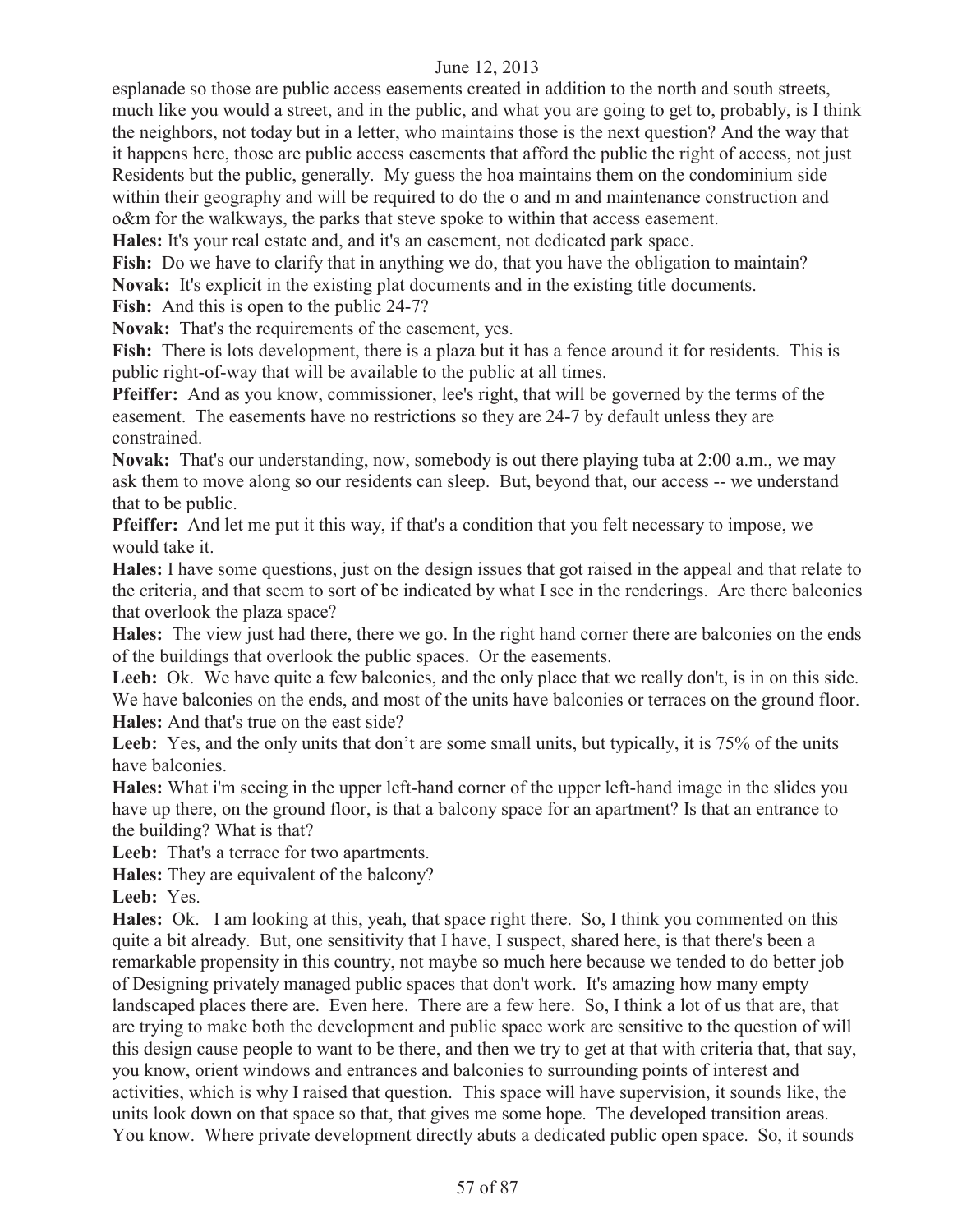esplanade so those are public access easements created in addition to the north and south streets, much like you would a street, and in the public, and what you are going to get to, probably, is I think the neighbors, not today but in a letter, who maintains those is the next question? And the way that it happens here, those are public access easements that afford the public the right of access, not just Residents but the public, generally. My guess the hoa maintains them on the condominium side within their geography and will be required to do the o and m and maintenance construction and o&m for the walkways, the parks that steve spoke to within that access easement.

**Hales:** It's your real estate and, and it's an easement, not dedicated park space.

Fish: Do we have to clarify that in anything we do, that you have the obligation to maintain? **Novak:** It's explicit in the existing plat documents and in the existing title documents.

**Fish:** And this is open to the public 24-7?

**Novak:** That's the requirements of the easement, yes.

**Fish:** There is lots development, there is a plaza but it has a fence around it for residents. This is public right-of-way that will be available to the public at all times.

**Pfeiffer:** And as you know, commissioner, lee's right, that will be governed by the terms of the easement. The easements have no restrictions so they are 24-7 by default unless they are constrained.

**Novak:** That's our understanding, now, somebody is out there playing tuba at 2:00 a.m., we may ask them to move along so our residents can sleep. But, beyond that, our access -- we understand that to be public.

**Pfeiffer:** And let me put it this way, if that's a condition that you felt necessary to impose, we would take it.

**Hales:** I have some questions, just on the design issues that got raised in the appeal and that relate to the criteria, and that seem to sort of be indicated by what I see in the renderings. Are there balconies that overlook the plaza space?

**Hales:** The view just had there, there we go. In the right hand corner there are balconies on the ends of the buildings that overlook the public spaces. Or the easements.

Leeb: Ok. We have quite a few balconies, and the only place that we really don't, is in on this side. We have balconies on the ends, and most of the units have balconies or terraces on the ground floor. **Hales:** And that's true on the east side?

Leeb: Yes, and the only units that don't are some small units, but typically, it is 75% of the units have balconies.

**Hales:** What i'm seeing in the upper left-hand corner of the upper left-hand image in the slides you have up there, on the ground floor, is that a balcony space for an apartment? Is that an entrance to the building? What is that?

Leeb: That's a terrace for two apartments.

**Hales:** They are equivalent of the balcony?

**Leeb:** Yes.

**Hales:** Ok. I am looking at this, yeah, that space right there. So, I think you commented on this quite a bit already. But, one sensitivity that I have, I suspect, shared here, is that there's been a remarkable propensity in this country, not maybe so much here because we tended to do better job of Designing privately managed public spaces that don't work. It's amazing how many empty landscaped places there are. Even here. There are a few here. So, I think a lot of us that are, that are trying to make both the development and public space work are sensitive to the question of will this design cause people to want to be there, and then we try to get at that with criteria that, that say, you know, orient windows and entrances and balconies to surrounding points of interest and activities, which is why I raised that question. This space will have supervision, it sounds like, the units look down on that space so that, that gives me some hope. The developed transition areas. You know. Where private development directly abuts a dedicated public open space. So, it sounds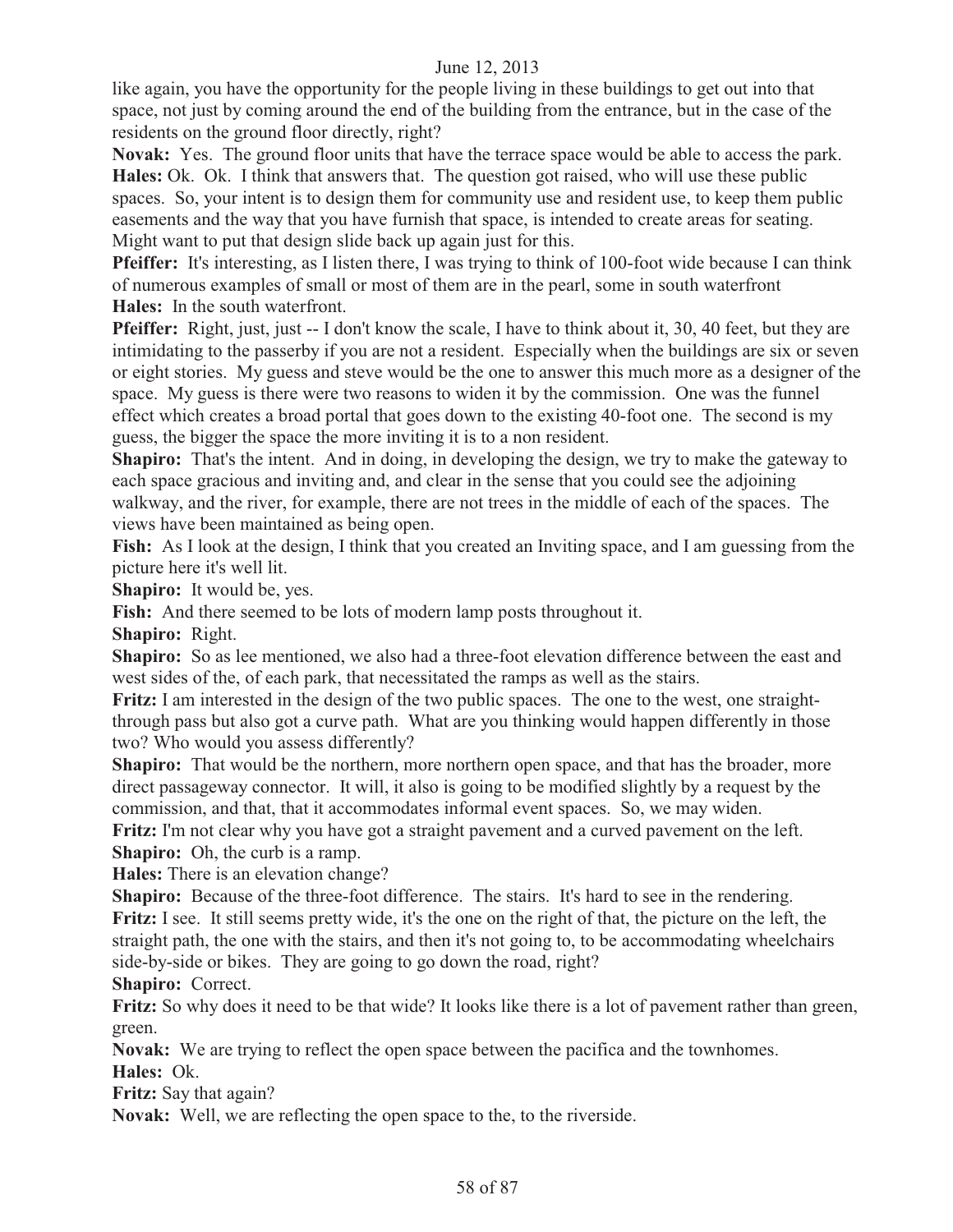like again, you have the opportunity for the people living in these buildings to get out into that space, not just by coming around the end of the building from the entrance, but in the case of the residents on the ground floor directly, right?

**Novak:** Yes. The ground floor units that have the terrace space would be able to access the park. **Hales:** Ok. Ok. I think that answers that. The question got raised, who will use these public spaces. So, your intent is to design them for community use and resident use, to keep them public easements and the way that you have furnish that space, is intended to create areas for seating. Might want to put that design slide back up again just for this.

**Pfeiffer:** It's interesting, as I listen there, I was trying to think of 100-foot wide because I can think of numerous examples of small or most of them are in the pearl, some in south waterfront **Hales:** In the south waterfront.

**Pfeiffer:** Right, just, just -- I don't know the scale, I have to think about it, 30, 40 feet, but they are intimidating to the passerby if you are not a resident. Especially when the buildings are six or seven or eight stories. My guess and steve would be the one to answer this much more as a designer of the space. My guess is there were two reasons to widen it by the commission. One was the funnel effect which creates a broad portal that goes down to the existing 40-foot one. The second is my guess, the bigger the space the more inviting it is to a non resident.

**Shapiro:** That's the intent. And in doing, in developing the design, we try to make the gateway to each space gracious and inviting and, and clear in the sense that you could see the adjoining walkway, and the river, for example, there are not trees in the middle of each of the spaces. The views have been maintained as being open.

**Fish:** As I look at the design, I think that you created an Inviting space, and I am guessing from the picture here it's well lit.

**Shapiro:** It would be, yes.

Fish: And there seemed to be lots of modern lamp posts throughout it.

**Shapiro:** Right.

**Shapiro:** So as lee mentioned, we also had a three-foot elevation difference between the east and west sides of the, of each park, that necessitated the ramps as well as the stairs.

**Fritz:** I am interested in the design of the two public spaces. The one to the west, one straightthrough pass but also got a curve path. What are you thinking would happen differently in those two? Who would you assess differently?

**Shapiro:** That would be the northern, more northern open space, and that has the broader, more direct passageway connector. It will, it also is going to be modified slightly by a request by the commission, and that, that it accommodates informal event spaces. So, we may widen.

**Fritz:** I'm not clear why you have got a straight pavement and a curved pavement on the left. **Shapiro:** Oh, the curb is a ramp.

**Hales:** There is an elevation change?

**Shapiro:** Because of the three-foot difference. The stairs. It's hard to see in the rendering. **Fritz:** I see. It still seems pretty wide, it's the one on the right of that, the picture on the left, the straight path, the one with the stairs, and then it's not going to, to be accommodating wheelchairs side-by-side or bikes. They are going to go down the road, right? **Shapiro:** Correct.

**Fritz:** So why does it need to be that wide? It looks like there is a lot of pavement rather than green, green.

**Novak:** We are trying to reflect the open space between the pacifica and the townhomes. **Hales:** Ok.

**Fritz:** Say that again?

**Novak:** Well, we are reflecting the open space to the, to the riverside.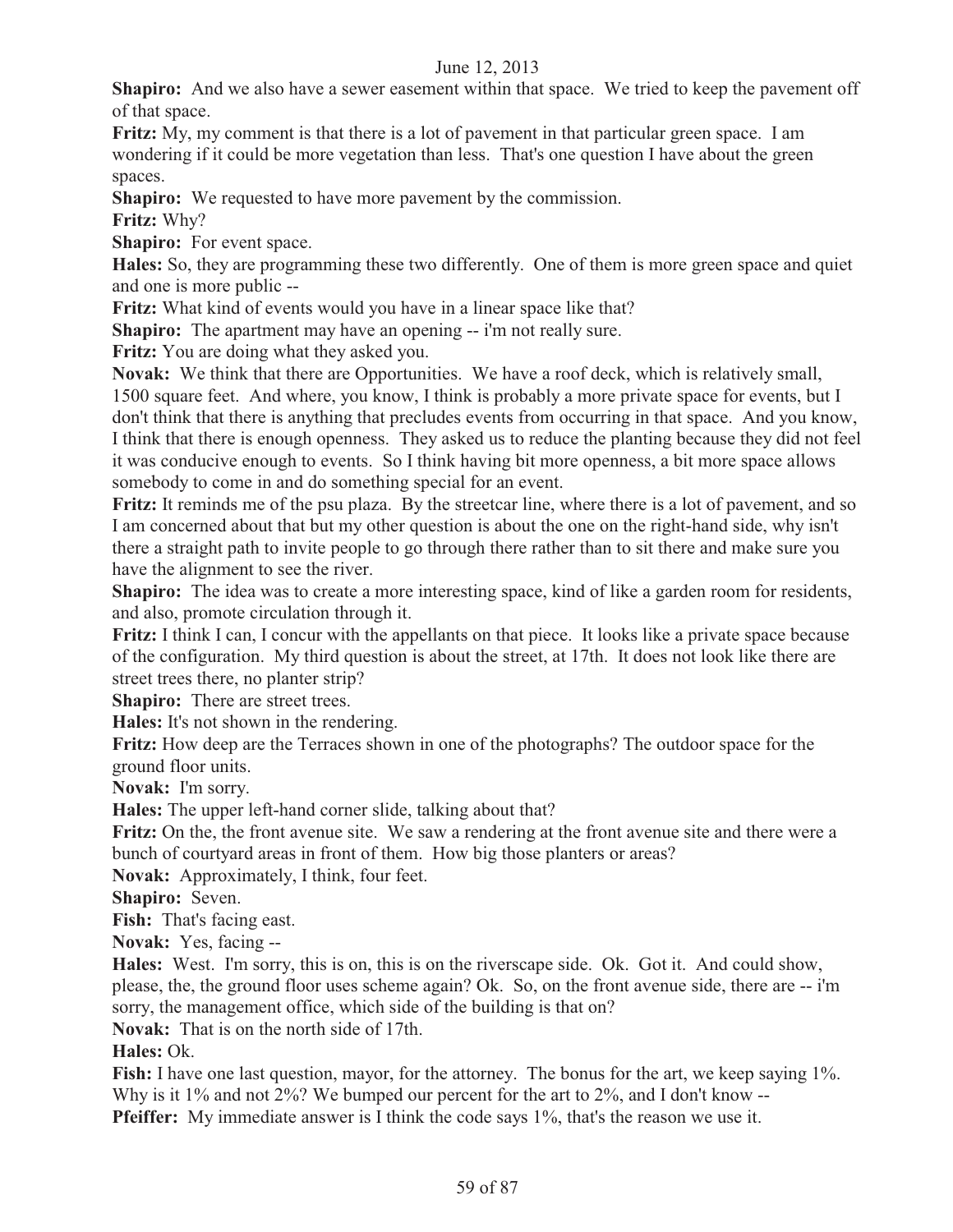**Shapiro:** And we also have a sewer easement within that space. We tried to keep the pavement off of that space.

**Fritz:** My, my comment is that there is a lot of pavement in that particular green space. I am wondering if it could be more vegetation than less. That's one question I have about the green spaces.

**Shapiro:** We requested to have more pavement by the commission.

**Fritz:** Why?

**Shapiro:** For event space.

**Hales:** So, they are programming these two differently. One of them is more green space and quiet and one is more public --

**Fritz:** What kind of events would you have in a linear space like that?

**Shapiro:** The apartment may have an opening -- i'm not really sure.

**Fritz:** You are doing what they asked you.

**Novak:** We think that there are Opportunities. We have a roof deck, which is relatively small, 1500 square feet. And where, you know, I think is probably a more private space for events, but I don't think that there is anything that precludes events from occurring in that space. And you know, I think that there is enough openness. They asked us to reduce the planting because they did not feel it was conducive enough to events. So I think having bit more openness, a bit more space allows somebody to come in and do something special for an event.

**Fritz:** It reminds me of the psu plaza. By the streetcar line, where there is a lot of pavement, and so I am concerned about that but my other question is about the one on the right-hand side, why isn't there a straight path to invite people to go through there rather than to sit there and make sure you have the alignment to see the river.

**Shapiro:** The idea was to create a more interesting space, kind of like a garden room for residents, and also, promote circulation through it.

**Fritz:** I think I can, I concur with the appellants on that piece. It looks like a private space because of the configuration. My third question is about the street, at 17th. It does not look like there are street trees there, no planter strip?

**Shapiro:** There are street trees.

**Hales:** It's not shown in the rendering.

**Fritz:** How deep are the Terraces shown in one of the photographs? The outdoor space for the ground floor units.

**Novak:** I'm sorry.

**Hales:** The upper left-hand corner slide, talking about that?

**Fritz:** On the, the front avenue site. We saw a rendering at the front avenue site and there were a bunch of courtyard areas in front of them. How big those planters or areas?

**Novak:** Approximately, I think, four feet.

**Shapiro:** Seven.

**Fish:** That's facing east.

**Novak:** Yes, facing --

**Hales:** West. I'm sorry, this is on, this is on the riverscape side. Ok. Got it. And could show, please, the, the ground floor uses scheme again? Ok. So, on the front avenue side, there are -- i'm sorry, the management office, which side of the building is that on?

**Novak:** That is on the north side of 17th.

# **Hales:** Ok.

**Fish:** I have one last question, mayor, for the attorney. The bonus for the art, we keep saying 1%. Why is it 1% and not 2%? We bumped our percent for the art to 2%, and I don't know --

**Pfeiffer:** My immediate answer is I think the code says 1%, that's the reason we use it.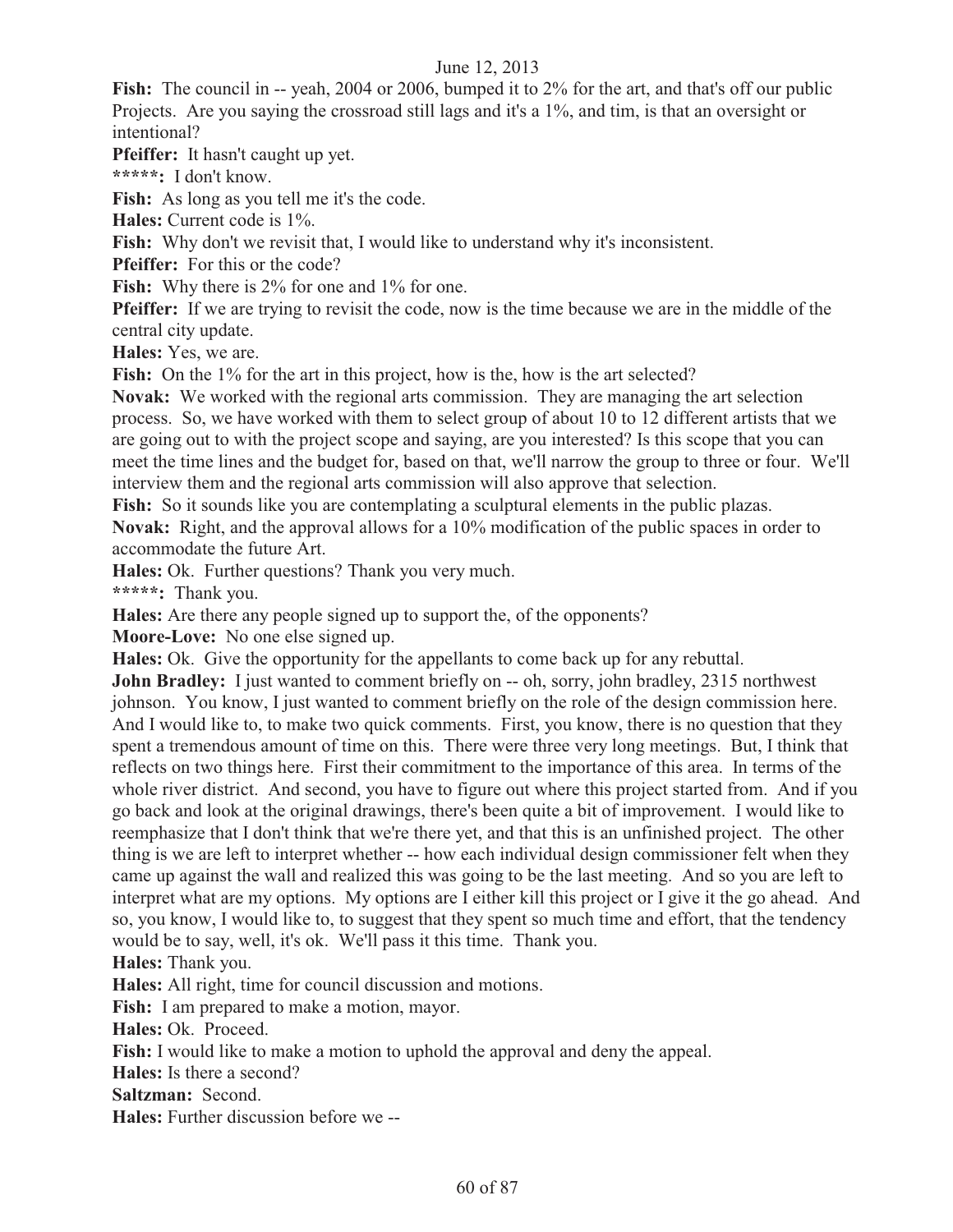Fish: The council in -- yeah, 2004 or 2006, bumped it to 2% for the art, and that's off our public Projects. Are you saying the crossroad still lags and it's a 1%, and tim, is that an oversight or intentional?

**Pfeiffer:** It hasn't caught up yet.

**\*\*\*\*\*:** I don't know.

Fish: As long as you tell me it's the code.

**Hales:** Current code is 1%.

Fish: Why don't we revisit that, I would like to understand why it's inconsistent.

**Pfeiffer:** For this or the code?

**Fish:** Why there is 2% for one and 1% for one.

**Pfeiffer:** If we are trying to revisit the code, now is the time because we are in the middle of the central city update.

**Hales:** Yes, we are.

**Fish:** On the 1% for the art in this project, how is the, how is the art selected?

**Novak:** We worked with the regional arts commission. They are managing the art selection process. So, we have worked with them to select group of about 10 to 12 different artists that we are going out to with the project scope and saying, are you interested? Is this scope that you can meet the time lines and the budget for, based on that, we'll narrow the group to three or four. We'll interview them and the regional arts commission will also approve that selection.

Fish: So it sounds like you are contemplating a sculptural elements in the public plazas.

**Novak:** Right, and the approval allows for a 10% modification of the public spaces in order to accommodate the future Art.

**Hales:** Ok. Further questions? Thank you very much.

**\*\*\*\*\*:** Thank you.

**Hales:** Are there any people signed up to support the, of the opponents?

**Moore-Love:** No one else signed up.

**Hales:** Ok. Give the opportunity for the appellants to come back up for any rebuttal.

**John Bradley:** I just wanted to comment briefly on -- oh, sorry, john bradley, 2315 northwest johnson. You know, I just wanted to comment briefly on the role of the design commission here. And I would like to, to make two quick comments. First, you know, there is no question that they spent a tremendous amount of time on this. There were three very long meetings. But, I think that reflects on two things here. First their commitment to the importance of this area. In terms of the whole river district. And second, you have to figure out where this project started from. And if you go back and look at the original drawings, there's been quite a bit of improvement. I would like to reemphasize that I don't think that we're there yet, and that this is an unfinished project. The other thing is we are left to interpret whether -- how each individual design commissioner felt when they came up against the wall and realized this was going to be the last meeting. And so you are left to interpret what are my options. My options are I either kill this project or I give it the go ahead. And so, you know, I would like to, to suggest that they spent so much time and effort, that the tendency would be to say, well, it's ok. We'll pass it this time. Thank you.

**Hales:** Thank you.

**Hales:** All right, time for council discussion and motions.

**Fish:** I am prepared to make a motion, mayor.

**Hales:** Ok. Proceed.

**Fish:** I would like to make a motion to uphold the approval and deny the appeal.

**Hales:** Is there a second?

**Saltzman:** Second.

**Hales:** Further discussion before we --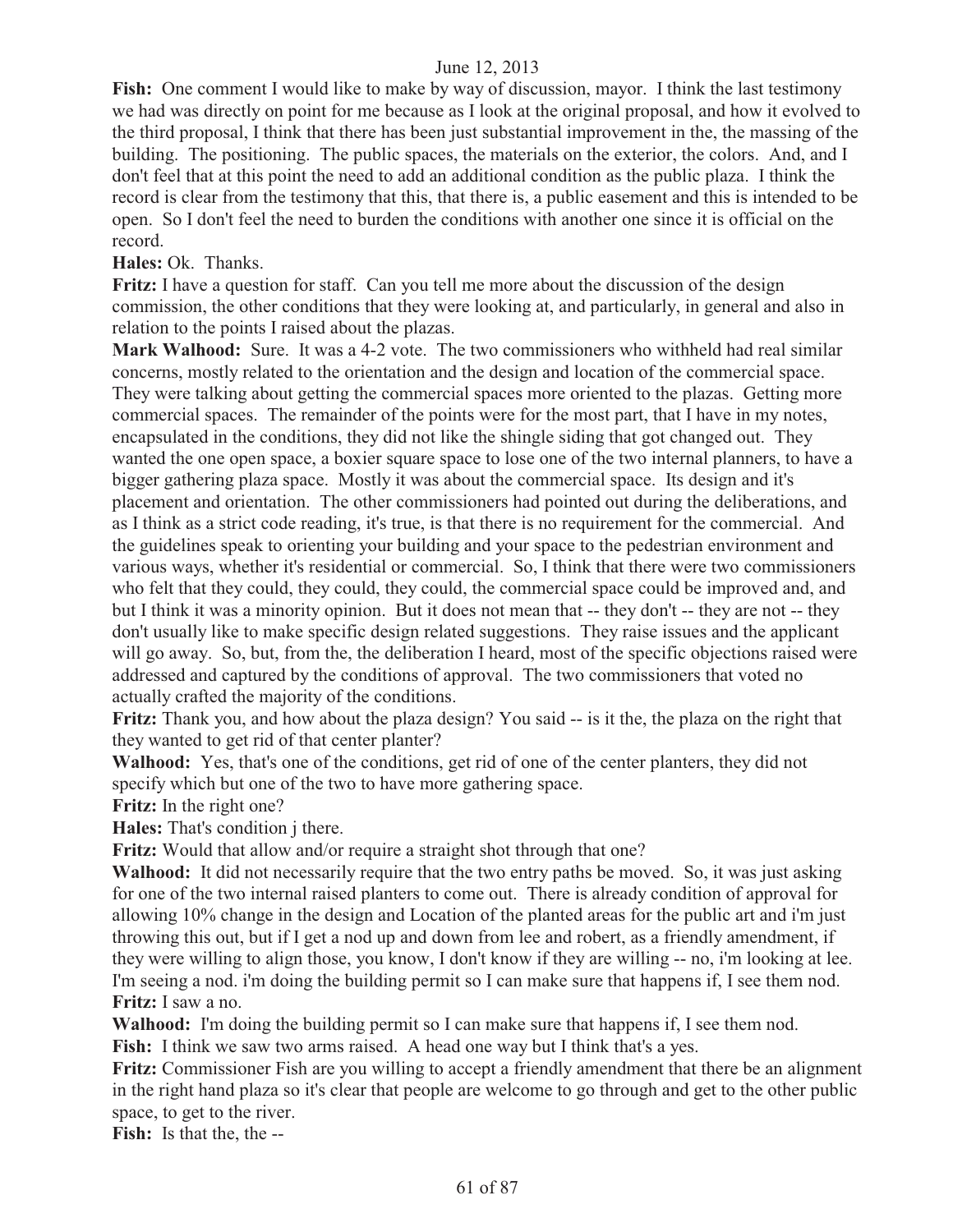**Fish:** One comment I would like to make by way of discussion, mayor. I think the last testimony we had was directly on point for me because as I look at the original proposal, and how it evolved to the third proposal, I think that there has been just substantial improvement in the, the massing of the building. The positioning. The public spaces, the materials on the exterior, the colors. And, and I don't feel that at this point the need to add an additional condition as the public plaza. I think the record is clear from the testimony that this, that there is, a public easement and this is intended to be open. So I don't feel the need to burden the conditions with another one since it is official on the record.

**Hales:** Ok. Thanks.

**Fritz:** I have a question for staff. Can you tell me more about the discussion of the design commission, the other conditions that they were looking at, and particularly, in general and also in relation to the points I raised about the plazas.

**Mark Walhood:** Sure. It was a 4-2 vote. The two commissioners who withheld had real similar concerns, mostly related to the orientation and the design and location of the commercial space. They were talking about getting the commercial spaces more oriented to the plazas. Getting more commercial spaces. The remainder of the points were for the most part, that I have in my notes, encapsulated in the conditions, they did not like the shingle siding that got changed out. They wanted the one open space, a boxier square space to lose one of the two internal planners, to have a bigger gathering plaza space. Mostly it was about the commercial space. Its design and it's placement and orientation. The other commissioners had pointed out during the deliberations, and as I think as a strict code reading, it's true, is that there is no requirement for the commercial. And the guidelines speak to orienting your building and your space to the pedestrian environment and various ways, whether it's residential or commercial. So, I think that there were two commissioners who felt that they could, they could, they could, the commercial space could be improved and, and but I think it was a minority opinion. But it does not mean that -- they don't -- they are not -- they don't usually like to make specific design related suggestions. They raise issues and the applicant will go away. So, but, from the, the deliberation I heard, most of the specific objections raised were addressed and captured by the conditions of approval. The two commissioners that voted no actually crafted the majority of the conditions.

**Fritz:** Thank you, and how about the plaza design? You said -- is it the, the plaza on the right that they wanted to get rid of that center planter?

**Walhood:** Yes, that's one of the conditions, get rid of one of the center planters, they did not specify which but one of the two to have more gathering space.

**Fritz:** In the right one?

**Hales:** That's condition j there.

**Fritz:** Would that allow and/or require a straight shot through that one?

**Walhood:** It did not necessarily require that the two entry paths be moved. So, it was just asking for one of the two internal raised planters to come out. There is already condition of approval for allowing 10% change in the design and Location of the planted areas for the public art and i'm just throwing this out, but if I get a nod up and down from lee and robert, as a friendly amendment, if they were willing to align those, you know, I don't know if they are willing -- no, i'm looking at lee. I'm seeing a nod. i'm doing the building permit so I can make sure that happens if, I see them nod. **Fritz:** I saw a no.

**Walhood:** I'm doing the building permit so I can make sure that happens if, I see them nod. **Fish:** I think we saw two arms raised. A head one way but I think that's a yes.

**Fritz:** Commissioner Fish are you willing to accept a friendly amendment that there be an alignment in the right hand plaza so it's clear that people are welcome to go through and get to the other public space, to get to the river.

**Fish:** Is that the, the --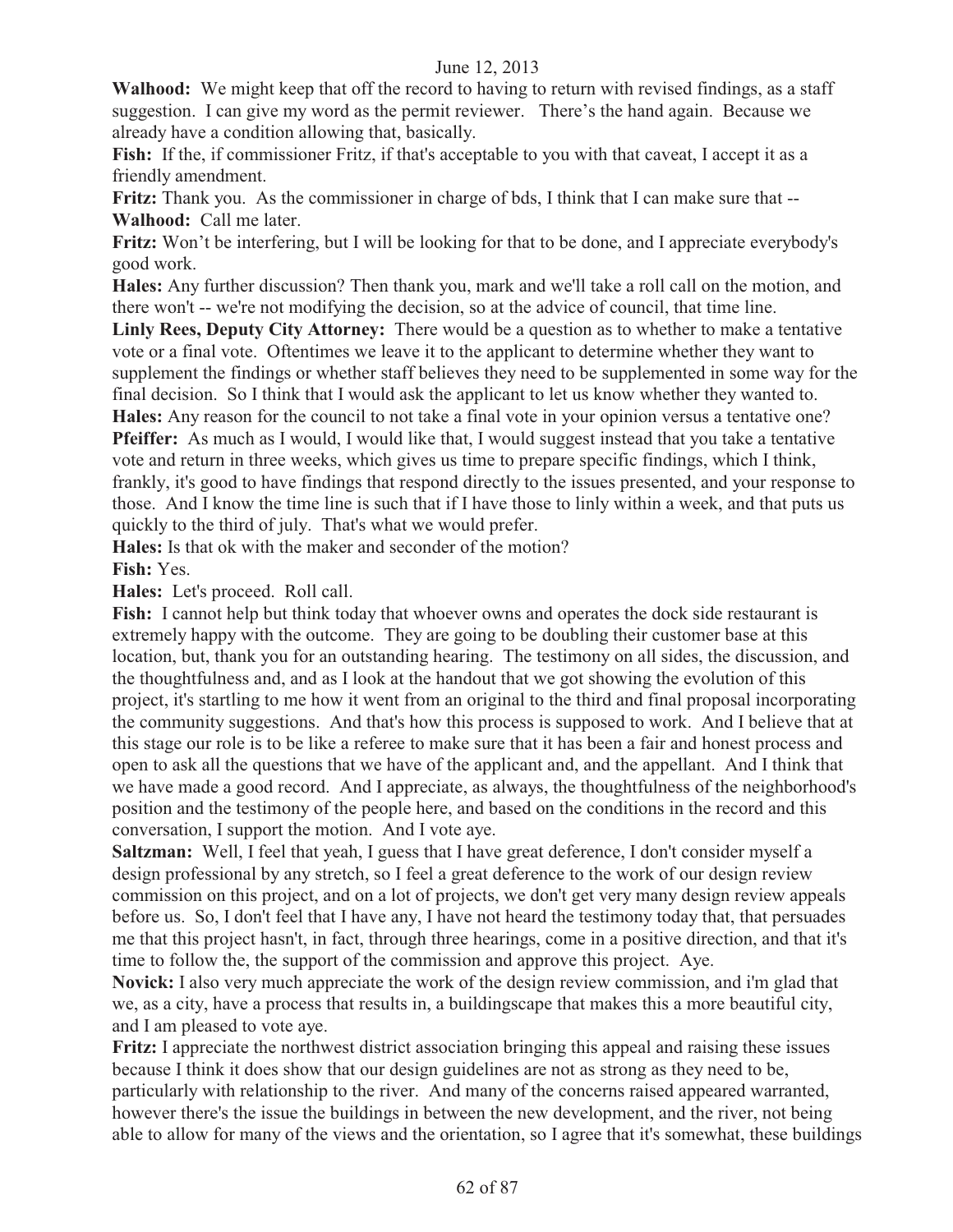**Walhood:** We might keep that off the record to having to return with revised findings, as a staff suggestion. I can give my word as the permit reviewer. There's the hand again. Because we already have a condition allowing that, basically.

Fish: If the, if commissioner Fritz, if that's acceptable to you with that caveat, I accept it as a friendly amendment.

**Fritz:** Thank you. As the commissioner in charge of bds, I think that I can make sure that -- **Walhood:** Call me later.

**Fritz:** Won't be interfering, but I will be looking for that to be done, and I appreciate everybody's good work.

**Hales:** Any further discussion? Then thank you, mark and we'll take a roll call on the motion, and there won't -- we're not modifying the decision, so at the advice of council, that time line.

**Linly Rees, Deputy City Attorney:** There would be a question as to whether to make a tentative vote or a final vote. Oftentimes we leave it to the applicant to determine whether they want to supplement the findings or whether staff believes they need to be supplemented in some way for the final decision. So I think that I would ask the applicant to let us know whether they wanted to. **Hales:** Any reason for the council to not take a final vote in your opinion versus a tentative one?

**Pfeiffer:** As much as I would, I would like that, I would suggest instead that you take a tentative vote and return in three weeks, which gives us time to prepare specific findings, which I think, frankly, it's good to have findings that respond directly to the issues presented, and your response to those. And I know the time line is such that if I have those to linly within a week, and that puts us quickly to the third of july. That's what we would prefer.

**Hales:** Is that ok with the maker and seconder of the motion? **Fish:** Yes.

**Hales:** Let's proceed. Roll call.

**Fish:** I cannot help but think today that whoever owns and operates the dock side restaurant is extremely happy with the outcome. They are going to be doubling their customer base at this location, but, thank you for an outstanding hearing. The testimony on all sides, the discussion, and the thoughtfulness and, and as I look at the handout that we got showing the evolution of this project, it's startling to me how it went from an original to the third and final proposal incorporating the community suggestions. And that's how this process is supposed to work. And I believe that at this stage our role is to be like a referee to make sure that it has been a fair and honest process and open to ask all the questions that we have of the applicant and, and the appellant. And I think that we have made a good record. And I appreciate, as always, the thoughtfulness of the neighborhood's position and the testimony of the people here, and based on the conditions in the record and this conversation, I support the motion. And I vote aye.

**Saltzman:** Well, I feel that yeah, I guess that I have great deference, I don't consider myself a design professional by any stretch, so I feel a great deference to the work of our design review commission on this project, and on a lot of projects, we don't get very many design review appeals before us. So, I don't feel that I have any, I have not heard the testimony today that, that persuades me that this project hasn't, in fact, through three hearings, come in a positive direction, and that it's time to follow the, the support of the commission and approve this project. Aye.

**Novick:** I also very much appreciate the work of the design review commission, and i'm glad that we, as a city, have a process that results in, a buildingscape that makes this a more beautiful city, and I am pleased to vote aye.

**Fritz:** I appreciate the northwest district association bringing this appeal and raising these issues because I think it does show that our design guidelines are not as strong as they need to be, particularly with relationship to the river. And many of the concerns raised appeared warranted, however there's the issue the buildings in between the new development, and the river, not being able to allow for many of the views and the orientation, so I agree that it's somewhat, these buildings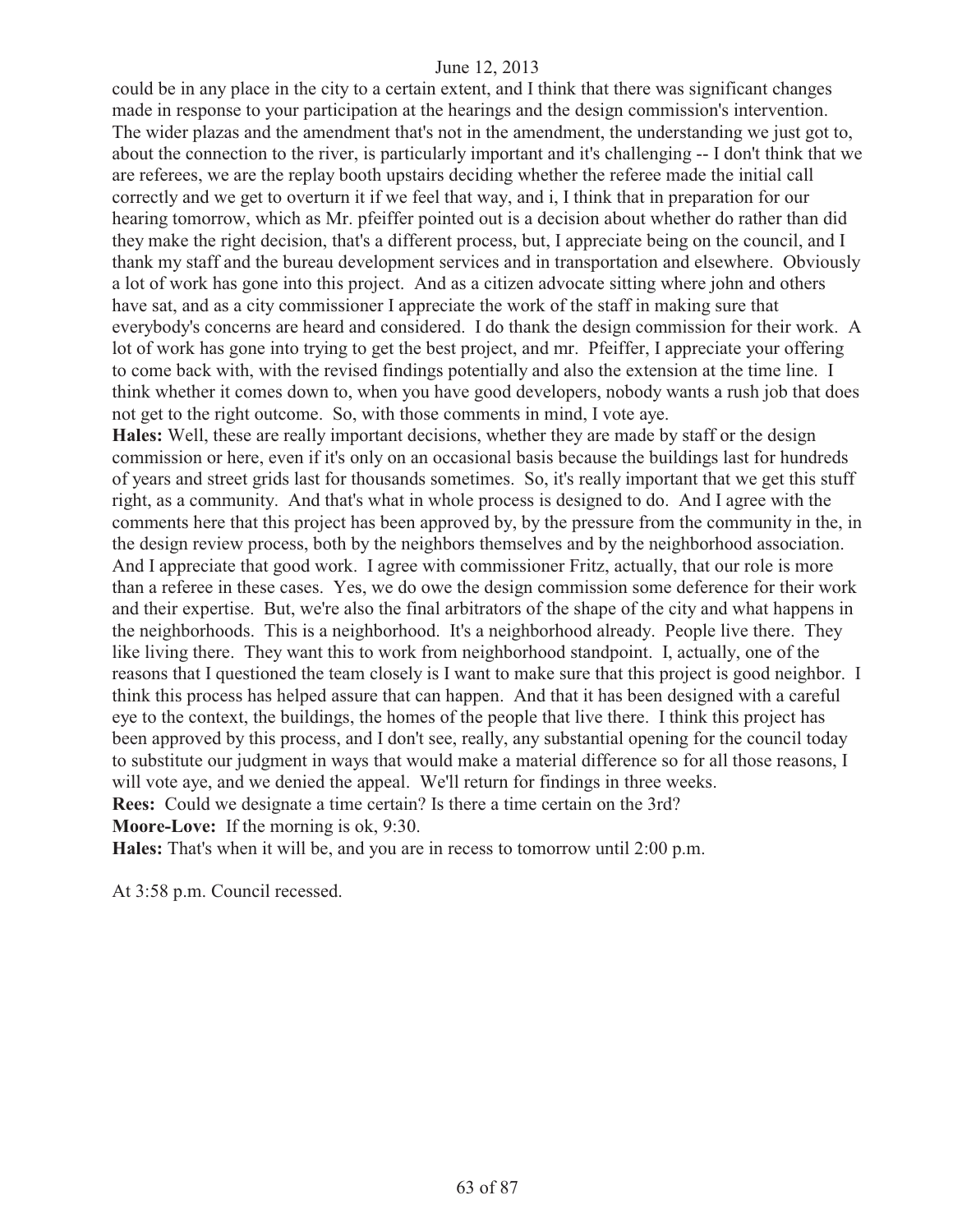could be in any place in the city to a certain extent, and I think that there was significant changes made in response to your participation at the hearings and the design commission's intervention. The wider plazas and the amendment that's not in the amendment, the understanding we just got to, about the connection to the river, is particularly important and it's challenging -- I don't think that we are referees, we are the replay booth upstairs deciding whether the referee made the initial call correctly and we get to overturn it if we feel that way, and i, I think that in preparation for our hearing tomorrow, which as Mr. pfeiffer pointed out is a decision about whether do rather than did they make the right decision, that's a different process, but, I appreciate being on the council, and I thank my staff and the bureau development services and in transportation and elsewhere. Obviously a lot of work has gone into this project. And as a citizen advocate sitting where john and others have sat, and as a city commissioner I appreciate the work of the staff in making sure that everybody's concerns are heard and considered. I do thank the design commission for their work. A lot of work has gone into trying to get the best project, and mr. Pfeiffer, I appreciate your offering to come back with, with the revised findings potentially and also the extension at the time line. I think whether it comes down to, when you have good developers, nobody wants a rush job that does not get to the right outcome. So, with those comments in mind, I vote aye.

**Hales:** Well, these are really important decisions, whether they are made by staff or the design commission or here, even if it's only on an occasional basis because the buildings last for hundreds of years and street grids last for thousands sometimes. So, it's really important that we get this stuff right, as a community. And that's what in whole process is designed to do. And I agree with the comments here that this project has been approved by, by the pressure from the community in the, in the design review process, both by the neighbors themselves and by the neighborhood association. And I appreciate that good work. I agree with commissioner Fritz, actually, that our role is more than a referee in these cases. Yes, we do owe the design commission some deference for their work and their expertise. But, we're also the final arbitrators of the shape of the city and what happens in the neighborhoods. This is a neighborhood. It's a neighborhood already. People live there. They like living there. They want this to work from neighborhood standpoint. I, actually, one of the reasons that I questioned the team closely is I want to make sure that this project is good neighbor. I think this process has helped assure that can happen. And that it has been designed with a careful eye to the context, the buildings, the homes of the people that live there. I think this project has been approved by this process, and I don't see, really, any substantial opening for the council today to substitute our judgment in ways that would make a material difference so for all those reasons, I will vote aye, and we denied the appeal. We'll return for findings in three weeks. **Rees:** Could we designate a time certain? Is there a time certain on the 3rd? **Moore-Love:** If the morning is ok, 9:30.

**Hales:** That's when it will be, and you are in recess to tomorrow until 2:00 p.m.

At 3:58 p.m. Council recessed.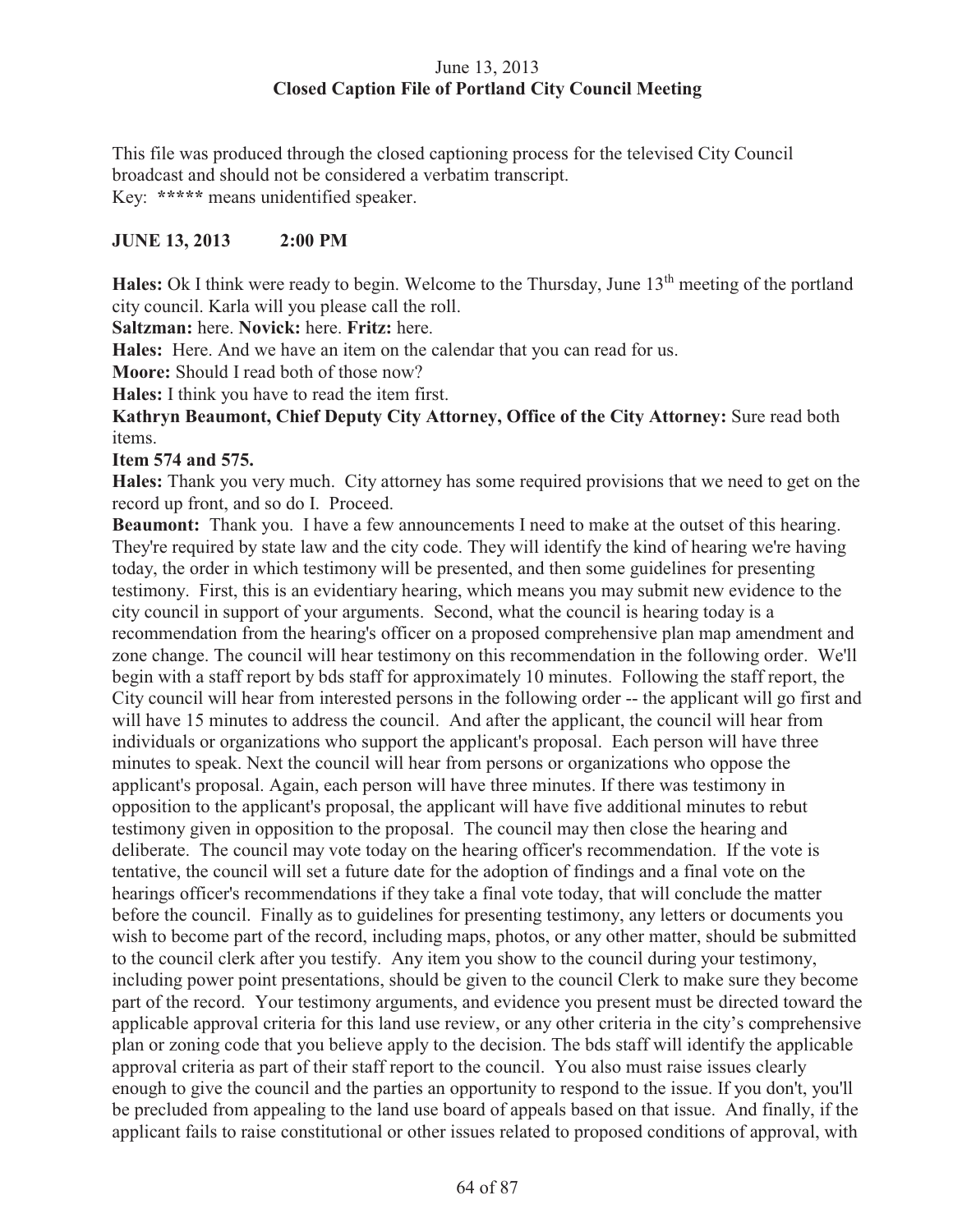# June 13, 2013 **Closed Caption File of Portland City Council Meeting**

This file was produced through the closed captioning process for the televised City Council broadcast and should not be considered a verbatim transcript. Key: **\*\*\*\*\*** means unidentified speaker.

# **JUNE 13, 2013 2:00 PM**

**Hales:** Ok I think were ready to begin. Welcome to the Thursday, June 13<sup>th</sup> meeting of the portland city council. Karla will you please call the roll.

**Saltzman:** here. **Novick:** here. **Fritz:** here.

**Hales:** Here. And we have an item on the calendar that you can read for us.

**Moore:** Should I read both of those now?

**Hales:** I think you have to read the item first.

**Kathryn Beaumont, Chief Deputy City Attorney, Office of the City Attorney:** Sure read both items.

### **Item 574 and 575.**

**Hales:** Thank you very much. City attorney has some required provisions that we need to get on the record up front, and so do I. Proceed.

**Beaumont:** Thank you. I have a few announcements I need to make at the outset of this hearing. They're required by state law and the city code. They will identify the kind of hearing we're having today, the order in which testimony will be presented, and then some guidelines for presenting testimony. First, this is an evidentiary hearing, which means you may submit new evidence to the city council in support of your arguments. Second, what the council is hearing today is a recommendation from the hearing's officer on a proposed comprehensive plan map amendment and zone change. The council will hear testimony on this recommendation in the following order. We'll begin with a staff report by bds staff for approximately 10 minutes. Following the staff report, the City council will hear from interested persons in the following order -- the applicant will go first and will have 15 minutes to address the council. And after the applicant, the council will hear from individuals or organizations who support the applicant's proposal. Each person will have three minutes to speak. Next the council will hear from persons or organizations who oppose the applicant's proposal. Again, each person will have three minutes. If there was testimony in opposition to the applicant's proposal, the applicant will have five additional minutes to rebut testimony given in opposition to the proposal. The council may then close the hearing and deliberate. The council may vote today on the hearing officer's recommendation. If the vote is tentative, the council will set a future date for the adoption of findings and a final vote on the hearings officer's recommendations if they take a final vote today, that will conclude the matter before the council. Finally as to guidelines for presenting testimony, any letters or documents you wish to become part of the record, including maps, photos, or any other matter, should be submitted to the council clerk after you testify. Any item you show to the council during your testimony, including power point presentations, should be given to the council Clerk to make sure they become part of the record. Your testimony arguments, and evidence you present must be directed toward the applicable approval criteria for this land use review, or any other criteria in the city's comprehensive plan or zoning code that you believe apply to the decision. The bds staff will identify the applicable approval criteria as part of their staff report to the council. You also must raise issues clearly enough to give the council and the parties an opportunity to respond to the issue. If you don't, you'll be precluded from appealing to the land use board of appeals based on that issue. And finally, if the applicant fails to raise constitutional or other issues related to proposed conditions of approval, with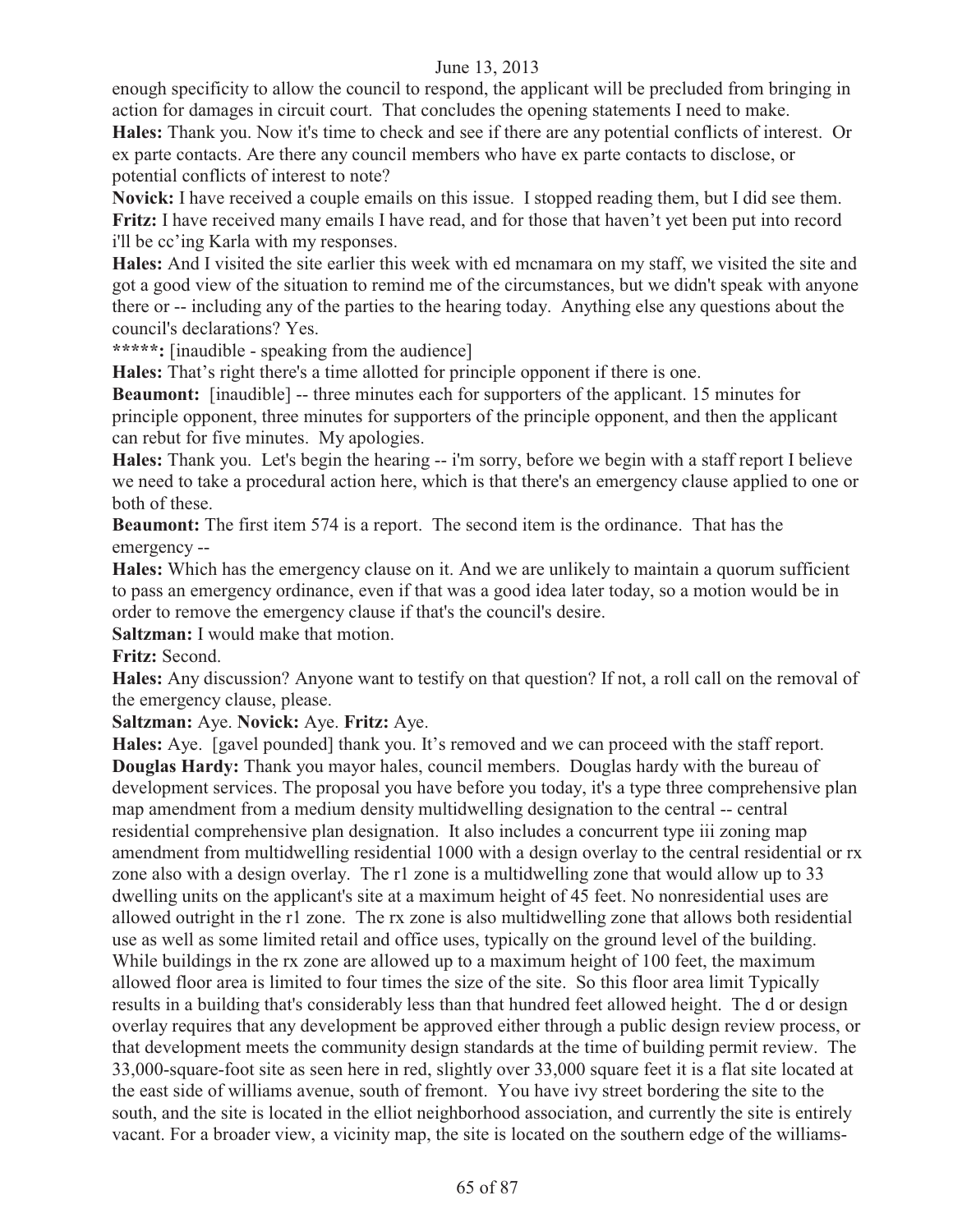enough specificity to allow the council to respond, the applicant will be precluded from bringing in action for damages in circuit court. That concludes the opening statements I need to make.

**Hales:** Thank you. Now it's time to check and see if there are any potential conflicts of interest. Or ex parte contacts. Are there any council members who have ex parte contacts to disclose, or potential conflicts of interest to note?

**Novick:** I have received a couple emails on this issue. I stopped reading them, but I did see them. **Fritz:** I have received many emails I have read, and for those that haven't yet been put into record i'll be cc'ing Karla with my responses.

**Hales:** And I visited the site earlier this week with ed mcnamara on my staff, we visited the site and got a good view of the situation to remind me of the circumstances, but we didn't speak with anyone there or -- including any of the parties to the hearing today. Anything else any questions about the council's declarations? Yes.

**\*\*\*\*\*:** [inaudible - speaking from the audience]

**Hales:** That's right there's a time allotted for principle opponent if there is one.

**Beaumont:** [inaudible] -- three minutes each for supporters of the applicant. 15 minutes for principle opponent, three minutes for supporters of the principle opponent, and then the applicant can rebut for five minutes. My apologies.

**Hales:** Thank you. Let's begin the hearing -- i'm sorry, before we begin with a staff report I believe we need to take a procedural action here, which is that there's an emergency clause applied to one or both of these.

**Beaumont:** The first item 574 is a report. The second item is the ordinance. That has the emergency --

**Hales:** Which has the emergency clause on it. And we are unlikely to maintain a quorum sufficient to pass an emergency ordinance, even if that was a good idea later today, so a motion would be in order to remove the emergency clause if that's the council's desire.

**Saltzman:** I would make that motion.

**Fritz:** Second.

**Hales:** Any discussion? Anyone want to testify on that question? If not, a roll call on the removal of the emergency clause, please.

**Saltzman:** Aye. **Novick:** Aye. **Fritz:** Aye.

**Hales:** Aye. [gavel pounded] thank you. It's removed and we can proceed with the staff report. **Douglas Hardy:** Thank you mayor hales, council members. Douglas hardy with the bureau of development services. The proposal you have before you today, it's a type three comprehensive plan map amendment from a medium density multidwelling designation to the central -- central residential comprehensive plan designation. It also includes a concurrent type iii zoning map amendment from multidwelling residential 1000 with a design overlay to the central residential or rx zone also with a design overlay. The r1 zone is a multidwelling zone that would allow up to 33 dwelling units on the applicant's site at a maximum height of 45 feet. No nonresidential uses are allowed outright in the r1 zone. The rx zone is also multidwelling zone that allows both residential use as well as some limited retail and office uses, typically on the ground level of the building. While buildings in the rx zone are allowed up to a maximum height of 100 feet, the maximum allowed floor area is limited to four times the size of the site. So this floor area limit Typically results in a building that's considerably less than that hundred feet allowed height. The d or design overlay requires that any development be approved either through a public design review process, or that development meets the community design standards at the time of building permit review. The 33,000-square-foot site as seen here in red, slightly over 33,000 square feet it is a flat site located at the east side of williams avenue, south of fremont. You have ivy street bordering the site to the south, and the site is located in the elliot neighborhood association, and currently the site is entirely vacant. For a broader view, a vicinity map, the site is located on the southern edge of the williams-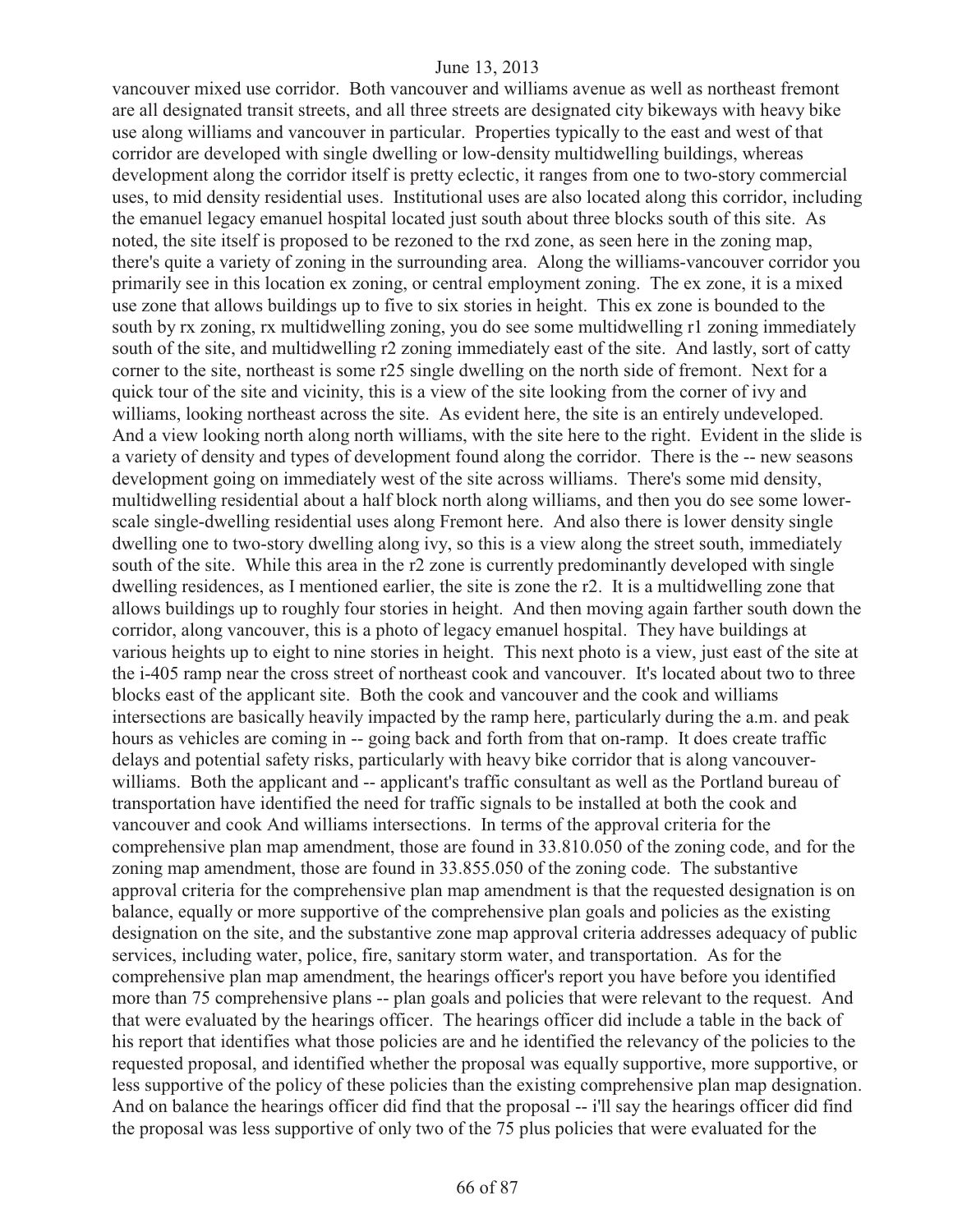vancouver mixed use corridor. Both vancouver and williams avenue as well as northeast fremont are all designated transit streets, and all three streets are designated city bikeways with heavy bike use along williams and vancouver in particular. Properties typically to the east and west of that corridor are developed with single dwelling or low-density multidwelling buildings, whereas development along the corridor itself is pretty eclectic, it ranges from one to two-story commercial uses, to mid density residential uses. Institutional uses are also located along this corridor, including the emanuel legacy emanuel hospital located just south about three blocks south of this site. As noted, the site itself is proposed to be rezoned to the rxd zone, as seen here in the zoning map, there's quite a variety of zoning in the surrounding area. Along the williams-vancouver corridor you primarily see in this location ex zoning, or central employment zoning. The ex zone, it is a mixed use zone that allows buildings up to five to six stories in height. This ex zone is bounded to the south by rx zoning, rx multidwelling zoning, you do see some multidwelling r1 zoning immediately south of the site, and multidwelling r2 zoning immediately east of the site. And lastly, sort of catty corner to the site, northeast is some r25 single dwelling on the north side of fremont. Next for a quick tour of the site and vicinity, this is a view of the site looking from the corner of ivy and williams, looking northeast across the site. As evident here, the site is an entirely undeveloped. And a view looking north along north williams, with the site here to the right. Evident in the slide is a variety of density and types of development found along the corridor. There is the -- new seasons development going on immediately west of the site across williams. There's some mid density, multidwelling residential about a half block north along williams, and then you do see some lowerscale single-dwelling residential uses along Fremont here. And also there is lower density single dwelling one to two-story dwelling along ivy, so this is a view along the street south, immediately south of the site. While this area in the r2 zone is currently predominantly developed with single dwelling residences, as I mentioned earlier, the site is zone the r2. It is a multidwelling zone that allows buildings up to roughly four stories in height. And then moving again farther south down the corridor, along vancouver, this is a photo of legacy emanuel hospital. They have buildings at various heights up to eight to nine stories in height. This next photo is a view, just east of the site at the i-405 ramp near the cross street of northeast cook and vancouver. It's located about two to three blocks east of the applicant site. Both the cook and vancouver and the cook and williams intersections are basically heavily impacted by the ramp here, particularly during the a.m. and peak hours as vehicles are coming in -- going back and forth from that on-ramp. It does create traffic delays and potential safety risks, particularly with heavy bike corridor that is along vancouverwilliams. Both the applicant and -- applicant's traffic consultant as well as the Portland bureau of transportation have identified the need for traffic signals to be installed at both the cook and vancouver and cook And williams intersections. In terms of the approval criteria for the comprehensive plan map amendment, those are found in 33.810.050 of the zoning code, and for the zoning map amendment, those are found in 33.855.050 of the zoning code. The substantive approval criteria for the comprehensive plan map amendment is that the requested designation is on balance, equally or more supportive of the comprehensive plan goals and policies as the existing designation on the site, and the substantive zone map approval criteria addresses adequacy of public services, including water, police, fire, sanitary storm water, and transportation. As for the comprehensive plan map amendment, the hearings officer's report you have before you identified more than 75 comprehensive plans -- plan goals and policies that were relevant to the request. And that were evaluated by the hearings officer. The hearings officer did include a table in the back of his report that identifies what those policies are and he identified the relevancy of the policies to the requested proposal, and identified whether the proposal was equally supportive, more supportive, or less supportive of the policy of these policies than the existing comprehensive plan map designation. And on balance the hearings officer did find that the proposal -- i'll say the hearings officer did find the proposal was less supportive of only two of the 75 plus policies that were evaluated for the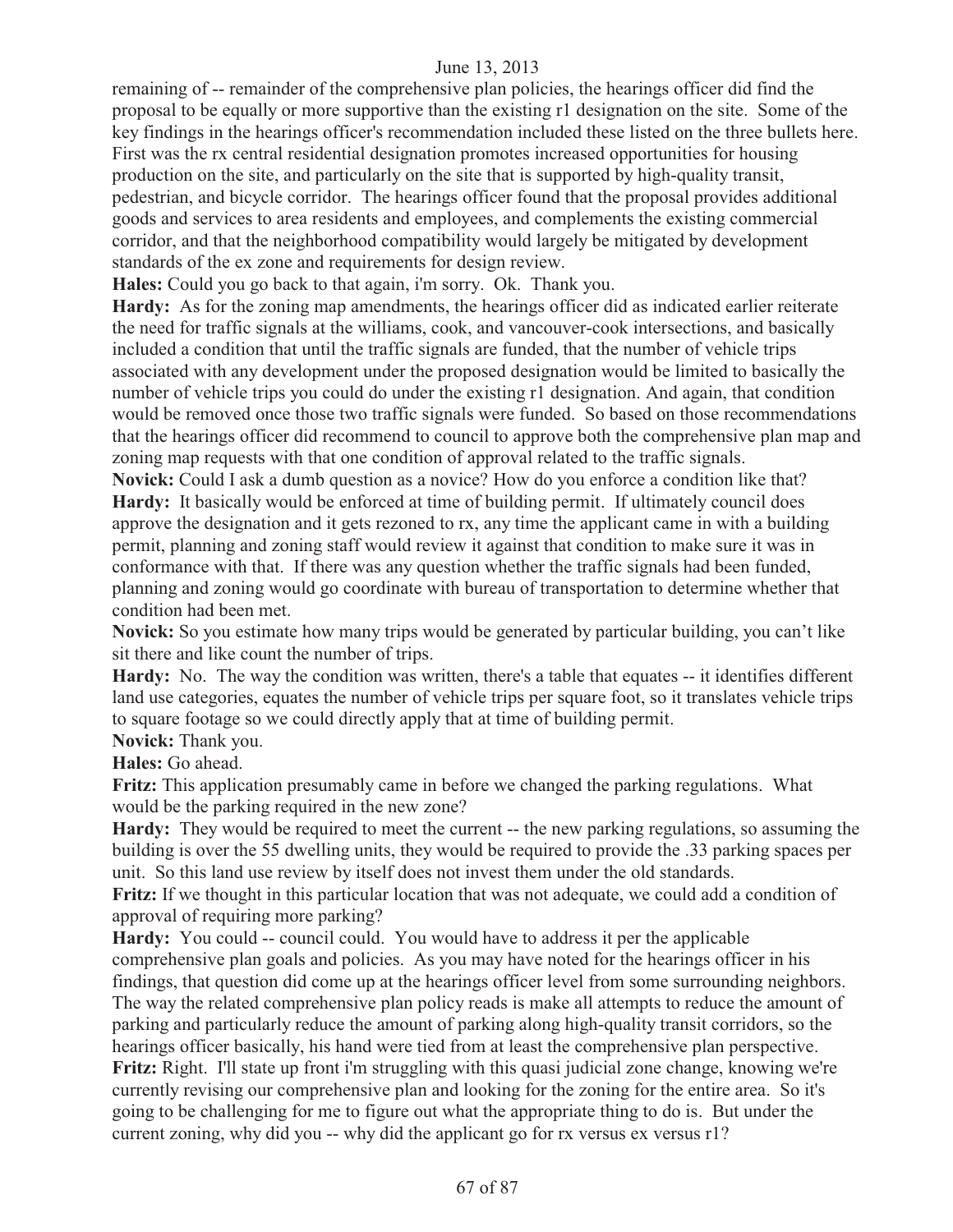remaining of -- remainder of the comprehensive plan policies, the hearings officer did find the proposal to be equally or more supportive than the existing r1 designation on the site. Some of the key findings in the hearings officer's recommendation included these listed on the three bullets here. First was the rx central residential designation promotes increased opportunities for housing production on the site, and particularly on the site that is supported by high-quality transit, pedestrian, and bicycle corridor. The hearings officer found that the proposal provides additional goods and services to area residents and employees, and complements the existing commercial corridor, and that the neighborhood compatibility would largely be mitigated by development standards of the ex zone and requirements for design review.

**Hales:** Could you go back to that again, i'm sorry. Ok. Thank you.

**Hardy:** As for the zoning map amendments, the hearings officer did as indicated earlier reiterate the need for traffic signals at the williams, cook, and vancouver-cook intersections, and basically included a condition that until the traffic signals are funded, that the number of vehicle trips associated with any development under the proposed designation would be limited to basically the number of vehicle trips you could do under the existing r1 designation. And again, that condition would be removed once those two traffic signals were funded. So based on those recommendations that the hearings officer did recommend to council to approve both the comprehensive plan map and zoning map requests with that one condition of approval related to the traffic signals.

**Novick:** Could I ask a dumb question as a novice? How do you enforce a condition like that? **Hardy:** It basically would be enforced at time of building permit. If ultimately council does approve the designation and it gets rezoned to rx, any time the applicant came in with a building permit, planning and zoning staff would review it against that condition to make sure it was in conformance with that. If there was any question whether the traffic signals had been funded, planning and zoning would go coordinate with bureau of transportation to determine whether that condition had been met.

**Novick:** So you estimate how many trips would be generated by particular building, you can't like sit there and like count the number of trips.

**Hardy:** No. The way the condition was written, there's a table that equates -- it identifies different land use categories, equates the number of vehicle trips per square foot, so it translates vehicle trips to square footage so we could directly apply that at time of building permit.

**Novick:** Thank you.

**Hales:** Go ahead.

**Fritz:** This application presumably came in before we changed the parking regulations. What would be the parking required in the new zone?

**Hardy:** They would be required to meet the current -- the new parking regulations, so assuming the building is over the 55 dwelling units, they would be required to provide the .33 parking spaces per unit. So this land use review by itself does not invest them under the old standards.

**Fritz:** If we thought in this particular location that was not adequate, we could add a condition of approval of requiring more parking?

**Hardy:** You could -- council could. You would have to address it per the applicable comprehensive plan goals and policies. As you may have noted for the hearings officer in his findings, that question did come up at the hearings officer level from some surrounding neighbors. The way the related comprehensive plan policy reads is make all attempts to reduce the amount of parking and particularly reduce the amount of parking along high-quality transit corridors, so the hearings officer basically, his hand were tied from at least the comprehensive plan perspective. **Fritz:** Right. I'll state up front i'm struggling with this quasi judicial zone change, knowing we're currently revising our comprehensive plan and looking for the zoning for the entire area. So it's going to be challenging for me to figure out what the appropriate thing to do is. But under the current zoning, why did you -- why did the applicant go for rx versus ex versus r1?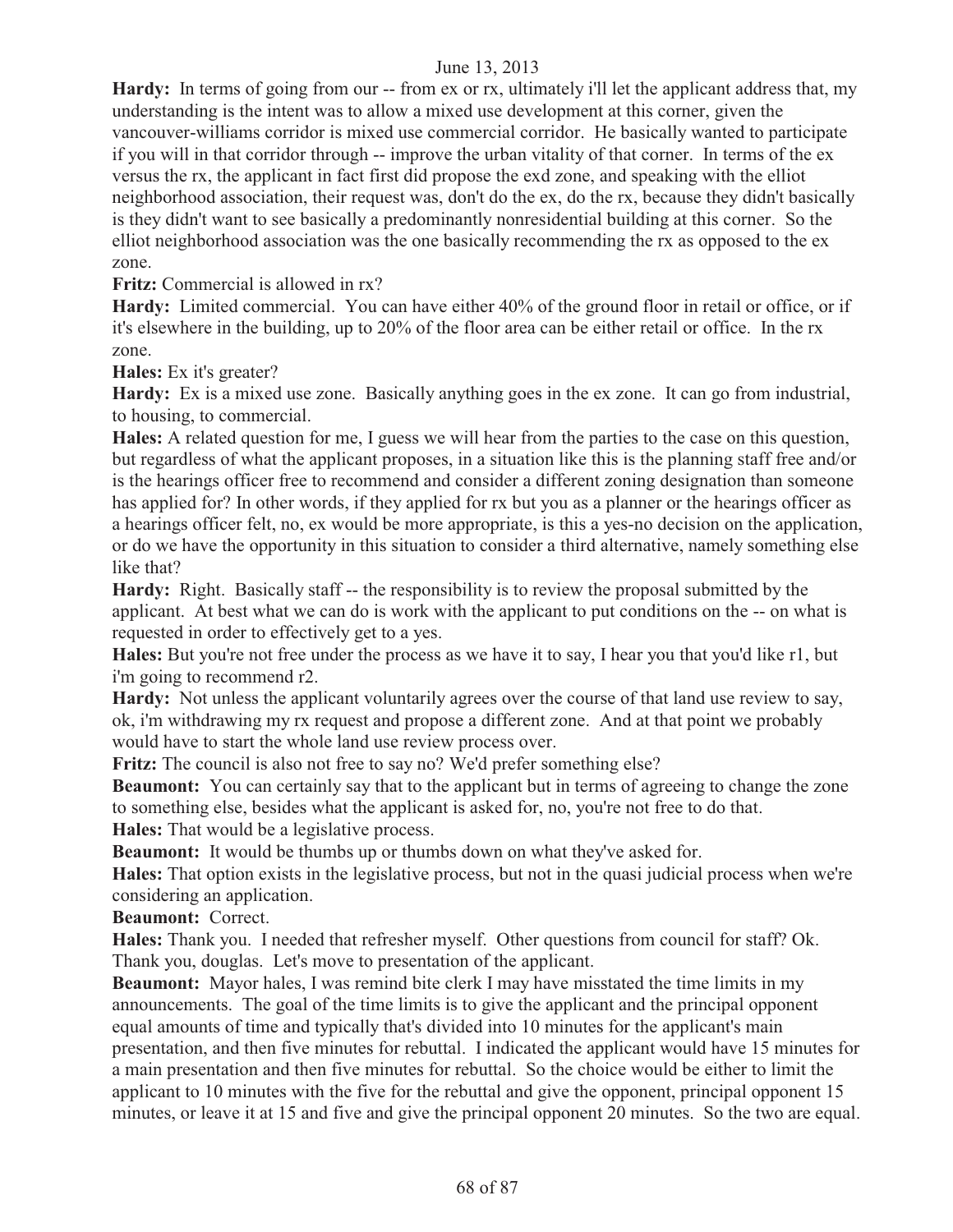**Hardy:** In terms of going from our -- from ex or rx, ultimately i'll let the applicant address that, my understanding is the intent was to allow a mixed use development at this corner, given the vancouver-williams corridor is mixed use commercial corridor. He basically wanted to participate if you will in that corridor through -- improve the urban vitality of that corner. In terms of the ex versus the rx, the applicant in fact first did propose the exd zone, and speaking with the elliot neighborhood association, their request was, don't do the ex, do the rx, because they didn't basically is they didn't want to see basically a predominantly nonresidential building at this corner. So the elliot neighborhood association was the one basically recommending the rx as opposed to the ex zone.

**Fritz:** Commercial is allowed in rx?

**Hardy:** Limited commercial. You can have either 40% of the ground floor in retail or office, or if it's elsewhere in the building, up to 20% of the floor area can be either retail or office. In the rx zone.

**Hales:** Ex it's greater?

**Hardy:** Ex is a mixed use zone. Basically anything goes in the ex zone. It can go from industrial, to housing, to commercial.

**Hales:** A related question for me, I guess we will hear from the parties to the case on this question, but regardless of what the applicant proposes, in a situation like this is the planning staff free and/or is the hearings officer free to recommend and consider a different zoning designation than someone has applied for? In other words, if they applied for rx but you as a planner or the hearings officer as a hearings officer felt, no, ex would be more appropriate, is this a yes-no decision on the application, or do we have the opportunity in this situation to consider a third alternative, namely something else like that?

**Hardy:** Right. Basically staff -- the responsibility is to review the proposal submitted by the applicant. At best what we can do is work with the applicant to put conditions on the -- on what is requested in order to effectively get to a yes.

**Hales:** But you're not free under the process as we have it to say, I hear you that you'd like r1, but i'm going to recommend r2.

**Hardy:** Not unless the applicant voluntarily agrees over the course of that land use review to say, ok, i'm withdrawing my rx request and propose a different zone. And at that point we probably would have to start the whole land use review process over.

**Fritz:** The council is also not free to say no? We'd prefer something else?

**Beaumont:** You can certainly say that to the applicant but in terms of agreeing to change the zone to something else, besides what the applicant is asked for, no, you're not free to do that. **Hales:** That would be a legislative process.

**Beaumont:** It would be thumbs up or thumbs down on what they've asked for.

**Hales:** That option exists in the legislative process, but not in the quasi judicial process when we're considering an application.

**Beaumont:** Correct.

**Hales:** Thank you. I needed that refresher myself. Other questions from council for staff? Ok. Thank you, douglas. Let's move to presentation of the applicant.

**Beaumont:** Mayor hales, I was remind bite clerk I may have misstated the time limits in my announcements. The goal of the time limits is to give the applicant and the principal opponent equal amounts of time and typically that's divided into 10 minutes for the applicant's main presentation, and then five minutes for rebuttal. I indicated the applicant would have 15 minutes for a main presentation and then five minutes for rebuttal. So the choice would be either to limit the applicant to 10 minutes with the five for the rebuttal and give the opponent, principal opponent 15 minutes, or leave it at 15 and five and give the principal opponent 20 minutes. So the two are equal.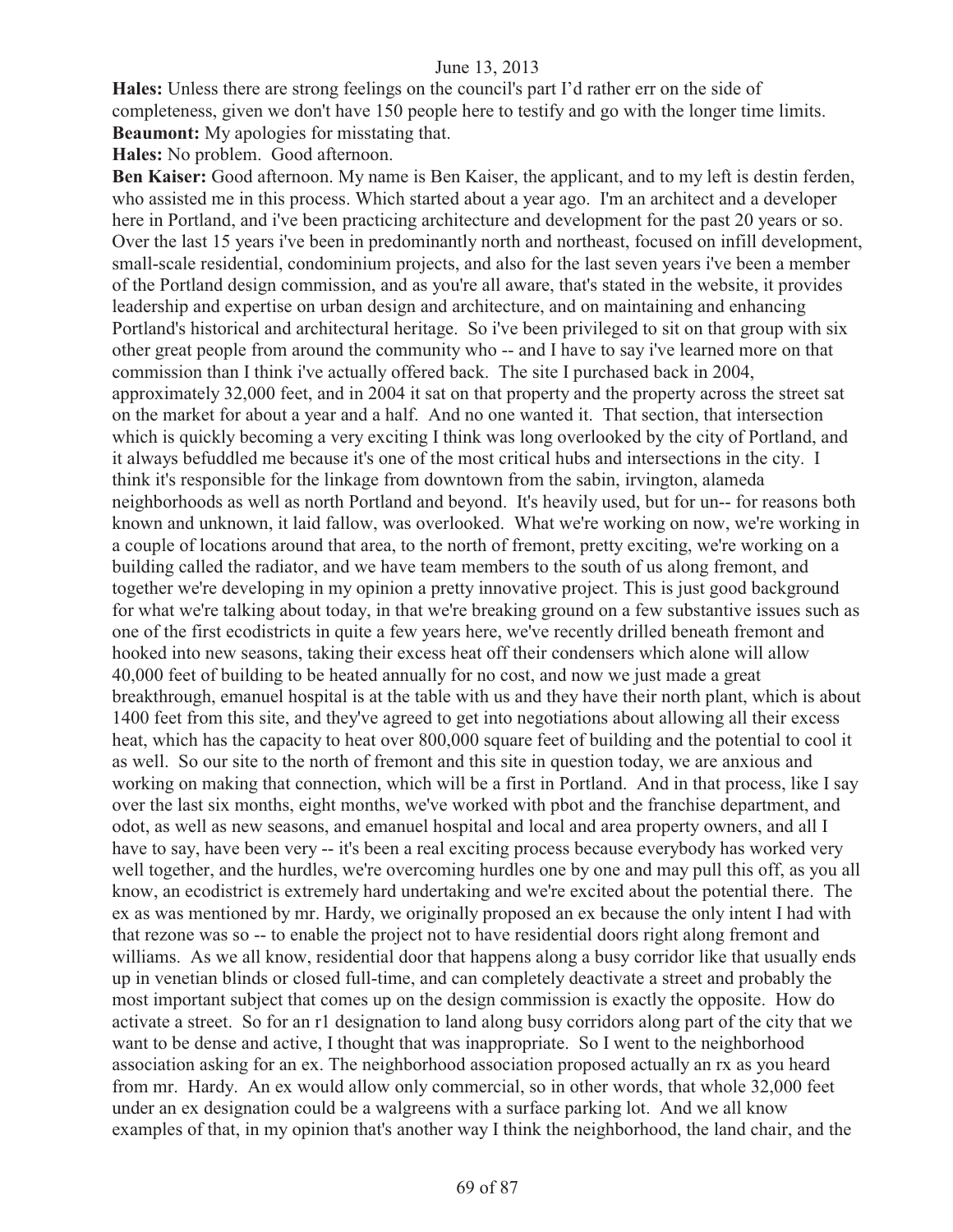**Hales:** Unless there are strong feelings on the council's part I'd rather err on the side of completeness, given we don't have 150 people here to testify and go with the longer time limits. **Beaumont:** My apologies for misstating that.

**Hales:** No problem. Good afternoon.

Ben Kaiser: Good afternoon. My name is Ben Kaiser, the applicant, and to my left is destin ferden, who assisted me in this process. Which started about a year ago. I'm an architect and a developer here in Portland, and i've been practicing architecture and development for the past 20 years or so. Over the last 15 years i've been in predominantly north and northeast, focused on infill development, small-scale residential, condominium projects, and also for the last seven years i've been a member of the Portland design commission, and as you're all aware, that's stated in the website, it provides leadership and expertise on urban design and architecture, and on maintaining and enhancing Portland's historical and architectural heritage. So i've been privileged to sit on that group with six other great people from around the community who -- and I have to say i've learned more on that commission than I think i've actually offered back. The site I purchased back in 2004, approximately 32,000 feet, and in 2004 it sat on that property and the property across the street sat on the market for about a year and a half. And no one wanted it. That section, that intersection which is quickly becoming a very exciting I think was long overlooked by the city of Portland, and it always befuddled me because it's one of the most critical hubs and intersections in the city. I think it's responsible for the linkage from downtown from the sabin, irvington, alameda neighborhoods as well as north Portland and beyond. It's heavily used, but for un-- for reasons both known and unknown, it laid fallow, was overlooked. What we're working on now, we're working in a couple of locations around that area, to the north of fremont, pretty exciting, we're working on a building called the radiator, and we have team members to the south of us along fremont, and together we're developing in my opinion a pretty innovative project. This is just good background for what we're talking about today, in that we're breaking ground on a few substantive issues such as one of the first ecodistricts in quite a few years here, we've recently drilled beneath fremont and hooked into new seasons, taking their excess heat off their condensers which alone will allow 40,000 feet of building to be heated annually for no cost, and now we just made a great breakthrough, emanuel hospital is at the table with us and they have their north plant, which is about 1400 feet from this site, and they've agreed to get into negotiations about allowing all their excess heat, which has the capacity to heat over 800,000 square feet of building and the potential to cool it as well. So our site to the north of fremont and this site in question today, we are anxious and working on making that connection, which will be a first in Portland. And in that process, like I say over the last six months, eight months, we've worked with pbot and the franchise department, and odot, as well as new seasons, and emanuel hospital and local and area property owners, and all I have to say, have been very -- it's been a real exciting process because everybody has worked very well together, and the hurdles, we're overcoming hurdles one by one and may pull this off, as you all know, an ecodistrict is extremely hard undertaking and we're excited about the potential there. The ex as was mentioned by mr. Hardy, we originally proposed an ex because the only intent I had with that rezone was so -- to enable the project not to have residential doors right along fremont and williams. As we all know, residential door that happens along a busy corridor like that usually ends up in venetian blinds or closed full-time, and can completely deactivate a street and probably the most important subject that comes up on the design commission is exactly the opposite. How do activate a street. So for an r1 designation to land along busy corridors along part of the city that we want to be dense and active, I thought that was inappropriate. So I went to the neighborhood association asking for an ex. The neighborhood association proposed actually an rx as you heard from mr. Hardy. An ex would allow only commercial, so in other words, that whole 32,000 feet under an ex designation could be a walgreens with a surface parking lot. And we all know examples of that, in my opinion that's another way I think the neighborhood, the land chair, and the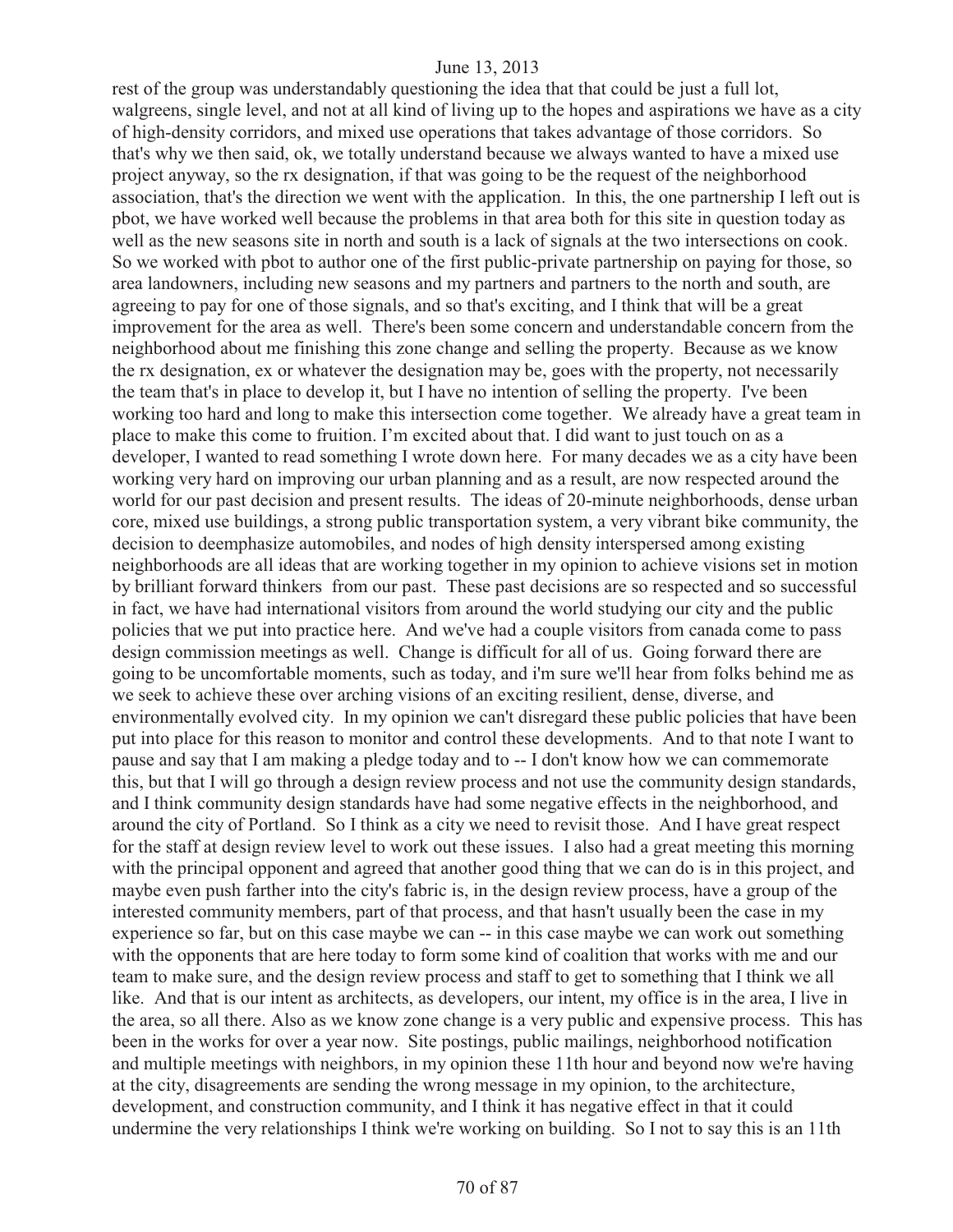rest of the group was understandably questioning the idea that that could be just a full lot, walgreens, single level, and not at all kind of living up to the hopes and aspirations we have as a city of high-density corridors, and mixed use operations that takes advantage of those corridors. So that's why we then said, ok, we totally understand because we always wanted to have a mixed use project anyway, so the rx designation, if that was going to be the request of the neighborhood association, that's the direction we went with the application. In this, the one partnership I left out is pbot, we have worked well because the problems in that area both for this site in question today as well as the new seasons site in north and south is a lack of signals at the two intersections on cook. So we worked with pbot to author one of the first public-private partnership on paying for those, so area landowners, including new seasons and my partners and partners to the north and south, are agreeing to pay for one of those signals, and so that's exciting, and I think that will be a great improvement for the area as well. There's been some concern and understandable concern from the neighborhood about me finishing this zone change and selling the property. Because as we know the rx designation, ex or whatever the designation may be, goes with the property, not necessarily the team that's in place to develop it, but I have no intention of selling the property. I've been working too hard and long to make this intersection come together. We already have a great team in place to make this come to fruition. I'm excited about that. I did want to just touch on as a developer, I wanted to read something I wrote down here. For many decades we as a city have been working very hard on improving our urban planning and as a result, are now respected around the world for our past decision and present results. The ideas of 20-minute neighborhoods, dense urban core, mixed use buildings, a strong public transportation system, a very vibrant bike community, the decision to deemphasize automobiles, and nodes of high density interspersed among existing neighborhoods are all ideas that are working together in my opinion to achieve visions set in motion by brilliant forward thinkers from our past. These past decisions are so respected and so successful in fact, we have had international visitors from around the world studying our city and the public policies that we put into practice here. And we've had a couple visitors from canada come to pass design commission meetings as well. Change is difficult for all of us. Going forward there are going to be uncomfortable moments, such as today, and i'm sure we'll hear from folks behind me as we seek to achieve these over arching visions of an exciting resilient, dense, diverse, and environmentally evolved city. In my opinion we can't disregard these public policies that have been put into place for this reason to monitor and control these developments. And to that note I want to pause and say that I am making a pledge today and to -- I don't know how we can commemorate this, but that I will go through a design review process and not use the community design standards, and I think community design standards have had some negative effects in the neighborhood, and around the city of Portland. So I think as a city we need to revisit those. And I have great respect for the staff at design review level to work out these issues. I also had a great meeting this morning with the principal opponent and agreed that another good thing that we can do is in this project, and maybe even push farther into the city's fabric is, in the design review process, have a group of the interested community members, part of that process, and that hasn't usually been the case in my experience so far, but on this case maybe we can -- in this case maybe we can work out something with the opponents that are here today to form some kind of coalition that works with me and our team to make sure, and the design review process and staff to get to something that I think we all like. And that is our intent as architects, as developers, our intent, my office is in the area, I live in the area, so all there. Also as we know zone change is a very public and expensive process. This has been in the works for over a year now. Site postings, public mailings, neighborhood notification and multiple meetings with neighbors, in my opinion these 11th hour and beyond now we're having at the city, disagreements are sending the wrong message in my opinion, to the architecture, development, and construction community, and I think it has negative effect in that it could undermine the very relationships I think we're working on building. So I not to say this is an 11th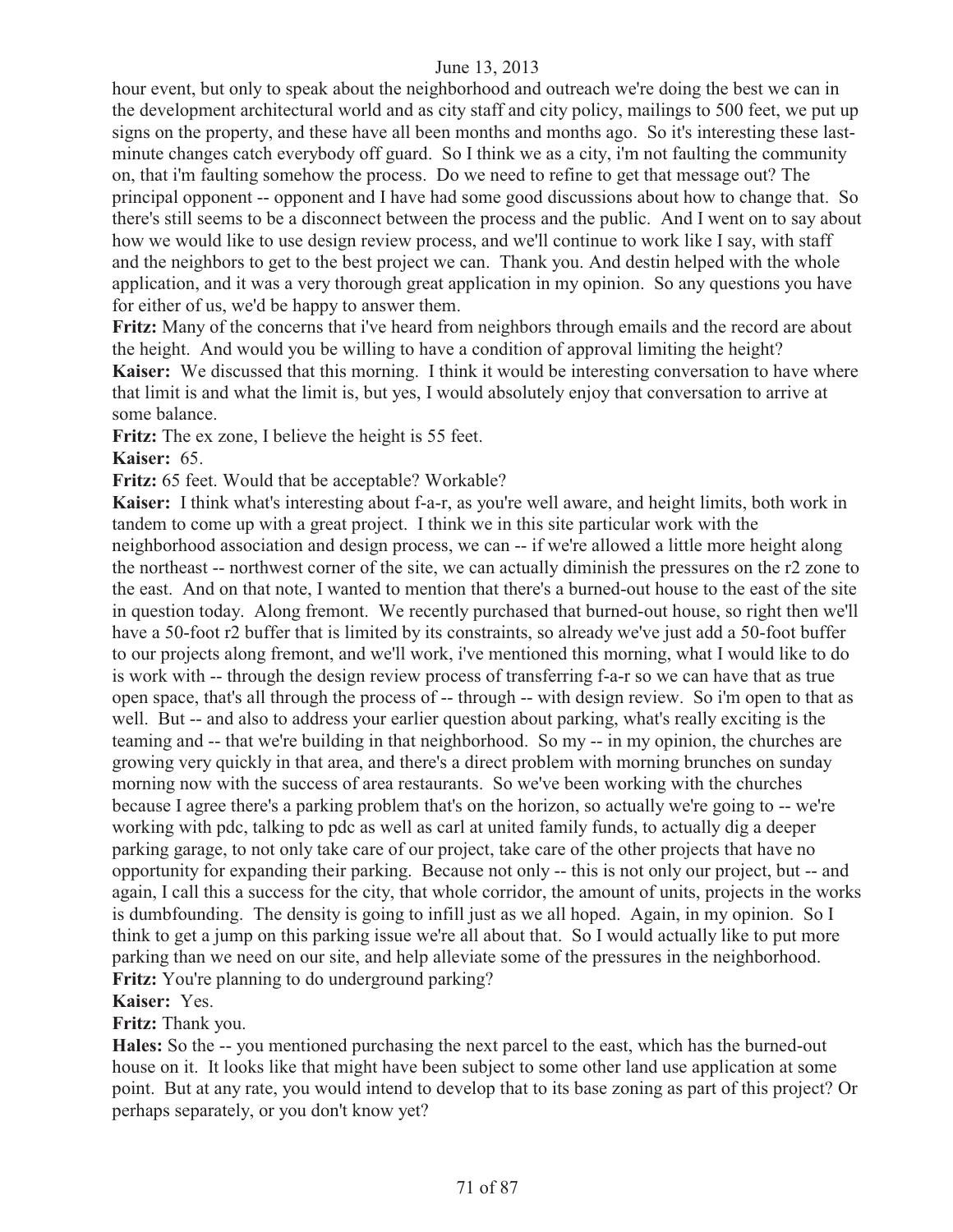hour event, but only to speak about the neighborhood and outreach we're doing the best we can in the development architectural world and as city staff and city policy, mailings to 500 feet, we put up signs on the property, and these have all been months and months ago. So it's interesting these lastminute changes catch everybody off guard. So I think we as a city, i'm not faulting the community on, that i'm faulting somehow the process. Do we need to refine to get that message out? The principal opponent -- opponent and I have had some good discussions about how to change that. So there's still seems to be a disconnect between the process and the public. And I went on to say about how we would like to use design review process, and we'll continue to work like I say, with staff and the neighbors to get to the best project we can. Thank you. And destin helped with the whole application, and it was a very thorough great application in my opinion. So any questions you have for either of us, we'd be happy to answer them.

**Fritz:** Many of the concerns that i've heard from neighbors through emails and the record are about the height. And would you be willing to have a condition of approval limiting the height?

**Kaiser:** We discussed that this morning. I think it would be interesting conversation to have where that limit is and what the limit is, but yes, I would absolutely enjoy that conversation to arrive at some balance.

**Fritz:** The ex zone, I believe the height is 55 feet.

**Kaiser:** 65.

**Fritz:** 65 feet. Would that be acceptable? Workable?

**Kaiser:** I think what's interesting about f-a-r, as you're well aware, and height limits, both work in tandem to come up with a great project. I think we in this site particular work with the neighborhood association and design process, we can -- if we're allowed a little more height along the northeast -- northwest corner of the site, we can actually diminish the pressures on the r2 zone to the east. And on that note, I wanted to mention that there's a burned-out house to the east of the site in question today. Along fremont. We recently purchased that burned-out house, so right then we'll have a 50-foot r2 buffer that is limited by its constraints, so already we've just add a 50-foot buffer to our projects along fremont, and we'll work, i've mentioned this morning, what I would like to do is work with -- through the design review process of transferring f-a-r so we can have that as true open space, that's all through the process of -- through -- with design review. So i'm open to that as well. But -- and also to address your earlier question about parking, what's really exciting is the teaming and -- that we're building in that neighborhood. So my -- in my opinion, the churches are growing very quickly in that area, and there's a direct problem with morning brunches on sunday morning now with the success of area restaurants. So we've been working with the churches because I agree there's a parking problem that's on the horizon, so actually we're going to -- we're working with pdc, talking to pdc as well as carl at united family funds, to actually dig a deeper parking garage, to not only take care of our project, take care of the other projects that have no opportunity for expanding their parking. Because not only -- this is not only our project, but -- and again, I call this a success for the city, that whole corridor, the amount of units, projects in the works is dumbfounding. The density is going to infill just as we all hoped. Again, in my opinion. So I think to get a jump on this parking issue we're all about that. So I would actually like to put more parking than we need on our site, and help alleviate some of the pressures in the neighborhood. **Fritz:** You're planning to do underground parking?

**Kaiser:** Yes.

**Fritz:** Thank you.

**Hales:** So the -- you mentioned purchasing the next parcel to the east, which has the burned-out house on it. It looks like that might have been subject to some other land use application at some point. But at any rate, you would intend to develop that to its base zoning as part of this project? Or perhaps separately, or you don't know yet?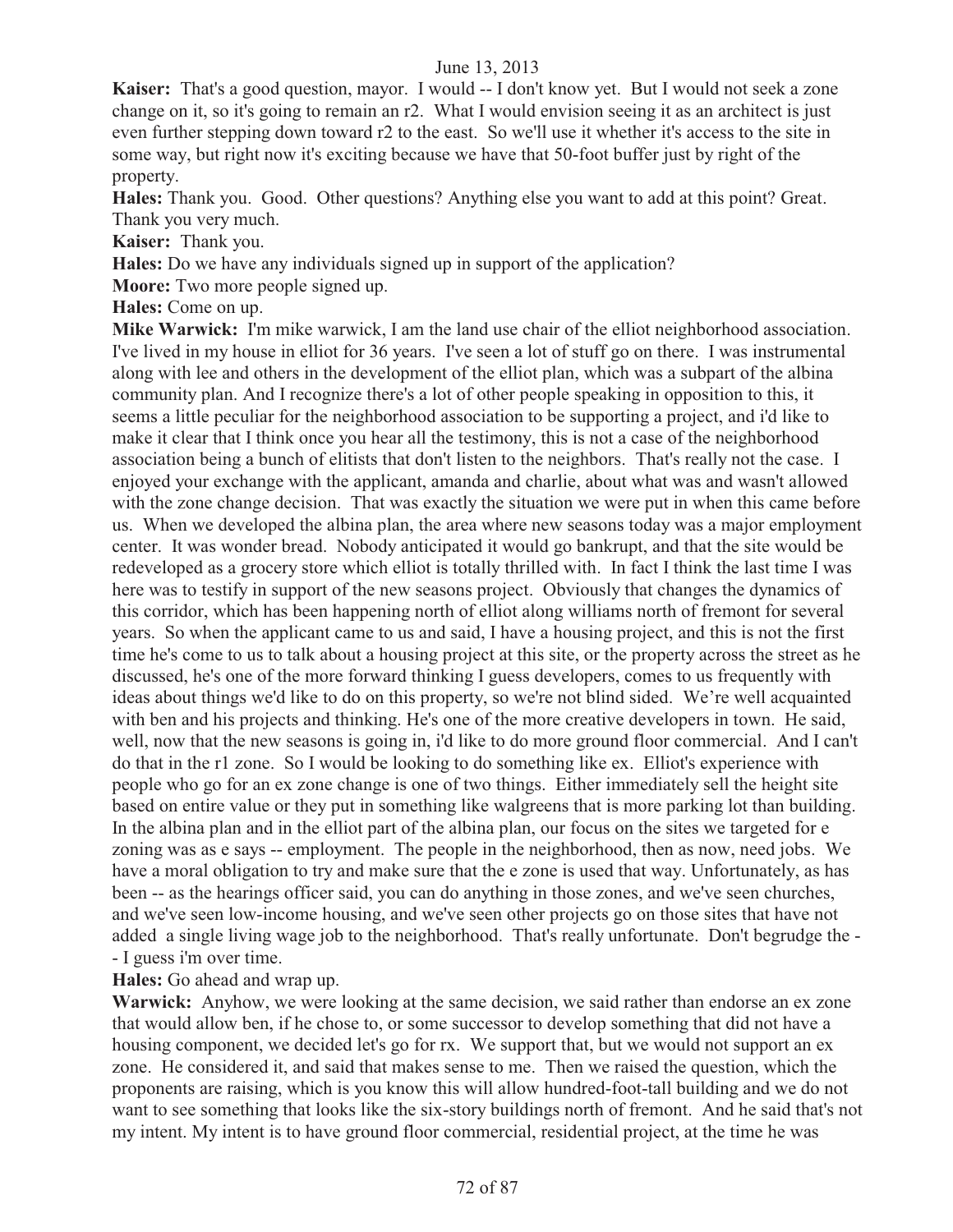Kaiser: That's a good question, mayor. I would -- I don't know yet. But I would not seek a zone change on it, so it's going to remain an r2. What I would envision seeing it as an architect is just even further stepping down toward r2 to the east. So we'll use it whether it's access to the site in some way, but right now it's exciting because we have that 50-foot buffer just by right of the property.

**Hales:** Thank you. Good. Other questions? Anything else you want to add at this point? Great. Thank you very much.

**Kaiser:** Thank you.

**Hales:** Do we have any individuals signed up in support of the application?

**Moore:** Two more people signed up.

**Hales:** Come on up.

**Mike Warwick:** I'm mike warwick, I am the land use chair of the elliot neighborhood association. I've lived in my house in elliot for 36 years. I've seen a lot of stuff go on there. I was instrumental along with lee and others in the development of the elliot plan, which was a subpart of the albina community plan. And I recognize there's a lot of other people speaking in opposition to this, it seems a little peculiar for the neighborhood association to be supporting a project, and i'd like to make it clear that I think once you hear all the testimony, this is not a case of the neighborhood association being a bunch of elitists that don't listen to the neighbors. That's really not the case. I enjoyed your exchange with the applicant, amanda and charlie, about what was and wasn't allowed with the zone change decision. That was exactly the situation we were put in when this came before us. When we developed the albina plan, the area where new seasons today was a major employment center. It was wonder bread. Nobody anticipated it would go bankrupt, and that the site would be redeveloped as a grocery store which elliot is totally thrilled with. In fact I think the last time I was here was to testify in support of the new seasons project. Obviously that changes the dynamics of this corridor, which has been happening north of elliot along williams north of fremont for several years. So when the applicant came to us and said, I have a housing project, and this is not the first time he's come to us to talk about a housing project at this site, or the property across the street as he discussed, he's one of the more forward thinking I guess developers, comes to us frequently with ideas about things we'd like to do on this property, so we're not blind sided. We're well acquainted with ben and his projects and thinking. He's one of the more creative developers in town. He said, well, now that the new seasons is going in, i'd like to do more ground floor commercial. And I can't do that in the r1 zone. So I would be looking to do something like ex. Elliot's experience with people who go for an ex zone change is one of two things. Either immediately sell the height site based on entire value or they put in something like walgreens that is more parking lot than building. In the albina plan and in the elliot part of the albina plan, our focus on the sites we targeted for e zoning was as e says -- employment. The people in the neighborhood, then as now, need jobs. We have a moral obligation to try and make sure that the e zone is used that way. Unfortunately, as has been -- as the hearings officer said, you can do anything in those zones, and we've seen churches, and we've seen low-income housing, and we've seen other projects go on those sites that have not added a single living wage job to the neighborhood. That's really unfortunate. Don't begrudge the - - I guess i'm over time.

**Hales:** Go ahead and wrap up.

**Warwick:** Anyhow, we were looking at the same decision, we said rather than endorse an ex zone that would allow ben, if he chose to, or some successor to develop something that did not have a housing component, we decided let's go for rx. We support that, but we would not support an ex zone. He considered it, and said that makes sense to me. Then we raised the question, which the proponents are raising, which is you know this will allow hundred-foot-tall building and we do not want to see something that looks like the six-story buildings north of fremont. And he said that's not my intent. My intent is to have ground floor commercial, residential project, at the time he was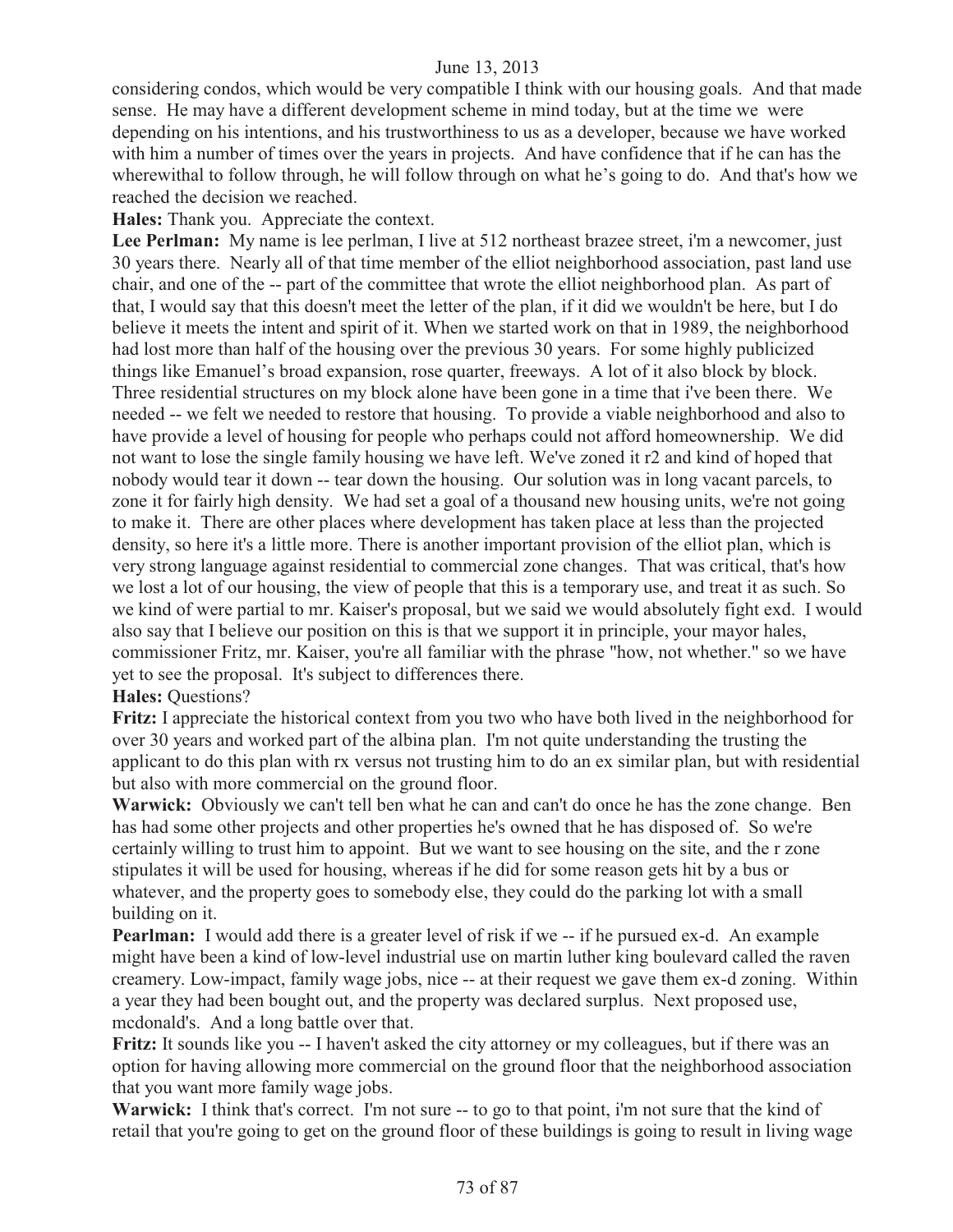considering condos, which would be very compatible I think with our housing goals. And that made sense. He may have a different development scheme in mind today, but at the time we were depending on his intentions, and his trustworthiness to us as a developer, because we have worked with him a number of times over the years in projects. And have confidence that if he can has the wherewithal to follow through, he will follow through on what he's going to do. And that's how we reached the decision we reached.

**Hales:** Thank you. Appreciate the context.

Lee Perlman: My name is lee perlman, I live at 512 northeast brazee street, i'm a newcomer, just 30 years there. Nearly all of that time member of the elliot neighborhood association, past land use chair, and one of the -- part of the committee that wrote the elliot neighborhood plan. As part of that, I would say that this doesn't meet the letter of the plan, if it did we wouldn't be here, but I do believe it meets the intent and spirit of it. When we started work on that in 1989, the neighborhood had lost more than half of the housing over the previous 30 years. For some highly publicized things like Emanuel's broad expansion, rose quarter, freeways. A lot of it also block by block. Three residential structures on my block alone have been gone in a time that i've been there. We needed -- we felt we needed to restore that housing. To provide a viable neighborhood and also to have provide a level of housing for people who perhaps could not afford homeownership. We did not want to lose the single family housing we have left. We've zoned it r2 and kind of hoped that nobody would tear it down -- tear down the housing. Our solution was in long vacant parcels, to zone it for fairly high density. We had set a goal of a thousand new housing units, we're not going to make it. There are other places where development has taken place at less than the projected density, so here it's a little more. There is another important provision of the elliot plan, which is very strong language against residential to commercial zone changes. That was critical, that's how we lost a lot of our housing, the view of people that this is a temporary use, and treat it as such. So we kind of were partial to mr. Kaiser's proposal, but we said we would absolutely fight exd. I would also say that I believe our position on this is that we support it in principle, your mayor hales, commissioner Fritz, mr. Kaiser, you're all familiar with the phrase "how, not whether." so we have yet to see the proposal. It's subject to differences there.

## **Hales:** Questions?

**Fritz:** I appreciate the historical context from you two who have both lived in the neighborhood for over 30 years and worked part of the albina plan. I'm not quite understanding the trusting the applicant to do this plan with rx versus not trusting him to do an ex similar plan, but with residential but also with more commercial on the ground floor.

**Warwick:** Obviously we can't tell ben what he can and can't do once he has the zone change. Ben has had some other projects and other properties he's owned that he has disposed of. So we're certainly willing to trust him to appoint. But we want to see housing on the site, and the r zone stipulates it will be used for housing, whereas if he did for some reason gets hit by a bus or whatever, and the property goes to somebody else, they could do the parking lot with a small building on it.

**Pearlman:** I would add there is a greater level of risk if we -- if he pursued ex-d. An example might have been a kind of low-level industrial use on martin luther king boulevard called the raven creamery. Low-impact, family wage jobs, nice -- at their request we gave them ex-d zoning. Within a year they had been bought out, and the property was declared surplus. Next proposed use, mcdonald's. And a long battle over that.

**Fritz:** It sounds like you -- I haven't asked the city attorney or my colleagues, but if there was an option for having allowing more commercial on the ground floor that the neighborhood association that you want more family wage jobs.

Warwick: I think that's correct. I'm not sure -- to go to that point, i'm not sure that the kind of retail that you're going to get on the ground floor of these buildings is going to result in living wage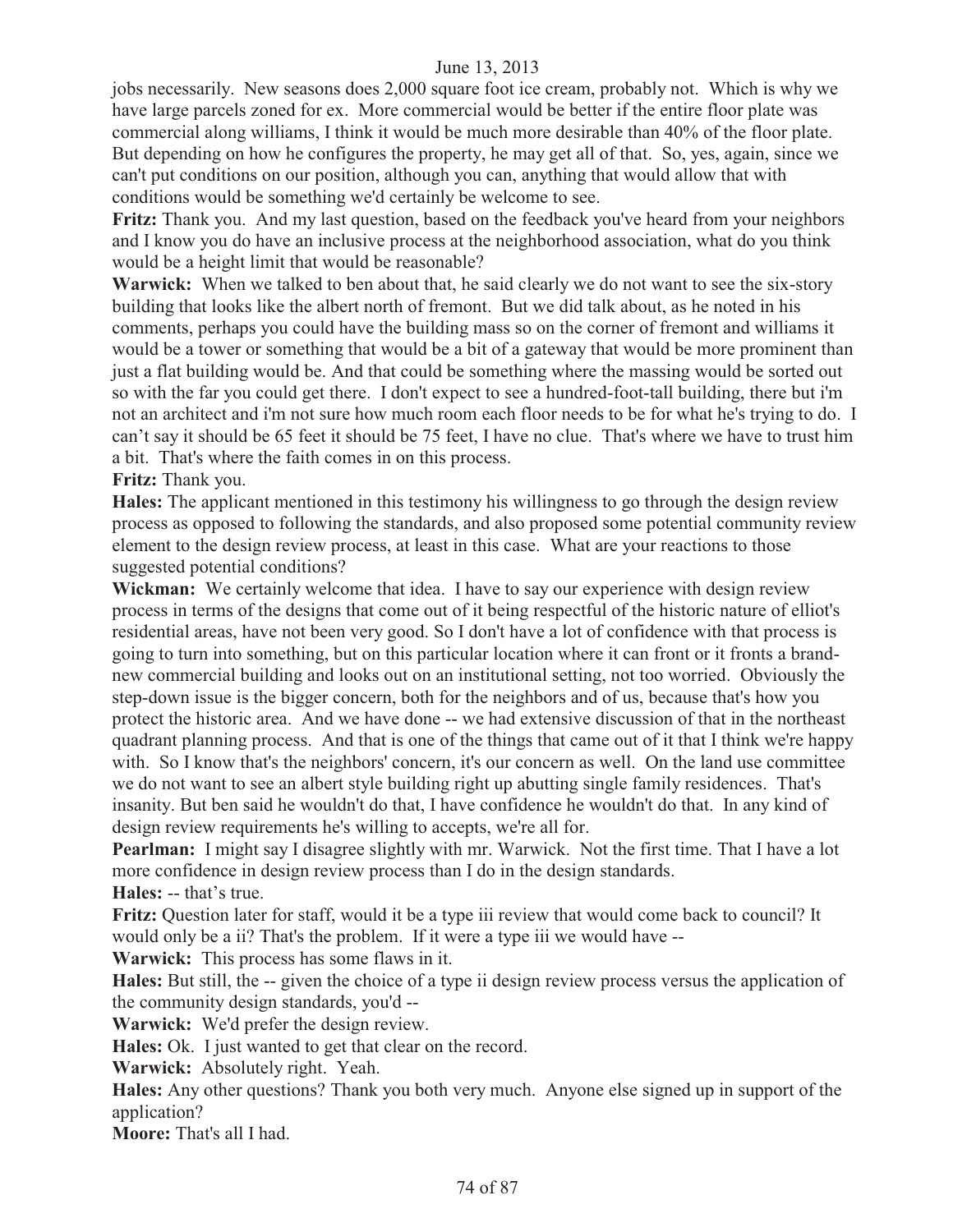jobs necessarily. New seasons does 2,000 square foot ice cream, probably not. Which is why we have large parcels zoned for ex. More commercial would be better if the entire floor plate was commercial along williams, I think it would be much more desirable than 40% of the floor plate. But depending on how he configures the property, he may get all of that. So, yes, again, since we can't put conditions on our position, although you can, anything that would allow that with conditions would be something we'd certainly be welcome to see.

**Fritz:** Thank you. And my last question, based on the feedback you've heard from your neighbors and I know you do have an inclusive process at the neighborhood association, what do you think would be a height limit that would be reasonable?

**Warwick:** When we talked to ben about that, he said clearly we do not want to see the six-story building that looks like the albert north of fremont. But we did talk about, as he noted in his comments, perhaps you could have the building mass so on the corner of fremont and williams it would be a tower or something that would be a bit of a gateway that would be more prominent than just a flat building would be. And that could be something where the massing would be sorted out so with the far you could get there. I don't expect to see a hundred-foot-tall building, there but i'm not an architect and i'm not sure how much room each floor needs to be for what he's trying to do. I can't say it should be 65 feet it should be 75 feet, I have no clue. That's where we have to trust him a bit. That's where the faith comes in on this process.

**Fritz:** Thank you.

**Hales:** The applicant mentioned in this testimony his willingness to go through the design review process as opposed to following the standards, and also proposed some potential community review element to the design review process, at least in this case. What are your reactions to those suggested potential conditions?

**Wickman:** We certainly welcome that idea. I have to say our experience with design review process in terms of the designs that come out of it being respectful of the historic nature of elliot's residential areas, have not been very good. So I don't have a lot of confidence with that process is going to turn into something, but on this particular location where it can front or it fronts a brandnew commercial building and looks out on an institutional setting, not too worried. Obviously the step-down issue is the bigger concern, both for the neighbors and of us, because that's how you protect the historic area. And we have done -- we had extensive discussion of that in the northeast quadrant planning process. And that is one of the things that came out of it that I think we're happy with. So I know that's the neighbors' concern, it's our concern as well. On the land use committee we do not want to see an albert style building right up abutting single family residences. That's insanity. But ben said he wouldn't do that, I have confidence he wouldn't do that. In any kind of design review requirements he's willing to accepts, we're all for.

**Pearlman:** I might say I disagree slightly with mr. Warwick. Not the first time. That I have a lot more confidence in design review process than I do in the design standards.

**Hales:** -- that's true.

**Fritz:** Question later for staff, would it be a type iii review that would come back to council? It would only be a ii? That's the problem. If it were a type iii we would have --

**Warwick:** This process has some flaws in it.

**Hales:** But still, the -- given the choice of a type ii design review process versus the application of the community design standards, you'd --

**Warwick:** We'd prefer the design review.

**Hales:** Ok. I just wanted to get that clear on the record.

**Warwick:** Absolutely right. Yeah.

**Hales:** Any other questions? Thank you both very much. Anyone else signed up in support of the application?

**Moore:** That's all I had.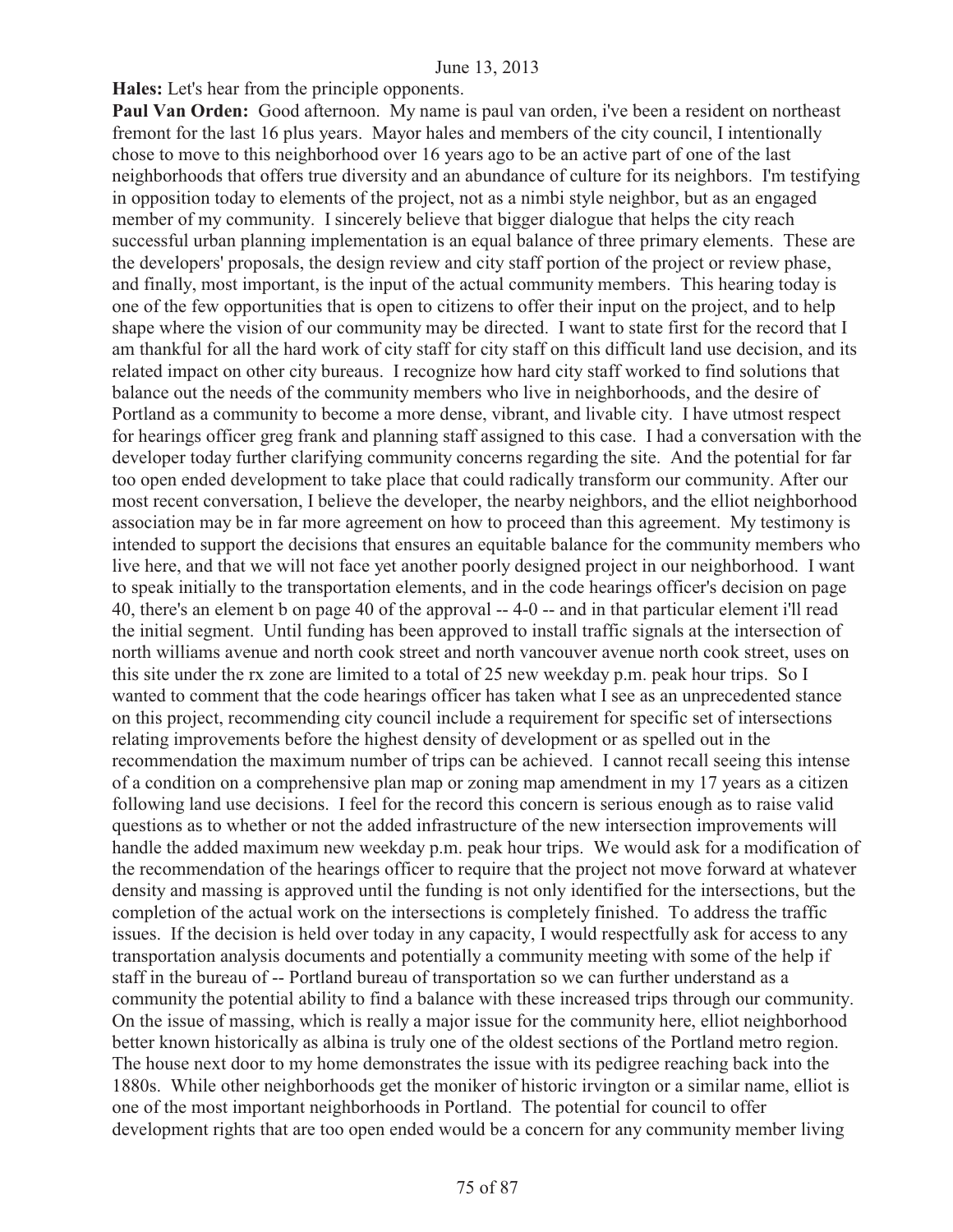**Hales:** Let's hear from the principle opponents.

Paul Van Orden: Good afternoon. My name is paul van orden, i've been a resident on northeast fremont for the last 16 plus years. Mayor hales and members of the city council, I intentionally chose to move to this neighborhood over 16 years ago to be an active part of one of the last neighborhoods that offers true diversity and an abundance of culture for its neighbors. I'm testifying in opposition today to elements of the project, not as a nimbi style neighbor, but as an engaged member of my community. I sincerely believe that bigger dialogue that helps the city reach successful urban planning implementation is an equal balance of three primary elements. These are the developers' proposals, the design review and city staff portion of the project or review phase, and finally, most important, is the input of the actual community members. This hearing today is one of the few opportunities that is open to citizens to offer their input on the project, and to help shape where the vision of our community may be directed. I want to state first for the record that I am thankful for all the hard work of city staff for city staff on this difficult land use decision, and its related impact on other city bureaus. I recognize how hard city staff worked to find solutions that balance out the needs of the community members who live in neighborhoods, and the desire of Portland as a community to become a more dense, vibrant, and livable city. I have utmost respect for hearings officer greg frank and planning staff assigned to this case. I had a conversation with the developer today further clarifying community concerns regarding the site. And the potential for far too open ended development to take place that could radically transform our community. After our most recent conversation, I believe the developer, the nearby neighbors, and the elliot neighborhood association may be in far more agreement on how to proceed than this agreement. My testimony is intended to support the decisions that ensures an equitable balance for the community members who live here, and that we will not face yet another poorly designed project in our neighborhood. I want to speak initially to the transportation elements, and in the code hearings officer's decision on page 40, there's an element b on page 40 of the approval -- 4-0 -- and in that particular element i'll read the initial segment. Until funding has been approved to install traffic signals at the intersection of north williams avenue and north cook street and north vancouver avenue north cook street, uses on this site under the rx zone are limited to a total of 25 new weekday p.m. peak hour trips. So I wanted to comment that the code hearings officer has taken what I see as an unprecedented stance on this project, recommending city council include a requirement for specific set of intersections relating improvements before the highest density of development or as spelled out in the recommendation the maximum number of trips can be achieved. I cannot recall seeing this intense of a condition on a comprehensive plan map or zoning map amendment in my 17 years as a citizen following land use decisions. I feel for the record this concern is serious enough as to raise valid questions as to whether or not the added infrastructure of the new intersection improvements will handle the added maximum new weekday p.m. peak hour trips. We would ask for a modification of the recommendation of the hearings officer to require that the project not move forward at whatever density and massing is approved until the funding is not only identified for the intersections, but the completion of the actual work on the intersections is completely finished. To address the traffic issues. If the decision is held over today in any capacity, I would respectfully ask for access to any transportation analysis documents and potentially a community meeting with some of the help if staff in the bureau of -- Portland bureau of transportation so we can further understand as a community the potential ability to find a balance with these increased trips through our community. On the issue of massing, which is really a major issue for the community here, elliot neighborhood better known historically as albina is truly one of the oldest sections of the Portland metro region. The house next door to my home demonstrates the issue with its pedigree reaching back into the 1880s. While other neighborhoods get the moniker of historic irvington or a similar name, elliot is one of the most important neighborhoods in Portland. The potential for council to offer development rights that are too open ended would be a concern for any community member living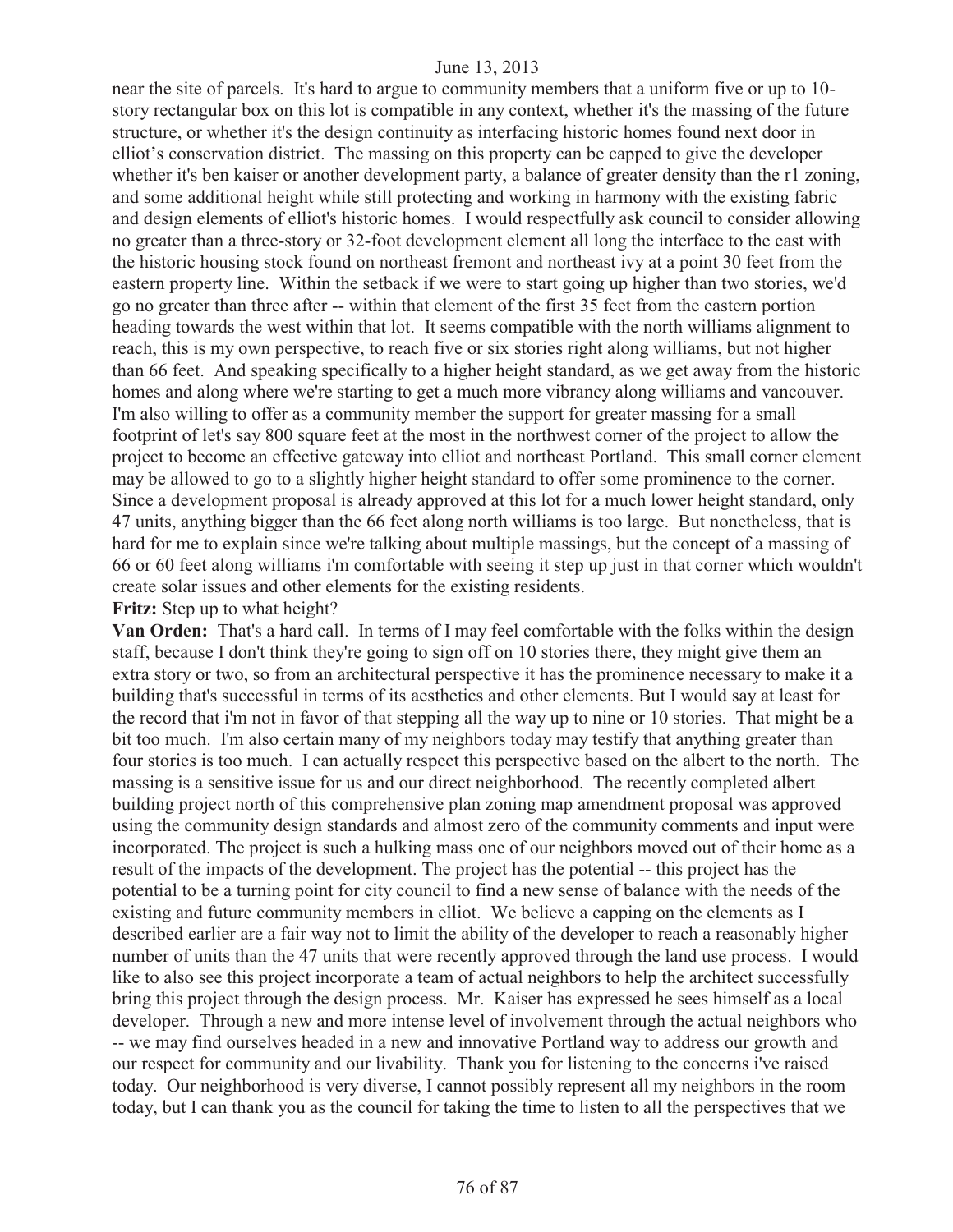near the site of parcels. It's hard to argue to community members that a uniform five or up to 10 story rectangular box on this lot is compatible in any context, whether it's the massing of the future structure, or whether it's the design continuity as interfacing historic homes found next door in elliot's conservation district. The massing on this property can be capped to give the developer whether it's ben kaiser or another development party, a balance of greater density than the r1 zoning, and some additional height while still protecting and working in harmony with the existing fabric and design elements of elliot's historic homes. I would respectfully ask council to consider allowing no greater than a three-story or 32-foot development element all long the interface to the east with the historic housing stock found on northeast fremont and northeast ivy at a point 30 feet from the eastern property line. Within the setback if we were to start going up higher than two stories, we'd go no greater than three after -- within that element of the first 35 feet from the eastern portion heading towards the west within that lot. It seems compatible with the north williams alignment to reach, this is my own perspective, to reach five or six stories right along williams, but not higher than 66 feet. And speaking specifically to a higher height standard, as we get away from the historic homes and along where we're starting to get a much more vibrancy along williams and vancouver. I'm also willing to offer as a community member the support for greater massing for a small footprint of let's say 800 square feet at the most in the northwest corner of the project to allow the project to become an effective gateway into elliot and northeast Portland. This small corner element may be allowed to go to a slightly higher height standard to offer some prominence to the corner. Since a development proposal is already approved at this lot for a much lower height standard, only 47 units, anything bigger than the 66 feet along north williams is too large. But nonetheless, that is hard for me to explain since we're talking about multiple massings, but the concept of a massing of 66 or 60 feet along williams i'm comfortable with seeing it step up just in that corner which wouldn't create solar issues and other elements for the existing residents.

# **Fritz:** Step up to what height?

**Van Orden:** That's a hard call. In terms of I may feel comfortable with the folks within the design staff, because I don't think they're going to sign off on 10 stories there, they might give them an extra story or two, so from an architectural perspective it has the prominence necessary to make it a building that's successful in terms of its aesthetics and other elements. But I would say at least for the record that i'm not in favor of that stepping all the way up to nine or 10 stories. That might be a bit too much. I'm also certain many of my neighbors today may testify that anything greater than four stories is too much. I can actually respect this perspective based on the albert to the north. The massing is a sensitive issue for us and our direct neighborhood. The recently completed albert building project north of this comprehensive plan zoning map amendment proposal was approved using the community design standards and almost zero of the community comments and input were incorporated. The project is such a hulking mass one of our neighbors moved out of their home as a result of the impacts of the development. The project has the potential -- this project has the potential to be a turning point for city council to find a new sense of balance with the needs of the existing and future community members in elliot. We believe a capping on the elements as I described earlier are a fair way not to limit the ability of the developer to reach a reasonably higher number of units than the 47 units that were recently approved through the land use process. I would like to also see this project incorporate a team of actual neighbors to help the architect successfully bring this project through the design process. Mr. Kaiser has expressed he sees himself as a local developer. Through a new and more intense level of involvement through the actual neighbors who -- we may find ourselves headed in a new and innovative Portland way to address our growth and our respect for community and our livability. Thank you for listening to the concerns i've raised today. Our neighborhood is very diverse, I cannot possibly represent all my neighbors in the room today, but I can thank you as the council for taking the time to listen to all the perspectives that we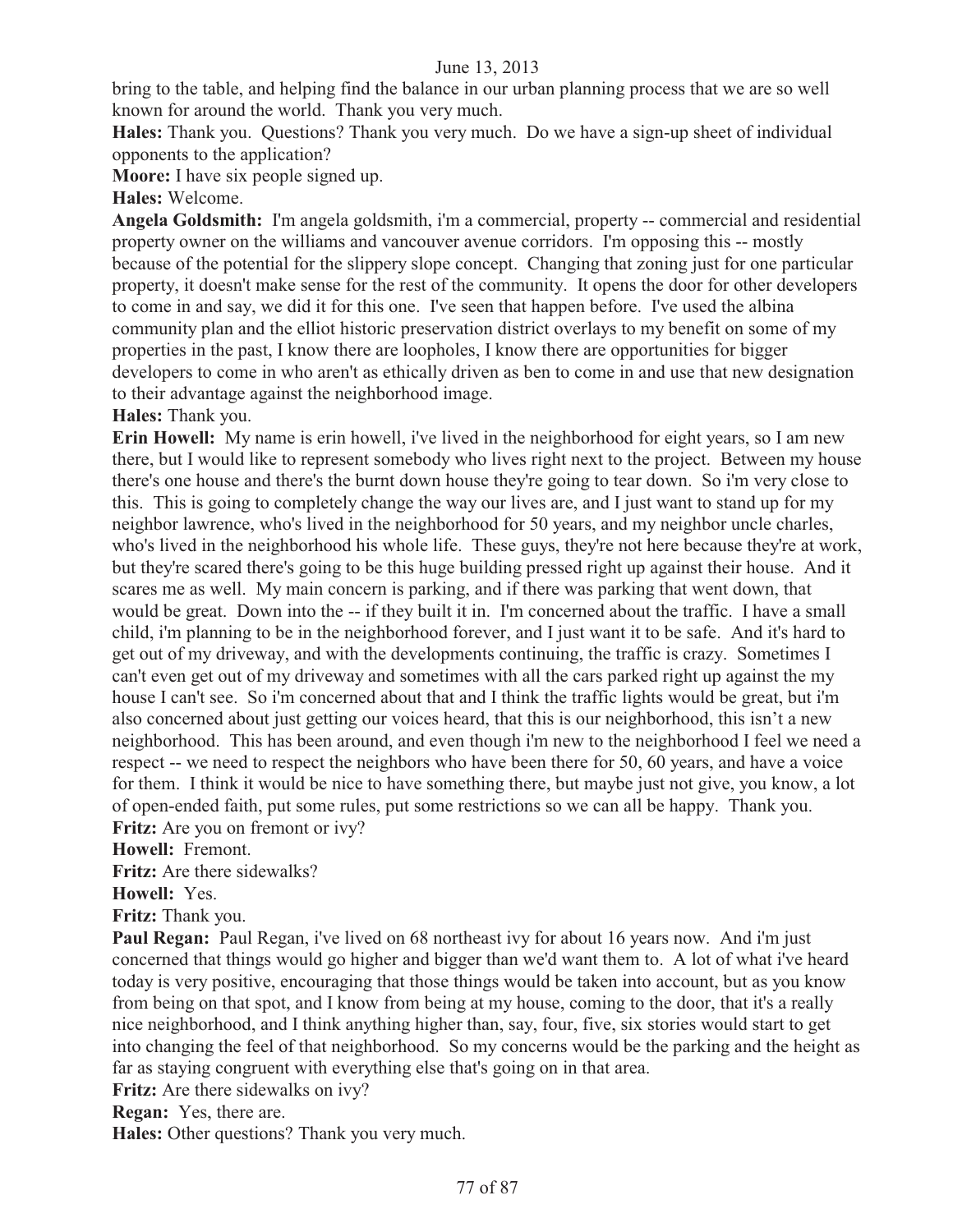bring to the table, and helping find the balance in our urban planning process that we are so well known for around the world. Thank you very much.

**Hales:** Thank you. Questions? Thank you very much. Do we have a sign-up sheet of individual opponents to the application?

**Moore:** I have six people signed up.

# **Hales:** Welcome.

**Angela Goldsmith:** I'm angela goldsmith, i'm a commercial, property -- commercial and residential property owner on the williams and vancouver avenue corridors. I'm opposing this -- mostly because of the potential for the slippery slope concept. Changing that zoning just for one particular property, it doesn't make sense for the rest of the community. It opens the door for other developers to come in and say, we did it for this one. I've seen that happen before. I've used the albina community plan and the elliot historic preservation district overlays to my benefit on some of my properties in the past, I know there are loopholes, I know there are opportunities for bigger developers to come in who aren't as ethically driven as ben to come in and use that new designation to their advantage against the neighborhood image.

**Hales:** Thank you.

**Erin Howell:** My name is erin howell, i've lived in the neighborhood for eight years, so I am new there, but I would like to represent somebody who lives right next to the project. Between my house there's one house and there's the burnt down house they're going to tear down. So i'm very close to this. This is going to completely change the way our lives are, and I just want to stand up for my neighbor lawrence, who's lived in the neighborhood for 50 years, and my neighbor uncle charles, who's lived in the neighborhood his whole life. These guys, they're not here because they're at work, but they're scared there's going to be this huge building pressed right up against their house. And it scares me as well. My main concern is parking, and if there was parking that went down, that would be great. Down into the -- if they built it in. I'm concerned about the traffic. I have a small child, i'm planning to be in the neighborhood forever, and I just want it to be safe. And it's hard to get out of my driveway, and with the developments continuing, the traffic is crazy. Sometimes I can't even get out of my driveway and sometimes with all the cars parked right up against the my house I can't see. So i'm concerned about that and I think the traffic lights would be great, but i'm also concerned about just getting our voices heard, that this is our neighborhood, this isn't a new neighborhood. This has been around, and even though i'm new to the neighborhood I feel we need a respect -- we need to respect the neighbors who have been there for 50, 60 years, and have a voice for them. I think it would be nice to have something there, but maybe just not give, you know, a lot of open-ended faith, put some rules, put some restrictions so we can all be happy. Thank you. **Fritz:** Are you on fremont or ivy?

**Howell:** Fremont.

**Fritz:** Are there sidewalks?

**Howell:** Yes.

**Fritz:** Thank you.

**Paul Regan:** Paul Regan, i've lived on 68 northeast ivy for about 16 years now. And i'm just concerned that things would go higher and bigger than we'd want them to. A lot of what i've heard today is very positive, encouraging that those things would be taken into account, but as you know from being on that spot, and I know from being at my house, coming to the door, that it's a really nice neighborhood, and I think anything higher than, say, four, five, six stories would start to get into changing the feel of that neighborhood. So my concerns would be the parking and the height as far as staying congruent with everything else that's going on in that area.

**Fritz:** Are there sidewalks on ivy?

**Regan:** Yes, there are.

**Hales:** Other questions? Thank you very much.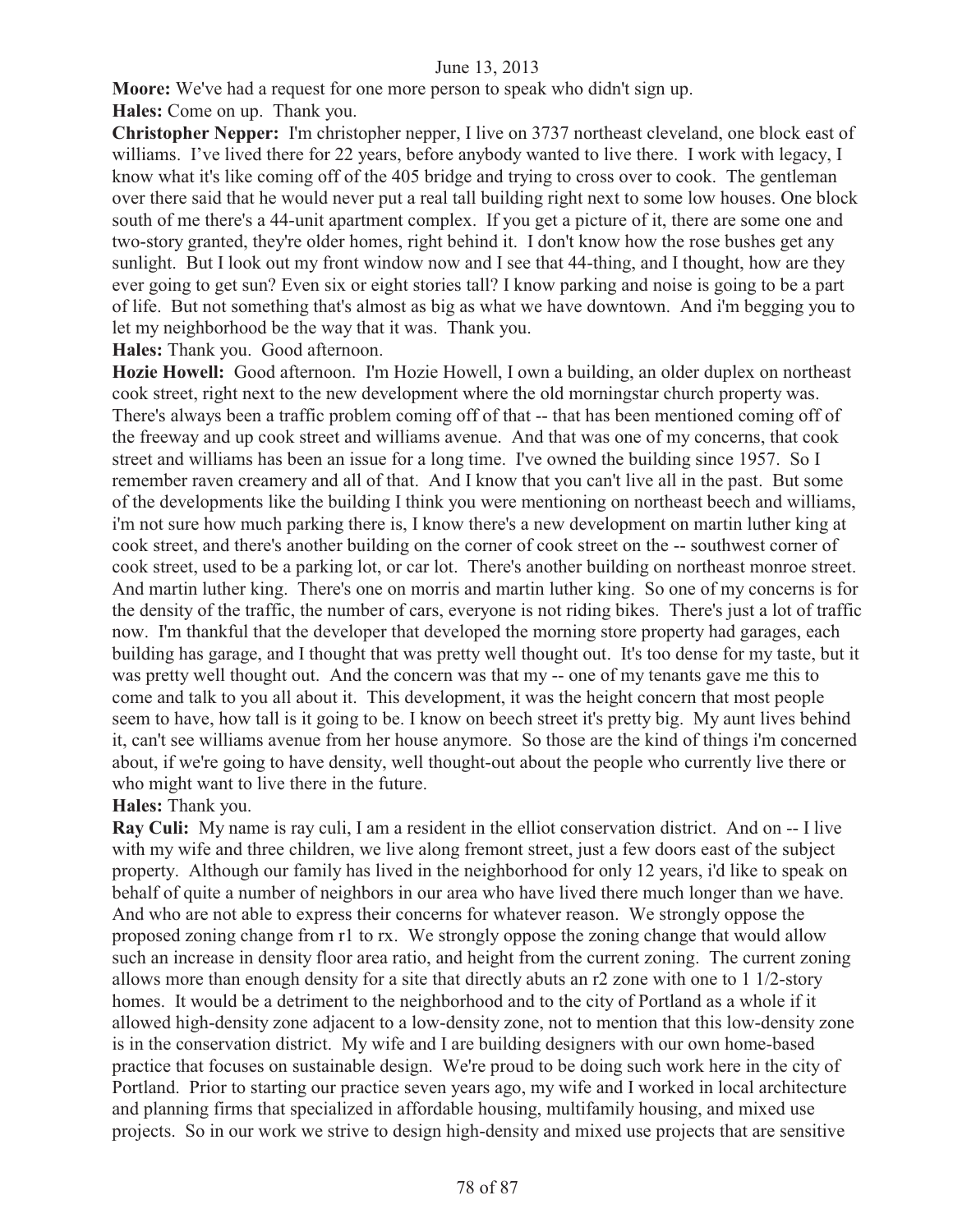**Moore:** We've had a request for one more person to speak who didn't sign up. **Hales:** Come on up. Thank you.

**Christopher Nepper:** I'm christopher nepper, I live on 3737 northeast cleveland, one block east of williams. I've lived there for 22 years, before anybody wanted to live there. I work with legacy, I know what it's like coming off of the 405 bridge and trying to cross over to cook. The gentleman over there said that he would never put a real tall building right next to some low houses. One block south of me there's a 44-unit apartment complex. If you get a picture of it, there are some one and two-story granted, they're older homes, right behind it. I don't know how the rose bushes get any sunlight. But I look out my front window now and I see that 44-thing, and I thought, how are they ever going to get sun? Even six or eight stories tall? I know parking and noise is going to be a part of life. But not something that's almost as big as what we have downtown. And i'm begging you to let my neighborhood be the way that it was. Thank you.

**Hales:** Thank you. Good afternoon.

**Hozie Howell:** Good afternoon. I'm Hozie Howell, I own a building, an older duplex on northeast cook street, right next to the new development where the old morningstar church property was. There's always been a traffic problem coming off of that -- that has been mentioned coming off of the freeway and up cook street and williams avenue. And that was one of my concerns, that cook street and williams has been an issue for a long time. I've owned the building since 1957. So I remember raven creamery and all of that. And I know that you can't live all in the past. But some of the developments like the building I think you were mentioning on northeast beech and williams, i'm not sure how much parking there is, I know there's a new development on martin luther king at cook street, and there's another building on the corner of cook street on the -- southwest corner of cook street, used to be a parking lot, or car lot. There's another building on northeast monroe street. And martin luther king. There's one on morris and martin luther king. So one of my concerns is for the density of the traffic, the number of cars, everyone is not riding bikes. There's just a lot of traffic now. I'm thankful that the developer that developed the morning store property had garages, each building has garage, and I thought that was pretty well thought out. It's too dense for my taste, but it was pretty well thought out. And the concern was that my -- one of my tenants gave me this to come and talk to you all about it. This development, it was the height concern that most people seem to have, how tall is it going to be. I know on beech street it's pretty big. My aunt lives behind it, can't see williams avenue from her house anymore. So those are the kind of things i'm concerned about, if we're going to have density, well thought-out about the people who currently live there or who might want to live there in the future.

# **Hales:** Thank you.

**Ray Culi:** My name is ray culi, I am a resident in the elliot conservation district. And on -- I live with my wife and three children, we live along fremont street, just a few doors east of the subject property. Although our family has lived in the neighborhood for only 12 years, i'd like to speak on behalf of quite a number of neighbors in our area who have lived there much longer than we have. And who are not able to express their concerns for whatever reason. We strongly oppose the proposed zoning change from r1 to rx. We strongly oppose the zoning change that would allow such an increase in density floor area ratio, and height from the current zoning. The current zoning allows more than enough density for a site that directly abuts an r2 zone with one to 1 1/2-story homes. It would be a detriment to the neighborhood and to the city of Portland as a whole if it allowed high-density zone adjacent to a low-density zone, not to mention that this low-density zone is in the conservation district. My wife and I are building designers with our own home-based practice that focuses on sustainable design. We're proud to be doing such work here in the city of Portland. Prior to starting our practice seven years ago, my wife and I worked in local architecture and planning firms that specialized in affordable housing, multifamily housing, and mixed use projects. So in our work we strive to design high-density and mixed use projects that are sensitive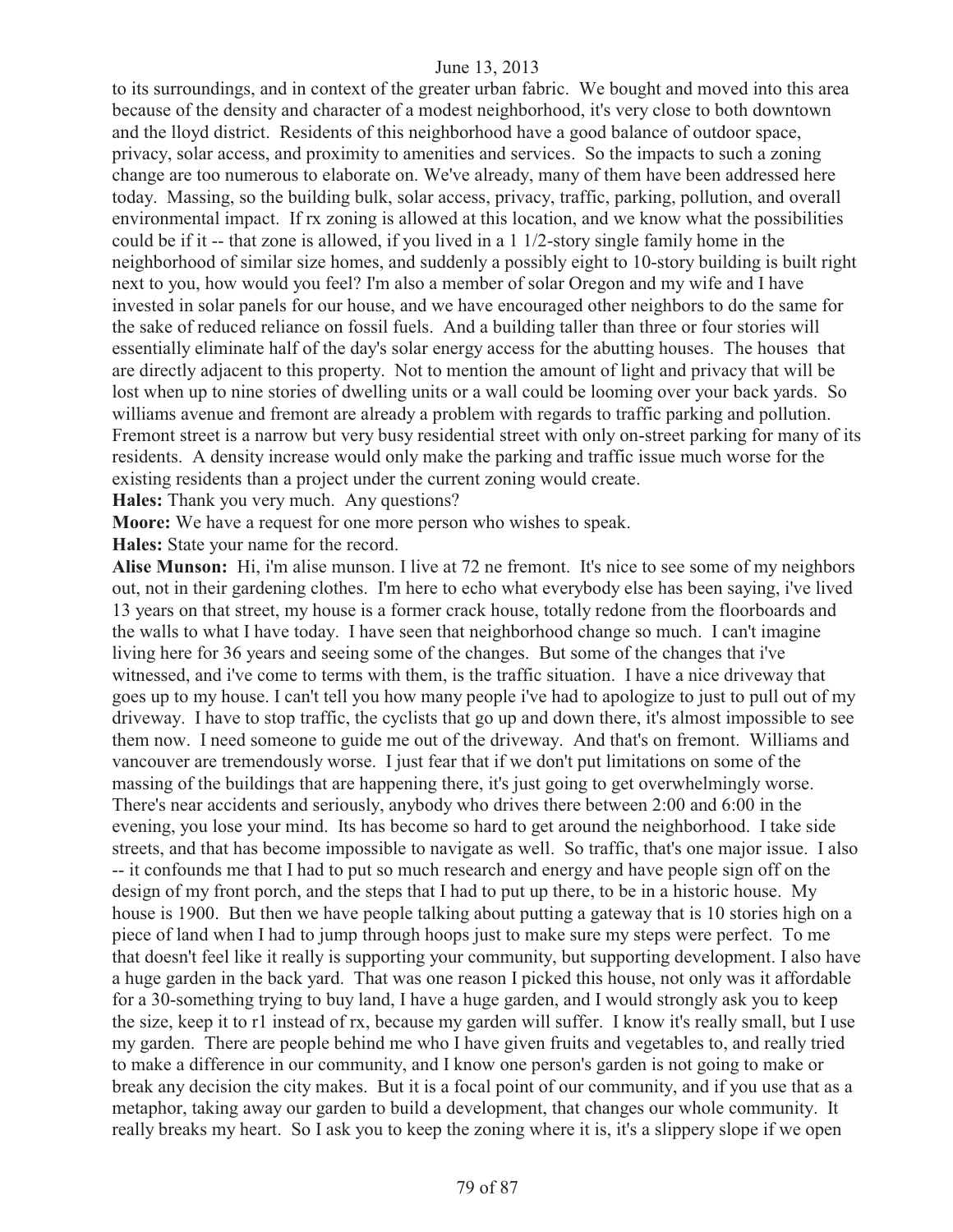to its surroundings, and in context of the greater urban fabric. We bought and moved into this area because of the density and character of a modest neighborhood, it's very close to both downtown and the lloyd district. Residents of this neighborhood have a good balance of outdoor space, privacy, solar access, and proximity to amenities and services. So the impacts to such a zoning change are too numerous to elaborate on. We've already, many of them have been addressed here today. Massing, so the building bulk, solar access, privacy, traffic, parking, pollution, and overall environmental impact. If rx zoning is allowed at this location, and we know what the possibilities could be if it -- that zone is allowed, if you lived in a 1 1/2-story single family home in the neighborhood of similar size homes, and suddenly a possibly eight to 10-story building is built right next to you, how would you feel? I'm also a member of solar Oregon and my wife and I have invested in solar panels for our house, and we have encouraged other neighbors to do the same for the sake of reduced reliance on fossil fuels. And a building taller than three or four stories will essentially eliminate half of the day's solar energy access for the abutting houses. The houses that are directly adjacent to this property. Not to mention the amount of light and privacy that will be lost when up to nine stories of dwelling units or a wall could be looming over your back yards. So williams avenue and fremont are already a problem with regards to traffic parking and pollution. Fremont street is a narrow but very busy residential street with only on-street parking for many of its residents. A density increase would only make the parking and traffic issue much worse for the existing residents than a project under the current zoning would create.

**Hales:** Thank you very much. Any questions?

**Moore:** We have a request for one more person who wishes to speak.

**Hales:** State your name for the record.

**Alise Munson:** Hi, i'm alise munson. I live at 72 ne fremont. It's nice to see some of my neighbors out, not in their gardening clothes. I'm here to echo what everybody else has been saying, i've lived 13 years on that street, my house is a former crack house, totally redone from the floorboards and the walls to what I have today. I have seen that neighborhood change so much. I can't imagine living here for 36 years and seeing some of the changes. But some of the changes that i've witnessed, and i've come to terms with them, is the traffic situation. I have a nice driveway that goes up to my house. I can't tell you how many people i've had to apologize to just to pull out of my driveway. I have to stop traffic, the cyclists that go up and down there, it's almost impossible to see them now. I need someone to guide me out of the driveway. And that's on fremont. Williams and vancouver are tremendously worse. I just fear that if we don't put limitations on some of the massing of the buildings that are happening there, it's just going to get overwhelmingly worse. There's near accidents and seriously, anybody who drives there between 2:00 and 6:00 in the evening, you lose your mind. Its has become so hard to get around the neighborhood. I take side streets, and that has become impossible to navigate as well. So traffic, that's one major issue. I also -- it confounds me that I had to put so much research and energy and have people sign off on the design of my front porch, and the steps that I had to put up there, to be in a historic house. My house is 1900. But then we have people talking about putting a gateway that is 10 stories high on a piece of land when I had to jump through hoops just to make sure my steps were perfect. To me that doesn't feel like it really is supporting your community, but supporting development. I also have a huge garden in the back yard. That was one reason I picked this house, not only was it affordable for a 30-something trying to buy land, I have a huge garden, and I would strongly ask you to keep the size, keep it to r1 instead of rx, because my garden will suffer. I know it's really small, but I use my garden. There are people behind me who I have given fruits and vegetables to, and really tried to make a difference in our community, and I know one person's garden is not going to make or break any decision the city makes. But it is a focal point of our community, and if you use that as a metaphor, taking away our garden to build a development, that changes our whole community. It really breaks my heart. So I ask you to keep the zoning where it is, it's a slippery slope if we open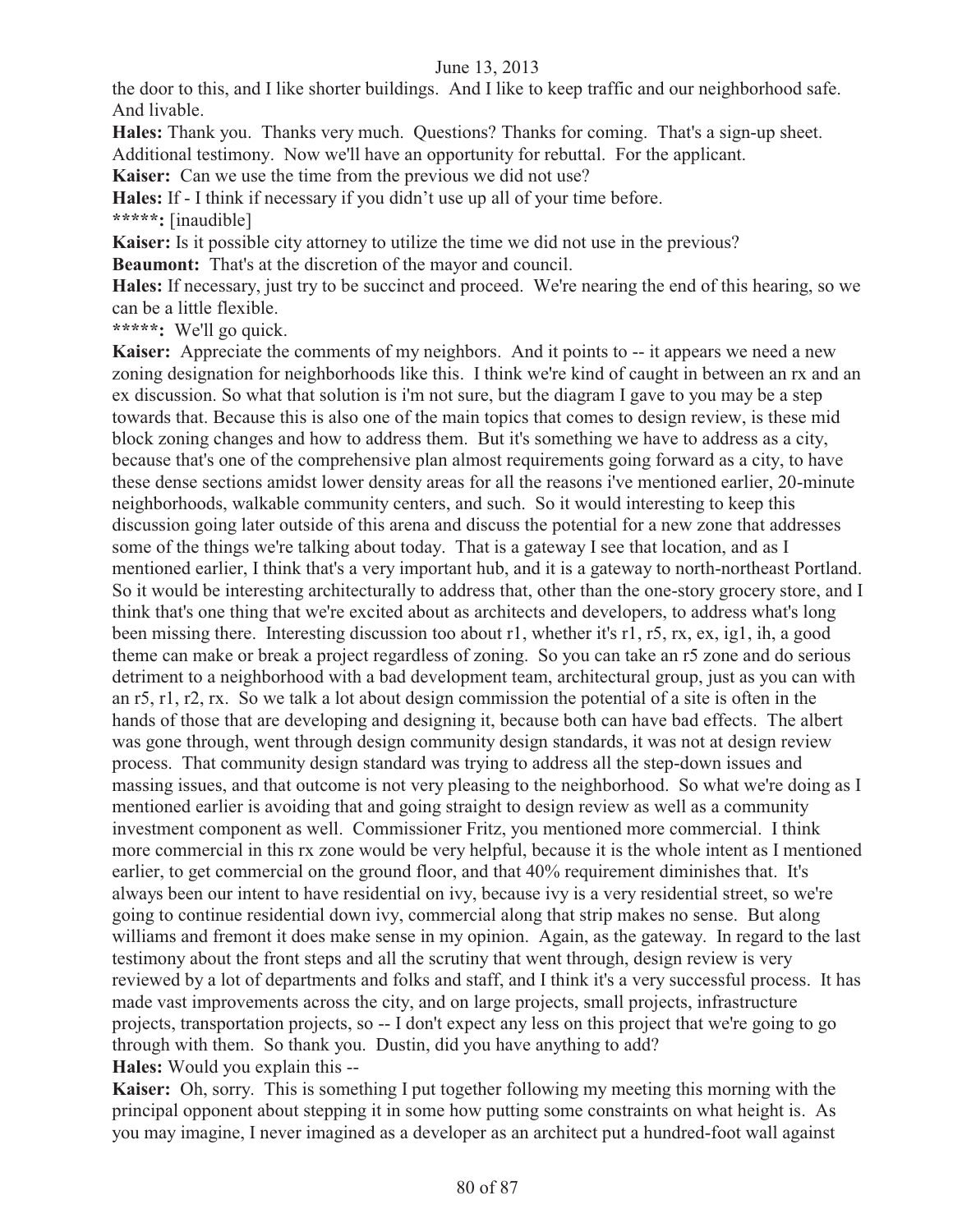the door to this, and I like shorter buildings. And I like to keep traffic and our neighborhood safe. And livable.

**Hales:** Thank you. Thanks very much. Questions? Thanks for coming. That's a sign-up sheet.

Additional testimony. Now we'll have an opportunity for rebuttal. For the applicant.

**Kaiser:** Can we use the time from the previous we did not use?

**Hales:** If - I think if necessary if you didn't use up all of your time before.

**\*\*\*\*\*:** [inaudible]

**Kaiser:** Is it possible city attorney to utilize the time we did not use in the previous?

**Beaumont:** That's at the discretion of the mayor and council.

**Hales:** If necessary, just try to be succinct and proceed. We're nearing the end of this hearing, so we can be a little flexible.

**\*\*\*\*\*:** We'll go quick.

**Kaiser:** Appreciate the comments of my neighbors. And it points to -- it appears we need a new zoning designation for neighborhoods like this. I think we're kind of caught in between an rx and an ex discussion. So what that solution is i'm not sure, but the diagram I gave to you may be a step towards that. Because this is also one of the main topics that comes to design review, is these mid block zoning changes and how to address them. But it's something we have to address as a city, because that's one of the comprehensive plan almost requirements going forward as a city, to have these dense sections amidst lower density areas for all the reasons i've mentioned earlier, 20-minute neighborhoods, walkable community centers, and such. So it would interesting to keep this discussion going later outside of this arena and discuss the potential for a new zone that addresses some of the things we're talking about today. That is a gateway I see that location, and as I mentioned earlier, I think that's a very important hub, and it is a gateway to north-northeast Portland. So it would be interesting architecturally to address that, other than the one-story grocery store, and I think that's one thing that we're excited about as architects and developers, to address what's long been missing there. Interesting discussion too about r1, whether it's r1, r5, rx, ex, ig1, ih, a good theme can make or break a project regardless of zoning. So you can take an r5 zone and do serious detriment to a neighborhood with a bad development team, architectural group, just as you can with an r5, r1, r2, rx. So we talk a lot about design commission the potential of a site is often in the hands of those that are developing and designing it, because both can have bad effects. The albert was gone through, went through design community design standards, it was not at design review process. That community design standard was trying to address all the step-down issues and massing issues, and that outcome is not very pleasing to the neighborhood. So what we're doing as I mentioned earlier is avoiding that and going straight to design review as well as a community investment component as well. Commissioner Fritz, you mentioned more commercial. I think more commercial in this rx zone would be very helpful, because it is the whole intent as I mentioned earlier, to get commercial on the ground floor, and that 40% requirement diminishes that. It's always been our intent to have residential on ivy, because ivy is a very residential street, so we're going to continue residential down ivy, commercial along that strip makes no sense. But along williams and fremont it does make sense in my opinion. Again, as the gateway. In regard to the last testimony about the front steps and all the scrutiny that went through, design review is very reviewed by a lot of departments and folks and staff, and I think it's a very successful process. It has made vast improvements across the city, and on large projects, small projects, infrastructure projects, transportation projects, so -- I don't expect any less on this project that we're going to go through with them. So thank you. Dustin, did you have anything to add? **Hales:** Would you explain this --

**Kaiser:** Oh, sorry. This is something I put together following my meeting this morning with the principal opponent about stepping it in some how putting some constraints on what height is. As you may imagine, I never imagined as a developer as an architect put a hundred-foot wall against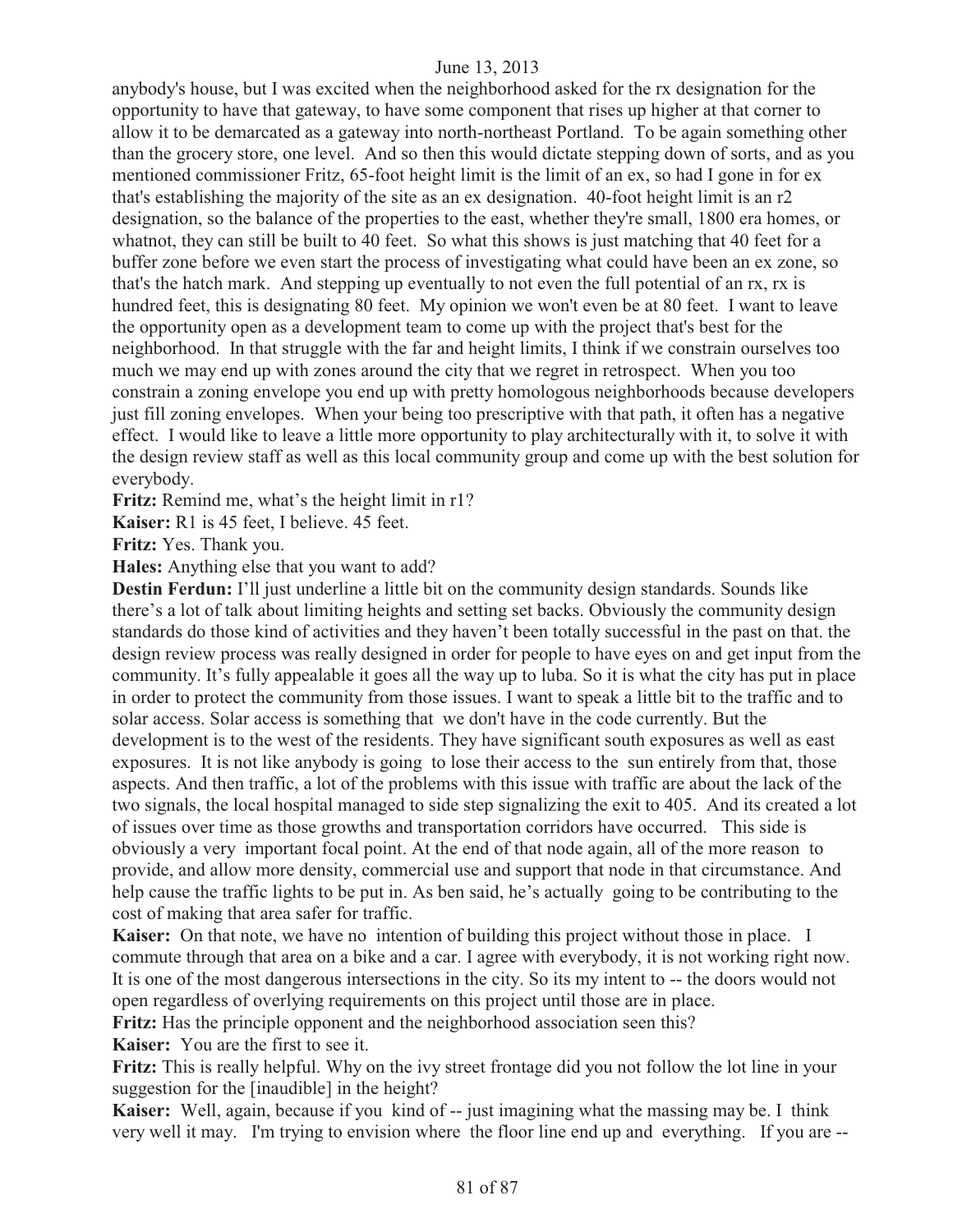anybody's house, but I was excited when the neighborhood asked for the rx designation for the opportunity to have that gateway, to have some component that rises up higher at that corner to allow it to be demarcated as a gateway into north-northeast Portland. To be again something other than the grocery store, one level. And so then this would dictate stepping down of sorts, and as you mentioned commissioner Fritz, 65-foot height limit is the limit of an ex, so had I gone in for ex that's establishing the majority of the site as an ex designation. 40-foot height limit is an r2 designation, so the balance of the properties to the east, whether they're small, 1800 era homes, or whatnot, they can still be built to 40 feet. So what this shows is just matching that 40 feet for a buffer zone before we even start the process of investigating what could have been an ex zone, so that's the hatch mark. And stepping up eventually to not even the full potential of an rx, rx is hundred feet, this is designating 80 feet. My opinion we won't even be at 80 feet. I want to leave the opportunity open as a development team to come up with the project that's best for the neighborhood. In that struggle with the far and height limits, I think if we constrain ourselves too much we may end up with zones around the city that we regret in retrospect. When you too constrain a zoning envelope you end up with pretty homologous neighborhoods because developers just fill zoning envelopes. When your being too prescriptive with that path, it often has a negative effect. I would like to leave a little more opportunity to play architecturally with it, to solve it with the design review staff as well as this local community group and come up with the best solution for everybody.

Fritz: Remind me, what's the height limit in r1?

**Kaiser:** R1 is 45 feet, I believe. 45 feet.

**Fritz:** Yes. Thank you.

**Hales:** Anything else that you want to add?

**Destin Ferdun:** I'll just underline a little bit on the community design standards. Sounds like there's a lot of talk about limiting heights and setting set backs. Obviously the community design standards do those kind of activities and they haven't been totally successful in the past on that. the design review process was really designed in order for people to have eyes on and get input from the community. It's fully appealable it goes all the way up to luba. So it is what the city has put in place in order to protect the community from those issues. I want to speak a little bit to the traffic and to solar access. Solar access is something that we don't have in the code currently. But the development is to the west of the residents. They have significant south exposures as well as east exposures. It is not like anybody is going to lose their access to the sun entirely from that, those aspects. And then traffic, a lot of the problems with this issue with traffic are about the lack of the two signals, the local hospital managed to side step signalizing the exit to 405. And its created a lot of issues over time as those growths and transportation corridors have occurred. This side is obviously a very important focal point. At the end of that node again, all of the more reason to provide, and allow more density, commercial use and support that node in that circumstance. And help cause the traffic lights to be put in. As ben said, he's actually going to be contributing to the cost of making that area safer for traffic.

**Kaiser:** On that note, we have no intention of building this project without those in place. I commute through that area on a bike and a car. I agree with everybody, it is not working right now. It is one of the most dangerous intersections in the city. So its my intent to -- the doors would not open regardless of overlying requirements on this project until those are in place.

**Fritz:** Has the principle opponent and the neighborhood association seen this?

**Kaiser:** You are the first to see it.

**Fritz:** This is really helpful. Why on the ivy street frontage did you not follow the lot line in your suggestion for the [inaudible] in the height?

**Kaiser:** Well, again, because if you kind of -- just imagining what the massing may be. I think very well it may. I'm trying to envision where the floor line end up and everything. If you are --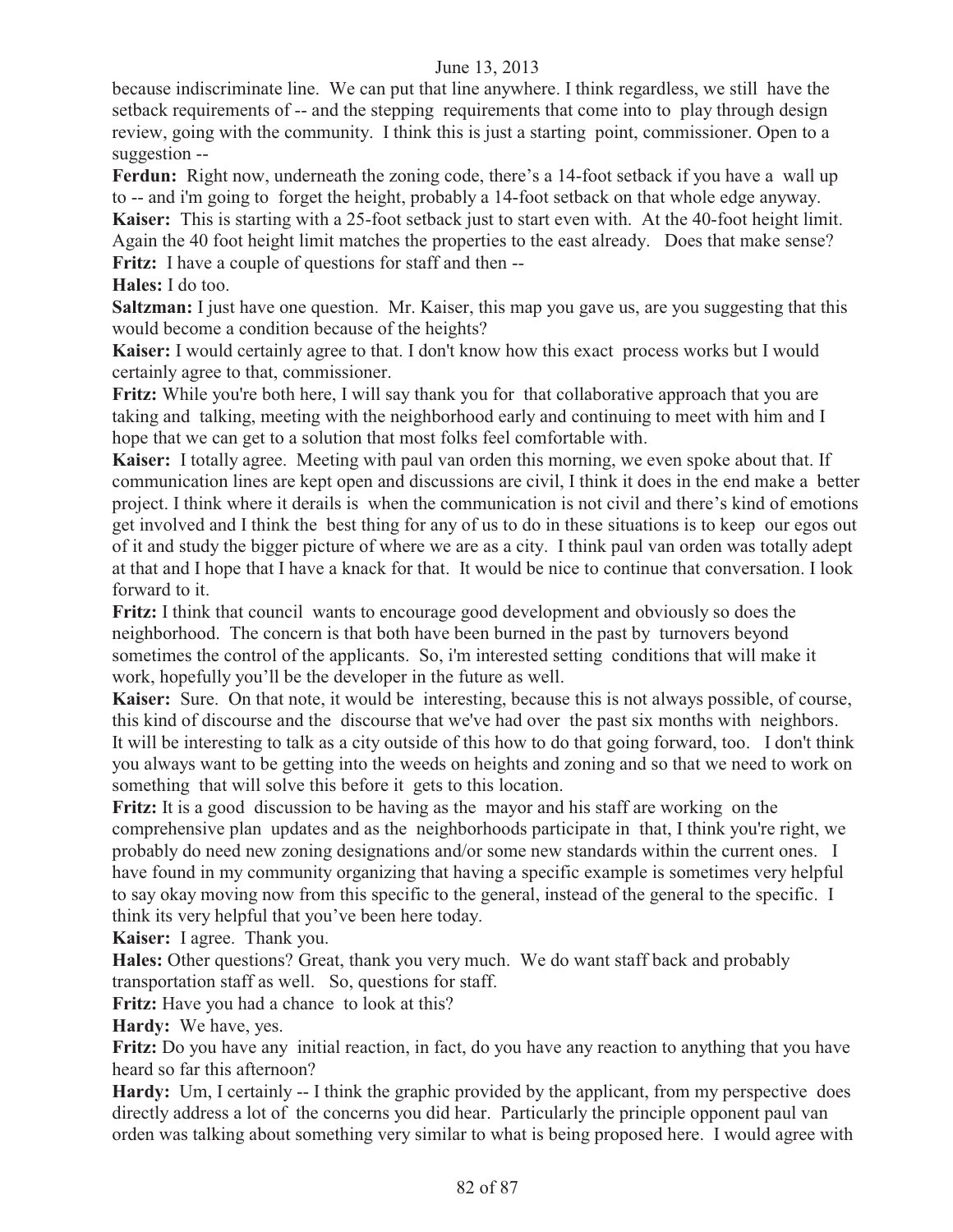because indiscriminate line. We can put that line anywhere. I think regardless, we still have the setback requirements of -- and the stepping requirements that come into to play through design review, going with the community. I think this is just a starting point, commissioner. Open to a suggestion --

Ferdun: Right now, underneath the zoning code, there's a 14-foot setback if you have a wall up to -- and i'm going to forget the height, probably a 14-foot setback on that whole edge anyway. **Kaiser:** This is starting with a 25-foot setback just to start even with. At the 40-foot height limit. Again the 40 foot height limit matches the properties to the east already. Does that make sense? **Fritz:** I have a couple of questions for staff and then --

**Hales:** I do too.

**Saltzman:** I just have one question. Mr. Kaiser, this map you gave us, are you suggesting that this would become a condition because of the heights?

**Kaiser:** I would certainly agree to that. I don't know how this exact process works but I would certainly agree to that, commissioner.

**Fritz:** While you're both here, I will say thank you for that collaborative approach that you are taking and talking, meeting with the neighborhood early and continuing to meet with him and I hope that we can get to a solution that most folks feel comfortable with.

**Kaiser:** I totally agree. Meeting with paul van orden this morning, we even spoke about that. If communication lines are kept open and discussions are civil, I think it does in the end make a better project. I think where it derails is when the communication is not civil and there's kind of emotions get involved and I think the best thing for any of us to do in these situations is to keep our egos out of it and study the bigger picture of where we are as a city. I think paul van orden was totally adept at that and I hope that I have a knack for that. It would be nice to continue that conversation. I look forward to it.

**Fritz:** I think that council wants to encourage good development and obviously so does the neighborhood. The concern is that both have been burned in the past by turnovers beyond sometimes the control of the applicants. So, i'm interested setting conditions that will make it work, hopefully you'll be the developer in the future as well.

**Kaiser:** Sure. On that note, it would be interesting, because this is not always possible, of course, this kind of discourse and the discourse that we've had over the past six months with neighbors. It will be interesting to talk as a city outside of this how to do that going forward, too. I don't think you always want to be getting into the weeds on heights and zoning and so that we need to work on something that will solve this before it gets to this location.

**Fritz:** It is a good discussion to be having as the mayor and his staff are working on the comprehensive plan updates and as the neighborhoods participate in that, I think you're right, we probably do need new zoning designations and/or some new standards within the current ones. I have found in my community organizing that having a specific example is sometimes very helpful to say okay moving now from this specific to the general, instead of the general to the specific. I think its very helpful that you've been here today.

**Kaiser:** I agree. Thank you.

**Hales:** Other questions? Great, thank you very much. We do want staff back and probably transportation staff as well. So, questions for staff.

**Fritz:** Have you had a chance to look at this?

**Hardy:** We have, yes.

**Fritz:** Do you have any initial reaction, in fact, do you have any reaction to anything that you have heard so far this afternoon?

Hardy: Um, I certainly -- I think the graphic provided by the applicant, from my perspective does directly address a lot of the concerns you did hear. Particularly the principle opponent paul van orden was talking about something very similar to what is being proposed here. I would agree with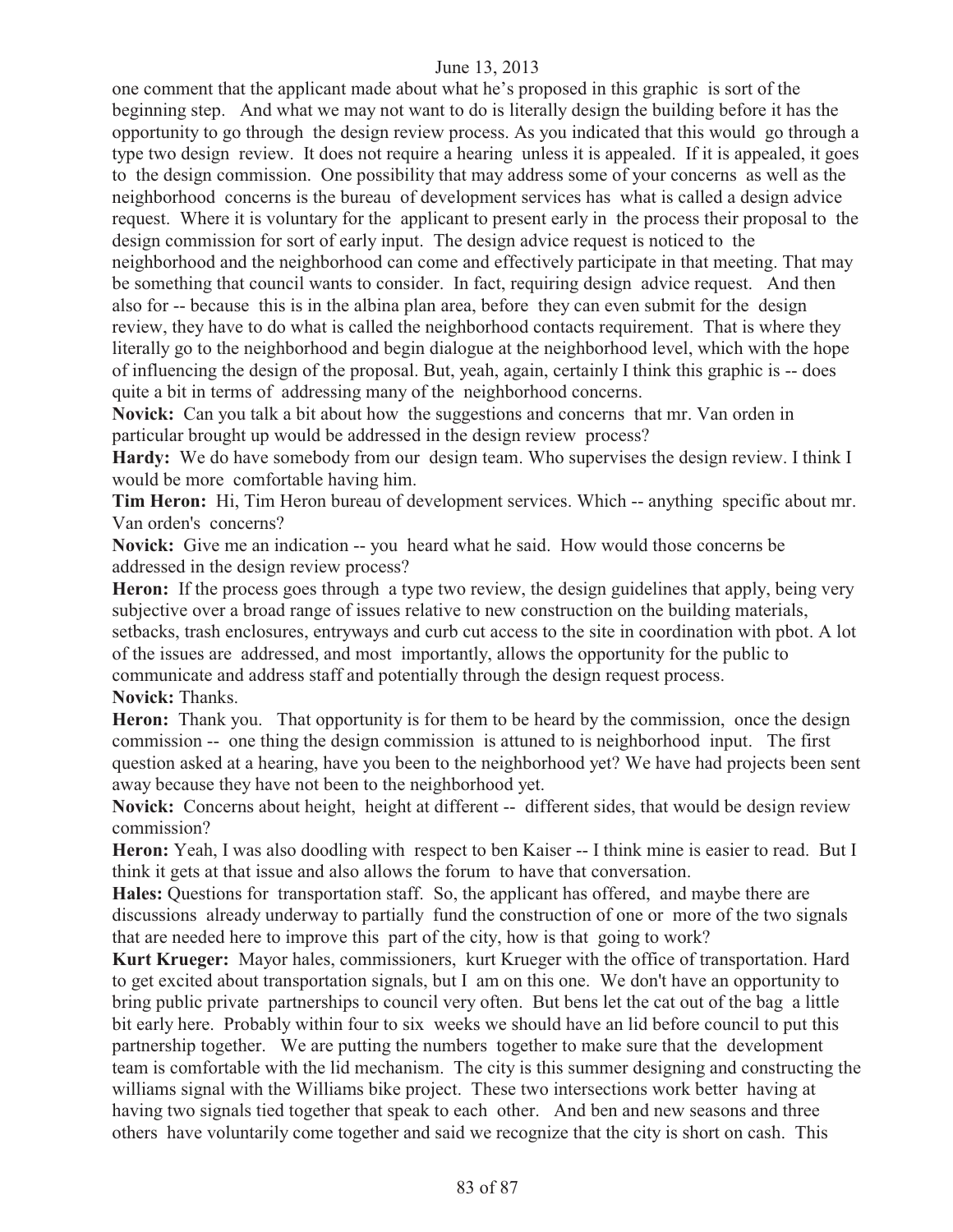one comment that the applicant made about what he's proposed in this graphic is sort of the beginning step. And what we may not want to do is literally design the building before it has the opportunity to go through the design review process. As you indicated that this would go through a type two design review. It does not require a hearing unless it is appealed. If it is appealed, it goes to the design commission. One possibility that may address some of your concerns as well as the neighborhood concerns is the bureau of development services has what is called a design advice request. Where it is voluntary for the applicant to present early in the process their proposal to the design commission for sort of early input. The design advice request is noticed to the neighborhood and the neighborhood can come and effectively participate in that meeting. That may be something that council wants to consider. In fact, requiring design advice request. And then also for -- because this is in the albina plan area, before they can even submit for the design review, they have to do what is called the neighborhood contacts requirement. That is where they literally go to the neighborhood and begin dialogue at the neighborhood level, which with the hope of influencing the design of the proposal. But, yeah, again, certainly I think this graphic is -- does quite a bit in terms of addressing many of the neighborhood concerns.

**Novick:** Can you talk a bit about how the suggestions and concerns that mr. Van orden in particular brought up would be addressed in the design review process?

Hardy: We do have somebody from our design team. Who supervises the design review. I think I would be more comfortable having him.

**Tim Heron:** Hi, Tim Heron bureau of development services. Which -- anything specific about mr. Van orden's concerns?

**Novick:** Give me an indication -- you heard what he said. How would those concerns be addressed in the design review process?

Heron: If the process goes through a type two review, the design guidelines that apply, being very subjective over a broad range of issues relative to new construction on the building materials,

setbacks, trash enclosures, entryways and curb cut access to the site in coordination with pbot. A lot of the issues are addressed, and most importantly, allows the opportunity for the public to communicate and address staff and potentially through the design request process.

**Novick:** Thanks.

**Heron:** Thank you. That opportunity is for them to be heard by the commission, once the design commission -- one thing the design commission is attuned to is neighborhood input. The first question asked at a hearing, have you been to the neighborhood yet? We have had projects been sent away because they have not been to the neighborhood yet.

**Novick:** Concerns about height, height at different -- different sides, that would be design review commission?

**Heron:** Yeah, I was also doodling with respect to ben Kaiser -- I think mine is easier to read. But I think it gets at that issue and also allows the forum to have that conversation.

**Hales:** Questions for transportation staff. So, the applicant has offered, and maybe there are discussions already underway to partially fund the construction of one or more of the two signals that are needed here to improve this part of the city, how is that going to work?

**Kurt Krueger:** Mayor hales, commissioners, kurt Krueger with the office of transportation. Hard to get excited about transportation signals, but I am on this one. We don't have an opportunity to bring public private partnerships to council very often. But bens let the cat out of the bag a little bit early here. Probably within four to six weeks we should have an lid before council to put this partnership together. We are putting the numbers together to make sure that the development team is comfortable with the lid mechanism. The city is this summer designing and constructing the williams signal with the Williams bike project. These two intersections work better having at having two signals tied together that speak to each other. And ben and new seasons and three others have voluntarily come together and said we recognize that the city is short on cash. This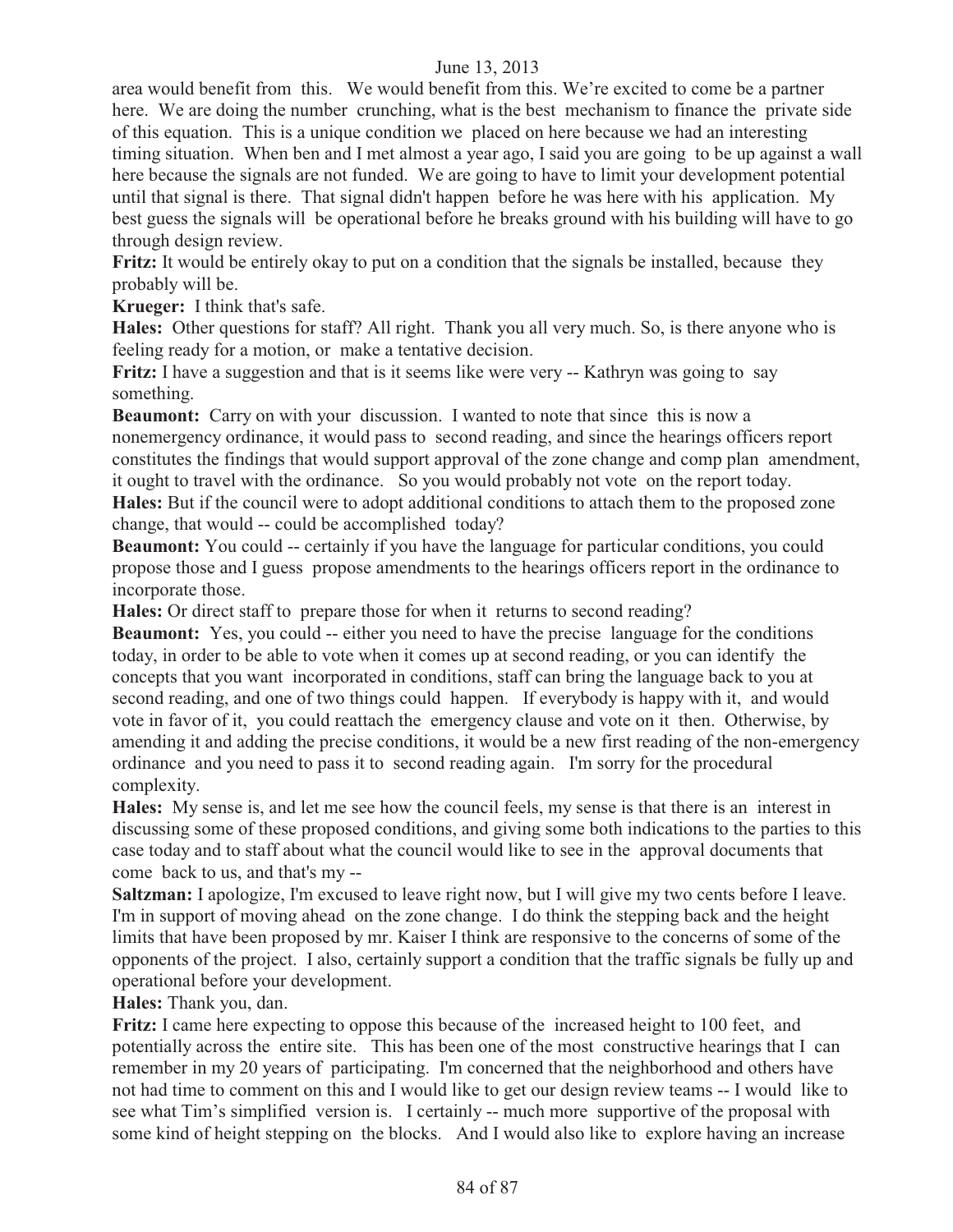area would benefit from this. We would benefit from this. We're excited to come be a partner here. We are doing the number crunching, what is the best mechanism to finance the private side of this equation. This is a unique condition we placed on here because we had an interesting timing situation. When ben and I met almost a year ago, I said you are going to be up against a wall here because the signals are not funded. We are going to have to limit your development potential until that signal is there. That signal didn't happen before he was here with his application. My best guess the signals will be operational before he breaks ground with his building will have to go through design review.

**Fritz:** It would be entirely okay to put on a condition that the signals be installed, because they probably will be.

**Krueger:** I think that's safe.

**Hales:** Other questions for staff? All right. Thank you all very much. So, is there anyone who is feeling ready for a motion, or make a tentative decision.

**Fritz:** I have a suggestion and that is it seems like were very -- Kathryn was going to say something.

**Beaumont:** Carry on with your discussion. I wanted to note that since this is now a nonemergency ordinance, it would pass to second reading, and since the hearings officers report constitutes the findings that would support approval of the zone change and comp plan amendment, it ought to travel with the ordinance. So you would probably not vote on the report today. **Hales:** But if the council were to adopt additional conditions to attach them to the proposed zone change, that would -- could be accomplished today?

**Beaumont:** You could -- certainly if you have the language for particular conditions, you could propose those and I guess propose amendments to the hearings officers report in the ordinance to incorporate those.

**Hales:** Or direct staff to prepare those for when it returns to second reading?

**Beaumont:** Yes, you could -- either you need to have the precise language for the conditions today, in order to be able to vote when it comes up at second reading, or you can identify the concepts that you want incorporated in conditions, staff can bring the language back to you at second reading, and one of two things could happen. If everybody is happy with it, and would vote in favor of it, you could reattach the emergency clause and vote on it then. Otherwise, by amending it and adding the precise conditions, it would be a new first reading of the non-emergency ordinance and you need to pass it to second reading again. I'm sorry for the procedural complexity.

**Hales:** My sense is, and let me see how the council feels, my sense is that there is an interest in discussing some of these proposed conditions, and giving some both indications to the parties to this case today and to staff about what the council would like to see in the approval documents that come back to us, and that's my --

**Saltzman:** I apologize, I'm excused to leave right now, but I will give my two cents before I leave. I'm in support of moving ahead on the zone change. I do think the stepping back and the height limits that have been proposed by mr. Kaiser I think are responsive to the concerns of some of the opponents of the project. I also, certainly support a condition that the traffic signals be fully up and operational before your development.

**Hales:** Thank you, dan.

**Fritz:** I came here expecting to oppose this because of the increased height to 100 feet, and potentially across the entire site. This has been one of the most constructive hearings that I can remember in my 20 years of participating. I'm concerned that the neighborhood and others have not had time to comment on this and I would like to get our design review teams -- I would like to see what Tim's simplified version is. I certainly -- much more supportive of the proposal with some kind of height stepping on the blocks. And I would also like to explore having an increase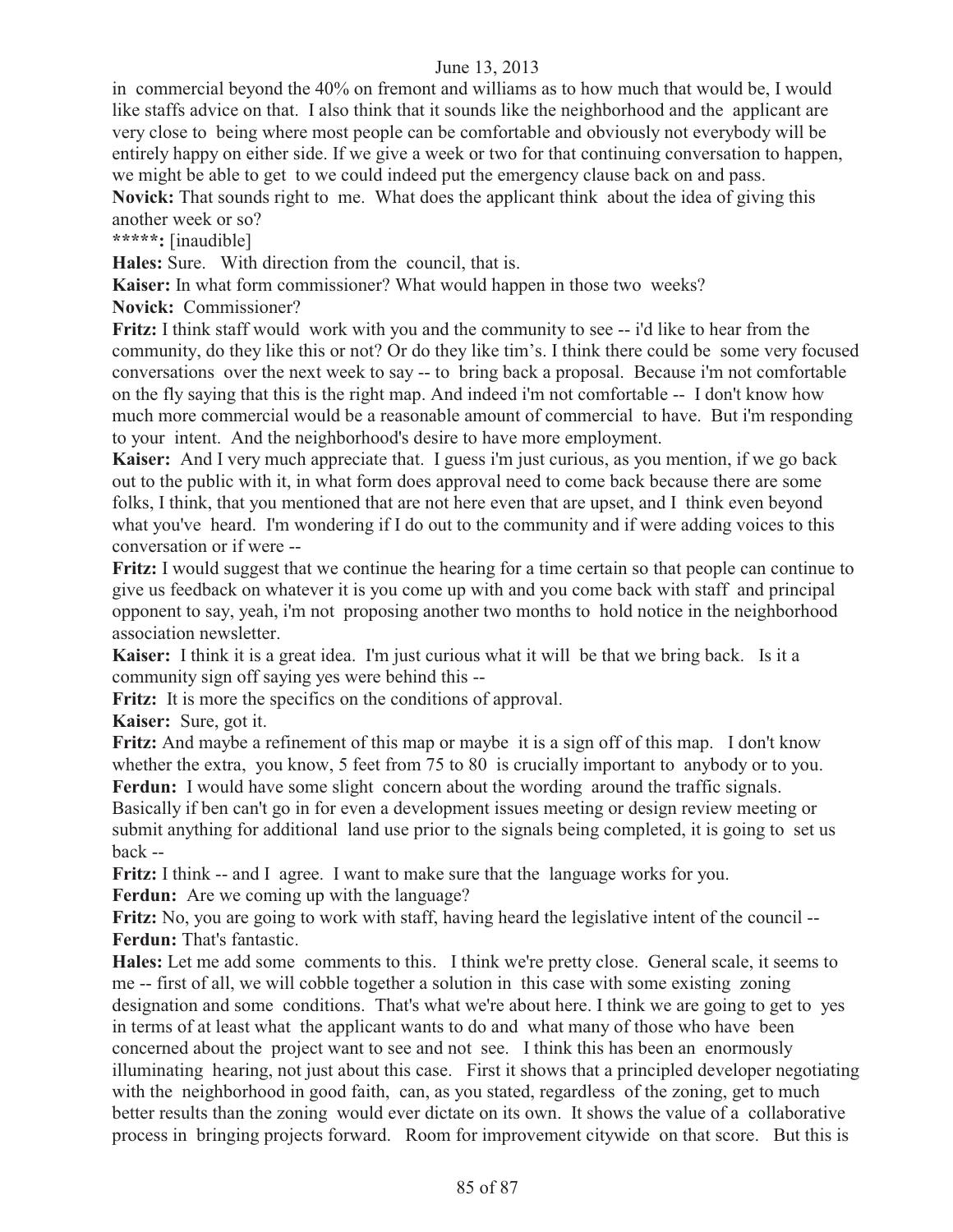in commercial beyond the 40% on fremont and williams as to how much that would be, I would like staffs advice on that. I also think that it sounds like the neighborhood and the applicant are very close to being where most people can be comfortable and obviously not everybody will be entirely happy on either side. If we give a week or two for that continuing conversation to happen, we might be able to get to we could indeed put the emergency clause back on and pass. **Novick:** That sounds right to me. What does the applicant think about the idea of giving this

another week or so?

**\*\*\*\*\*:** [inaudible]

**Hales:** Sure. With direction from the council, that is.

**Kaiser:** In what form commissioner? What would happen in those two weeks?

**Novick:** Commissioner?

**Fritz:** I think staff would work with you and the community to see -- i'd like to hear from the community, do they like this or not? Or do they like tim's. I think there could be some very focused conversations over the next week to say -- to bring back a proposal. Because i'm not comfortable on the fly saying that this is the right map. And indeed i'm not comfortable -- I don't know how much more commercial would be a reasonable amount of commercial to have. But i'm responding to your intent. And the neighborhood's desire to have more employment.

**Kaiser:** And I very much appreciate that. I guess i'm just curious, as you mention, if we go back out to the public with it, in what form does approval need to come back because there are some folks, I think, that you mentioned that are not here even that are upset, and I think even beyond what you've heard. I'm wondering if I do out to the community and if were adding voices to this conversation or if were --

**Fritz:** I would suggest that we continue the hearing for a time certain so that people can continue to give us feedback on whatever it is you come up with and you come back with staff and principal opponent to say, yeah, i'm not proposing another two months to hold notice in the neighborhood association newsletter.

**Kaiser:** I think it is a great idea. I'm just curious what it will be that we bring back. Is it a community sign off saying yes were behind this --

**Fritz:** It is more the specifics on the conditions of approval.

**Kaiser:** Sure, got it.

**Fritz:** And maybe a refinement of this map or maybe it is a sign off of this map. I don't know whether the extra, you know, 5 feet from 75 to 80 is crucially important to anybody or to you. Ferdun: I would have some slight concern about the wording around the traffic signals.

Basically if ben can't go in for even a development issues meeting or design review meeting or submit anything for additional land use prior to the signals being completed, it is going to set us back --

**Fritz:** I think -- and I agree. I want to make sure that the language works for you. **Ferdun:** Are we coming up with the language?

**Fritz:** No, you are going to work with staff, having heard the legislative intent of the council -- **Ferdun:** That's fantastic.

**Hales:** Let me add some comments to this. I think we're pretty close. General scale, it seems to me -- first of all, we will cobble together a solution in this case with some existing zoning designation and some conditions. That's what we're about here. I think we are going to get to yes in terms of at least what the applicant wants to do and what many of those who have been concerned about the project want to see and not see. I think this has been an enormously illuminating hearing, not just about this case. First it shows that a principled developer negotiating with the neighborhood in good faith, can, as you stated, regardless of the zoning, get to much better results than the zoning would ever dictate on its own. It shows the value of a collaborative process in bringing projects forward. Room for improvement citywide on that score. But this is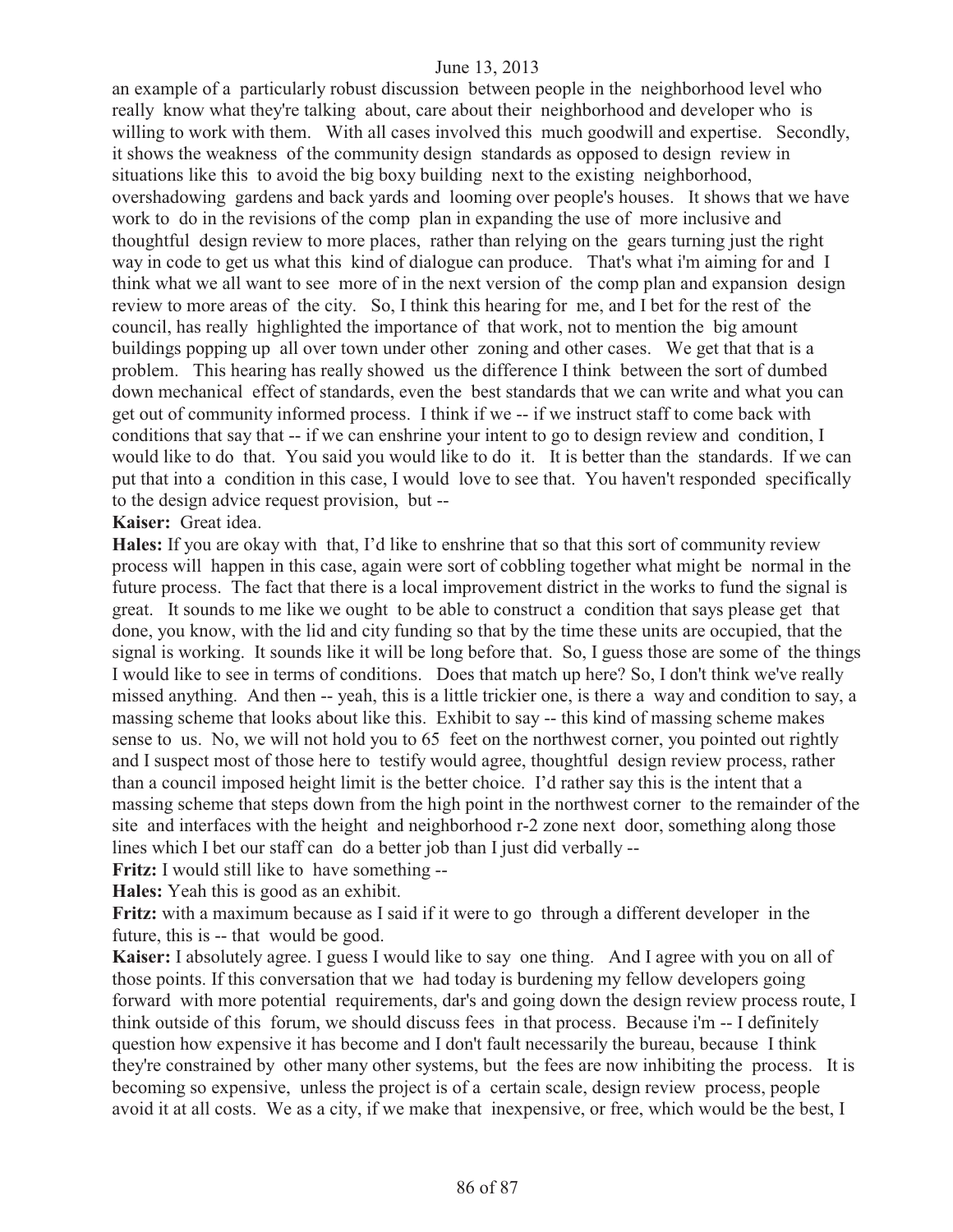an example of a particularly robust discussion between people in the neighborhood level who really know what they're talking about, care about their neighborhood and developer who is willing to work with them. With all cases involved this much goodwill and expertise. Secondly, it shows the weakness of the community design standards as opposed to design review in situations like this to avoid the big boxy building next to the existing neighborhood, overshadowing gardens and back yards and looming over people's houses. It shows that we have work to do in the revisions of the comp plan in expanding the use of more inclusive and thoughtful design review to more places, rather than relying on the gears turning just the right way in code to get us what this kind of dialogue can produce. That's what i'm aiming for and I think what we all want to see more of in the next version of the comp plan and expansion design review to more areas of the city. So, I think this hearing for me, and I bet for the rest of the council, has really highlighted the importance of that work, not to mention the big amount buildings popping up all over town under other zoning and other cases. We get that that is a problem. This hearing has really showed us the difference I think between the sort of dumbed down mechanical effect of standards, even the best standards that we can write and what you can get out of community informed process. I think if we -- if we instruct staff to come back with conditions that say that -- if we can enshrine your intent to go to design review and condition, I would like to do that. You said you would like to do it. It is better than the standards. If we can put that into a condition in this case, I would love to see that. You haven't responded specifically to the design advice request provision, but --

**Kaiser:** Great idea.

**Hales:** If you are okay with that, I'd like to enshrine that so that this sort of community review process will happen in this case, again were sort of cobbling together what might be normal in the future process. The fact that there is a local improvement district in the works to fund the signal is great. It sounds to me like we ought to be able to construct a condition that says please get that done, you know, with the lid and city funding so that by the time these units are occupied, that the signal is working. It sounds like it will be long before that. So, I guess those are some of the things I would like to see in terms of conditions. Does that match up here? So, I don't think we've really missed anything. And then -- yeah, this is a little trickier one, is there a way and condition to say, a massing scheme that looks about like this. Exhibit to say -- this kind of massing scheme makes sense to us. No, we will not hold you to 65 feet on the northwest corner, you pointed out rightly and I suspect most of those here to testify would agree, thoughtful design review process, rather than a council imposed height limit is the better choice. I'd rather say this is the intent that a massing scheme that steps down from the high point in the northwest corner to the remainder of the site and interfaces with the height and neighborhood r-2 zone next door, something along those lines which I bet our staff can do a better job than I just did verbally --

**Fritz:** I would still like to have something --

**Hales:** Yeah this is good as an exhibit.

**Fritz:** with a maximum because as I said if it were to go through a different developer in the future, this is -- that would be good.

**Kaiser:** I absolutely agree. I guess I would like to say one thing. And I agree with you on all of those points. If this conversation that we had today is burdening my fellow developers going forward with more potential requirements, dar's and going down the design review process route, I think outside of this forum, we should discuss fees in that process. Because i'm -- I definitely question how expensive it has become and I don't fault necessarily the bureau, because I think they're constrained by other many other systems, but the fees are now inhibiting the process. It is becoming so expensive, unless the project is of a certain scale, design review process, people avoid it at all costs. We as a city, if we make that inexpensive, or free, which would be the best, I